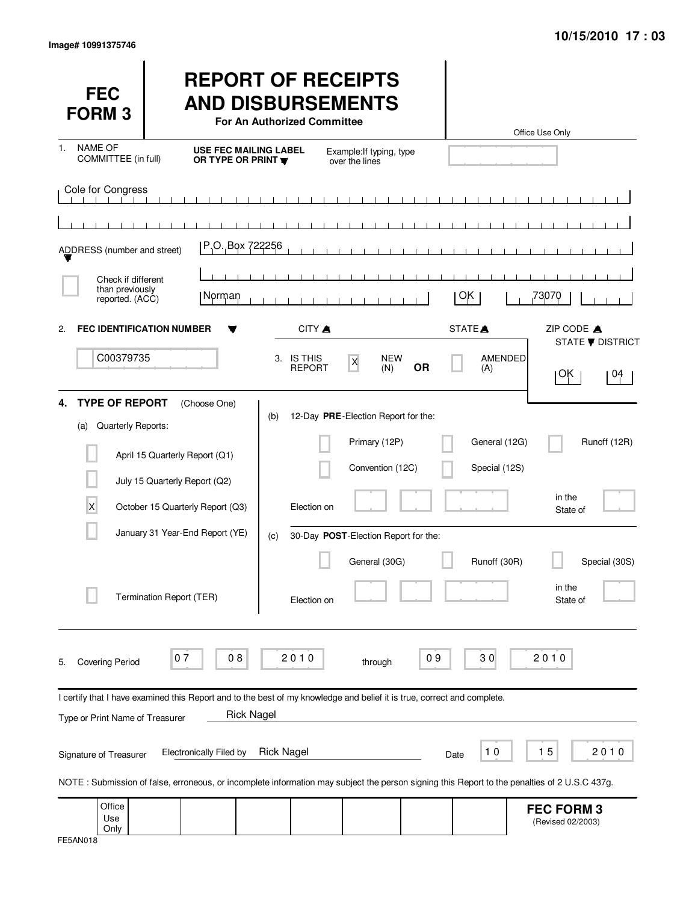| <b>FEC</b><br><b>FORM3</b>                                                              |                                                                                                                                                                                                                                                                                                                                | <b>REPORT OF RECEIPTS</b><br><b>AND DISBURSEMENTS</b><br>For An Authorized Committee |                                                                                                                  |                   |                                             | Office Use Only                                   |
|-----------------------------------------------------------------------------------------|--------------------------------------------------------------------------------------------------------------------------------------------------------------------------------------------------------------------------------------------------------------------------------------------------------------------------------|--------------------------------------------------------------------------------------|------------------------------------------------------------------------------------------------------------------|-------------------|---------------------------------------------|---------------------------------------------------|
| <b>NAME OF</b><br>1.<br>COMMITTEE (in full)                                             | <b>USE FEC MAILING LABEL</b><br>OR TYPE OR PRINT                                                                                                                                                                                                                                                                               |                                                                                      | Example: If typing, type<br>over the lines                                                                       |                   |                                             |                                                   |
| Cole for Congress                                                                       | P.O. Box 722256                                                                                                                                                                                                                                                                                                                |                                                                                      | $\perp$ $\perp$<br>$\Box$<br>$\blacksquare$                                                                      | .<br>$\mathbf{I}$ |                                             |                                                   |
| ADDRESS (number and street)<br>Check if different<br>than previously<br>reported. (ACC) | Norman                                                                                                                                                                                                                                                                                                                         |                                                                                      | $\blacksquare$                                                                                                   |                   | ОK                                          | 73070                                             |
| 2.<br>C00379735                                                                         | <b>FEC IDENTIFICATION NUMBER</b>                                                                                                                                                                                                                                                                                               | CITY A<br>3. IS THIS<br><b>REPORT</b>                                                | <b>NEW</b><br>$\boldsymbol{\mathsf{X}}$<br>(N)                                                                   | <b>OR</b>         | STATE <sup>A</sup><br><b>AMENDED</b><br>(A) | ZIP CODE A<br><b>STATE ▼ DISTRICT</b><br>ΟΚ<br>04 |
| <b>TYPE OF REPORT</b><br>4.<br>Quarterly Reports:<br>(a)<br>X                           | (Choose One)<br>April 15 Quarterly Report (Q1)<br>July 15 Quarterly Report (Q2)<br>October 15 Quarterly Report (Q3)<br>January 31 Year-End Report (YE)                                                                                                                                                                         | (b)<br>Election on                                                                   | 12-Day PRE-Election Report for the:<br>Primary (12P)<br>Convention (12C)<br>30-Day POST-Election Report for the: |                   | General (12G)<br>Special (12S)              | Runoff (12R)<br>in the<br>State of                |
|                                                                                         | Termination Report (TER)                                                                                                                                                                                                                                                                                                       | (c)<br>Election on                                                                   | General (30G)                                                                                                    |                   | Runoff (30R)                                | Special (30S)<br>in the<br>State of               |
| <b>Covering Period</b><br>5.                                                            | 07<br>08                                                                                                                                                                                                                                                                                                                       | 2010                                                                                 | through                                                                                                          | 09                | 30                                          | 2010                                              |
| Type or Print Name of Treasurer<br>Signature of Treasurer                               | I certify that I have examined this Report and to the best of my knowledge and belief it is true, correct and complete.<br><b>Rick Nagel</b><br><b>Electronically Filed by</b><br>NOTE: Submission of false, erroneous, or incomplete information may subject the person signing this Report to the penalties of 2 U.S.C 437g. | <b>Rick Nagel</b>                                                                    |                                                                                                                  | Date              | 10                                          | 15<br>2010                                        |
| Office<br>Use<br>Only                                                                   |                                                                                                                                                                                                                                                                                                                                |                                                                                      |                                                                                                                  |                   |                                             | <b>FEC FORM 3</b><br>(Revised 02/2003)            |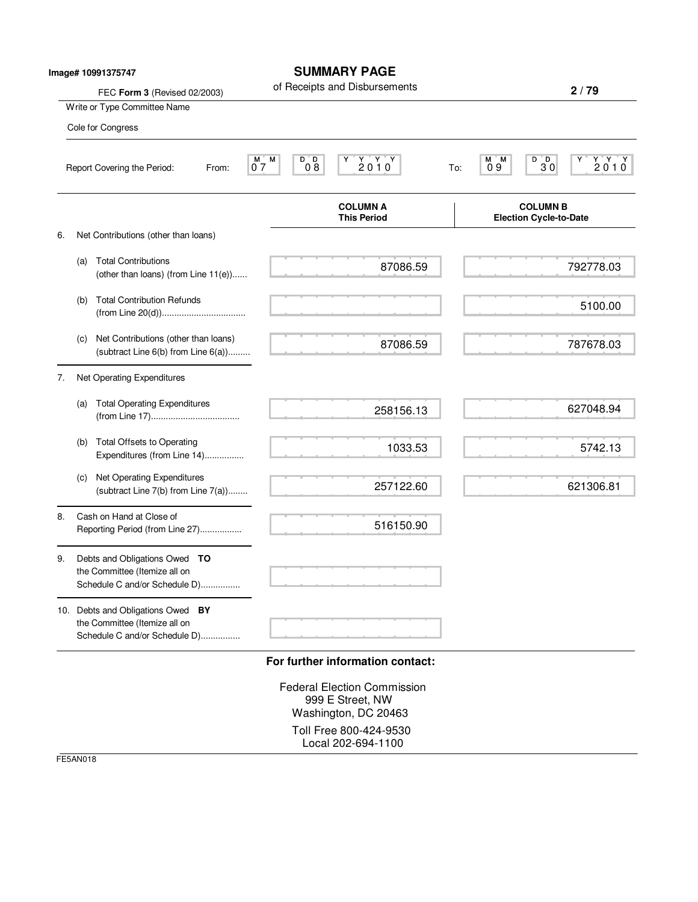|    |     | Image# 10991375747<br>FEC Form 3 (Revised 02/2003)                                                  |                                           | <b>SUMMARY PAGE</b><br>of Receipts and Disbursements         |     |                                                  | 2/79            |
|----|-----|-----------------------------------------------------------------------------------------------------|-------------------------------------------|--------------------------------------------------------------|-----|--------------------------------------------------|-----------------|
|    |     | Write or Type Committee Name                                                                        |                                           |                                                              |     |                                                  |                 |
|    |     | Cole for Congress                                                                                   |                                           |                                                              |     |                                                  |                 |
|    |     | Report Covering the Period:<br>From:                                                                | M<br>D D<br>$M-$<br>$0\overline{8}$<br>07 | $\begin{array}{cc}\nY & Y & Y \\ 2 & 0 & 1 & 0\n\end{array}$ | To: | $B$ <sub>D</sub> <sub>0</sub><br>M M<br>09       | $Y'Y'Y$<br>2010 |
|    |     |                                                                                                     |                                           | <b>COLUMN A</b><br><b>This Period</b>                        |     | <b>COLUMN B</b><br><b>Election Cycle-to-Date</b> |                 |
| 6. |     | Net Contributions (other than loans)                                                                |                                           |                                                              |     |                                                  |                 |
|    | (a) | <b>Total Contributions</b><br>(other than loans) (from Line 11(e))                                  |                                           | 87086.59                                                     |     |                                                  | 792778.03       |
|    | (b) | <b>Total Contribution Refunds</b>                                                                   |                                           |                                                              |     |                                                  | 5100.00         |
|    | (c) | Net Contributions (other than loans)<br>(subtract Line 6(b) from Line 6(a))                         |                                           | 87086.59                                                     |     |                                                  | 787678.03       |
| 7. |     | Net Operating Expenditures                                                                          |                                           |                                                              |     |                                                  |                 |
|    | (a) | <b>Total Operating Expenditures</b>                                                                 |                                           | 258156.13                                                    |     |                                                  | 627048.94       |
|    | (b) | <b>Total Offsets to Operating</b><br>Expenditures (from Line 14)                                    |                                           | 1033.53                                                      |     |                                                  | 5742.13         |
|    | (c) | Net Operating Expenditures<br>(subtract Line 7(b) from Line 7(a))                                   |                                           | 257122.60                                                    |     |                                                  | 621306.81       |
| 8. |     | Cash on Hand at Close of<br>Reporting Period (from Line 27)                                         |                                           | 516150.90                                                    |     |                                                  |                 |
| 9. |     | Debts and Obligations Owed TO<br>the Committee (Itemize all on<br>Schedule C and/or Schedule D)     |                                           |                                                              |     |                                                  |                 |
|    |     | 10. Debts and Obligations Owed BY<br>the Committee (Itemize all on<br>Schedule C and/or Schedule D) |                                           |                                                              |     |                                                  |                 |
|    |     |                                                                                                     |                                           | For further information contact:                             |     |                                                  |                 |
|    |     |                                                                                                     |                                           | <b>Federal Election Commission</b><br>999 E Street, NW       |     |                                                  |                 |

Washington, DC 20463 Toll Free 800-424-9530 Local 202-694-1100

FE5AN018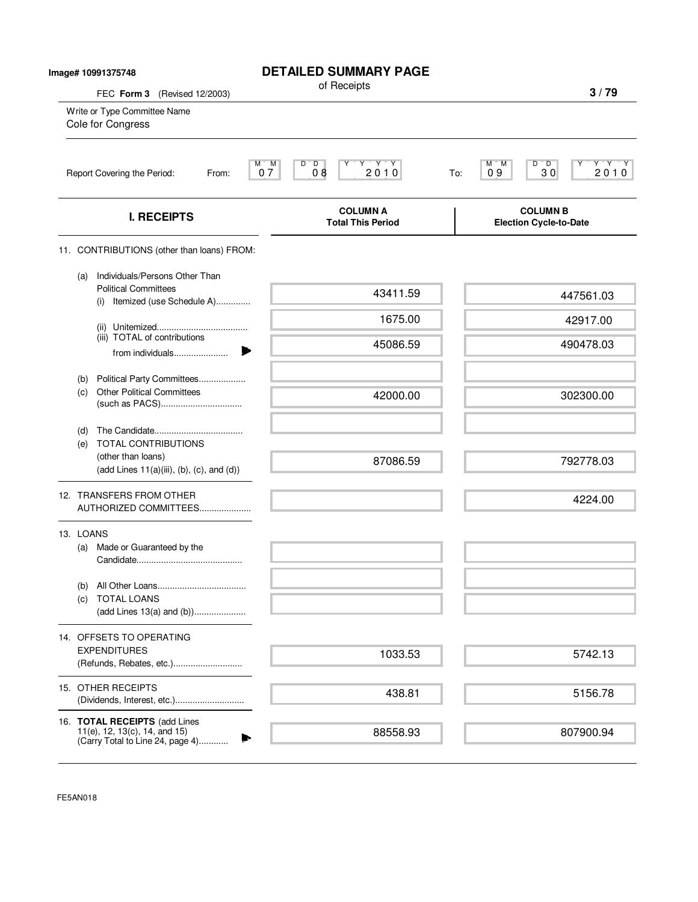| Image# 10991375748                                           |                                                                                                       | <b>DETAILED SUMMARY PAGE</b><br>of Receipts                                                                                                      |                                                                             |
|--------------------------------------------------------------|-------------------------------------------------------------------------------------------------------|--------------------------------------------------------------------------------------------------------------------------------------------------|-----------------------------------------------------------------------------|
| FEC Form 3 (Revised 12/2003)<br>Write or Type Committee Name |                                                                                                       |                                                                                                                                                  | 3/79                                                                        |
|                                                              | Cole for Congress                                                                                     |                                                                                                                                                  |                                                                             |
|                                                              | Report Covering the Period:<br>From:                                                                  | D<br>$\begin{array}{c}\n \gamma \rightarrow \gamma \rightarrow \gamma \\  2010\n \end{array}$<br>M<br>$07^{\circ}$<br>D<br>Υ<br>$\overline{0}$ 8 | $D^{\prime}$ , $D$<br>$\frac{Y^*Y^*Y}{2.01.0}$<br>М<br>M<br>30<br>09<br>To: |
|                                                              | <b>I. RECEIPTS</b>                                                                                    | <b>COLUMN A</b><br><b>Total This Period</b>                                                                                                      | <b>COLUMN B</b><br><b>Election Cycle-to-Date</b>                            |
|                                                              | 11. CONTRIBUTIONS (other than loans) FROM:                                                            |                                                                                                                                                  |                                                                             |
|                                                              | Individuals/Persons Other Than<br>(a)<br><b>Political Committees</b><br>(i) Itemized (use Schedule A) | 43411.59                                                                                                                                         | 447561.03                                                                   |
|                                                              |                                                                                                       | 1675.00                                                                                                                                          | 42917.00                                                                    |
|                                                              | (iii) TOTAL of contributions<br>from individuals                                                      | 45086.59                                                                                                                                         | 490478.03                                                                   |
|                                                              | Political Party Committees<br>(b)<br><b>Other Political Committees</b><br>(c)                         | 42000.00                                                                                                                                         | 302300.00                                                                   |
|                                                              | (d)<br><b>TOTAL CONTRIBUTIONS</b><br>(e)                                                              |                                                                                                                                                  |                                                                             |
|                                                              | (other than loans)<br>$(add Lines 11(a)(iii), (b), (c), and (d))$                                     | 87086.59                                                                                                                                         | 792778.03                                                                   |
|                                                              | 12. TRANSFERS FROM OTHER<br>AUTHORIZED COMMITTEES                                                     |                                                                                                                                                  | 4224.00                                                                     |
|                                                              | 13. LOANS<br>Made or Guaranteed by the<br>(a)                                                         |                                                                                                                                                  |                                                                             |
|                                                              | (b)<br><b>TOTAL LOANS</b><br>(C)<br>(add Lines 13(a) and (b))                                         |                                                                                                                                                  |                                                                             |
|                                                              | 14. OFFSETS TO OPERATING<br><b>EXPENDITURES</b><br>(Refunds, Rebates, etc.)                           | 1033.53                                                                                                                                          | 5742.13                                                                     |
|                                                              | 15. OTHER RECEIPTS                                                                                    | 438.81                                                                                                                                           | 5156.78                                                                     |
|                                                              | 16. TOTAL RECEIPTS (add Lines<br>11(e), 12, 13(c), 14, and 15)<br>(Carry Total to Line 24, page 4)    | 88558.93                                                                                                                                         | 807900.94                                                                   |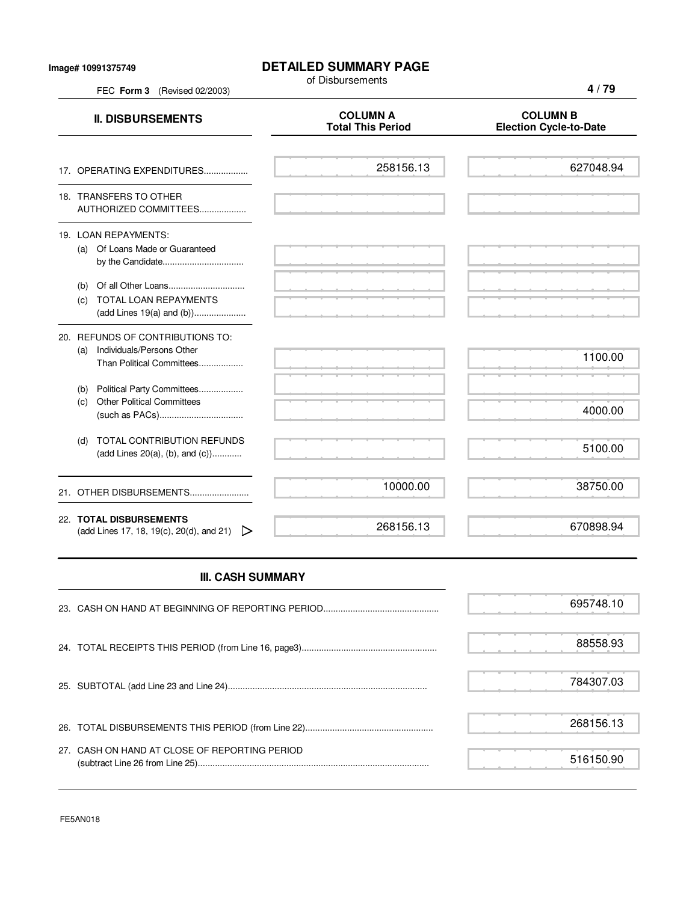## **DETAILED SUMMARY PAGE**

of Disbursements

FEC **Form 3** (Revised 02/2003)

| <b>II. DISBURSEMENTS</b>                                                                       | <b>COLUMN A</b><br><b>Total This Period</b> | <b>COLUMN B</b><br><b>Election Cycle-to-Date</b> |
|------------------------------------------------------------------------------------------------|---------------------------------------------|--------------------------------------------------|
| 17. OPERATING EXPENDITURES                                                                     | 258156.13                                   | 627048.94                                        |
| 18. TRANSFERS TO OTHER<br>AUTHORIZED COMMITTEES                                                |                                             |                                                  |
| 19. LOAN REPAYMENTS:<br>(a) Of Loans Made or Guaranteed                                        |                                             |                                                  |
| TOTAL LOAN REPAYMENTS<br>(c)<br>(add Lines 19(a) and (b))                                      |                                             |                                                  |
| 20. REFUNDS OF CONTRIBUTIONS TO:<br>(a) Individuals/Persons Other<br>Than Political Committees |                                             | 1100.00                                          |
| (b) Political Party Committees<br><b>Other Political Committees</b><br>(c)                     |                                             | 4000.00                                          |
| TOTAL CONTRIBUTION REFUNDS<br>(d)<br>(add Lines 20(a), (b), and (c))                           |                                             | 5100.00                                          |
| 21. OTHER DISBURSEMENTS                                                                        | 10000.00                                    | 38750.00                                         |
| 22. TOTAL DISBURSEMENTS<br>(add Lines 17, 18, 19(c), 20(d), and 21) $\triangleright$           | 268156.13                                   | 670898.94                                        |
| <b>III. CASH SUMMARY</b>                                                                       |                                             |                                                  |
|                                                                                                |                                             | 695748.10                                        |

|                                               | 88558.93  |  |
|-----------------------------------------------|-----------|--|
|                                               | 784307.03 |  |
|                                               | 268156.13 |  |
| 27. CASH ON HAND AT CLOSE OF REPORTING PERIOD | 516150.90 |  |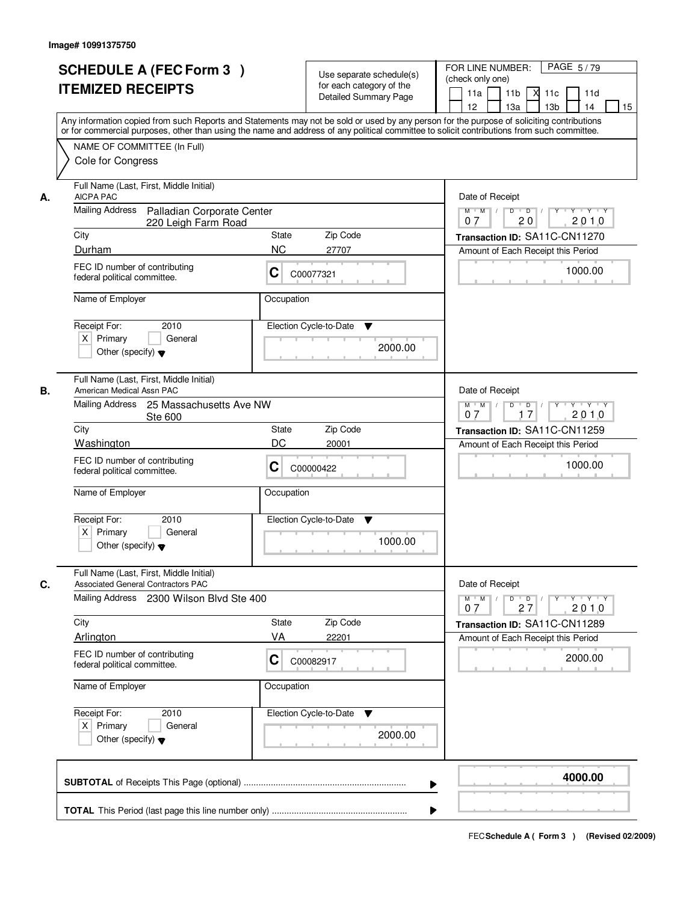|    | <b>SCHEDULE A (FEC Form 3)</b><br><b>ITEMIZED RECEIPTS</b><br>Any information copied from such Reports and Statements may not be sold or used by any person for the purpose of soliciting contributions<br>or for commercial purposes, other than using the name and address of any political committee to solicit contributions from such committee. |                             | Use separate schedule(s)<br>for each category of the<br><b>Detailed Summary Page</b> | PAGE 5/79<br>FOR LINE NUMBER:<br>(check only one)<br>11 <sub>b</sub><br>11a<br>м<br>11c<br>11d<br>13 <sub>b</sub><br>12<br>13a<br>14<br>15 |
|----|-------------------------------------------------------------------------------------------------------------------------------------------------------------------------------------------------------------------------------------------------------------------------------------------------------------------------------------------------------|-----------------------------|--------------------------------------------------------------------------------------|--------------------------------------------------------------------------------------------------------------------------------------------|
|    | NAME OF COMMITTEE (In Full)<br>Cole for Congress                                                                                                                                                                                                                                                                                                      |                             |                                                                                      |                                                                                                                                            |
| А. | Full Name (Last, First, Middle Initial)<br>AICPA PAC<br>Mailing Address<br>Palladian Corporate Center                                                                                                                                                                                                                                                 |                             |                                                                                      | Date of Receipt<br>$Y + Y + Y$<br>$M$ $M$<br>$D$ $D$ $l$<br>$\overline{Y}$                                                                 |
|    | 220 Leigh Farm Road                                                                                                                                                                                                                                                                                                                                   |                             |                                                                                      | 20<br>2010<br>07                                                                                                                           |
|    | City                                                                                                                                                                                                                                                                                                                                                  | State                       | Zip Code                                                                             | Transaction ID: SA11C-CN11270                                                                                                              |
|    | Durham<br>FEC ID number of contributing<br>federal political committee.                                                                                                                                                                                                                                                                               | <b>NC</b><br>C<br>C00077321 | 27707                                                                                | Amount of Each Receipt this Period<br>1000.00                                                                                              |
|    | Name of Employer                                                                                                                                                                                                                                                                                                                                      | Occupation                  |                                                                                      |                                                                                                                                            |
|    | Receipt For:<br>2010<br>$X$ Primary<br>General<br>Other (specify) $\blacktriangledown$                                                                                                                                                                                                                                                                | Election Cycle-to-Date      | $\blacktriangledown$<br>2000.00                                                      |                                                                                                                                            |
| В. | Full Name (Last, First, Middle Initial)<br>American Medical Assn PAC<br>Mailing Address<br>25 Massachusetts Ave NW                                                                                                                                                                                                                                    |                             |                                                                                      | Date of Receipt<br>$M$ $M$ /<br>$Y \vdash Y \vdash Y$<br>D<br>$\Box$                                                                       |
|    | Ste 600                                                                                                                                                                                                                                                                                                                                               |                             |                                                                                      | 17<br>2010<br>07                                                                                                                           |
|    | City                                                                                                                                                                                                                                                                                                                                                  | <b>State</b>                | Zip Code                                                                             | Transaction ID: SA11C-CN11259                                                                                                              |
|    | Washington<br>FEC ID number of contributing<br>federal political committee.                                                                                                                                                                                                                                                                           | DC<br>C<br>C00000422        | 20001                                                                                | Amount of Each Receipt this Period<br>1000.00                                                                                              |
|    | Name of Employer                                                                                                                                                                                                                                                                                                                                      | Occupation                  |                                                                                      |                                                                                                                                            |
|    | Receipt For:<br>2010<br>$X$ Primary<br>General<br>Other (specify) $\blacktriangledown$                                                                                                                                                                                                                                                                | Election Cycle-to-Date      | ▼<br>1000.00                                                                         |                                                                                                                                            |
| C. | Full Name (Last, First, Middle Initial)<br><b>Associated General Contractors PAC</b>                                                                                                                                                                                                                                                                  |                             |                                                                                      | Date of Receipt                                                                                                                            |
|    | Mailing Address 2300 Wilson Blvd Ste 400                                                                                                                                                                                                                                                                                                              |                             |                                                                                      | $D$ $D$ $I$<br>$M$ $M$ $/$<br>$\mathsf{Y} \dashv \mathsf{Y} \dashv \mathsf{Y}$<br>$Y$ $\top$<br>2010<br>07<br>27                           |
|    | City<br>Arlington                                                                                                                                                                                                                                                                                                                                     | <b>State</b><br>VA          | Zip Code                                                                             | Transaction ID: SA11C-CN11289                                                                                                              |
|    | FEC ID number of contributing<br>federal political committee.                                                                                                                                                                                                                                                                                         | C<br>C00082917              | 22201                                                                                | Amount of Each Receipt this Period<br>2000.00                                                                                              |
|    | Name of Employer                                                                                                                                                                                                                                                                                                                                      | Occupation                  |                                                                                      |                                                                                                                                            |
|    | Receipt For:<br>2010<br>$X$ Primary<br>General<br>Other (specify) $\blacktriangledown$                                                                                                                                                                                                                                                                | Election Cycle-to-Date      | v<br>2000.00                                                                         |                                                                                                                                            |
|    |                                                                                                                                                                                                                                                                                                                                                       |                             |                                                                                      | 4000.00                                                                                                                                    |
|    |                                                                                                                                                                                                                                                                                                                                                       |                             |                                                                                      |                                                                                                                                            |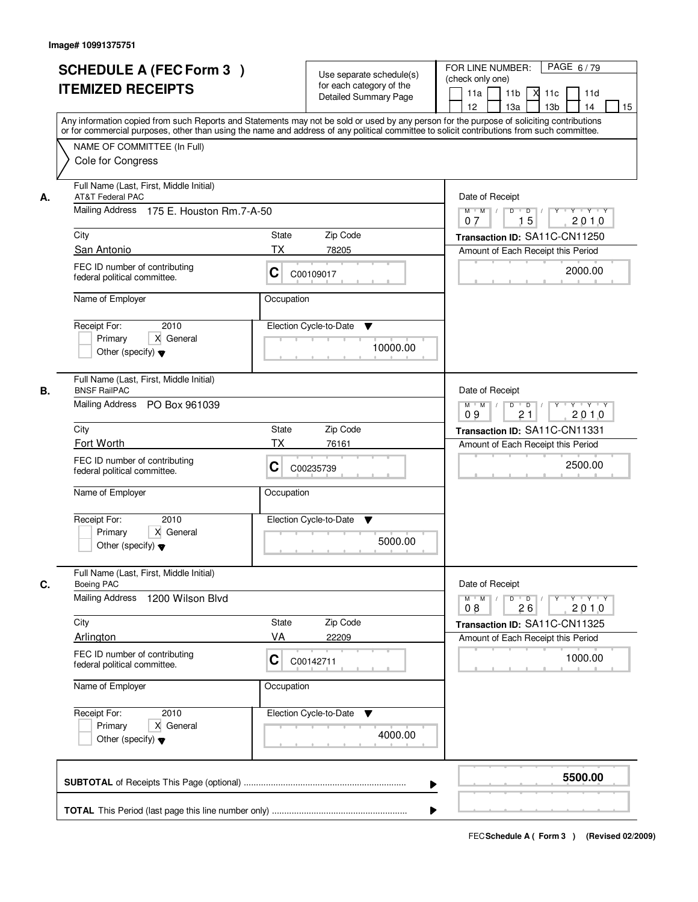|    | <b>SCHEDULE A (FEC Form 3)</b><br><b>ITEMIZED RECEIPTS</b>                                                                                                                                     | Use separate schedule(s)<br>for each category of the<br><b>Detailed Summary Page</b> | PAGE 6/79<br>FOR LINE NUMBER:<br>(check only one)<br>11 <sub>b</sub><br>11a<br>-XI<br>11c<br>11d<br>13 <sub>b</sub><br>14<br>12<br>13a<br>15<br>Any information copied from such Reports and Statements may not be sold or used by any person for the purpose of soliciting contributions |
|----|------------------------------------------------------------------------------------------------------------------------------------------------------------------------------------------------|--------------------------------------------------------------------------------------|-------------------------------------------------------------------------------------------------------------------------------------------------------------------------------------------------------------------------------------------------------------------------------------------|
|    | or for commercial purposes, other than using the name and address of any political committee to solicit contributions from such committee.<br>NAME OF COMMITTEE (In Full)<br>Cole for Congress |                                                                                      |                                                                                                                                                                                                                                                                                           |
| А. | Full Name (Last, First, Middle Initial)<br>AT&T Federal PAC<br>Mailing Address 175 E. Houston Rm.7-A-50                                                                                        |                                                                                      | Date of Receipt<br>$Y$ $Y$ $Y$<br>$M$ $M$<br>$D$ $D$ $/$<br>$Y^+$                                                                                                                                                                                                                         |
|    |                                                                                                                                                                                                |                                                                                      | 15<br>2010<br>07                                                                                                                                                                                                                                                                          |
|    | City<br>San Antonio                                                                                                                                                                            | State<br>Zip Code<br><b>TX</b><br>78205                                              | Transaction ID: SA11C-CN11250<br>Amount of Each Receipt this Period                                                                                                                                                                                                                       |
|    | FEC ID number of contributing<br>federal political committee.                                                                                                                                  | C<br>C00109017                                                                       | 2000.00                                                                                                                                                                                                                                                                                   |
|    | Name of Employer                                                                                                                                                                               | Occupation                                                                           |                                                                                                                                                                                                                                                                                           |
|    | 2010<br>Receipt For:<br>X General<br>Primary<br>Other (specify) $\blacktriangledown$                                                                                                           | Election Cycle-to-Date<br>▼<br>10000.00                                              |                                                                                                                                                                                                                                                                                           |
| В. | Full Name (Last, First, Middle Initial)<br><b>BNSF RailPAC</b><br>Mailing Address PO Box 961039                                                                                                |                                                                                      | Date of Receipt<br>Y Y Y Y<br>$M$ $M$ /<br>D<br>$\overline{\phantom{0}}$ D<br>$Y$ <sup><math>\top</math></sup><br>09<br>21<br>2010                                                                                                                                                        |
|    | City                                                                                                                                                                                           | Zip Code<br>State                                                                    | Transaction ID: SA11C-CN11331                                                                                                                                                                                                                                                             |
|    | Fort Worth                                                                                                                                                                                     | ТX<br>76161                                                                          | Amount of Each Receipt this Period                                                                                                                                                                                                                                                        |
|    | FEC ID number of contributing<br>federal political committee.                                                                                                                                  | C<br>C00235739                                                                       | 2500.00                                                                                                                                                                                                                                                                                   |
|    | Name of Employer                                                                                                                                                                               | Occupation                                                                           |                                                                                                                                                                                                                                                                                           |
|    | Receipt For:<br>2010<br>Primary<br>X General<br>Other (specify) $\blacktriangledown$                                                                                                           | Election Cycle-to-Date<br>v<br>5000.00                                               |                                                                                                                                                                                                                                                                                           |
| C. | Full Name (Last, First, Middle Initial)<br><b>Boeing PAC</b><br><b>Mailing Address</b><br>1200 Wilson Blvd                                                                                     |                                                                                      | Date of Receipt<br>$M$ $M$ /<br>$D$ $D$ $/$<br>$Y - Y - Y - Y$<br>$Y$ <sup>U</sup><br>2010<br>08<br>26                                                                                                                                                                                    |
|    | City                                                                                                                                                                                           | Zip Code<br>State                                                                    | Transaction ID: SA11C-CN11325                                                                                                                                                                                                                                                             |
|    | Arlington<br>FEC ID number of contributing<br>federal political committee.                                                                                                                     | VA<br>22209<br>C<br>C00142711                                                        | Amount of Each Receipt this Period<br>1000.00                                                                                                                                                                                                                                             |
|    | Name of Employer                                                                                                                                                                               | Occupation                                                                           |                                                                                                                                                                                                                                                                                           |
|    | Receipt For:<br>2010<br>Primary<br>X General<br>Other (specify) $\blacktriangledown$                                                                                                           | Election Cycle-to-Date ▼<br>4000.00                                                  |                                                                                                                                                                                                                                                                                           |
|    |                                                                                                                                                                                                |                                                                                      | 5500.00<br>▶                                                                                                                                                                                                                                                                              |
|    |                                                                                                                                                                                                |                                                                                      |                                                                                                                                                                                                                                                                                           |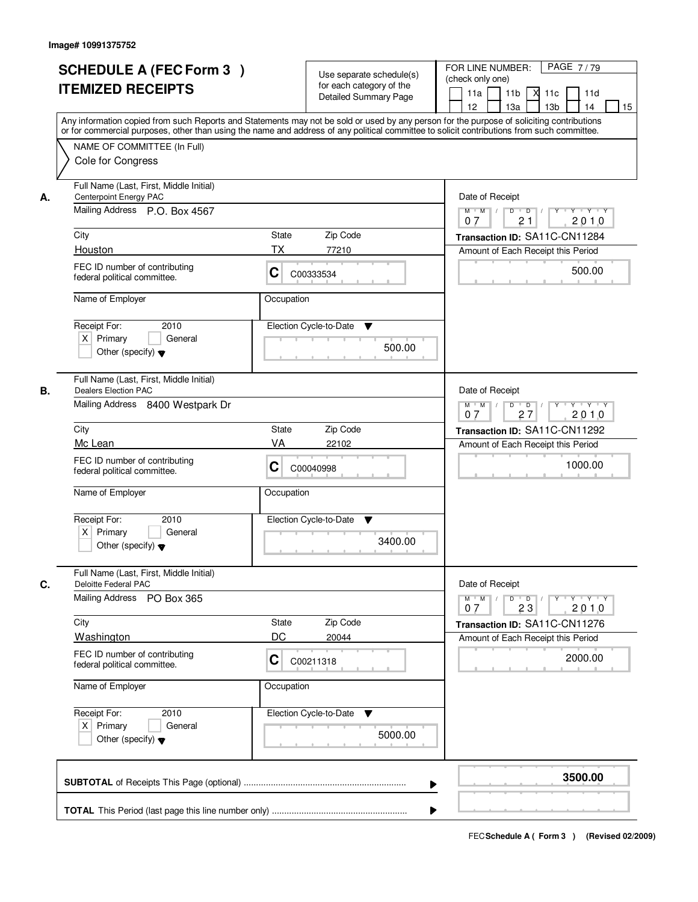|    | <b>SCHEDULE A (FEC Form 3)</b><br><b>ITEMIZED RECEIPTS</b>                                                            | Use separate schedule(s)<br>for each category of the<br><b>Detailed Summary Page</b>                                                                                                                                                                                                    | PAGE 7/79<br>FOR LINE NUMBER:<br>(check only one)<br>11 <sub>b</sub><br>11a<br>-XI<br>11c<br>11d<br>13 <sub>b</sub><br>14<br>12<br>13a<br>15                              |
|----|-----------------------------------------------------------------------------------------------------------------------|-----------------------------------------------------------------------------------------------------------------------------------------------------------------------------------------------------------------------------------------------------------------------------------------|---------------------------------------------------------------------------------------------------------------------------------------------------------------------------|
|    | NAME OF COMMITTEE (In Full)<br>Cole for Congress                                                                      | Any information copied from such Reports and Statements may not be sold or used by any person for the purpose of soliciting contributions<br>or for commercial purposes, other than using the name and address of any political committee to solicit contributions from such committee. |                                                                                                                                                                           |
| А. | Full Name (Last, First, Middle Initial)<br>Centerpoint Energy PAC<br>Mailing Address P.O. Box 4567<br>City<br>Houston | State<br>Zip Code<br>ТX<br>77210                                                                                                                                                                                                                                                        | Date of Receipt<br>$Y$ $Y$ $Y$<br>$D$ $D$ $I$<br>$Y$ <sup>U</sup><br>$M$ $M$ /<br>21<br>2010<br>07<br>Transaction ID: SA11C-CN11284<br>Amount of Each Receipt this Period |
|    | FEC ID number of contributing<br>federal political committee.                                                         | C<br>C00333534                                                                                                                                                                                                                                                                          | 500.00                                                                                                                                                                    |
|    | Name of Employer<br>Receipt For:<br>2010<br>$X$ Primary<br>General<br>Other (specify) $\blacktriangledown$            | Occupation<br>Election Cycle-to-Date<br>▼<br>500.00                                                                                                                                                                                                                                     |                                                                                                                                                                           |
| В. | Full Name (Last, First, Middle Initial)<br><b>Dealers Election PAC</b><br>Mailing Address 8400 Westpark Dr            |                                                                                                                                                                                                                                                                                         | Date of Receipt<br>Y Y Y Y<br>$M$ $M$ /<br>D<br>$\Box$ D $\Box$ /<br>$Y$ <sup><math>\top</math></sup><br>27<br>2010<br>07                                                 |
|    | City<br>Mc Lean                                                                                                       | Zip Code<br>State<br>VA<br>22102                                                                                                                                                                                                                                                        | Transaction ID: SA11C-CN11292                                                                                                                                             |
|    | FEC ID number of contributing<br>federal political committee.                                                         | C<br>C00040998                                                                                                                                                                                                                                                                          | Amount of Each Receipt this Period<br>1000.00                                                                                                                             |
|    | Name of Employer<br>Receipt For:<br>2010<br>$X$ Primary<br>General<br>Other (specify) $\blacktriangledown$            | Occupation<br>Election Cycle-to-Date<br>v<br>3400.00                                                                                                                                                                                                                                    |                                                                                                                                                                           |
| C. | Full Name (Last, First, Middle Initial)<br>Deloitte Federal PAC<br><b>Mailing Address</b><br>PO Box 365               |                                                                                                                                                                                                                                                                                         | Date of Receipt<br>$M$ $M$<br>$D$ $D$ $/$<br>$Y \dashv Y \dashv Y$<br>$Y$ <sup>U</sup>                                                                                    |
|    | City                                                                                                                  | Zip Code<br>State                                                                                                                                                                                                                                                                       | 2010<br>07<br>23<br>Transaction ID: SA11C-CN11276                                                                                                                         |
|    | Washington<br>FEC ID number of contributing<br>federal political committee.                                           | DC<br>20044<br>C<br>C00211318                                                                                                                                                                                                                                                           | Amount of Each Receipt this Period<br>2000.00                                                                                                                             |
|    | Name of Employer                                                                                                      | Occupation                                                                                                                                                                                                                                                                              |                                                                                                                                                                           |
|    | Receipt For:<br>2010<br>$X$ Primary<br>General<br>Other (specify) $\blacktriangledown$                                | Election Cycle-to-Date ▼<br>5000.00                                                                                                                                                                                                                                                     |                                                                                                                                                                           |
|    |                                                                                                                       |                                                                                                                                                                                                                                                                                         | 3500.00                                                                                                                                                                   |
|    |                                                                                                                       |                                                                                                                                                                                                                                                                                         |                                                                                                                                                                           |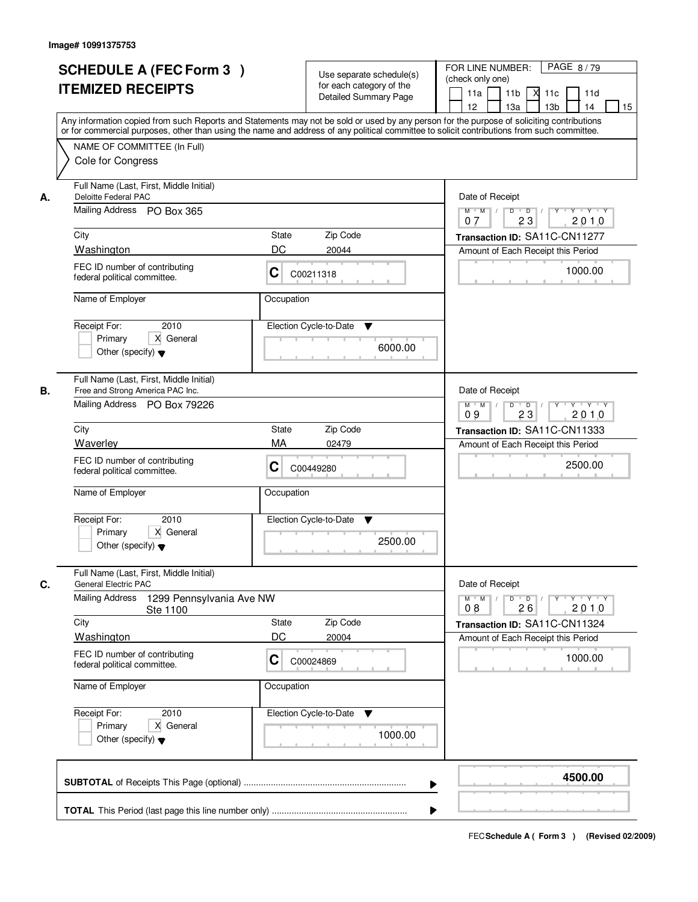|    | <b>SCHEDULE A (FEC Form 3)</b><br><b>ITEMIZED RECEIPTS</b><br>Any information copied from such Reports and Statements may not be sold or used by any person for the purpose of soliciting contributions<br>or for commercial purposes, other than using the name and address of any political committee to solicit contributions from such committee. |            | Use separate schedule(s)<br>for each category of the<br><b>Detailed Summary Page</b> | PAGE 8/79<br>FOR LINE NUMBER:<br>(check only one)<br>11 <sub>b</sub><br>11a<br>-XI<br>11c<br>11d<br>13a<br>13 <sub>b</sub><br>12<br>14<br>15 |
|----|-------------------------------------------------------------------------------------------------------------------------------------------------------------------------------------------------------------------------------------------------------------------------------------------------------------------------------------------------------|------------|--------------------------------------------------------------------------------------|----------------------------------------------------------------------------------------------------------------------------------------------|
|    | NAME OF COMMITTEE (In Full)<br>Cole for Congress                                                                                                                                                                                                                                                                                                      |            |                                                                                      |                                                                                                                                              |
| А. | Full Name (Last, First, Middle Initial)<br>Deloitte Federal PAC<br>Mailing Address PO Box 365                                                                                                                                                                                                                                                         |            |                                                                                      | Date of Receipt<br>$M$ $M$<br>$D$ $D$ $/$<br>23<br>2010<br>07                                                                                |
|    | City                                                                                                                                                                                                                                                                                                                                                  | State      | Zip Code                                                                             | Transaction ID: SA11C-CN11277                                                                                                                |
|    | Washington                                                                                                                                                                                                                                                                                                                                            | DC         | 20044                                                                                | Amount of Each Receipt this Period                                                                                                           |
|    | FEC ID number of contributing<br>federal political committee.                                                                                                                                                                                                                                                                                         | C          | C00211318                                                                            | 1000.00                                                                                                                                      |
|    | Name of Employer                                                                                                                                                                                                                                                                                                                                      | Occupation |                                                                                      |                                                                                                                                              |
|    | 2010<br>Receipt For:<br>X General<br>Primary<br>Other (specify) $\blacktriangledown$                                                                                                                                                                                                                                                                  |            | Election Cycle-to-Date<br>▼<br>6000.00                                               |                                                                                                                                              |
| В. | Full Name (Last, First, Middle Initial)<br>Free and Strong America PAC Inc.<br>Mailing Address PO Box 79226                                                                                                                                                                                                                                           |            |                                                                                      | Date of Receipt<br>Y<br>Y Y Y Y<br>$M$ $M$ /<br>D<br>$\overline{D}$<br>2010<br>09<br>23                                                      |
|    | City                                                                                                                                                                                                                                                                                                                                                  | State      | Zip Code                                                                             | Transaction ID: SA11C-CN11333                                                                                                                |
|    | Waverley                                                                                                                                                                                                                                                                                                                                              | MA         | 02479                                                                                | Amount of Each Receipt this Period                                                                                                           |
|    | FEC ID number of contributing<br>federal political committee.                                                                                                                                                                                                                                                                                         | С          | C00449280                                                                            | 2500.00                                                                                                                                      |
|    | Name of Employer                                                                                                                                                                                                                                                                                                                                      | Occupation |                                                                                      |                                                                                                                                              |
|    | Receipt For:<br>2010<br>Primary<br>X General<br>Other (specify) $\blacktriangledown$                                                                                                                                                                                                                                                                  |            | Election Cycle-to-Date<br>v<br>2500.00                                               |                                                                                                                                              |
| C. | Full Name (Last, First, Middle Initial)<br><b>General Electric PAC</b><br><b>Mailing Address</b><br>1299 Pennsylvania Ave NW                                                                                                                                                                                                                          |            |                                                                                      | Date of Receipt<br>$\mathsf D$<br>$Y - Y - Y$<br>$M$ $M$ /<br>$\overline{D}$<br>$Y$ <sup><math>\top</math></sup>                             |
|    | Ste 1100<br>City                                                                                                                                                                                                                                                                                                                                      | State      | Zip Code                                                                             | 2010<br>08<br>26                                                                                                                             |
|    | <b>Washington</b>                                                                                                                                                                                                                                                                                                                                     | DC         | 20004                                                                                | Transaction ID: SA11C-CN11324<br>Amount of Each Receipt this Period                                                                          |
|    | FEC ID number of contributing<br>federal political committee.                                                                                                                                                                                                                                                                                         | C          | C00024869                                                                            | 1000.00                                                                                                                                      |
|    | Name of Employer                                                                                                                                                                                                                                                                                                                                      | Occupation |                                                                                      |                                                                                                                                              |
|    | Receipt For:<br>2010<br>Primary<br>X General<br>Other (specify) $\blacktriangledown$                                                                                                                                                                                                                                                                  |            | Election Cycle-to-Date<br>v<br>1000.00                                               |                                                                                                                                              |
|    |                                                                                                                                                                                                                                                                                                                                                       |            | ▶                                                                                    | 4500.00                                                                                                                                      |
|    |                                                                                                                                                                                                                                                                                                                                                       |            |                                                                                      |                                                                                                                                              |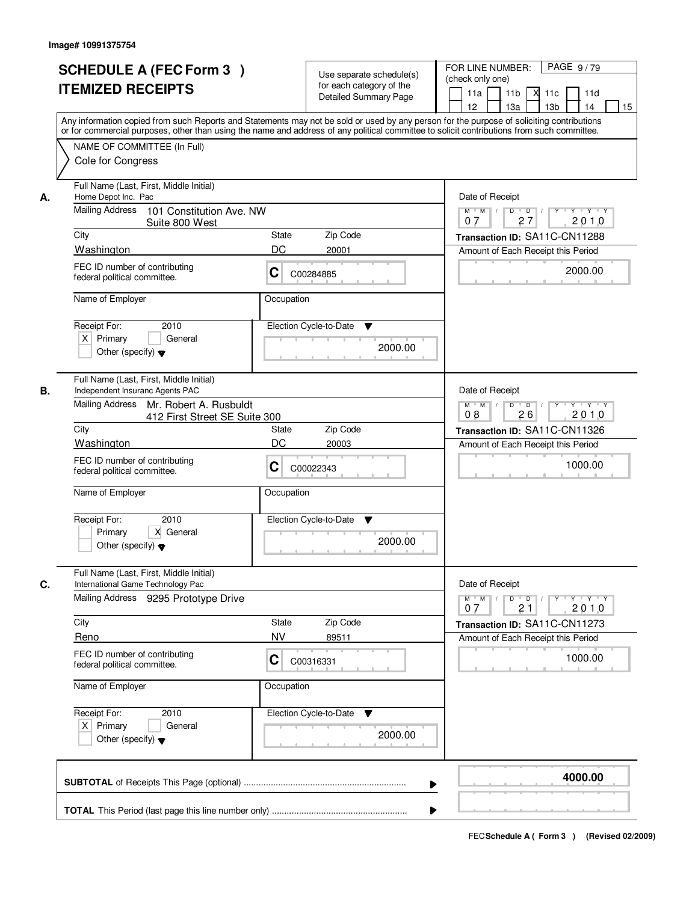|    | <b>SCHEDULE A (FEC Form 3)</b><br><b>ITEMIZED RECEIPTS</b><br>Any information copied from such Reports and Statements may not be sold or used by any person for the purpose of soliciting contributions | Use separate schedule(s)<br>for each category of the<br><b>Detailed Summary Page</b> |         | PAGE 9/79<br>FOR LINE NUMBER:<br>(check only one)<br>11 <sub>b</sub><br>11a<br>-XI<br>11c<br>11d<br>13 <sub>b</sub><br>14<br>12<br>13a<br>15 |
|----|---------------------------------------------------------------------------------------------------------------------------------------------------------------------------------------------------------|--------------------------------------------------------------------------------------|---------|----------------------------------------------------------------------------------------------------------------------------------------------|
|    | or for commercial purposes, other than using the name and address of any political committee to solicit contributions from such committee.<br>NAME OF COMMITTEE (In Full)<br>Cole for Congress          |                                                                                      |         |                                                                                                                                              |
| А. | Full Name (Last, First, Middle Initial)<br>Home Depot Inc. Pac<br>Mailing Address<br>101 Constitution Ave. NW                                                                                           |                                                                                      |         | Date of Receipt<br>$Y + Y + Y$<br>$D$ $D$<br>$Y$ <sup>U</sup><br>$M$ $M$ /                                                                   |
|    | Suite 800 West                                                                                                                                                                                          |                                                                                      |         | 27<br>2010<br>07                                                                                                                             |
|    | City<br>Washington                                                                                                                                                                                      | State<br>Zip Code<br>DC                                                              |         | Transaction ID: SA11C-CN11288                                                                                                                |
|    | FEC ID number of contributing<br>federal political committee.                                                                                                                                           | 20001<br>C<br>C00284885                                                              |         | Amount of Each Receipt this Period<br>2000.00                                                                                                |
|    | Name of Employer                                                                                                                                                                                        | Occupation                                                                           |         |                                                                                                                                              |
|    | Receipt For:<br>2010<br>$X$ Primary<br>General<br>Other (specify) $\blacktriangledown$                                                                                                                  | Election Cycle-to-Date<br>▼                                                          | 2000.00 |                                                                                                                                              |
| В. | Full Name (Last, First, Middle Initial)<br>Independent Insuranc Agents PAC<br>Mailing Address<br>Mr. Robert A. Rusbuldt                                                                                 |                                                                                      |         | Date of Receipt<br>Y Y Y Y<br>$M$ $M$ /<br>D<br>$\overline{D}$ /<br>$Y$ <sup><math>\top</math></sup>                                         |
|    | 412 First Street SE Suite 300                                                                                                                                                                           |                                                                                      |         | 26<br>2010<br>08                                                                                                                             |
|    | City<br>Washington                                                                                                                                                                                      | Zip Code<br>State<br>DC<br>20003                                                     |         | Transaction ID: SA11C-CN11326<br>Amount of Each Receipt this Period                                                                          |
|    | FEC ID number of contributing<br>federal political committee.                                                                                                                                           | С<br>C00022343                                                                       |         | 1000.00                                                                                                                                      |
|    | Name of Employer                                                                                                                                                                                        | Occupation                                                                           |         |                                                                                                                                              |
|    | Receipt For:<br>2010<br>Primary<br>X General<br>Other (specify) $\blacktriangledown$                                                                                                                    | Election Cycle-to-Date<br>v                                                          | 2000.00 |                                                                                                                                              |
| C. | Full Name (Last, First, Middle Initial)<br>International Game Technology Pac                                                                                                                            |                                                                                      |         | Date of Receipt                                                                                                                              |
|    | Mailing Address 9295 Prototype Drive                                                                                                                                                                    |                                                                                      |         | $M$ $M$<br>$D$ $D$ $/$<br>$Y - Y - Y - Y$<br>$Y^+$<br>2010<br>07<br>21                                                                       |
|    | City                                                                                                                                                                                                    | Zip Code<br>State                                                                    |         | Transaction ID: SA11C-CN11273                                                                                                                |
|    | Reno<br>FEC ID number of contributing<br>federal political committee.                                                                                                                                   | <b>NV</b><br>89511<br>C<br>C00316331                                                 |         | Amount of Each Receipt this Period<br>1000.00                                                                                                |
|    | Name of Employer                                                                                                                                                                                        | Occupation                                                                           |         |                                                                                                                                              |
|    | Receipt For:<br>2010<br>$X$ Primary<br>General<br>Other (specify) $\blacktriangledown$                                                                                                                  | Election Cycle-to-Date<br>v                                                          | 2000.00 |                                                                                                                                              |
|    |                                                                                                                                                                                                         |                                                                                      |         | 4000.00                                                                                                                                      |
|    |                                                                                                                                                                                                         |                                                                                      |         |                                                                                                                                              |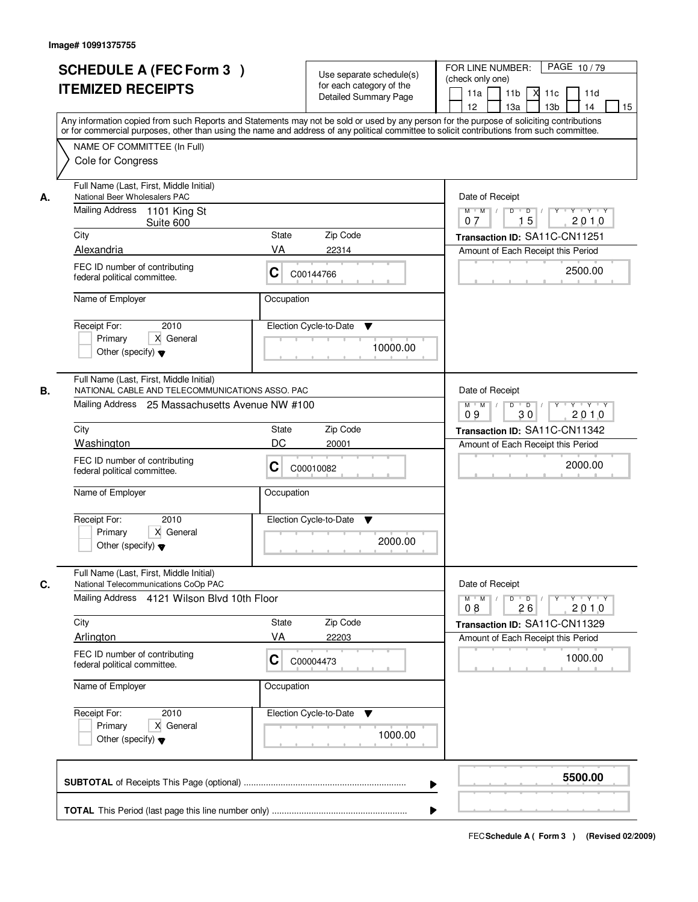|    | <b>SCHEDULE A (FEC Form 3)</b><br><b>ITEMIZED RECEIPTS</b>                                                                                    | Use separate schedule(s)<br>for each category of the<br><b>Detailed Summary Page</b><br>Any information copied from such Reports and Statements may not be sold or used by any person for the purpose of soliciting contributions<br>or for commercial purposes, other than using the name and address of any political committee to solicit contributions from such committee. | PAGE 10/79<br>FOR LINE NUMBER:<br>(check only one)<br>11 <sub>b</sub><br>11a<br>-XI<br>11c<br>11d<br>13 <sub>b</sub><br>12<br>13a<br>14<br>15                                                                                                                                                                                                                                                                                                      |
|----|-----------------------------------------------------------------------------------------------------------------------------------------------|---------------------------------------------------------------------------------------------------------------------------------------------------------------------------------------------------------------------------------------------------------------------------------------------------------------------------------------------------------------------------------|----------------------------------------------------------------------------------------------------------------------------------------------------------------------------------------------------------------------------------------------------------------------------------------------------------------------------------------------------------------------------------------------------------------------------------------------------|
|    | NAME OF COMMITTEE (In Full)<br>Cole for Congress                                                                                              |                                                                                                                                                                                                                                                                                                                                                                                 |                                                                                                                                                                                                                                                                                                                                                                                                                                                    |
| А. | Full Name (Last, First, Middle Initial)<br>National Beer Wholesalers PAC                                                                      |                                                                                                                                                                                                                                                                                                                                                                                 | Date of Receipt                                                                                                                                                                                                                                                                                                                                                                                                                                    |
|    | Mailing Address<br>1101 King St<br>Suite 600                                                                                                  |                                                                                                                                                                                                                                                                                                                                                                                 | $\begin{array}{c c c c c c c c} \hline \textbf{C} & \textbf{C} & \textbf{C} & \textbf{C} & \textbf{C} & \textbf{C} & \textbf{C} & \textbf{C} & \textbf{C} & \textbf{C} & \textbf{C} & \textbf{C} & \textbf{C} & \textbf{C} & \textbf{C} & \textbf{C} & \textbf{C} & \textbf{C} & \textbf{C} & \textbf{C} & \textbf{C} & \textbf{C} & \textbf{C} & \textbf{C} & \textbf{C} & \textbf{C} & \textbf{C} & \textbf{C} &$<br>$M$ $M$<br>15<br>2010<br>07 |
|    | City<br>Alexandria                                                                                                                            | Zip Code<br>State<br>VA<br>22314                                                                                                                                                                                                                                                                                                                                                | Transaction ID: SA11C-CN11251<br>Amount of Each Receipt this Period                                                                                                                                                                                                                                                                                                                                                                                |
|    | FEC ID number of contributing<br>federal political committee.                                                                                 | C<br>C00144766                                                                                                                                                                                                                                                                                                                                                                  | 2500.00                                                                                                                                                                                                                                                                                                                                                                                                                                            |
|    | Name of Employer                                                                                                                              | Occupation                                                                                                                                                                                                                                                                                                                                                                      |                                                                                                                                                                                                                                                                                                                                                                                                                                                    |
|    | 2010<br>Receipt For:<br>X General<br>Primary<br>Other (specify) $\blacktriangledown$                                                          | Election Cycle-to-Date<br>▼<br>10000.00                                                                                                                                                                                                                                                                                                                                         |                                                                                                                                                                                                                                                                                                                                                                                                                                                    |
| В. | Full Name (Last, First, Middle Initial)<br>NATIONAL CABLE AND TELECOMMUNICATIONS ASSO. PAC<br>Mailing Address 25 Massachusetts Avenue NW #100 |                                                                                                                                                                                                                                                                                                                                                                                 | Date of Receipt<br>$M$ $M$ /<br>Y<br>Y Y Y Y<br>D<br>$\overline{D}$                                                                                                                                                                                                                                                                                                                                                                                |
|    |                                                                                                                                               |                                                                                                                                                                                                                                                                                                                                                                                 | 2010<br>09<br>30                                                                                                                                                                                                                                                                                                                                                                                                                                   |
|    | City<br>Washington                                                                                                                            | Zip Code<br>State<br>DC<br>20001                                                                                                                                                                                                                                                                                                                                                | Transaction ID: SA11C-CN11342<br>Amount of Each Receipt this Period                                                                                                                                                                                                                                                                                                                                                                                |
|    | FEC ID number of contributing<br>federal political committee.                                                                                 | C<br>C00010082                                                                                                                                                                                                                                                                                                                                                                  | 2000.00                                                                                                                                                                                                                                                                                                                                                                                                                                            |
|    | Name of Employer                                                                                                                              | Occupation                                                                                                                                                                                                                                                                                                                                                                      |                                                                                                                                                                                                                                                                                                                                                                                                                                                    |
|    | Receipt For:<br>2010<br>Primary<br>X General<br>Other (specify) $\blacktriangledown$                                                          | Election Cycle-to-Date<br>v<br>2000.00                                                                                                                                                                                                                                                                                                                                          |                                                                                                                                                                                                                                                                                                                                                                                                                                                    |
| C. | Full Name (Last, First, Middle Initial)<br>National Telecommunications CoOp PAC                                                               |                                                                                                                                                                                                                                                                                                                                                                                 | Date of Receipt                                                                                                                                                                                                                                                                                                                                                                                                                                    |
|    | Mailing Address 4121 Wilson Blvd 10th Floor                                                                                                   |                                                                                                                                                                                                                                                                                                                                                                                 | $D$ $D$ $/$<br>$M$ $M$ /<br>$Y^+$<br>$Y + Y + Y$<br>2010<br>08<br>26                                                                                                                                                                                                                                                                                                                                                                               |
|    | City                                                                                                                                          | Zip Code<br>State                                                                                                                                                                                                                                                                                                                                                               | Transaction ID: SA11C-CN11329                                                                                                                                                                                                                                                                                                                                                                                                                      |
|    | Arlington                                                                                                                                     | VA<br>22203                                                                                                                                                                                                                                                                                                                                                                     | Amount of Each Receipt this Period                                                                                                                                                                                                                                                                                                                                                                                                                 |
|    | FEC ID number of contributing<br>federal political committee.                                                                                 | C<br>C00004473                                                                                                                                                                                                                                                                                                                                                                  | 1000.00                                                                                                                                                                                                                                                                                                                                                                                                                                            |
|    | Name of Employer                                                                                                                              | Occupation                                                                                                                                                                                                                                                                                                                                                                      |                                                                                                                                                                                                                                                                                                                                                                                                                                                    |
|    | Receipt For:<br>2010<br>Primary<br>X General<br>Other (specify) $\blacktriangledown$                                                          | Election Cycle-to-Date<br>v<br>1000.00                                                                                                                                                                                                                                                                                                                                          |                                                                                                                                                                                                                                                                                                                                                                                                                                                    |
|    |                                                                                                                                               |                                                                                                                                                                                                                                                                                                                                                                                 | 5500.00<br>▶                                                                                                                                                                                                                                                                                                                                                                                                                                       |
|    |                                                                                                                                               |                                                                                                                                                                                                                                                                                                                                                                                 |                                                                                                                                                                                                                                                                                                                                                                                                                                                    |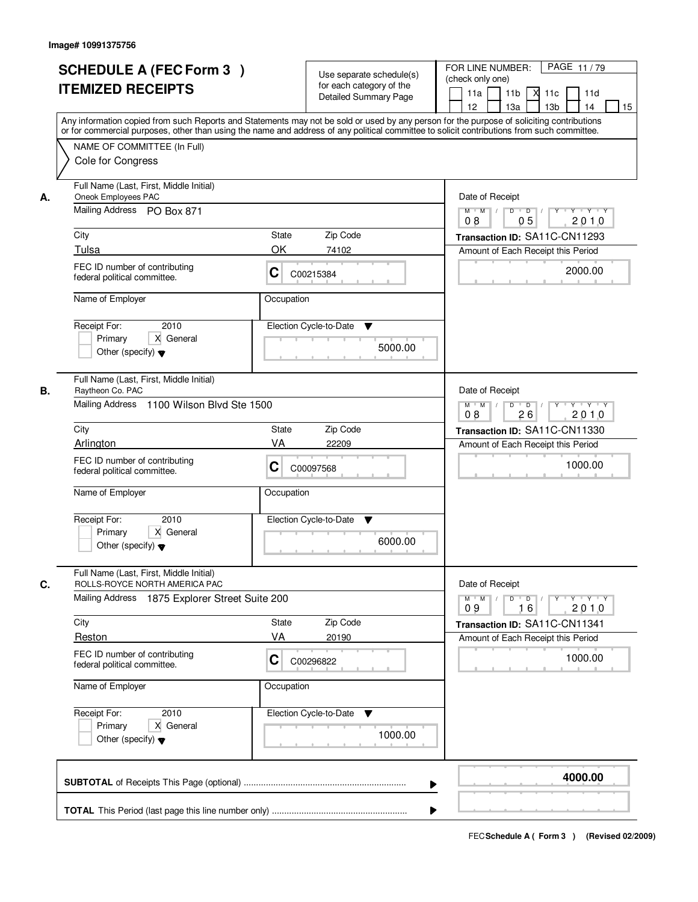|                                                                                                    |                                           | for each category of the<br><b>Detailed Summary Page</b> | 11 <sub>b</sub><br>м<br>11a<br>11c<br>11d<br>12 <sup>2</sup><br>13 <sub>b</sub><br>14<br>13a<br>15<br>Any information copied from such Reports and Statements may not be sold or used by any person for the purpose of soliciting contributions |
|----------------------------------------------------------------------------------------------------|-------------------------------------------|----------------------------------------------------------|-------------------------------------------------------------------------------------------------------------------------------------------------------------------------------------------------------------------------------------------------|
| NAME OF COMMITTEE (In Full)<br>Cole for Congress                                                   |                                           |                                                          | or for commercial purposes, other than using the name and address of any political committee to solicit contributions from such committee.                                                                                                      |
| Full Name (Last, First, Middle Initial)<br>Oneok Employees PAC<br>А.<br>Mailing Address PO Box 871 |                                           |                                                          | Date of Receipt<br>$Y$ $Y$ $Y$<br>$D$ $D$<br>$Y$ <sup>U</sup><br>$M$ $M$                                                                                                                                                                        |
|                                                                                                    |                                           |                                                          | 05<br>2010<br>08                                                                                                                                                                                                                                |
| City                                                                                               | State                                     | Zip Code                                                 | Transaction ID: SA11C-CN11293                                                                                                                                                                                                                   |
| Tulsa                                                                                              | OK                                        | 74102                                                    | Amount of Each Receipt this Period                                                                                                                                                                                                              |
| FEC ID number of contributing<br>federal political committee.                                      | C                                         | C00215384                                                | 2000.00                                                                                                                                                                                                                                         |
| Name of Employer                                                                                   |                                           | Occupation                                               |                                                                                                                                                                                                                                                 |
| Receipt For:<br>Primary<br>Other (specify) $\blacktriangledown$                                    | 2010<br>X General                         | Election Cycle-to-Date<br>▼<br>5000.00                   |                                                                                                                                                                                                                                                 |
| Full Name (Last, First, Middle Initial)<br>Raytheon Co. PAC<br>В.                                  |                                           |                                                          | Date of Receipt                                                                                                                                                                                                                                 |
|                                                                                                    | Mailing Address 1100 Wilson Blvd Ste 1500 |                                                          | $M$ $M$ /<br>D<br>$\overline{D}$ /<br>$Y + Y + Y$<br>26<br>2010<br>08                                                                                                                                                                           |
| City                                                                                               | <b>State</b>                              | Zip Code                                                 | Transaction ID: SA11C-CN11330                                                                                                                                                                                                                   |
| Arlington                                                                                          | VA                                        | 22209                                                    | Amount of Each Receipt this Period                                                                                                                                                                                                              |
| FEC ID number of contributing<br>federal political committee.                                      | С                                         | C00097568                                                | 1000.00                                                                                                                                                                                                                                         |
| Name of Employer                                                                                   |                                           | Occupation                                               |                                                                                                                                                                                                                                                 |
| Receipt For:<br>Primary<br>Other (specify) $\blacktriangledown$                                    | 2010<br>X General                         | Election Cycle-to-Date<br>▼<br>6000.00                   |                                                                                                                                                                                                                                                 |
| Full Name (Last, First, Middle Initial)<br>C.<br>ROLLS-ROYCE NORTH AMERICA PAC                     |                                           |                                                          | Date of Receipt                                                                                                                                                                                                                                 |
| Mailing Address                                                                                    | 1875 Explorer Street Suite 200            |                                                          | $M = M$<br>$D$ $D$ $I$<br>y y y y y y<br>2010<br>09<br>16                                                                                                                                                                                       |
| City                                                                                               | <b>State</b>                              | Zip Code                                                 | Transaction ID: SA11C-CN11341                                                                                                                                                                                                                   |
| Reston                                                                                             | VA                                        | 20190                                                    | Amount of Each Receipt this Period                                                                                                                                                                                                              |
| FEC ID number of contributing<br>federal political committee.                                      | C                                         | C00296822                                                | 1000.00                                                                                                                                                                                                                                         |
| Name of Employer                                                                                   |                                           | Occupation                                               |                                                                                                                                                                                                                                                 |
| Receipt For:<br>Primary<br>Other (specify) $\blacktriangledown$                                    | 2010<br>X General                         | Election Cycle-to-Date<br>v<br>1000.00                   |                                                                                                                                                                                                                                                 |
|                                                                                                    |                                           |                                                          | 4000.00                                                                                                                                                                                                                                         |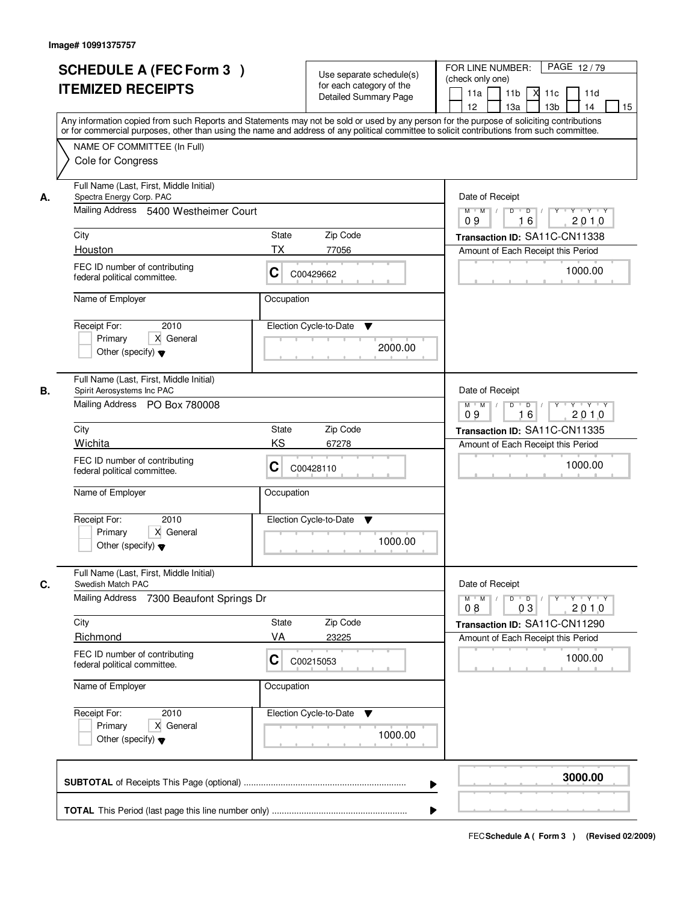|    | <b>SCHEDULE A (FEC Form 3)</b><br><b>ITEMIZED RECEIPTS</b>                                                   | Use separate schedule(s)<br>for each category of the<br><b>Detailed Summary Page</b><br>Any information copied from such Reports and Statements may not be sold or used by any person for the purpose of soliciting contributions | PAGE 12/79<br>FOR LINE NUMBER:<br>(check only one)<br>11 <sub>b</sub><br>м<br>11a<br>11c<br>11d<br>12 <sup>2</sup><br>13 <sub>b</sub><br>14<br>13a<br>15 |
|----|--------------------------------------------------------------------------------------------------------------|-----------------------------------------------------------------------------------------------------------------------------------------------------------------------------------------------------------------------------------|----------------------------------------------------------------------------------------------------------------------------------------------------------|
|    | NAME OF COMMITTEE (In Full)<br>Cole for Congress                                                             | or for commercial purposes, other than using the name and address of any political committee to solicit contributions from such committee.                                                                                        |                                                                                                                                                          |
| А. | Full Name (Last, First, Middle Initial)<br>Spectra Energy Corp. PAC<br>Mailing Address 5400 Westheimer Court |                                                                                                                                                                                                                                   | Date of Receipt<br>$Y + Y + Y$<br>$D$ $D$ $I$<br>$Y$ <sup>U</sup><br>$M$ $M$ /                                                                           |
|    | City<br>Houston                                                                                              | State<br>Zip Code<br><b>TX</b><br>77056                                                                                                                                                                                           | 16<br>2010<br>09<br>Transaction ID: SA11C-CN11338<br>Amount of Each Receipt this Period                                                                  |
|    | FEC ID number of contributing<br>federal political committee.                                                | C<br>C00429662                                                                                                                                                                                                                    | 1000.00                                                                                                                                                  |
|    | Name of Employer<br>2010<br>Receipt For:<br>X General<br>Primary<br>Other (specify) $\blacktriangledown$     | Occupation<br>Election Cycle-to-Date<br>▼<br>2000.00                                                                                                                                                                              |                                                                                                                                                          |
| В. | Full Name (Last, First, Middle Initial)<br>Spirit Aerosystems Inc PAC<br>Mailing Address PO Box 780008       |                                                                                                                                                                                                                                   | Date of Receipt<br>$Y \vdash Y \vdash Y$<br>$M$ $M$ /<br>D<br>$\Box$<br>16<br>09<br>2010                                                                 |
|    | City<br>Wichita                                                                                              | Zip Code<br><b>State</b><br>KS<br>67278                                                                                                                                                                                           | Transaction ID: SA11C-CN11335<br>Amount of Each Receipt this Period                                                                                      |
|    | FEC ID number of contributing<br>federal political committee.                                                | С<br>C00428110                                                                                                                                                                                                                    | 1000.00                                                                                                                                                  |
|    | Name of Employer<br>Receipt For:<br>2010<br>Primary<br>X General<br>Other (specify) $\blacktriangledown$     | Occupation<br>Election Cycle-to-Date<br>▼<br>1000.00                                                                                                                                                                              |                                                                                                                                                          |
| C. | Full Name (Last, First, Middle Initial)<br>Swedish Match PAC                                                 |                                                                                                                                                                                                                                   | Date of Receipt                                                                                                                                          |
|    | <b>Mailing Address</b><br>7300 Beaufont Springs Dr<br>City                                                   | Zip Code<br><b>State</b>                                                                                                                                                                                                          | $M$ $M$ <sup><math>\prime</math></sup><br>$D$ $D$ $/$<br>י יי א יי די א<br>2010<br>08<br>03<br>Transaction ID: SA11C-CN11290                             |
|    | Richmond                                                                                                     | VA<br>23225                                                                                                                                                                                                                       | Amount of Each Receipt this Period                                                                                                                       |
|    | FEC ID number of contributing<br>federal political committee.                                                | C<br>C00215053                                                                                                                                                                                                                    | 1000.00                                                                                                                                                  |
|    | Name of Employer                                                                                             | Occupation                                                                                                                                                                                                                        |                                                                                                                                                          |
|    | Receipt For:<br>2010<br>Primary<br>X General<br>Other (specify) $\blacktriangledown$                         | Election Cycle-to-Date<br>v<br>1000.00                                                                                                                                                                                            |                                                                                                                                                          |
|    |                                                                                                              |                                                                                                                                                                                                                                   | 3000.00                                                                                                                                                  |
|    |                                                                                                              |                                                                                                                                                                                                                                   |                                                                                                                                                          |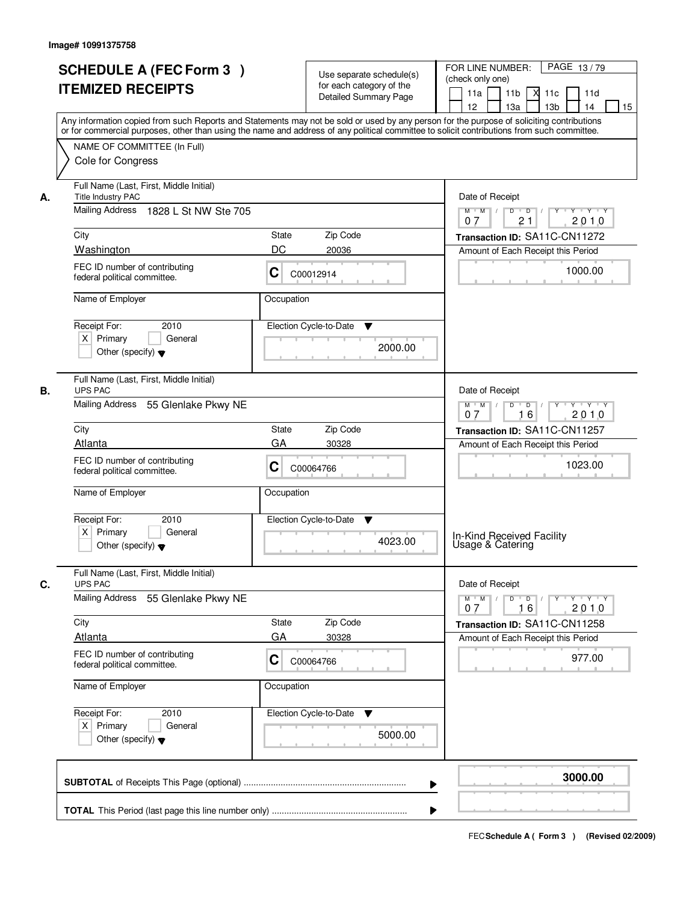|    | <b>SCHEDULE A (FEC Form 3)</b><br><b>ITEMIZED RECEIPTS</b><br>Any information copied from such Reports and Statements may not be sold or used by any person for the purpose of soliciting contributions<br>or for commercial purposes, other than using the name and address of any political committee to solicit contributions from such committee. |              | Use separate schedule(s)<br>for each category of the<br><b>Detailed Summary Page</b> | PAGE 13/79<br>FOR LINE NUMBER:<br>(check only one)<br>11 <sub>b</sub><br>11a<br><b>X</b><br>11c<br>11d<br>13 <sub>b</sub><br>12<br>13a<br>14<br>15 |
|----|-------------------------------------------------------------------------------------------------------------------------------------------------------------------------------------------------------------------------------------------------------------------------------------------------------------------------------------------------------|--------------|--------------------------------------------------------------------------------------|----------------------------------------------------------------------------------------------------------------------------------------------------|
|    | NAME OF COMMITTEE (In Full)<br>Cole for Congress                                                                                                                                                                                                                                                                                                      |              |                                                                                      |                                                                                                                                                    |
| А. | Full Name (Last, First, Middle Initial)<br>Title Industry PAC<br>Mailing Address<br>1828 L St NW Ste 705                                                                                                                                                                                                                                              |              |                                                                                      | Date of Receipt<br>$M$ $M$<br>$D$ $D$ $/$<br>21<br>2010<br>07                                                                                      |
|    | City                                                                                                                                                                                                                                                                                                                                                  | State        | Zip Code                                                                             | Transaction ID: SA11C-CN11272                                                                                                                      |
|    | Washington                                                                                                                                                                                                                                                                                                                                            | DC           | 20036                                                                                | Amount of Each Receipt this Period                                                                                                                 |
|    | FEC ID number of contributing<br>federal political committee.                                                                                                                                                                                                                                                                                         | C            | C00012914                                                                            | 1000.00                                                                                                                                            |
|    | Name of Employer                                                                                                                                                                                                                                                                                                                                      | Occupation   |                                                                                      |                                                                                                                                                    |
|    | 2010<br>Receipt For:<br>$X$ Primary<br>General<br>Other (specify) $\blacktriangledown$                                                                                                                                                                                                                                                                |              | Election Cycle-to-Date<br>▼<br>2000.00                                               |                                                                                                                                                    |
| В. | Full Name (Last, First, Middle Initial)<br><b>UPS PAC</b>                                                                                                                                                                                                                                                                                             |              |                                                                                      | Date of Receipt                                                                                                                                    |
|    | Mailing Address 55 Glenlake Pkwy NE                                                                                                                                                                                                                                                                                                                   |              |                                                                                      | $Y$ <sup>U</sup><br>$Y \vdash Y \vdash Y$<br>$M$ $M$ /<br>D<br>$\overline{D}$<br>16<br>2010<br>07                                                  |
|    | City                                                                                                                                                                                                                                                                                                                                                  | <b>State</b> | Zip Code                                                                             | Transaction ID: SA11C-CN11257                                                                                                                      |
|    | Atlanta                                                                                                                                                                                                                                                                                                                                               | GA           | 30328                                                                                | Amount of Each Receipt this Period                                                                                                                 |
|    | FEC ID number of contributing<br>federal political committee.                                                                                                                                                                                                                                                                                         | С            | C00064766                                                                            | 1023.00                                                                                                                                            |
|    | Name of Employer                                                                                                                                                                                                                                                                                                                                      | Occupation   |                                                                                      |                                                                                                                                                    |
|    | Receipt For:<br>2010<br>$X$ Primary<br>General<br>Other (specify) $\blacktriangledown$                                                                                                                                                                                                                                                                |              | Election Cycle-to-Date<br>v<br>4023.00                                               | In-Kind Received Facility<br>Usage & Catering                                                                                                      |
|    | Full Name (Last, First, Middle Initial)                                                                                                                                                                                                                                                                                                               |              |                                                                                      |                                                                                                                                                    |
| C. | <b>UPS PAC</b><br>Mailing Address<br>55 Glenlake Pkwy NE                                                                                                                                                                                                                                                                                              |              |                                                                                      | Date of Receipt<br>D<br>$\overline{D}$ /<br>$M$ $M$ /<br>$Y$ <sup>-1</sup><br>$Y + Y + Y$<br>2010<br>07<br>16                                      |
|    | City                                                                                                                                                                                                                                                                                                                                                  | State        | Zip Code                                                                             | Transaction ID: SA11C-CN11258                                                                                                                      |
|    | Atlanta                                                                                                                                                                                                                                                                                                                                               | GA           | 30328                                                                                | Amount of Each Receipt this Period                                                                                                                 |
|    | FEC ID number of contributing<br>federal political committee.                                                                                                                                                                                                                                                                                         | C            | C00064766                                                                            | 977.00                                                                                                                                             |
|    | Name of Employer                                                                                                                                                                                                                                                                                                                                      | Occupation   |                                                                                      |                                                                                                                                                    |
|    | Receipt For:<br>2010<br>$X$ Primary<br>General<br>Other (specify) $\blacktriangledown$                                                                                                                                                                                                                                                                |              | Election Cycle-to-Date<br>v<br>5000.00                                               |                                                                                                                                                    |
|    |                                                                                                                                                                                                                                                                                                                                                       |              | ▶                                                                                    | 3000.00                                                                                                                                            |
|    |                                                                                                                                                                                                                                                                                                                                                       |              |                                                                                      |                                                                                                                                                    |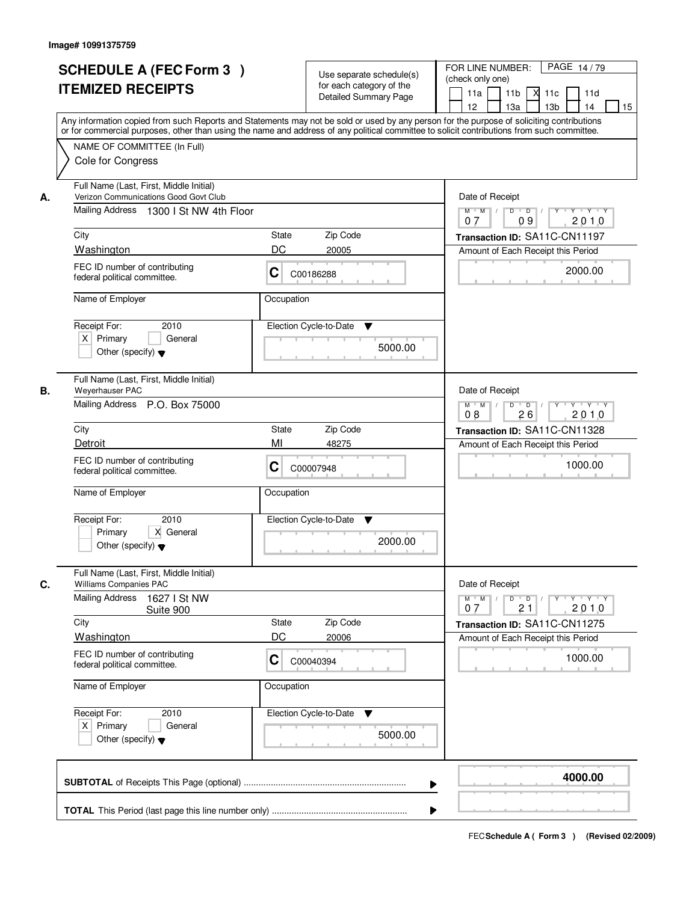|    | <b>SCHEDULE A (FEC Form 3)</b><br><b>ITEMIZED RECEIPTS</b><br>Any information copied from such Reports and Statements may not be sold or used by any person for the purpose of soliciting contributions<br>or for commercial purposes, other than using the name and address of any political committee to solicit contributions from such committee. |             | Use separate schedule(s)<br>for each category of the<br><b>Detailed Summary Page</b> | PAGE 14/79<br>FOR LINE NUMBER:<br>(check only one)<br>11 <sub>b</sub><br>11a<br>-XI<br>11c<br>11d<br>13 <sub>b</sub><br>12<br>13a<br>14<br>15 |
|----|-------------------------------------------------------------------------------------------------------------------------------------------------------------------------------------------------------------------------------------------------------------------------------------------------------------------------------------------------------|-------------|--------------------------------------------------------------------------------------|-----------------------------------------------------------------------------------------------------------------------------------------------|
|    | NAME OF COMMITTEE (In Full)<br>Cole for Congress                                                                                                                                                                                                                                                                                                      |             |                                                                                      |                                                                                                                                               |
| А. | Full Name (Last, First, Middle Initial)<br>Verizon Communications Good Govt Club<br>Mailing Address 1300   St NW 4th Floor                                                                                                                                                                                                                            |             |                                                                                      | Date of Receipt<br>$M$ $M$<br>$D$ $D$ $/$<br>09<br>2010<br>07                                                                                 |
|    | City                                                                                                                                                                                                                                                                                                                                                  | State       | Zip Code                                                                             | Transaction ID: SA11C-CN11197                                                                                                                 |
|    | Washington                                                                                                                                                                                                                                                                                                                                            | DC          | 20005                                                                                | Amount of Each Receipt this Period                                                                                                            |
|    | FEC ID number of contributing<br>federal political committee.                                                                                                                                                                                                                                                                                         | C           | C00186288                                                                            | 2000.00                                                                                                                                       |
|    | Name of Employer                                                                                                                                                                                                                                                                                                                                      | Occupation  |                                                                                      |                                                                                                                                               |
|    | Receipt For:<br>2010<br>$X$ Primary<br>General<br>Other (specify) $\blacktriangledown$                                                                                                                                                                                                                                                                |             | Election Cycle-to-Date<br>▼<br>5000.00                                               |                                                                                                                                               |
| В. | Full Name (Last, First, Middle Initial)<br>Weyerhauser PAC<br>Mailing Address P.O. Box 75000                                                                                                                                                                                                                                                          |             |                                                                                      | Date of Receipt<br>$Y \vdash Y \vdash Y$<br>$M$ $M$ /<br>D<br>$\overline{D}$<br>Y<br>2010<br>08<br>26                                         |
|    | City                                                                                                                                                                                                                                                                                                                                                  | State       | Zip Code                                                                             | Transaction ID: SA11C-CN11328                                                                                                                 |
|    | Detroit                                                                                                                                                                                                                                                                                                                                               | MI          | 48275                                                                                | Amount of Each Receipt this Period                                                                                                            |
|    | FEC ID number of contributing<br>federal political committee.                                                                                                                                                                                                                                                                                         | C           | C00007948                                                                            | 1000.00                                                                                                                                       |
|    | Name of Employer                                                                                                                                                                                                                                                                                                                                      | Occupation  |                                                                                      |                                                                                                                                               |
|    | Receipt For:<br>2010<br>Primary<br>X General<br>Other (specify) $\blacktriangledown$                                                                                                                                                                                                                                                                  |             | Election Cycle-to-Date<br>v<br>2000.00                                               |                                                                                                                                               |
| C. | Full Name (Last, First, Middle Initial)<br>Williams Companies PAC                                                                                                                                                                                                                                                                                     |             |                                                                                      | Date of Receipt                                                                                                                               |
|    | <b>Mailing Address</b><br>1627 I St NW<br>Suite 900                                                                                                                                                                                                                                                                                                   |             |                                                                                      | $M$ $M$<br>$D$ $D$ $/$<br>$\mathsf{Y} \dashv \mathsf{Y} \dashv \mathsf{Y}$<br>$Y^+$<br>2010<br>21<br>07                                       |
|    | City                                                                                                                                                                                                                                                                                                                                                  | State<br>DC | Zip Code                                                                             | Transaction ID: SA11C-CN11275                                                                                                                 |
|    | <b>Washington</b><br>FEC ID number of contributing<br>federal political committee.                                                                                                                                                                                                                                                                    | C           | 20006<br>C00040394                                                                   | Amount of Each Receipt this Period<br>1000.00                                                                                                 |
|    | Name of Employer                                                                                                                                                                                                                                                                                                                                      | Occupation  |                                                                                      |                                                                                                                                               |
|    | Receipt For:<br>2010<br>$X$ Primary<br>General<br>Other (specify) $\blacktriangledown$                                                                                                                                                                                                                                                                |             | Election Cycle-to-Date<br>v<br>5000.00                                               |                                                                                                                                               |
|    |                                                                                                                                                                                                                                                                                                                                                       |             | ▶                                                                                    | 4000.00                                                                                                                                       |
|    |                                                                                                                                                                                                                                                                                                                                                       |             |                                                                                      |                                                                                                                                               |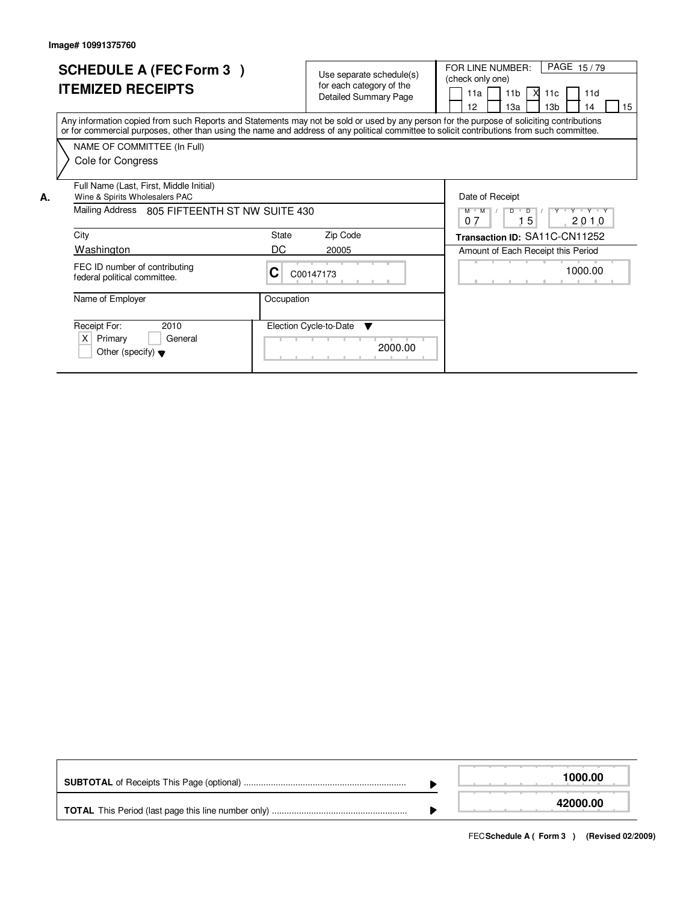|    | <b>SCHEDULE A (FEC Form 3)</b><br><b>ITEMIZED RECEIPTS</b>                                                                                                                                                                                                                              |             | Use separate schedule(s)<br>for each category of the<br><b>Detailed Summary Page</b> | PAGE 15/79<br>FOR LINE NUMBER:<br>(check only one)<br>11 <sub>b</sub><br>11a<br>11d<br>XI.<br>11c<br>12<br>13a<br>13 <sub>b</sub><br>15<br>14 |
|----|-----------------------------------------------------------------------------------------------------------------------------------------------------------------------------------------------------------------------------------------------------------------------------------------|-------------|--------------------------------------------------------------------------------------|-----------------------------------------------------------------------------------------------------------------------------------------------|
|    | Any information copied from such Reports and Statements may not be sold or used by any person for the purpose of soliciting contributions<br>or for commercial purposes, other than using the name and address of any political committee to solicit contributions from such committee. |             |                                                                                      |                                                                                                                                               |
|    | NAME OF COMMITTEE (In Full)<br>Cole for Congress                                                                                                                                                                                                                                        |             |                                                                                      |                                                                                                                                               |
| А. | Full Name (Last, First, Middle Initial)<br>Wine & Spirits Wholesalers PAC<br>Mailing Address 805 FIFTEENTH ST NW SUITE 430                                                                                                                                                              |             |                                                                                      | Date of Receipt<br>$M$ $M$<br>D<br>Y Y Y Y                                                                                                    |
|    | City<br>Washington                                                                                                                                                                                                                                                                      | State<br>DC | Zip Code<br>20005                                                                    | 5<br>2010<br>07<br>Transaction ID: SA11C-CN11252<br>Amount of Each Receipt this Period                                                        |
|    | FEC ID number of contributing<br>federal political committee.                                                                                                                                                                                                                           | C           | C00147173                                                                            | 1000.00                                                                                                                                       |
|    | Name of Employer                                                                                                                                                                                                                                                                        | Occupation  |                                                                                      |                                                                                                                                               |
|    | Receipt For:<br>2010<br>$\times$<br>Primary<br>General<br>Other (specify) $\blacktriangledown$                                                                                                                                                                                          |             | Election Cycle-to-Date<br>$\overline{\mathbf{v}}$<br>2000.00                         |                                                                                                                                               |

|  | 1000.00  |
|--|----------|
|  | 42000.00 |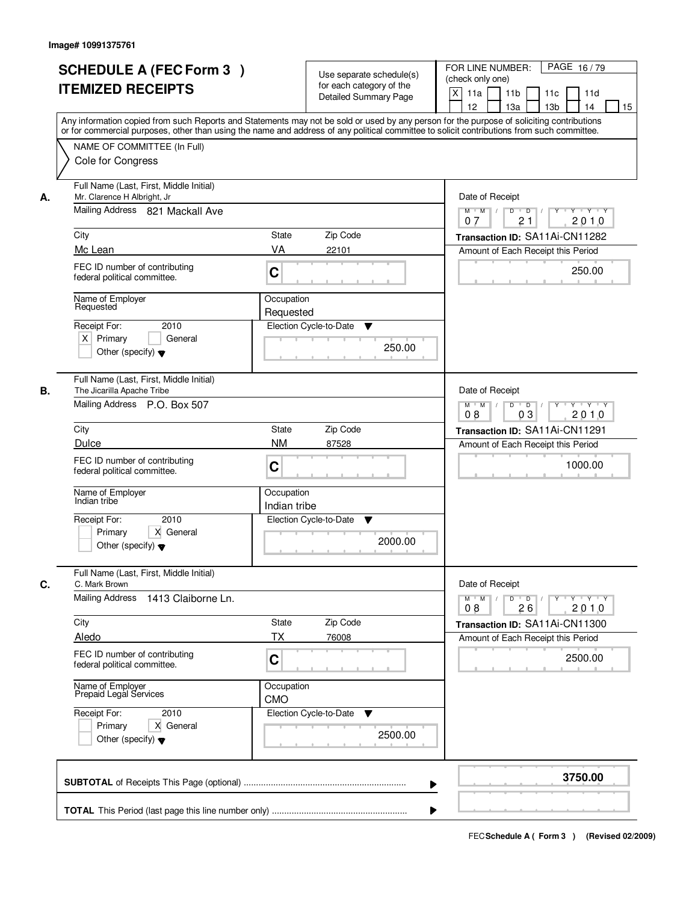|    | <b>SCHEDULE A (FEC Form 3)</b><br><b>ITEMIZED RECEIPTS</b><br>Any information copied from such Reports and Statements may not be sold or used by any person for the purpose of soliciting contributions                                                                           | Use separate schedule(s)<br>for each category of the<br><b>Detailed Summary Page</b>                      |         | PAGE 16/79<br>FOR LINE NUMBER:<br>(check only one)<br>$\boldsymbol{\mathsf{X}}$<br>11 <sub>b</sub><br>11a<br>11c<br>11d<br>12<br>13 <sub>b</sub><br>14<br>13a<br>15                                  |
|----|-----------------------------------------------------------------------------------------------------------------------------------------------------------------------------------------------------------------------------------------------------------------------------------|-----------------------------------------------------------------------------------------------------------|---------|------------------------------------------------------------------------------------------------------------------------------------------------------------------------------------------------------|
|    | or for commercial purposes, other than using the name and address of any political committee to solicit contributions from such committee.<br>NAME OF COMMITTEE (In Full)<br>Cole for Congress                                                                                    |                                                                                                           |         |                                                                                                                                                                                                      |
| А. | Full Name (Last, First, Middle Initial)<br>Mr. Clarence H Albright, Jr<br>Mailing Address 821 Mackall Ave<br>City<br>Mc Lean<br>FEC ID number of contributing<br>federal political committee.<br>Name of Employer<br>Requested<br>2010<br>Receipt For:<br>$X$ Primary<br>General  | <b>State</b><br>Zip Code<br>VA<br>22101<br>C<br>Occupation<br>Requested<br>Election Cycle-to-Date<br>▼    |         | Date of Receipt<br>$Y$ $Y$ $Y$<br>$D$ $D$ $1$<br>$Y$ <sup>U</sup><br>$M$ $M$ /<br>21<br>2010<br>07<br>Transaction ID: SA11Ai-CN11282<br>Amount of Each Receipt this Period<br>250.00                 |
| В. | Other (specify) $\blacktriangledown$<br>Full Name (Last, First, Middle Initial)<br>The Jicarilla Apache Tribe                                                                                                                                                                     |                                                                                                           | 250.00  | Date of Receipt                                                                                                                                                                                      |
|    | Mailing Address P.O. Box 507<br>City<br><b>Dulce</b><br>FEC ID number of contributing<br>federal political committee.<br>Name of Employer<br>Indian tribe<br>2010<br>Receipt For:<br>Primary<br>X General<br>Other (specify) $\blacktriangledown$                                 | Zip Code<br>State<br><b>NM</b><br>87528<br>C<br>Occupation<br>Indian tribe<br>Election Cycle-to-Date<br>▼ | 2000.00 | $Y \vdash Y \vdash Y$<br>$M$ $M$ /<br>D<br>$\overline{D}$<br>$Y$ <sup><math>\top</math></sup><br>03<br>2010<br>08<br>Transaction ID: SA11Ai-CN11291<br>Amount of Each Receipt this Period<br>1000.00 |
| C. | Full Name (Last, First, Middle Initial)<br>C. Mark Brown<br>Mailing Address<br>1413 Claiborne Ln.<br>City<br>Aledo<br>FEC ID number of contributing<br>federal political committee.<br>Name of Employer<br>Prepaid Legal Services<br>Receipt For:<br>2010<br>Primary<br>X General | State<br>Zip Code<br>ТX<br>76008<br>C<br>Occupation<br><b>CMO</b><br>Election Cycle-to-Date<br>v          | 2500.00 | Date of Receipt<br>$M$ $M$ $M$<br>$D$ $D$ $/$<br>$Y - Y - Y - Y$<br>$Y$ <sup>U</sup><br>2010<br>08<br>26<br>Transaction ID: SA11Ai-CN11300<br>Amount of Each Receipt this Period<br>2500.00          |
|    | Other (specify) $\blacktriangledown$                                                                                                                                                                                                                                              |                                                                                                           |         | 3750.00                                                                                                                                                                                              |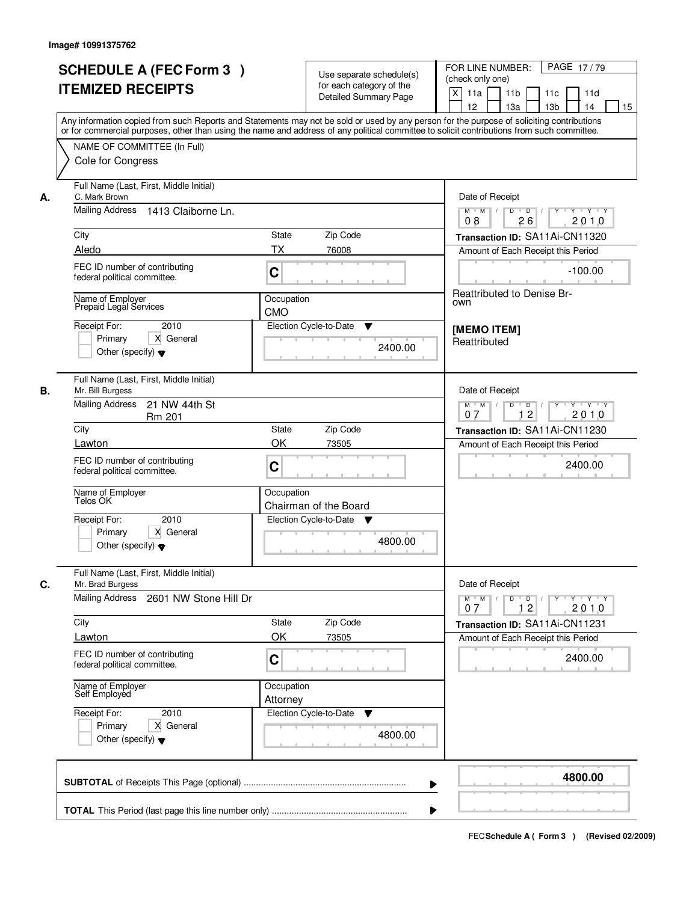|    | <b>SCHEDULE A (FEC Form 3)</b>                                                                                                                                                                                                                                                          |              | Use separate schedule(s)     | PAGE 17/79<br>FOR LINE NUMBER:                                                      |
|----|-----------------------------------------------------------------------------------------------------------------------------------------------------------------------------------------------------------------------------------------------------------------------------------------|--------------|------------------------------|-------------------------------------------------------------------------------------|
|    | <b>ITEMIZED RECEIPTS</b>                                                                                                                                                                                                                                                                |              | for each category of the     | (check only one)                                                                    |
|    |                                                                                                                                                                                                                                                                                         |              | <b>Detailed Summary Page</b> | $\mathsf{X}$<br>11a<br>11 <sub>b</sub><br>11c<br>11d                                |
|    |                                                                                                                                                                                                                                                                                         |              |                              | 12<br>13a<br>13 <sub>b</sub><br>14<br>15                                            |
|    | Any information copied from such Reports and Statements may not be sold or used by any person for the purpose of soliciting contributions<br>or for commercial purposes, other than using the name and address of any political committee to solicit contributions from such committee. |              |                              |                                                                                     |
|    |                                                                                                                                                                                                                                                                                         |              |                              |                                                                                     |
|    | NAME OF COMMITTEE (In Full)                                                                                                                                                                                                                                                             |              |                              |                                                                                     |
|    | Cole for Congress                                                                                                                                                                                                                                                                       |              |                              |                                                                                     |
| А. | Full Name (Last, First, Middle Initial)<br>C. Mark Brown                                                                                                                                                                                                                                |              |                              | Date of Receipt                                                                     |
|    | Mailing Address 1413 Claiborne Ln.                                                                                                                                                                                                                                                      |              |                              | $Y$ $Y$ $Y$<br>$\overline{D}$<br>$M$ $M$ /<br>D<br>26<br>2010<br>08                 |
|    | City                                                                                                                                                                                                                                                                                    | <b>State</b> | Zip Code                     | Transaction ID: SA11Ai-CN11320                                                      |
|    | Aledo                                                                                                                                                                                                                                                                                   | <b>TX</b>    | 76008                        | Amount of Each Receipt this Period                                                  |
|    | FEC ID number of contributing                                                                                                                                                                                                                                                           |              |                              |                                                                                     |
|    | federal political committee.                                                                                                                                                                                                                                                            | C            |                              | $-100.00$                                                                           |
|    | Name of Employer                                                                                                                                                                                                                                                                        | Occupation   |                              | <b>Reattributed to Denise Br-</b>                                                   |
|    | Prepaid Legal Services                                                                                                                                                                                                                                                                  | <b>CMO</b>   |                              | own                                                                                 |
|    | Receipt For:<br>2010                                                                                                                                                                                                                                                                    |              | Election Cycle-to-Date<br>▼  |                                                                                     |
|    | Primary<br>X General                                                                                                                                                                                                                                                                    |              |                              | [MEMO ITEM]<br>Reattributed                                                         |
|    | Other (specify) $\blacktriangledown$                                                                                                                                                                                                                                                    |              | 2400.00                      |                                                                                     |
|    |                                                                                                                                                                                                                                                                                         |              |                              |                                                                                     |
| В. | Full Name (Last, First, Middle Initial)<br>Mr. Bill Burgess                                                                                                                                                                                                                             |              |                              | Date of Receipt                                                                     |
|    | <b>Mailing Address</b><br>21 NW 44th St                                                                                                                                                                                                                                                 |              |                              | $M$ $M$ /<br>$D$ $D$ $1$<br>Y Y Y Y Y Y                                             |
|    | Rm 201                                                                                                                                                                                                                                                                                  |              |                              | 12<br>2010<br>07                                                                    |
|    | City                                                                                                                                                                                                                                                                                    | <b>State</b> | Zip Code                     | Transaction ID: SA11Ai-CN11230                                                      |
|    | Lawton                                                                                                                                                                                                                                                                                  | OK           | 73505                        | Amount of Each Receipt this Period                                                  |
|    | FEC ID number of contributing                                                                                                                                                                                                                                                           |              |                              |                                                                                     |
|    | federal political committee.                                                                                                                                                                                                                                                            | C            |                              | 2400.00                                                                             |
|    |                                                                                                                                                                                                                                                                                         | Occupation   |                              |                                                                                     |
|    | Name of Employer<br>Telos OK                                                                                                                                                                                                                                                            |              | Chairman of the Board        |                                                                                     |
|    | Receipt For:<br>2010                                                                                                                                                                                                                                                                    |              | Election Cycle-to-Date ▼     |                                                                                     |
|    | Primary<br>X General                                                                                                                                                                                                                                                                    |              |                              |                                                                                     |
|    | Other (specify) $\blacktriangledown$                                                                                                                                                                                                                                                    |              | 4800.00                      |                                                                                     |
|    |                                                                                                                                                                                                                                                                                         |              |                              |                                                                                     |
| C. | Full Name (Last, First, Middle Initial)<br>Mr. Brad Burgess                                                                                                                                                                                                                             |              |                              | Date of Receipt                                                                     |
|    | <b>Mailing Address</b><br>2601 NW Stone Hill Dr                                                                                                                                                                                                                                         |              |                              | $D$ $D$ $/$<br>$\mathsf{Y} \dashv \mathsf{Y} \dashv \mathsf{Y}$<br>$M = M$<br>$Y^+$ |
|    |                                                                                                                                                                                                                                                                                         |              |                              | 12<br>2010<br>07                                                                    |
|    | City                                                                                                                                                                                                                                                                                    | State        | Zip Code                     | Transaction ID: SA11Ai-CN11231                                                      |
|    | Lawton                                                                                                                                                                                                                                                                                  | OK           | 73505                        | Amount of Each Receipt this Period                                                  |
|    | FEC ID number of contributing                                                                                                                                                                                                                                                           |              |                              | 2400.00                                                                             |
|    | federal political committee.                                                                                                                                                                                                                                                            | C            |                              |                                                                                     |
|    | Name of Employer<br>Self Employed                                                                                                                                                                                                                                                       | Occupation   |                              |                                                                                     |
|    |                                                                                                                                                                                                                                                                                         | Attorney     |                              |                                                                                     |
|    | Receipt For:<br>2010                                                                                                                                                                                                                                                                    |              | Election Cycle-to-Date<br>v  |                                                                                     |
|    | X General<br>Primary                                                                                                                                                                                                                                                                    |              |                              |                                                                                     |
|    | Other (specify) $\blacktriangledown$                                                                                                                                                                                                                                                    |              | 4800.00                      |                                                                                     |
|    |                                                                                                                                                                                                                                                                                         |              |                              |                                                                                     |
|    |                                                                                                                                                                                                                                                                                         |              |                              | 4800.00                                                                             |
|    |                                                                                                                                                                                                                                                                                         |              |                              | ▶                                                                                   |
|    |                                                                                                                                                                                                                                                                                         |              |                              |                                                                                     |
|    |                                                                                                                                                                                                                                                                                         |              |                              |                                                                                     |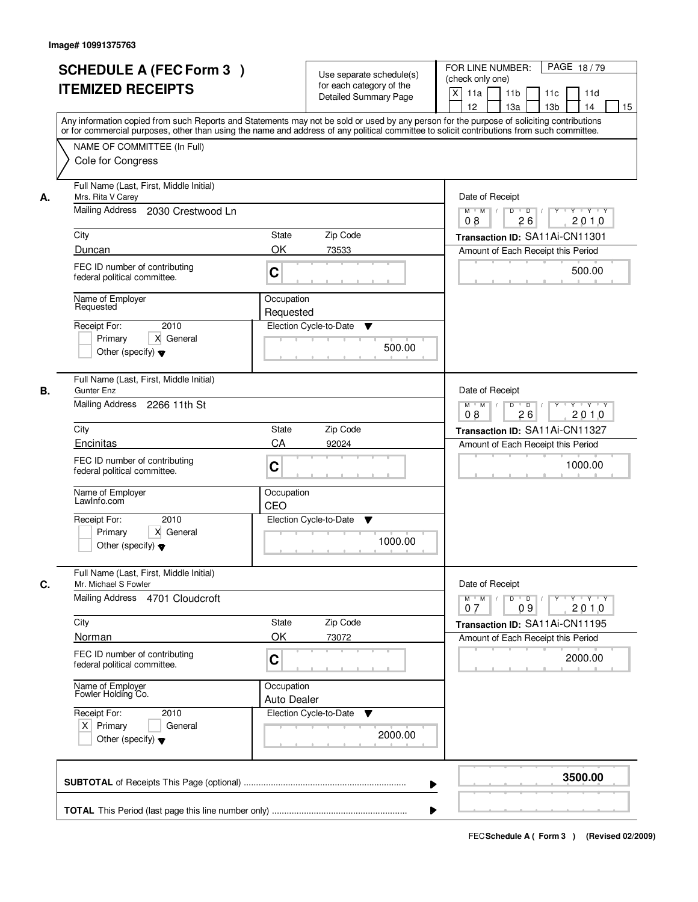|    | <b>SCHEDULE A (FEC Form 3)</b><br><b>ITEMIZED RECEIPTS</b><br>Any information copied from such Reports and Statements may not be sold or used by any person for the purpose of soliciting contributions<br>or for commercial purposes, other than using the name and address of any political committee to solicit contributions from such committee. |                                  | Use separate schedule(s)<br>for each category of the<br><b>Detailed Summary Page</b> | PAGE 18/79<br>FOR LINE NUMBER:<br>(check only one)<br>$\boldsymbol{\mathsf{X}}$<br>11a<br>11 <sub>b</sub><br>11c<br>11d<br>12<br>13a<br>13 <sub>b</sub><br>14<br>15 |
|----|-------------------------------------------------------------------------------------------------------------------------------------------------------------------------------------------------------------------------------------------------------------------------------------------------------------------------------------------------------|----------------------------------|--------------------------------------------------------------------------------------|---------------------------------------------------------------------------------------------------------------------------------------------------------------------|
|    | NAME OF COMMITTEE (In Full)<br>Cole for Congress                                                                                                                                                                                                                                                                                                      |                                  |                                                                                      |                                                                                                                                                                     |
| А. | Full Name (Last, First, Middle Initial)<br>Mrs. Rita V Carey<br>Mailing Address 2030 Crestwood Ln                                                                                                                                                                                                                                                     |                                  |                                                                                      | Date of Receipt<br>$D$ $D$ $1$<br>$M$ $M$ /<br>08<br>26<br>2010                                                                                                     |
|    | City                                                                                                                                                                                                                                                                                                                                                  | State                            | Zip Code                                                                             | Transaction ID: SA11Ai-CN11301                                                                                                                                      |
|    | Duncan                                                                                                                                                                                                                                                                                                                                                | OK                               | 73533                                                                                | Amount of Each Receipt this Period                                                                                                                                  |
|    | FEC ID number of contributing<br>federal political committee.                                                                                                                                                                                                                                                                                         | C                                |                                                                                      | 500.00                                                                                                                                                              |
|    | Name of Employer<br>Requested                                                                                                                                                                                                                                                                                                                         | Occupation<br>Requested          |                                                                                      |                                                                                                                                                                     |
|    | 2010<br>Receipt For:<br>X General<br>Primary<br>Other (specify) $\blacktriangledown$                                                                                                                                                                                                                                                                  |                                  | Election Cycle-to-Date<br>▼<br>500.00                                                |                                                                                                                                                                     |
| В. | Full Name (Last, First, Middle Initial)<br>Gunter Enz<br>Mailing Address 2266 11th St                                                                                                                                                                                                                                                                 |                                  |                                                                                      | Date of Receipt<br>$Y \vdash Y \vdash Y$<br>$M$ $M$ /<br>D<br>$\overline{D}$<br>Y                                                                                   |
|    |                                                                                                                                                                                                                                                                                                                                                       |                                  |                                                                                      | 2010<br>08<br>26                                                                                                                                                    |
|    | City<br>Encinitas                                                                                                                                                                                                                                                                                                                                     | State<br>CA                      | Zip Code<br>92024                                                                    | Transaction ID: SA11Ai-CN11327                                                                                                                                      |
|    | FEC ID number of contributing<br>federal political committee.                                                                                                                                                                                                                                                                                         | C                                |                                                                                      | Amount of Each Receipt this Period<br>1000.00                                                                                                                       |
|    | Name of Employer<br>LawInfo.com                                                                                                                                                                                                                                                                                                                       | Occupation<br>CEO                |                                                                                      |                                                                                                                                                                     |
|    | Receipt For:<br>2010<br>X General<br>Primary<br>Other (specify) $\blacktriangledown$                                                                                                                                                                                                                                                                  |                                  | Election Cycle-to-Date<br>v<br>1000.00                                               |                                                                                                                                                                     |
| C. | Full Name (Last, First, Middle Initial)<br>Mr. Michael S Fowler                                                                                                                                                                                                                                                                                       |                                  |                                                                                      | Date of Receipt                                                                                                                                                     |
|    | Mailing Address 4701 Cloudcroft                                                                                                                                                                                                                                                                                                                       |                                  |                                                                                      | $D$ $D$ $l$<br>$\mathsf{Y} \dashv \mathsf{Y} \dashv \mathsf{Y}$<br>$M$ $M$ /<br>$Y$ <sup>U</sup><br>09<br>2010<br>07                                                |
|    | City                                                                                                                                                                                                                                                                                                                                                  | State                            | Zip Code                                                                             | Transaction ID: SA11Ai-CN11195                                                                                                                                      |
|    | Norman<br>FEC ID number of contributing<br>federal political committee.                                                                                                                                                                                                                                                                               | OK<br>C                          | 73072                                                                                | Amount of Each Receipt this Period<br>2000.00                                                                                                                       |
|    | Name of Employer<br>Fowler Holding Co.                                                                                                                                                                                                                                                                                                                | Occupation<br><b>Auto Dealer</b> |                                                                                      |                                                                                                                                                                     |
|    | Receipt For:<br>2010<br>$X$ Primary<br>General<br>Other (specify) $\blacktriangledown$                                                                                                                                                                                                                                                                |                                  | Election Cycle-to-Date<br>v<br>2000.00                                               |                                                                                                                                                                     |
|    |                                                                                                                                                                                                                                                                                                                                                       |                                  | ▶                                                                                    | 3500.00                                                                                                                                                             |
|    |                                                                                                                                                                                                                                                                                                                                                       |                                  |                                                                                      |                                                                                                                                                                     |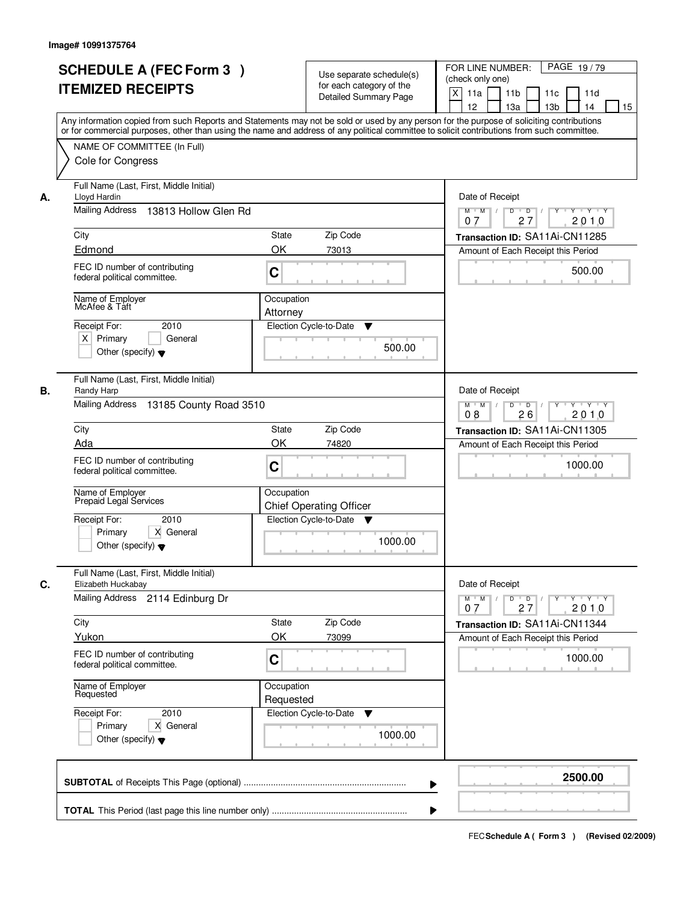|    | <b>SCHEDULE A (FEC Form 3)</b><br><b>ITEMIZED RECEIPTS</b><br>Any information copied from such Reports and Statements may not be sold or used by any person for the purpose of soliciting contributions<br>or for commercial purposes, other than using the name and address of any political committee to solicit contributions from such committee. |                         | Use separate schedule(s)<br>for each category of the<br><b>Detailed Summary Page</b> | PAGE 19/79<br>FOR LINE NUMBER:<br>(check only one)<br>X<br>11a<br>11 <sub>b</sub><br>11c<br>11d<br>12<br>13 <sub>b</sub><br>13a<br>14<br>15 |
|----|-------------------------------------------------------------------------------------------------------------------------------------------------------------------------------------------------------------------------------------------------------------------------------------------------------------------------------------------------------|-------------------------|--------------------------------------------------------------------------------------|---------------------------------------------------------------------------------------------------------------------------------------------|
|    | NAME OF COMMITTEE (In Full)<br>Cole for Congress                                                                                                                                                                                                                                                                                                      |                         |                                                                                      |                                                                                                                                             |
| А. | Full Name (Last, First, Middle Initial)<br>Lloyd Hardin<br>Mailing Address<br>13813 Hollow Glen Rd                                                                                                                                                                                                                                                    |                         |                                                                                      | Date of Receipt<br>$\mathsf{Y} \dashv \mathsf{Y} \dashv \mathsf{Y}$<br>$D$ $D$ $/$<br>$\Gamma Y$<br>$M$ $M$ /                               |
|    | City                                                                                                                                                                                                                                                                                                                                                  | State                   | Zip Code                                                                             | 27<br>2010<br>07<br>Transaction ID: SA11Ai-CN11285                                                                                          |
|    | Edmond                                                                                                                                                                                                                                                                                                                                                | OK                      | 73013                                                                                | Amount of Each Receipt this Period                                                                                                          |
|    | FEC ID number of contributing<br>federal political committee.                                                                                                                                                                                                                                                                                         | C                       |                                                                                      | 500.00                                                                                                                                      |
|    | Name of Employer<br>McAfee & Taft                                                                                                                                                                                                                                                                                                                     | Occupation<br>Attorney  |                                                                                      |                                                                                                                                             |
|    | 2010<br>Receipt For:<br>$X$ Primary<br>General<br>Other (specify) $\blacktriangledown$                                                                                                                                                                                                                                                                |                         | Election Cycle-to-Date<br>▼<br>500.00                                                |                                                                                                                                             |
| В. | Full Name (Last, First, Middle Initial)<br>Randy Harp<br>Mailing Address 13185 County Road 3510                                                                                                                                                                                                                                                       |                         |                                                                                      | Date of Receipt<br>$Y \vdash Y \vdash Y$<br>$M$ M<br>D<br>$\overline{D}$<br>2010<br>26<br>08                                                |
|    | City                                                                                                                                                                                                                                                                                                                                                  | State                   | Zip Code                                                                             | Transaction ID: SA11Ai-CN11305                                                                                                              |
|    | Ada                                                                                                                                                                                                                                                                                                                                                   | OK                      | 74820                                                                                | Amount of Each Receipt this Period                                                                                                          |
|    | FEC ID number of contributing<br>federal political committee.                                                                                                                                                                                                                                                                                         | C                       |                                                                                      | 1000.00                                                                                                                                     |
|    | Name of Employer<br>Prepaid Legal Services                                                                                                                                                                                                                                                                                                            | Occupation              | <b>Chief Operating Officer</b>                                                       |                                                                                                                                             |
|    | Receipt For:<br>2010<br>Primary<br>X General<br>Other (specify) $\blacktriangledown$                                                                                                                                                                                                                                                                  |                         | Election Cycle-to-Date<br>v<br>1000.00                                               |                                                                                                                                             |
| C. | Full Name (Last, First, Middle Initial)<br>Elizabeth Huckabay                                                                                                                                                                                                                                                                                         |                         |                                                                                      | Date of Receipt                                                                                                                             |
|    | <b>Mailing Address</b><br>2114 Edinburg Dr                                                                                                                                                                                                                                                                                                            |                         |                                                                                      | $D$ $D$ $/$<br>$M$ $M$ /<br>$Y$ <sup><math>\top</math></sup><br>$Y + Y + Y$<br>2010<br>07<br>27                                             |
|    | City<br>Yukon                                                                                                                                                                                                                                                                                                                                         | State<br>OK             | Zip Code                                                                             | Transaction ID: SA11Ai-CN11344                                                                                                              |
|    | FEC ID number of contributing<br>federal political committee.                                                                                                                                                                                                                                                                                         | C                       | 73099                                                                                | Amount of Each Receipt this Period<br>1000.00                                                                                               |
|    | Name of Employer<br>Requested                                                                                                                                                                                                                                                                                                                         | Occupation<br>Requested |                                                                                      |                                                                                                                                             |
|    | Receipt For:<br>2010<br>Primary<br>X General<br>Other (specify) $\blacktriangledown$                                                                                                                                                                                                                                                                  |                         | Election Cycle-to-Date<br>v<br>1000.00                                               |                                                                                                                                             |
|    |                                                                                                                                                                                                                                                                                                                                                       |                         | ▶                                                                                    | 2500.00                                                                                                                                     |
|    |                                                                                                                                                                                                                                                                                                                                                       |                         |                                                                                      |                                                                                                                                             |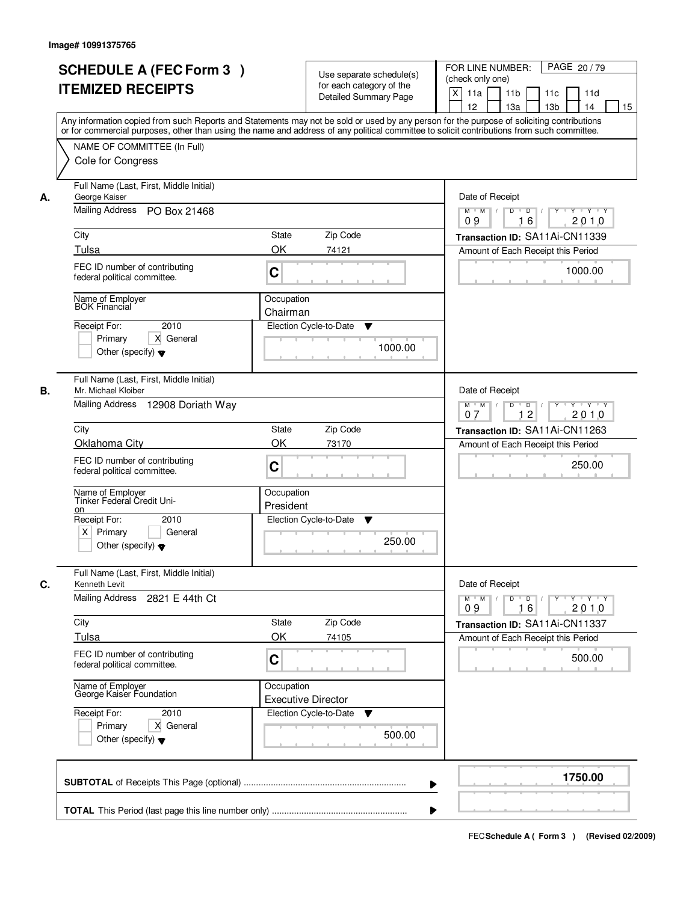|    | <b>SCHEDULE A (FEC Form 3)</b><br><b>ITEMIZED RECEIPTS</b><br>Any information copied from such Reports and Statements may not be sold or used by any person for the purpose of soliciting contributions | Use separate schedule(s)<br>for each category of the<br><b>Detailed Summary Page</b> | PAGE 20/79<br>FOR LINE NUMBER:<br>(check only one)<br>$\boldsymbol{\mathsf{X}}$<br>11 <sub>b</sub><br>11a<br>11 <sub>c</sub><br>11d<br>12<br>13 <sub>b</sub><br>14<br>13a<br>15 |
|----|---------------------------------------------------------------------------------------------------------------------------------------------------------------------------------------------------------|--------------------------------------------------------------------------------------|---------------------------------------------------------------------------------------------------------------------------------------------------------------------------------|
|    | or for commercial purposes, other than using the name and address of any political committee to solicit contributions from such committee.<br>NAME OF COMMITTEE (In Full)<br>Cole for Congress          |                                                                                      |                                                                                                                                                                                 |
| А. | Full Name (Last, First, Middle Initial)<br>George Kaiser<br>Mailing Address PO Box 21468                                                                                                                |                                                                                      | Date of Receipt<br>$D$ $D$ $/$<br>$Y^+$<br>$Y - Y - Y$<br>$M$ $M$ /                                                                                                             |
|    | City<br>Tulsa                                                                                                                                                                                           | <b>State</b><br>Zip Code<br>OK<br>74121                                              | 16<br>2010<br>09<br>Transaction ID: SA11Ai-CN11339<br>Amount of Each Receipt this Period                                                                                        |
|    | FEC ID number of contributing<br>federal political committee.                                                                                                                                           | C                                                                                    | 1000.00                                                                                                                                                                         |
|    | Name of Employer<br><b>BOK Financial</b><br>2010<br>Receipt For:<br>X General<br>Primary<br>Other (specify) $\blacktriangledown$                                                                        | Occupation<br>Chairman<br>Election Cycle-to-Date<br>▼<br>1000.00                     |                                                                                                                                                                                 |
| В. | Full Name (Last, First, Middle Initial)<br>Mr. Michael Kloiber<br>Mailing Address 12908 Doriath Way                                                                                                     |                                                                                      | Date of Receipt<br>Y Y Y Y<br>$M$ $M$ /<br>D<br>$\overline{D}$<br>$Y$ <sup>U</sup><br>12<br>2010<br>07                                                                          |
|    | City                                                                                                                                                                                                    | Zip Code<br>State                                                                    | Transaction ID: SA11Ai-CN11263                                                                                                                                                  |
|    | Oklahoma City<br>FEC ID number of contributing<br>federal political committee.                                                                                                                          | OK<br>73170<br>C                                                                     | Amount of Each Receipt this Period<br>250.00                                                                                                                                    |
|    | Name of Employer<br>Tinker Federal Credit Uni-<br>on                                                                                                                                                    | Occupation<br>President                                                              |                                                                                                                                                                                 |
|    | Receipt For:<br>2010<br>$X$ Primary<br>General<br>Other (specify) $\blacktriangledown$                                                                                                                  | Election Cycle-to-Date<br>v<br>250.00                                                |                                                                                                                                                                                 |
| C. | Full Name (Last, First, Middle Initial)<br>Kenneth Levit                                                                                                                                                |                                                                                      | Date of Receipt                                                                                                                                                                 |
|    | Mailing Address<br>2821 E 44th Ct                                                                                                                                                                       |                                                                                      | $M$ $M$<br>$D$ $D$ $l$<br><b>TY TEY TEY TEY</b><br>09<br>2010<br>16                                                                                                             |
|    | City<br>Tulsa                                                                                                                                                                                           | Zip Code<br>State<br>OK<br>74105                                                     | Transaction ID: SA11Ai-CN11337<br>Amount of Each Receipt this Period                                                                                                            |
|    | FEC ID number of contributing<br>federal political committee.                                                                                                                                           | C                                                                                    | 500.00                                                                                                                                                                          |
|    | Name of Employer<br>George Kaiser Foundation                                                                                                                                                            | Occupation<br><b>Executive Director</b>                                              |                                                                                                                                                                                 |
|    | Receipt For:<br>2010<br>Primary<br>X General<br>Other (specify) $\blacktriangledown$                                                                                                                    | Election Cycle-to-Date<br>v<br>500.00                                                |                                                                                                                                                                                 |
|    |                                                                                                                                                                                                         |                                                                                      | 1750.00                                                                                                                                                                         |
|    |                                                                                                                                                                                                         |                                                                                      |                                                                                                                                                                                 |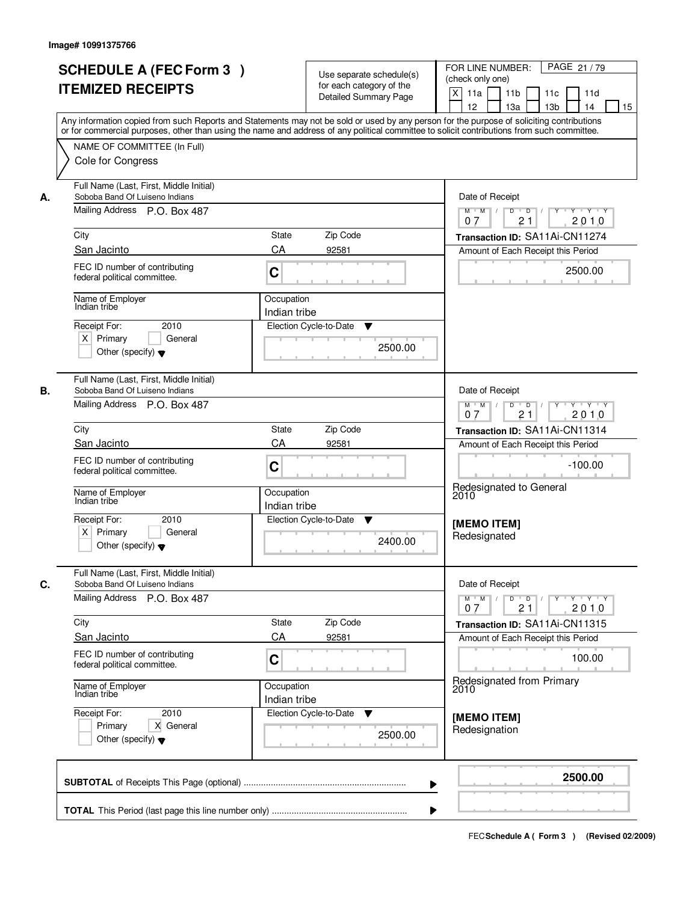|    | <b>SCHEDULE A (FEC Form 3)</b><br><b>ITEMIZED RECEIPTS</b>                                                                 | Use separate schedule(s)<br>for each category of the<br><b>Detailed Summary Page</b><br>Any information copied from such Reports and Statements may not be sold or used by any person for the purpose of soliciting contributions | FOR LINE NUMBER:<br>PAGE 21/79<br>(check only one)<br>$\boldsymbol{\mathsf{X}}$<br>11a<br>11 <sub>b</sub><br>11c<br>11d<br>12<br>13a<br>13 <sub>b</sub><br>14<br>15 |
|----|----------------------------------------------------------------------------------------------------------------------------|-----------------------------------------------------------------------------------------------------------------------------------------------------------------------------------------------------------------------------------|---------------------------------------------------------------------------------------------------------------------------------------------------------------------|
|    | NAME OF COMMITTEE (In Full)<br>Cole for Congress                                                                           | or for commercial purposes, other than using the name and address of any political committee to solicit contributions from such committee.                                                                                        |                                                                                                                                                                     |
| А. | Full Name (Last, First, Middle Initial)<br>Soboba Band Of Luiseno Indians<br>Mailing Address P.O. Box 487                  |                                                                                                                                                                                                                                   | Date of Receipt<br>$Y - Y - Y$<br>$M$ $M$ $/$<br>D<br>$\overline{D}$<br>2010<br>21<br>07                                                                            |
|    | City<br>San Jacinto                                                                                                        | State<br>Zip Code<br>CA                                                                                                                                                                                                           | Transaction ID: SA11Ai-CN11274                                                                                                                                      |
|    | FEC ID number of contributing<br>federal political committee.                                                              | 92581<br>C                                                                                                                                                                                                                        | Amount of Each Receipt this Period<br>2500.00                                                                                                                       |
|    | Name of Employer<br>Indian tribe<br>2010<br>Receipt For:<br>$X$ Primary<br>General<br>Other (specify) $\blacktriangledown$ | Occupation<br>Indian tribe<br>Election Cycle-to-Date<br>▼<br>2500.00                                                                                                                                                              |                                                                                                                                                                     |
| В. | Full Name (Last, First, Middle Initial)<br>Soboba Band Of Luiseno Indians<br>Mailing Address P.O. Box 487                  |                                                                                                                                                                                                                                   | Date of Receipt<br>D<br>$\blacksquare$ D $\blacksquare$ /<br>Y 'Y 'Y<br>$M$ $M$ /<br>$Y$ <sup>U</sup><br>21<br>2010<br>0.7                                          |
|    | City                                                                                                                       | Zip Code<br>State                                                                                                                                                                                                                 | Transaction ID: SA11Ai-CN11314                                                                                                                                      |
|    | San Jacinto<br>FEC ID number of contributing<br>federal political committee.<br>Name of Employer                           | CA<br>92581<br>C<br>Occupation                                                                                                                                                                                                    | Amount of Each Receipt this Period<br>$-100.00$<br>Redesignated to General                                                                                          |
|    | Indian tribe<br>Receipt For:<br>2010<br>$X$ Primary<br>General<br>Other (specify) $\blacktriangledown$                     | Indian tribe<br>Election Cycle-to-Date<br>v<br>2400.00                                                                                                                                                                            | 2010<br>[MEMO ITEM]<br>Redesignated                                                                                                                                 |
| C. | Full Name (Last, First, Middle Initial)<br>Soboba Band Of Luiseno Indians<br>Mailing Address P.O. Box 487                  |                                                                                                                                                                                                                                   | Date of Receipt<br>$M$ $M$<br>$D$ $D$ $/$<br>$Y^+$<br>$\mathsf{Y} \dashv \mathsf{Y} \dashv \mathsf{Y}$<br>2010<br>07                                                |
|    | City                                                                                                                       | Zip Code<br>State                                                                                                                                                                                                                 | 21<br>Transaction ID: SA11Ai-CN11315                                                                                                                                |
|    | San Jacinto<br>FEC ID number of contributing<br>federal political committee.                                               | CA<br>92581<br>C                                                                                                                                                                                                                  | Amount of Each Receipt this Period<br>100.00                                                                                                                        |
|    | Name of Employer<br>Indian tribe                                                                                           | Occupation<br>Indian tribe                                                                                                                                                                                                        | Redesignated from Primary<br>2010                                                                                                                                   |
|    | Receipt For:<br>2010<br>X General<br>Primary<br>Other (specify) $\blacktriangledown$                                       | Election Cycle-to-Date<br>v<br>2500.00                                                                                                                                                                                            | [MEMO ITEM]<br>Redesignation                                                                                                                                        |
|    |                                                                                                                            | ▶                                                                                                                                                                                                                                 | 2500.00                                                                                                                                                             |
|    |                                                                                                                            |                                                                                                                                                                                                                                   |                                                                                                                                                                     |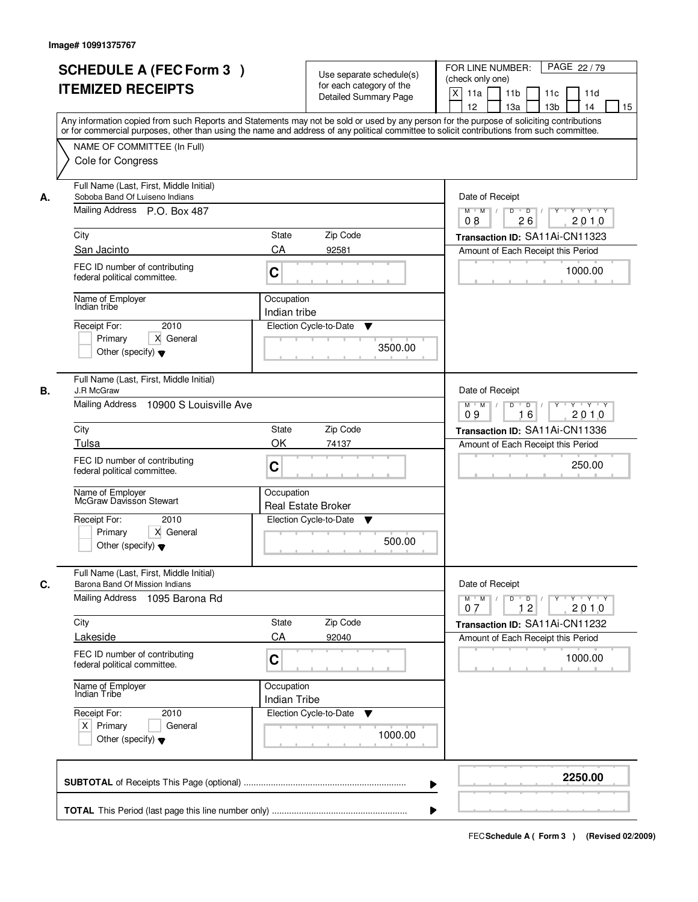|    | <b>SCHEDULE A (FEC Form 3)</b><br><b>ITEMIZED RECEIPTS</b><br>Any information copied from such Reports and Statements may not be sold or used by any person for the purpose of soliciting contributions | Use separate schedule(s)<br>for each category of the<br><b>Detailed Summary Page</b> | PAGE 22/79<br>FOR LINE NUMBER:<br>(check only one)<br>$\boldsymbol{\mathsf{X}}$<br>11 <sub>b</sub><br>11a<br>11c<br>11d<br>12<br>13 <sub>b</sub><br>14<br>13a<br>15 |
|----|---------------------------------------------------------------------------------------------------------------------------------------------------------------------------------------------------------|--------------------------------------------------------------------------------------|---------------------------------------------------------------------------------------------------------------------------------------------------------------------|
|    | or for commercial purposes, other than using the name and address of any political committee to solicit contributions from such committee.<br>NAME OF COMMITTEE (In Full)<br>Cole for Congress          |                                                                                      |                                                                                                                                                                     |
| А. | Full Name (Last, First, Middle Initial)<br>Soboba Band Of Luiseno Indians<br>Mailing Address P.O. Box 487<br>City                                                                                       | <b>State</b><br>Zip Code                                                             | Date of Receipt<br>$D$ $D$ $1$<br>Y<br>$Y - Y - Y - Y$<br>$M$ $M$ /<br>08<br>26<br>2010<br>Transaction ID: SA11Ai-CN11323                                           |
|    | San Jacinto<br>FEC ID number of contributing<br>federal political committee.                                                                                                                            | CA<br>92581<br>C                                                                     | Amount of Each Receipt this Period<br>1000.00                                                                                                                       |
|    | Name of Employer<br>Indian tribe<br>2010<br>Receipt For:<br>X General<br>Primary<br>Other (specify) $\blacktriangledown$                                                                                | Occupation<br>Indian tribe<br>Election Cycle-to-Date<br>▼<br>3500.00                 |                                                                                                                                                                     |
| В. | Full Name (Last, First, Middle Initial)<br>J.R McGraw<br>Mailing Address<br>10900 S Louisville Ave                                                                                                      |                                                                                      | Date of Receipt<br>Y Y Y Y<br>$M$ $M$ /<br>D<br>$\overline{D}$<br>$Y$ <sup><math>\top</math></sup><br>09<br>16<br>2010                                              |
|    | City                                                                                                                                                                                                    | Zip Code<br>State                                                                    | Transaction ID: SA11Ai-CN11336                                                                                                                                      |
|    | Tulsa<br>FEC ID number of contributing<br>federal political committee.                                                                                                                                  | OK<br>74137<br>C                                                                     | Amount of Each Receipt this Period<br>250.00                                                                                                                        |
|    | Name of Employer<br>McGraw Davisson Stewart<br>Receipt For:<br>2010<br>Primary<br>X General<br>Other (specify) $\blacktriangledown$                                                                     | Occupation<br><b>Real Estate Broker</b><br>Election Cycle-to-Date<br>v<br>500.00     |                                                                                                                                                                     |
| C. | Full Name (Last, First, Middle Initial)<br>Barona Band Of Mission Indians<br>Mailing Address 1095 Barona Rd                                                                                             |                                                                                      | Date of Receipt<br>$D$ $D$ $/$<br>$M$ $M$                                                                                                                           |
|    | City                                                                                                                                                                                                    | Zip Code<br>State                                                                    | 07<br>12<br>2010<br>Transaction ID: SA11Ai-CN11232                                                                                                                  |
|    | Lakeside<br>FEC ID number of contributing<br>federal political committee.                                                                                                                               | CA<br>92040<br>C                                                                     | Amount of Each Receipt this Period<br>1000.00                                                                                                                       |
|    | Name of Employer<br>Indian Tribe                                                                                                                                                                        | Occupation<br><b>Indian Tribe</b>                                                    |                                                                                                                                                                     |
|    | Receipt For:<br>2010<br>$X$ Primary<br>General<br>Other (specify) $\blacktriangledown$                                                                                                                  | Election Cycle-to-Date<br>v<br>1000.00                                               |                                                                                                                                                                     |
|    |                                                                                                                                                                                                         |                                                                                      | 2250.00                                                                                                                                                             |
|    |                                                                                                                                                                                                         |                                                                                      |                                                                                                                                                                     |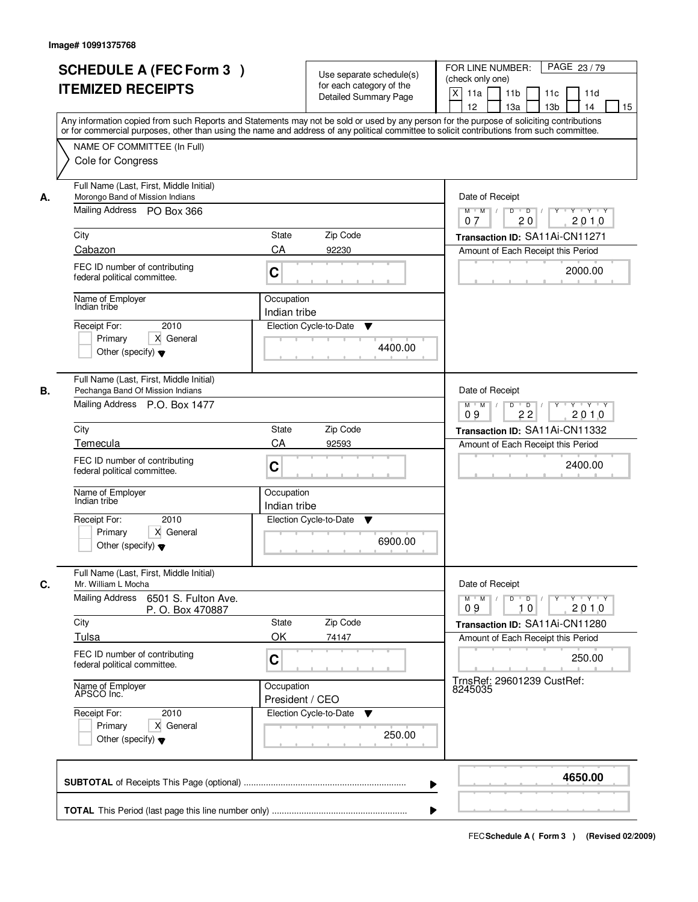| Any information copied from such Reports and Statements may not be sold or used by any person for the purpose of soliciting contributions<br>or for commercial purposes, other than using the name and address of any political committee to solicit contributions from such committee.<br>NAME OF COMMITTEE (In Full)<br>Cole for Congress<br>Full Name (Last, First, Middle Initial)<br>Morongo Band of Mission Indians<br>А. | State<br>Zip Code                                                                                               | Date of Receipt<br>$\overline{D}$<br>$Y - Y - Y$<br>$M$ $M$ /<br>D<br>Y                                                                                                                                                                                                                                                                                                |
|---------------------------------------------------------------------------------------------------------------------------------------------------------------------------------------------------------------------------------------------------------------------------------------------------------------------------------------------------------------------------------------------------------------------------------|-----------------------------------------------------------------------------------------------------------------|------------------------------------------------------------------------------------------------------------------------------------------------------------------------------------------------------------------------------------------------------------------------------------------------------------------------------------------------------------------------|
|                                                                                                                                                                                                                                                                                                                                                                                                                                 |                                                                                                                 |                                                                                                                                                                                                                                                                                                                                                                        |
| Mailing Address PO Box 366<br>City<br>Cabazon<br>FEC ID number of contributing<br>federal political committee.<br>Name of Employer<br>Indian tribe<br>2010<br>Receipt For:<br>Primary<br>X General<br>Other (specify) $\blacktriangledown$                                                                                                                                                                                      | CA<br>92230<br>C<br>Occupation<br>Indian tribe<br>Election Cycle-to-Date<br>▼<br>4400.00                        | 2010<br>20<br>07<br>Transaction ID: SA11Ai-CN11271<br>Amount of Each Receipt this Period<br>2000.00                                                                                                                                                                                                                                                                    |
| Full Name (Last, First, Middle Initial)<br>В.<br>Pechanga Band Of Mission Indians<br>Mailing Address P.O. Box 1477<br>City<br>Temecula<br>FEC ID number of contributing<br>federal political committee.<br>Name of Employer<br>Indian tribe<br>Receipt For:<br>2010<br>Primary<br>X General<br>Other (specify) $\blacktriangledown$                                                                                             | Zip Code<br>State<br>CA<br>92593<br>C<br>Occupation<br>Indian tribe<br>Election Cycle-to-Date<br>▼<br>6900.00   | Date of Receipt<br>D<br>Y 'Y 'Y<br>$M$ $M$ /<br>$\blacksquare$ D $\blacksquare$ /<br>$Y$ <sup>-1</sup><br>09<br>22<br>2010<br>Transaction ID: SA11Ai-CN11332<br>Amount of Each Receipt this Period<br>2400.00                                                                                                                                                          |
| Full Name (Last, First, Middle Initial)<br>C.<br>Mr. William L Mocha<br><b>Mailing Address</b><br>6501 S. Fulton Ave.<br>P. O. Box 470887<br>City<br>Tulsa<br>FEC ID number of contributing<br>federal political committee.<br>Name of Employer<br>APSCO Inc.<br>Receipt For:<br>2010<br>X General<br>Primary<br>Other (specify) $\blacktriangledown$                                                                           | Zip Code<br>State<br>OK<br>74147<br>C<br>Occupation<br>President / CEO<br>Election Cycle-to-Date<br>v<br>250.00 | Date of Receipt<br>$M$ $M$<br>$D$ $D$ $I$<br>$\frac{1}{2} \frac{1}{2} \left( \frac{1}{2} \frac{1}{2} - \frac{1}{2} \frac{1}{2} - \frac{1}{2} - \frac{1}{2} \frac{1}{2} - \frac{1}{2} - \frac{1}{2} \frac{1}{2} \right)$<br>2010<br>09<br>10<br>Transaction ID: SA11Ai-CN11280<br>Amount of Each Receipt this Period<br>250.00<br>TrnsRef: 29601239 CustRef:<br>8245035 |
|                                                                                                                                                                                                                                                                                                                                                                                                                                 | ▶                                                                                                               | 4650.00                                                                                                                                                                                                                                                                                                                                                                |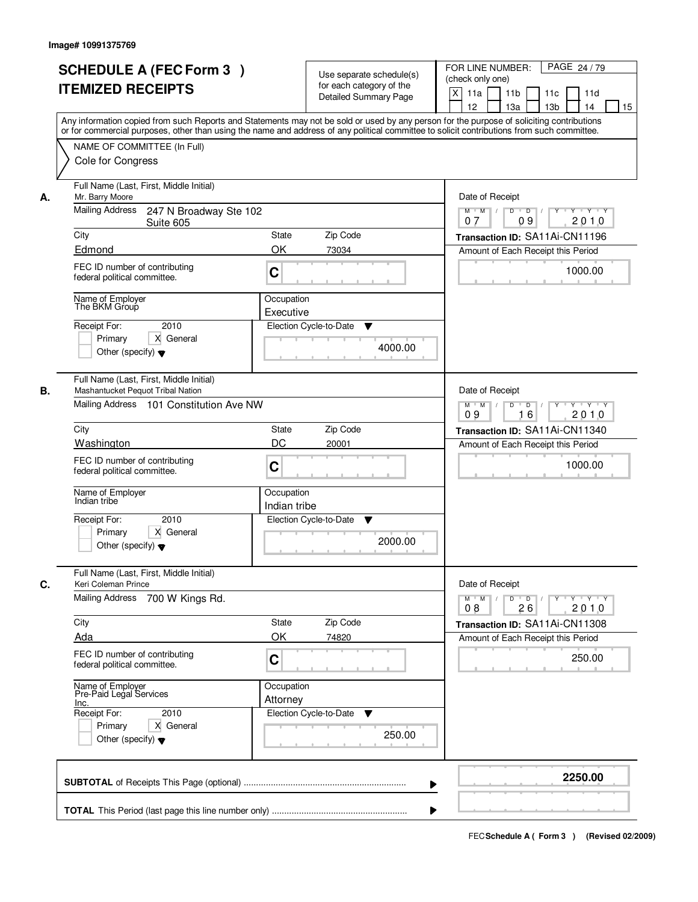|    | <b>SCHEDULE A (FEC Form 3)</b><br><b>ITEMIZED RECEIPTS</b><br>Any information copied from such Reports and Statements may not be sold or used by any person for the purpose of soliciting contributions |                                                                              | Use separate schedule(s)<br>for each category of the<br><b>Detailed Summary Page</b> | PAGE 24/79<br>FOR LINE NUMBER:<br>(check only one)<br>$\times$<br>11 <sub>b</sub><br>11a<br>11 <sub>c</sub><br>11d<br>12<br>13 <sub>b</sub><br>13a<br>14<br>15 |
|----|---------------------------------------------------------------------------------------------------------------------------------------------------------------------------------------------------------|------------------------------------------------------------------------------|--------------------------------------------------------------------------------------|----------------------------------------------------------------------------------------------------------------------------------------------------------------|
|    | or for commercial purposes, other than using the name and address of any political committee to solicit contributions from such committee.<br>NAME OF COMMITTEE (In Full)<br>Cole for Congress          |                                                                              |                                                                                      |                                                                                                                                                                |
| А. | Full Name (Last, First, Middle Initial)<br>Mr. Barry Moore<br><b>Mailing Address</b><br>247 N Broadway Ste 102                                                                                          |                                                                              |                                                                                      | Date of Receipt<br>$Y \rightarrow Y \rightarrow Y$<br>$M$ $M$<br>$D$ $D$ $I$<br>$Y$ <sup>U</sup>                                                               |
|    | Suite 605                                                                                                                                                                                               | 09<br>2010<br>07                                                             |                                                                                      |                                                                                                                                                                |
|    | City                                                                                                                                                                                                    | <b>State</b>                                                                 | Zip Code                                                                             | Transaction ID: SA11Ai-CN11196                                                                                                                                 |
|    | Edmond<br>FEC ID number of contributing<br>federal political committee.                                                                                                                                 | OK<br>C                                                                      | 73034                                                                                | Amount of Each Receipt this Period<br>1000.00                                                                                                                  |
|    | Name of Employer<br>The BKM Group                                                                                                                                                                       | Occupation<br>Executive                                                      |                                                                                      |                                                                                                                                                                |
|    | 2010<br>Receipt For:<br>X General<br>Primary<br>Other (specify) $\blacktriangledown$                                                                                                                    |                                                                              | Election Cycle-to-Date<br>▼<br>4000.00                                               |                                                                                                                                                                |
| В. | Full Name (Last, First, Middle Initial)<br>Mashantucket Pequot Tribal Nation<br>Mailing Address 101 Constitution Ave NW                                                                                 | Date of Receipt<br>$Y \vdash Y \vdash Y$<br>$M$ $M$ /<br>$\overline{D}$<br>D |                                                                                      |                                                                                                                                                                |
|    |                                                                                                                                                                                                         | 16<br>2010<br>09                                                             |                                                                                      |                                                                                                                                                                |
|    | City                                                                                                                                                                                                    | <b>State</b>                                                                 | Zip Code                                                                             | Transaction ID: SA11Ai-CN11340                                                                                                                                 |
|    | Washington                                                                                                                                                                                              | DC                                                                           | 20001                                                                                | Amount of Each Receipt this Period                                                                                                                             |
|    | FEC ID number of contributing<br>federal political committee.                                                                                                                                           | C                                                                            |                                                                                      | 1000.00                                                                                                                                                        |
|    | Name of Employer<br>Indian tribe                                                                                                                                                                        | Occupation<br>Indian tribe                                                   |                                                                                      |                                                                                                                                                                |
|    | 2010<br>Receipt For:<br>X General<br>Primary<br>Other (specify) $\blacktriangledown$                                                                                                                    |                                                                              | Election Cycle-to-Date<br>▼<br>2000.00                                               |                                                                                                                                                                |
| C. | Full Name (Last, First, Middle Initial)<br>Keri Coleman Prince                                                                                                                                          |                                                                              |                                                                                      | Date of Receipt                                                                                                                                                |
|    | <b>Mailing Address</b><br>700 W Kings Rd.                                                                                                                                                               |                                                                              |                                                                                      | $D$ $D$ $I$<br>$M$ $M$ /<br>Y 'Y 'Y<br>Y "<br>2010<br>08<br>26                                                                                                 |
|    | City                                                                                                                                                                                                    | <b>State</b>                                                                 | Zip Code                                                                             | Transaction ID: SA11Ai-CN11308                                                                                                                                 |
|    | Ada                                                                                                                                                                                                     | OK                                                                           | 74820                                                                                | Amount of Each Receipt this Period                                                                                                                             |
|    | FEC ID number of contributing<br>federal political committee.                                                                                                                                           | C                                                                            |                                                                                      | 250.00                                                                                                                                                         |
|    | Name of Employer<br>Pre-Paid Legal Services<br>Inc.                                                                                                                                                     | Occupation<br>Attorney                                                       |                                                                                      |                                                                                                                                                                |
|    | Receipt For:<br>2010                                                                                                                                                                                    |                                                                              | Election Cycle-to-Date<br>v                                                          |                                                                                                                                                                |
|    | Primary<br>X General<br>Other (specify) $\blacktriangledown$                                                                                                                                            |                                                                              | 250.00                                                                               |                                                                                                                                                                |
|    |                                                                                                                                                                                                         |                                                                              |                                                                                      | 2250.00                                                                                                                                                        |
|    |                                                                                                                                                                                                         |                                                                              |                                                                                      |                                                                                                                                                                |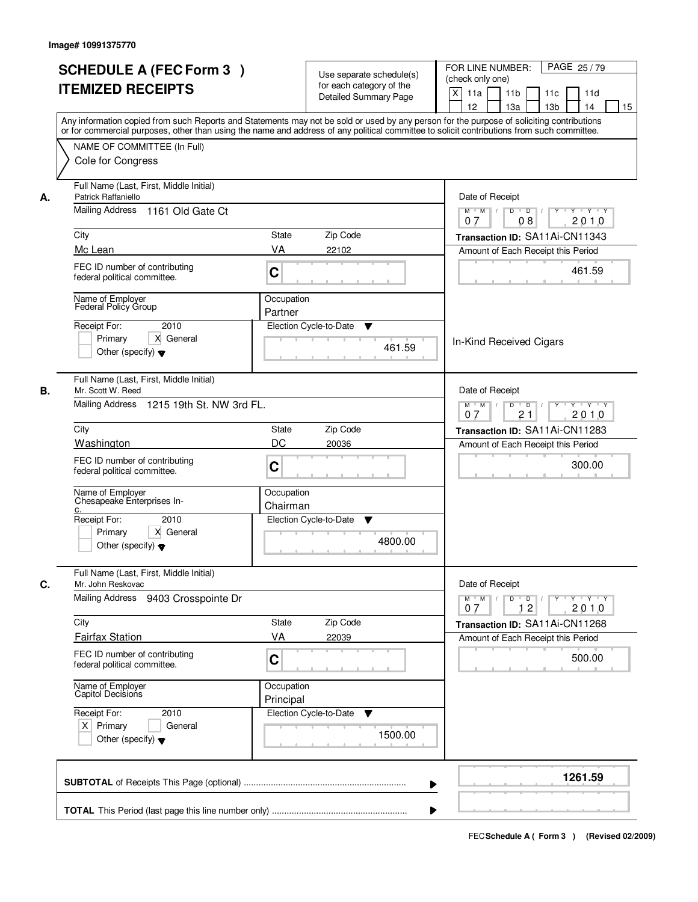|    | <b>SCHEDULE A (FEC Form 3)</b><br><b>ITEMIZED RECEIPTS</b><br>Any information copied from such Reports and Statements may not be sold or used by any person for the purpose of soliciting contributions |                         | Use separate schedule(s)<br>for each category of the<br><b>Detailed Summary Page</b> | PAGE 25/79<br>FOR LINE NUMBER:<br>(check only one)<br>$\mathsf{X}$<br>11 <sub>b</sub><br>11a<br>11c<br>11d<br>13 <sub>b</sub><br>12<br>13a<br>14<br>15                                                                                                                                                                                                                                                                                                                  |
|----|---------------------------------------------------------------------------------------------------------------------------------------------------------------------------------------------------------|-------------------------|--------------------------------------------------------------------------------------|-------------------------------------------------------------------------------------------------------------------------------------------------------------------------------------------------------------------------------------------------------------------------------------------------------------------------------------------------------------------------------------------------------------------------------------------------------------------------|
|    | or for commercial purposes, other than using the name and address of any political committee to solicit contributions from such committee.<br>NAME OF COMMITTEE (In Full)<br>Cole for Congress          |                         |                                                                                      |                                                                                                                                                                                                                                                                                                                                                                                                                                                                         |
| А. | Full Name (Last, First, Middle Initial)<br>Patrick Raffaniello<br><b>Mailing Address</b><br>1161 Old Gate Ct                                                                                            |                         |                                                                                      | Date of Receipt<br>$\begin{array}{c c c c c c c c} \hline \textbf{C} & \textbf{C} & \textbf{C} & \textbf{C} & \textbf{C} & \textbf{C} & \textbf{C} & \textbf{C} & \textbf{C} & \textbf{C} & \textbf{C} & \textbf{C} & \textbf{C} & \textbf{C} & \textbf{C} & \textbf{C} & \textbf{C} & \textbf{C} & \textbf{C} & \textbf{C} & \textbf{C} & \textbf{C} & \textbf{C} & \textbf{C} & \textbf{C} & \textbf{C} & \textbf{C} & \textbf{C} &$<br>$M$ $M$ /<br>2010<br>07<br>08 |
|    | City                                                                                                                                                                                                    | State                   | Zip Code                                                                             | Transaction ID: SA11Ai-CN11343                                                                                                                                                                                                                                                                                                                                                                                                                                          |
|    | Mc Lean                                                                                                                                                                                                 | VA                      | 22102                                                                                | Amount of Each Receipt this Period                                                                                                                                                                                                                                                                                                                                                                                                                                      |
|    | FEC ID number of contributing<br>federal political committee.                                                                                                                                           | C                       |                                                                                      | 461.59                                                                                                                                                                                                                                                                                                                                                                                                                                                                  |
|    | Name of Employer<br>Federal Policy Group                                                                                                                                                                | Occupation<br>Partner   |                                                                                      |                                                                                                                                                                                                                                                                                                                                                                                                                                                                         |
|    | 2010<br>Receipt For:<br>X General<br>Primary<br>Other (specify) $\blacktriangledown$                                                                                                                    |                         | Election Cycle-to-Date<br>▼<br>461.59                                                | In-Kind Received Cigars                                                                                                                                                                                                                                                                                                                                                                                                                                                 |
| В. | Full Name (Last, First, Middle Initial)<br>Mr. Scott W. Reed<br>Mailing Address 1215 19th St. NW 3rd FL.                                                                                                |                         |                                                                                      | Date of Receipt<br>$Y \vdash Y \vdash Y$<br>$M$ $M$ /<br>D<br>$\overline{D}$                                                                                                                                                                                                                                                                                                                                                                                            |
|    |                                                                                                                                                                                                         | 21<br>2010<br>07        |                                                                                      |                                                                                                                                                                                                                                                                                                                                                                                                                                                                         |
|    | City<br>Washington                                                                                                                                                                                      | <b>State</b><br>DC      | Zip Code<br>20036                                                                    | Transaction ID: SA11Ai-CN11283<br>Amount of Each Receipt this Period                                                                                                                                                                                                                                                                                                                                                                                                    |
|    | FEC ID number of contributing<br>federal political committee.                                                                                                                                           | C                       |                                                                                      | 300.00                                                                                                                                                                                                                                                                                                                                                                                                                                                                  |
|    | Name of Employer<br>Chesapeake Enterprises In-<br>c.                                                                                                                                                    | Occupation<br>Chairman  |                                                                                      |                                                                                                                                                                                                                                                                                                                                                                                                                                                                         |
|    | Receipt For:<br>2010<br>Primary<br>X General<br>Other (specify) $\blacktriangledown$                                                                                                                    |                         | Election Cycle-to-Date<br>v<br>4800.00                                               |                                                                                                                                                                                                                                                                                                                                                                                                                                                                         |
| C. | Full Name (Last, First, Middle Initial)<br>Mr. John Reskovac                                                                                                                                            |                         |                                                                                      | Date of Receipt                                                                                                                                                                                                                                                                                                                                                                                                                                                         |
|    | <b>Mailing Address</b><br>9403 Crosspointe Dr                                                                                                                                                           |                         |                                                                                      | $\mathsf D$<br>$\Box$ D $\Box$ /<br><u>y y y y y</u><br>$M$ $M$ /<br>12<br>2010<br>07                                                                                                                                                                                                                                                                                                                                                                                   |
|    | City                                                                                                                                                                                                    | <b>State</b>            | Zip Code                                                                             | Transaction ID: SA11Ai-CN11268                                                                                                                                                                                                                                                                                                                                                                                                                                          |
|    | <b>Fairfax Station</b>                                                                                                                                                                                  | VA                      | 22039                                                                                | Amount of Each Receipt this Period                                                                                                                                                                                                                                                                                                                                                                                                                                      |
|    | FEC ID number of contributing<br>federal political committee.                                                                                                                                           | C                       |                                                                                      | 500.00                                                                                                                                                                                                                                                                                                                                                                                                                                                                  |
|    | Name of Employer<br>Capitol Decisions                                                                                                                                                                   | Occupation<br>Principal |                                                                                      |                                                                                                                                                                                                                                                                                                                                                                                                                                                                         |
|    | Receipt For:<br>2010<br>$X$ Primary<br>General<br>Other (specify) $\blacktriangledown$                                                                                                                  |                         | Election Cycle-to-Date<br>v<br>1500.00                                               |                                                                                                                                                                                                                                                                                                                                                                                                                                                                         |
|    |                                                                                                                                                                                                         |                         | ▶                                                                                    | 1261.59                                                                                                                                                                                                                                                                                                                                                                                                                                                                 |
|    |                                                                                                                                                                                                         |                         |                                                                                      |                                                                                                                                                                                                                                                                                                                                                                                                                                                                         |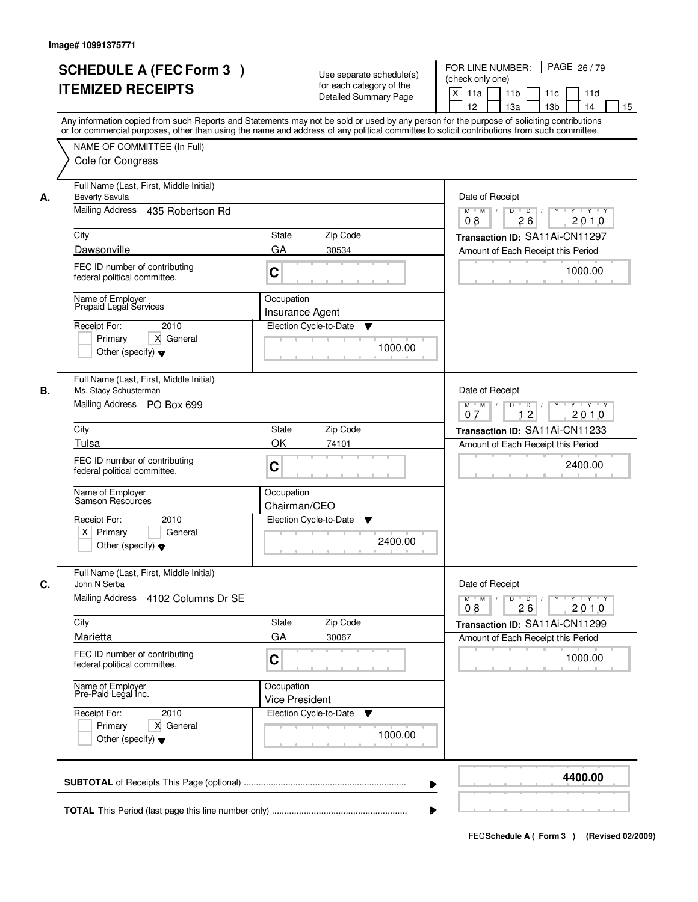|    | <b>SCHEDULE A (FEC Form 3)</b><br><b>ITEMIZED RECEIPTS</b>                                           | Use separate schedule(s)<br>for each category of the<br><b>Detailed Summary Page</b> | PAGE 26/79<br>FOR LINE NUMBER:<br>(check only one)<br>$\times$<br>11 <sub>b</sub><br>11a<br>11 <sub>c</sub><br>11d<br>13 <sub>b</sub><br>12<br>13a<br>14<br>15                                                                                                                          |
|----|------------------------------------------------------------------------------------------------------|--------------------------------------------------------------------------------------|-----------------------------------------------------------------------------------------------------------------------------------------------------------------------------------------------------------------------------------------------------------------------------------------|
|    | NAME OF COMMITTEE (In Full)<br>Cole for Congress                                                     |                                                                                      | Any information copied from such Reports and Statements may not be sold or used by any person for the purpose of soliciting contributions<br>or for commercial purposes, other than using the name and address of any political committee to solicit contributions from such committee. |
| А. | Full Name (Last, First, Middle Initial)<br><b>Beverly Savula</b><br>Mailing Address 435 Robertson Rd |                                                                                      | Date of Receipt<br>$Y \rightarrow Y \rightarrow Y$<br>$D$ $D$ $I$<br>$Y$ <sup>U</sup><br>$M$ $M$ /                                                                                                                                                                                      |
|    | City                                                                                                 | 26<br>2010<br>08                                                                     |                                                                                                                                                                                                                                                                                         |
|    | Dawsonville                                                                                          | Transaction ID: SA11Ai-CN11297<br>Amount of Each Receipt this Period                 |                                                                                                                                                                                                                                                                                         |
|    | FEC ID number of contributing<br>federal political committee.                                        | GA<br>30534<br>C                                                                     | 1000.00                                                                                                                                                                                                                                                                                 |
|    | Name of Employer<br>Prepaid Legal Services                                                           | Occupation<br><b>Insurance Agent</b>                                                 |                                                                                                                                                                                                                                                                                         |
|    | Receipt For:<br>2010<br>Primary<br>X General<br>Other (specify) $\blacktriangledown$                 | Election Cycle-to-Date<br>▼                                                          | 1000.00                                                                                                                                                                                                                                                                                 |
| В. | Full Name (Last, First, Middle Initial)<br>Ms. Stacy Schusterman<br>Mailing Address PO Box 699       |                                                                                      | Date of Receipt<br>$Y \vdash Y \vdash Y$<br>$M$ $M$ /<br>D<br>$\Box$ D $\Box$ /<br>12<br>2010<br>07                                                                                                                                                                                     |
|    | City                                                                                                 | Zip Code<br><b>State</b>                                                             | Transaction ID: SA11Ai-CN11233                                                                                                                                                                                                                                                          |
|    | Tulsa                                                                                                | OK<br>74101                                                                          | Amount of Each Receipt this Period                                                                                                                                                                                                                                                      |
|    | FEC ID number of contributing<br>federal political committee.                                        | C                                                                                    | 2400.00                                                                                                                                                                                                                                                                                 |
|    | Name of Employer<br>Samson Resources                                                                 | Occupation<br>Chairman/CEO                                                           |                                                                                                                                                                                                                                                                                         |
|    | Receipt For:<br>2010<br>$X$ Primary<br>General<br>Other (specify) $\blacktriangledown$               | Election Cycle-to-Date<br>▼                                                          | 2400.00                                                                                                                                                                                                                                                                                 |
| C. | Full Name (Last, First, Middle Initial)<br>John N Serba                                              |                                                                                      | Date of Receipt                                                                                                                                                                                                                                                                         |
|    | Mailing Address<br>4102 Columns Dr SE                                                                |                                                                                      | D<br>$M$ $M$ /<br>$\overline{D}$<br>$\mathsf{Y} \dashv \mathsf{Y} \dashv \mathsf{Y}$<br>Y<br>08<br>26<br>2010                                                                                                                                                                           |
|    | City                                                                                                 | Zip Code<br><b>State</b>                                                             | Transaction ID: SA11Ai-CN11299                                                                                                                                                                                                                                                          |
|    | Marietta<br>FEC ID number of contributing<br>federal political committee.                            | GA<br>30067<br>C                                                                     | Amount of Each Receipt this Period<br>1000.00                                                                                                                                                                                                                                           |
|    | Name of Employer<br>Pre-Paid Legal Inc.                                                              | Occupation<br><b>Vice President</b>                                                  |                                                                                                                                                                                                                                                                                         |
|    | Receipt For:<br>2010<br>Primary<br>X General<br>Other (specify) $\blacktriangledown$                 | Election Cycle-to-Date<br>v                                                          | 1000.00                                                                                                                                                                                                                                                                                 |
|    |                                                                                                      |                                                                                      | 4400.00                                                                                                                                                                                                                                                                                 |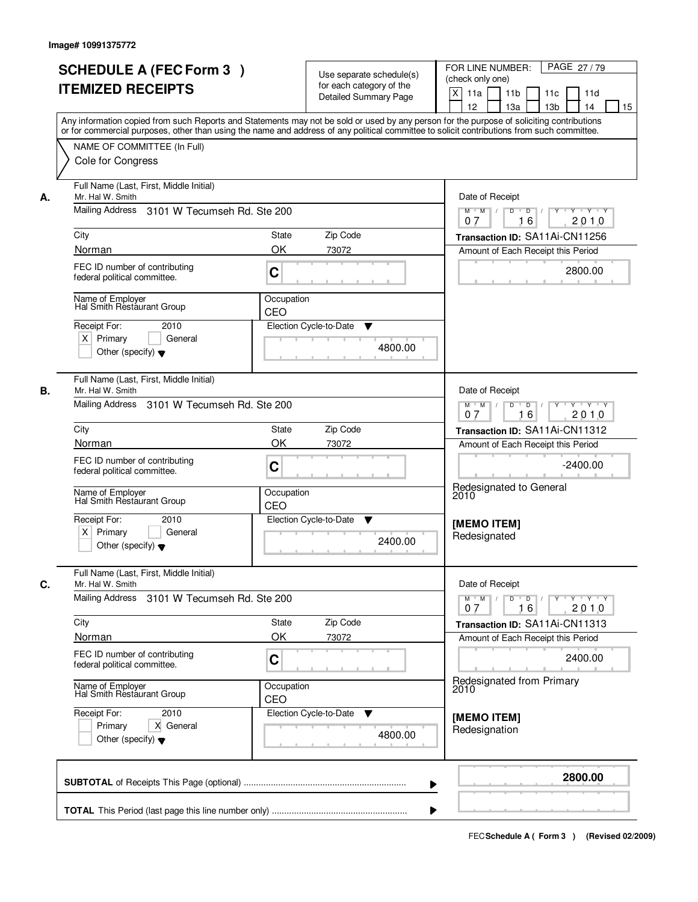|    | <b>SCHEDULE A (FEC Form 3)</b><br><b>ITEMIZED RECEIPTS</b>                                                                               | Use separate schedule(s)<br>for each category of the<br><b>Detailed Summary Page</b> | PAGE 27/79<br>FOR LINE NUMBER:<br>(check only one)<br>$\boldsymbol{\mathsf{X}}$<br>11a<br>11 <sub>b</sub><br>11c<br>11d<br>12<br>13a<br>13 <sub>b</sub><br>14<br>15<br>Any information copied from such Reports and Statements may not be sold or used by any person for the purpose of soliciting contributions |
|----|------------------------------------------------------------------------------------------------------------------------------------------|--------------------------------------------------------------------------------------|------------------------------------------------------------------------------------------------------------------------------------------------------------------------------------------------------------------------------------------------------------------------------------------------------------------|
|    | NAME OF COMMITTEE (In Full)<br>Cole for Congress                                                                                         |                                                                                      | or for commercial purposes, other than using the name and address of any political committee to solicit contributions from such committee.                                                                                                                                                                       |
| А. | Full Name (Last, First, Middle Initial)<br>Mr. Hal W. Smith<br>Mailing Address 3101 W Tecumseh Rd. Ste 200                               | Date of Receipt<br>$\overline{D}$ /<br>Y<br>$Y - Y - Y$<br>$M$ $M$ /<br>D            |                                                                                                                                                                                                                                                                                                                  |
|    | City                                                                                                                                     | Zip Code<br>State                                                                    | 16<br>2010<br>07<br>Transaction ID: SA11Ai-CN11256                                                                                                                                                                                                                                                               |
|    | Norman<br>FEC ID number of contributing<br>federal political committee.                                                                  | OK<br>73072<br>C                                                                     | Amount of Each Receipt this Period<br>2800.00                                                                                                                                                                                                                                                                    |
|    | Name of Employer<br>Hal Smith Restaurant Group<br>Receipt For:<br>2010<br>$X$ Primary<br>General<br>Other (specify) $\blacktriangledown$ | Occupation<br>CEO<br>Election Cycle-to-Date<br>▼                                     | 4800.00                                                                                                                                                                                                                                                                                                          |
| В. | Full Name (Last, First, Middle Initial)<br>Mr. Hal W. Smith                                                                              |                                                                                      | Date of Receipt                                                                                                                                                                                                                                                                                                  |
|    | Mailing Address 3101 W Tecumseh Rd. Ste 200                                                                                              |                                                                                      | $D$ $D$ $/$<br>$Y$ <sup>U</sup><br>Y 'Y 'Y<br>$M$ $M$ /<br>16<br>2010<br>0.7                                                                                                                                                                                                                                     |
|    | City<br>Norman                                                                                                                           | Zip Code<br>State<br>OK<br>73072                                                     | Transaction ID: SA11Ai-CN11312<br>Amount of Each Receipt this Period                                                                                                                                                                                                                                             |
|    | FEC ID number of contributing<br>federal political committee.                                                                            | C                                                                                    | $-2400.00$<br>Redesignated to General                                                                                                                                                                                                                                                                            |
|    | Name of Employer<br>Hal Smith Restaurant Group                                                                                           | Occupation<br>CEO                                                                    | 2010                                                                                                                                                                                                                                                                                                             |
|    | Receipt For:<br>2010<br>$X$ Primary<br>General<br>Other (specify) $\blacktriangledown$                                                   | Election Cycle-to-Date<br>v                                                          | [MEMO ITEM]<br>Redesignated<br>2400.00                                                                                                                                                                                                                                                                           |
| C. | Full Name (Last, First, Middle Initial)<br>Mr. Hal W. Smith                                                                              |                                                                                      | Date of Receipt                                                                                                                                                                                                                                                                                                  |
|    | Mailing Address<br>3101 W Tecumseh Rd. Ste 200                                                                                           |                                                                                      | $M$ $M$<br>$D$ $D$ $I$<br>$Y^+$<br>$Y - Y - Y - Y$<br>2010<br>07<br>16                                                                                                                                                                                                                                           |
|    | City                                                                                                                                     | Zip Code<br>State                                                                    | Transaction ID: SA11Ai-CN11313                                                                                                                                                                                                                                                                                   |
|    | Norman                                                                                                                                   | OK<br>73072                                                                          | Amount of Each Receipt this Period                                                                                                                                                                                                                                                                               |
|    | FEC ID number of contributing<br>federal political committee.                                                                            | C                                                                                    | 2400.00                                                                                                                                                                                                                                                                                                          |
|    | Name of Employer<br>Hal Smith Restaurant Group                                                                                           | Occupation<br>CEO                                                                    | Redesignated from Primary<br>2010                                                                                                                                                                                                                                                                                |
|    | Receipt For:<br>2010<br>Primary<br>X General<br>Other (specify) $\blacktriangledown$                                                     | Election Cycle-to-Date<br>v                                                          | [MEMO ITEM]<br>Redesignation<br>4800.00                                                                                                                                                                                                                                                                          |
|    |                                                                                                                                          |                                                                                      | 2800.00<br>▶                                                                                                                                                                                                                                                                                                     |
|    |                                                                                                                                          |                                                                                      |                                                                                                                                                                                                                                                                                                                  |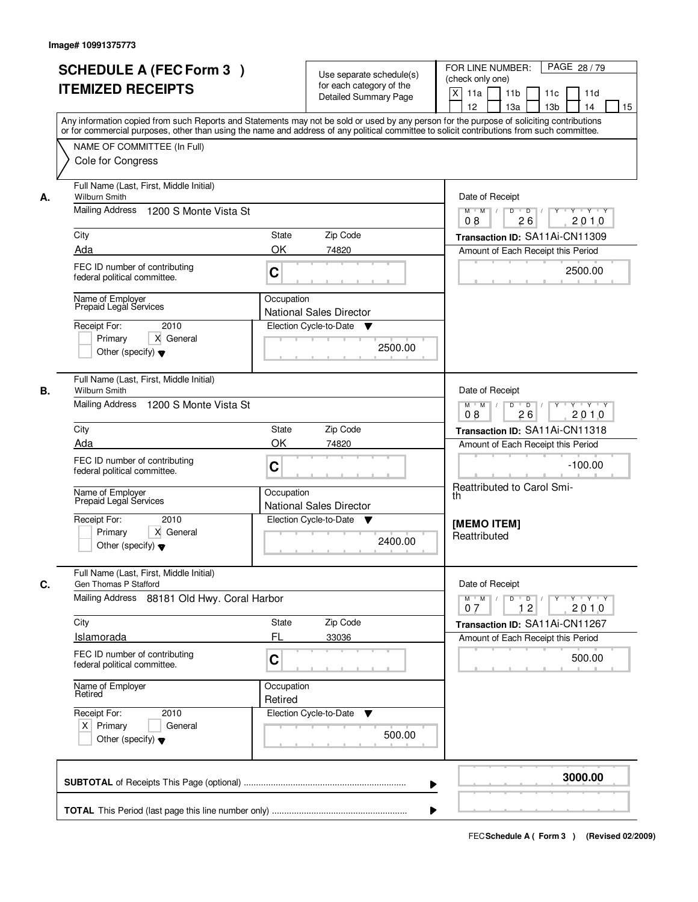|    | <b>SCHEDULE A (FEC Form 3)</b><br><b>ITEMIZED RECEIPTS</b><br>Any information copied from such Reports and Statements may not be sold or used by any person for the purpose of soliciting contributions<br>or for commercial purposes, other than using the name and address of any political committee to solicit contributions from such committee. |                                                                                                                                     | Use separate schedule(s)<br>for each category of the<br><b>Detailed Summary Page</b> | PAGE 28 / 79<br>FOR LINE NUMBER:<br>(check only one)<br>X<br>11a<br>11 <sub>b</sub><br>11c<br>11d<br>12<br>13 <sub>b</sub><br>13a<br>14<br>15 |
|----|-------------------------------------------------------------------------------------------------------------------------------------------------------------------------------------------------------------------------------------------------------------------------------------------------------------------------------------------------------|-------------------------------------------------------------------------------------------------------------------------------------|--------------------------------------------------------------------------------------|-----------------------------------------------------------------------------------------------------------------------------------------------|
|    | NAME OF COMMITTEE (In Full)<br>Cole for Congress                                                                                                                                                                                                                                                                                                      |                                                                                                                                     |                                                                                      |                                                                                                                                               |
| А. | Full Name (Last, First, Middle Initial)<br>Wilburn Smith<br>Mailing Address<br>1200 S Monte Vista St                                                                                                                                                                                                                                                  | Date of Receipt<br>$\mathsf{Y} \dashv \mathsf{Y} \dashv \mathsf{Y}$<br>$M$ $M$<br>$D$ $D$ $/$<br>$\overline{Y}$<br>08<br>26<br>2010 |                                                                                      |                                                                                                                                               |
|    | City<br>Ada                                                                                                                                                                                                                                                                                                                                           | State<br>OK                                                                                                                         | Zip Code<br>74820                                                                    | Transaction ID: SA11Ai-CN11309<br>Amount of Each Receipt this Period                                                                          |
|    | FEC ID number of contributing<br>federal political committee.                                                                                                                                                                                                                                                                                         | C                                                                                                                                   |                                                                                      | 2500.00                                                                                                                                       |
|    | Name of Employer<br>Prepaid Legal Services<br>Receipt For:<br>2010<br>Primary<br>X General<br>Other (specify) $\blacktriangledown$                                                                                                                                                                                                                    | Occupation                                                                                                                          | <b>National Sales Director</b><br>Election Cycle-to-Date<br>▼<br>2500.00             |                                                                                                                                               |
| В. | Full Name (Last, First, Middle Initial)<br>Wilburn Smith<br>Mailing Address 1200 S Monte Vista St                                                                                                                                                                                                                                                     |                                                                                                                                     |                                                                                      | Date of Receipt<br>$Y \vdash Y \vdash Y$<br>$M$ $M$<br>D<br>$\overline{D}$<br>Y<br>2010<br>26<br>08                                           |
|    | City                                                                                                                                                                                                                                                                                                                                                  | <b>State</b>                                                                                                                        | Zip Code                                                                             | Transaction ID: SA11Ai-CN11318                                                                                                                |
|    | Ada<br>FEC ID number of contributing<br>federal political committee.<br>Name of Employer<br>Prepaid Legal Services                                                                                                                                                                                                                                    | OK<br>C<br>Occupation                                                                                                               | 74820                                                                                | Amount of Each Receipt this Period<br>$-100.00$<br>Reattributed to Carol Smi-<br>th                                                           |
|    | Receipt For:<br>2010<br>Primary<br>X General<br>Other (specify) $\blacktriangledown$                                                                                                                                                                                                                                                                  |                                                                                                                                     | <b>National Sales Director</b><br>Election Cycle-to-Date<br>v<br>2400.00             | <b>IMEMO ITEMI</b><br>Reattributed                                                                                                            |
| C. | Full Name (Last, First, Middle Initial)<br>Gen Thomas P Stafford<br>Mailing Address 88181 Old Hwy. Coral Harbor                                                                                                                                                                                                                                       |                                                                                                                                     |                                                                                      | Date of Receipt<br>$D$ $D$ $l$<br>y y y y y y<br>$M$ $M$ /                                                                                    |
|    | City                                                                                                                                                                                                                                                                                                                                                  | State                                                                                                                               | Zip Code                                                                             | 12<br>2010<br>07<br>Transaction ID: SA11Ai-CN11267                                                                                            |
|    | <b>Islamorada</b>                                                                                                                                                                                                                                                                                                                                     | FL                                                                                                                                  | 33036                                                                                | Amount of Each Receipt this Period                                                                                                            |
|    | FEC ID number of contributing<br>federal political committee.                                                                                                                                                                                                                                                                                         | C                                                                                                                                   |                                                                                      | 500.00                                                                                                                                        |
|    | Name of Employer<br>Retired                                                                                                                                                                                                                                                                                                                           | Occupation<br>Retired                                                                                                               |                                                                                      |                                                                                                                                               |
|    | Receipt For:<br>2010<br>$X$ Primary<br>General<br>Other (specify) $\blacktriangledown$                                                                                                                                                                                                                                                                |                                                                                                                                     | Election Cycle-to-Date<br>v<br>500.00                                                |                                                                                                                                               |
|    |                                                                                                                                                                                                                                                                                                                                                       |                                                                                                                                     | ▶                                                                                    | 3000.00                                                                                                                                       |
|    |                                                                                                                                                                                                                                                                                                                                                       |                                                                                                                                     |                                                                                      |                                                                                                                                               |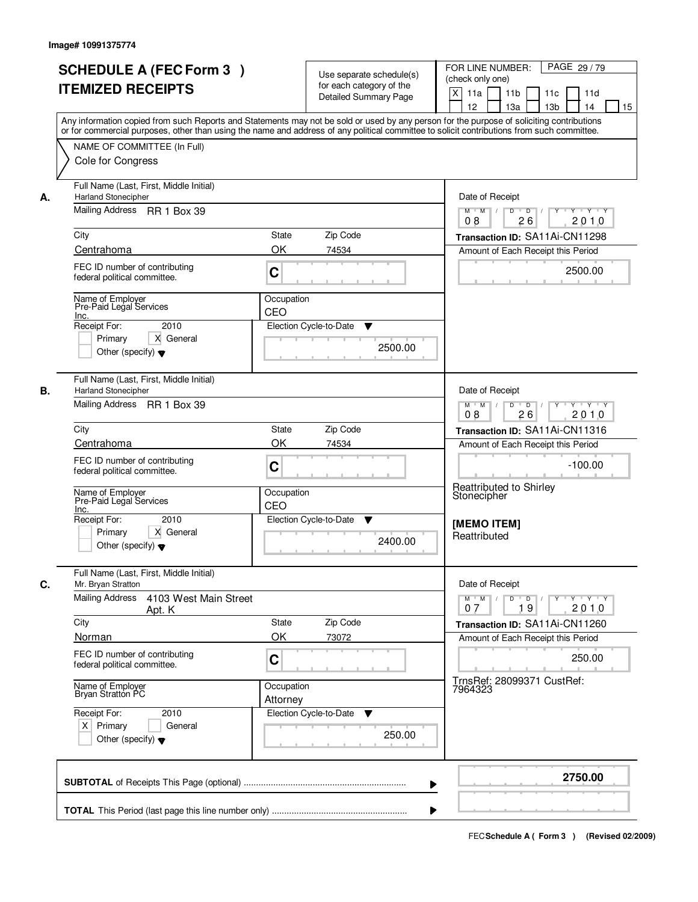| <b>SCHEDULE A (FEC Form 3)</b><br><b>ITEMIZED RECEIPTS</b>                                                 | Use separate schedule(s)<br>for each category of the<br><b>Detailed Summary Page</b>                                                                                                                                                                                                    | PAGE 29/79<br>FOR LINE NUMBER:<br>(check only one)<br>$\boldsymbol{\mathsf{X}}$<br>11 <sub>b</sub><br>11a<br>11c<br>11d |
|------------------------------------------------------------------------------------------------------------|-----------------------------------------------------------------------------------------------------------------------------------------------------------------------------------------------------------------------------------------------------------------------------------------|-------------------------------------------------------------------------------------------------------------------------|
| NAME OF COMMITTEE (In Full)                                                                                | Any information copied from such Reports and Statements may not be sold or used by any person for the purpose of soliciting contributions<br>or for commercial purposes, other than using the name and address of any political committee to solicit contributions from such committee. | 12<br>13a<br>13 <sub>b</sub><br>14<br>15                                                                                |
| Cole for Congress                                                                                          |                                                                                                                                                                                                                                                                                         |                                                                                                                         |
| Full Name (Last, First, Middle Initial)<br><b>Harland Stonecipher</b><br>А.                                |                                                                                                                                                                                                                                                                                         | Date of Receipt                                                                                                         |
| Mailing Address RR 1 Box 39                                                                                |                                                                                                                                                                                                                                                                                         | $\blacksquare$ D $\blacksquare$ /<br>$Y - Y - Y$<br>$M$ $M$ /<br>D<br>Y<br>2010<br>08<br>26                             |
| City<br>Centrahoma                                                                                         | State<br>Zip Code<br>OK<br>74534                                                                                                                                                                                                                                                        | Transaction ID: SA11Ai-CN11298                                                                                          |
| FEC ID number of contributing<br>federal political committee.                                              | C                                                                                                                                                                                                                                                                                       | Amount of Each Receipt this Period<br>2500.00                                                                           |
| Name of Employer<br>Pre-Paid Legal Services<br>Inc.                                                        | Occupation<br>CEO                                                                                                                                                                                                                                                                       |                                                                                                                         |
| 2010<br>Receipt For:<br>Primary<br>X General<br>Other (specify) $\blacktriangledown$                       | Election Cycle-to-Date<br>▼<br>2500.00                                                                                                                                                                                                                                                  |                                                                                                                         |
| Full Name (Last, First, Middle Initial)<br>В.<br><b>Harland Stonecipher</b><br>Mailing Address RR 1 Box 39 |                                                                                                                                                                                                                                                                                         | Date of Receipt                                                                                                         |
|                                                                                                            |                                                                                                                                                                                                                                                                                         | $D$ $D$ $1$<br>Y - Y - Y - Y<br>$M$ $M$ /<br>08<br>26<br>2010                                                           |
| City                                                                                                       | Zip Code<br>State                                                                                                                                                                                                                                                                       | Transaction ID: SA11Ai-CN11316                                                                                          |
| Centrahoma<br>FEC ID number of contributing<br>federal political committee.                                | OK<br>74534<br>C                                                                                                                                                                                                                                                                        | Amount of Each Receipt this Period<br>$-100.00$<br><b>Reattributed to Shirley</b>                                       |
| Name of Employer<br>Pre-Paid Legal Services                                                                | Occupation<br>CEO                                                                                                                                                                                                                                                                       | Stonecipher                                                                                                             |
| Inc.<br>Receipt For:<br>2010<br>Primary<br>X General<br>Other (specify) $\blacktriangledown$               | Election Cycle-to-Date<br>v<br>2400.00                                                                                                                                                                                                                                                  | <b>IMEMO ITEM1</b><br>Reattributed                                                                                      |
| Full Name (Last, First, Middle Initial)<br>C.<br>Mr. Bryan Stratton                                        |                                                                                                                                                                                                                                                                                         | Date of Receipt                                                                                                         |
| <b>Mailing Address</b><br>4103 West Main Street<br>Apt. K                                                  |                                                                                                                                                                                                                                                                                         | $M$ $M$<br>$D$ $D$ $/$<br>$Y^+$<br>$Y \dashv Y \dashv Y$<br>2010<br>07<br>19                                            |
| City                                                                                                       | State<br>Zip Code                                                                                                                                                                                                                                                                       | Transaction ID: SA11Ai-CN11260                                                                                          |
| Norman<br>FEC ID number of contributing<br>federal political committee.                                    | OK<br>73072<br>C                                                                                                                                                                                                                                                                        | Amount of Each Receipt this Period<br>250.00                                                                            |
| Name of Employer<br>Bryan Stratton PC                                                                      | Occupation<br>Attorney                                                                                                                                                                                                                                                                  | TrnsRef: 28099371 CustRef:<br>7964323                                                                                   |
| Receipt For:<br>2010<br>$X$ Primary<br>General<br>Other (specify) $\blacktriangledown$                     | Election Cycle-to-Date<br>v<br>250.00                                                                                                                                                                                                                                                   |                                                                                                                         |
|                                                                                                            | ▶                                                                                                                                                                                                                                                                                       | 2750.00                                                                                                                 |
|                                                                                                            |                                                                                                                                                                                                                                                                                         |                                                                                                                         |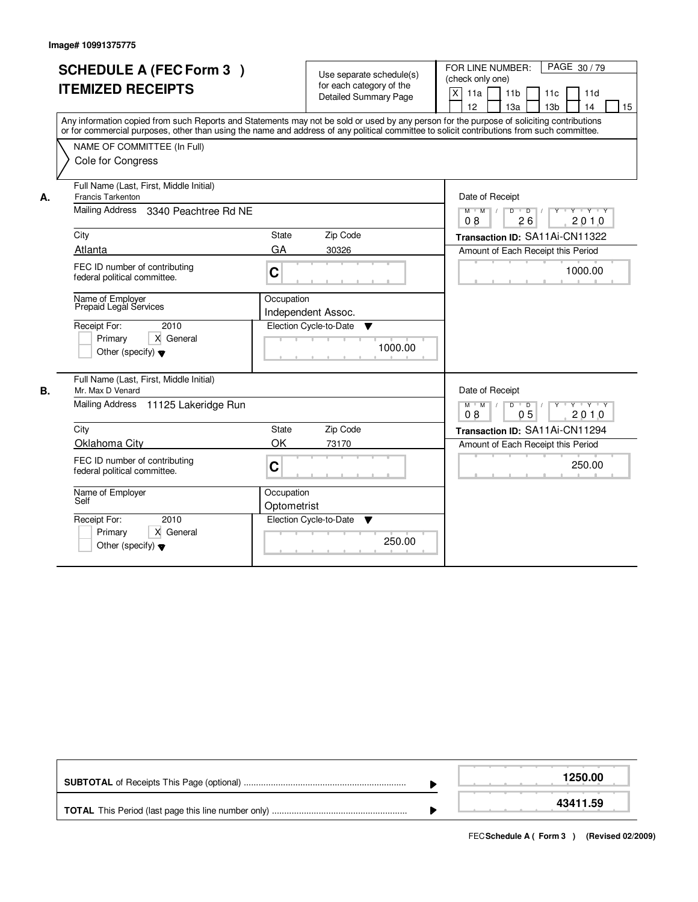|    | <b>SCHEDULE A (FEC Form 3)</b><br><b>ITEMIZED RECEIPTS</b><br>Any information copied from such Reports and Statements may not be sold or used by any person for the purpose of soliciting contributions<br>or for commercial purposes, other than using the name and address of any political committee to solicit contributions from such committee.<br>NAME OF COMMITTEE (In Full)<br>Cole for Congress |                                   | Use separate schedule(s)<br>for each category of the<br><b>Detailed Summary Page</b> |         | FOR LINE NUMBER:<br>PAGE 30/79<br>(check only one)<br>$\pmb{\times}$<br>11a<br>11 <sub>b</sub><br>11c<br>11d<br>12<br>13a<br>13 <sub>b</sub><br>14<br>15                     |
|----|-----------------------------------------------------------------------------------------------------------------------------------------------------------------------------------------------------------------------------------------------------------------------------------------------------------------------------------------------------------------------------------------------------------|-----------------------------------|--------------------------------------------------------------------------------------|---------|------------------------------------------------------------------------------------------------------------------------------------------------------------------------------|
| А. | Full Name (Last, First, Middle Initial)<br><b>Francis Tarkenton</b><br><b>Mailing Address</b><br>3340 Peachtree Rd NE<br>City<br><b>Atlanta</b><br>FEC ID number of contributing                                                                                                                                                                                                                          | State<br>GA<br>C                  | Zip Code<br>30326                                                                    |         | Date of Receipt<br>$Y$ $Y$ $Y$<br>$M$ $M$<br>D<br>$\overline{D}$<br>26<br>2010<br>08<br>Transaction ID: SA11Ai-CN11322<br>Amount of Each Receipt this Period<br>1000.00      |
|    | federal political committee.<br>Name of Employer<br>Prepaid Legal Services<br>Receipt For:<br>2010<br>X General<br>Primary<br>Other (specify) $\blacktriangledown$                                                                                                                                                                                                                                        | Occupation                        | Independent Assoc.<br>Election Cycle-to-Date<br>▼                                    | 1000.00 |                                                                                                                                                                              |
| В. | Full Name (Last, First, Middle Initial)<br>Mr. Max D Venard<br>Mailing Address<br>11125 Lakeridge Run<br>City<br>Oklahoma City<br>FEC ID number of contributing<br>federal political committee.                                                                                                                                                                                                           | <b>State</b><br>OK<br>$\mathbf C$ | Zip Code<br>73170                                                                    |         | Date of Receipt<br>$D$ $D$ $/$<br>y y y y y y<br>$M$ $M$ /<br>0 <sub>5</sub><br>2010<br>08<br>Transaction ID: SA11Ai-CN11294<br>Amount of Each Receipt this Period<br>250.00 |
|    | Name of Employer<br>Self<br>2010<br>Receipt For:<br>X General<br>Primary<br>Other (specify) $\blacktriangledown$                                                                                                                                                                                                                                                                                          | Occupation<br>Optometrist         | Election Cycle-to-Date<br>▼                                                          | 250.00  |                                                                                                                                                                              |

|  | 1250.00  |
|--|----------|
|  | 43411.59 |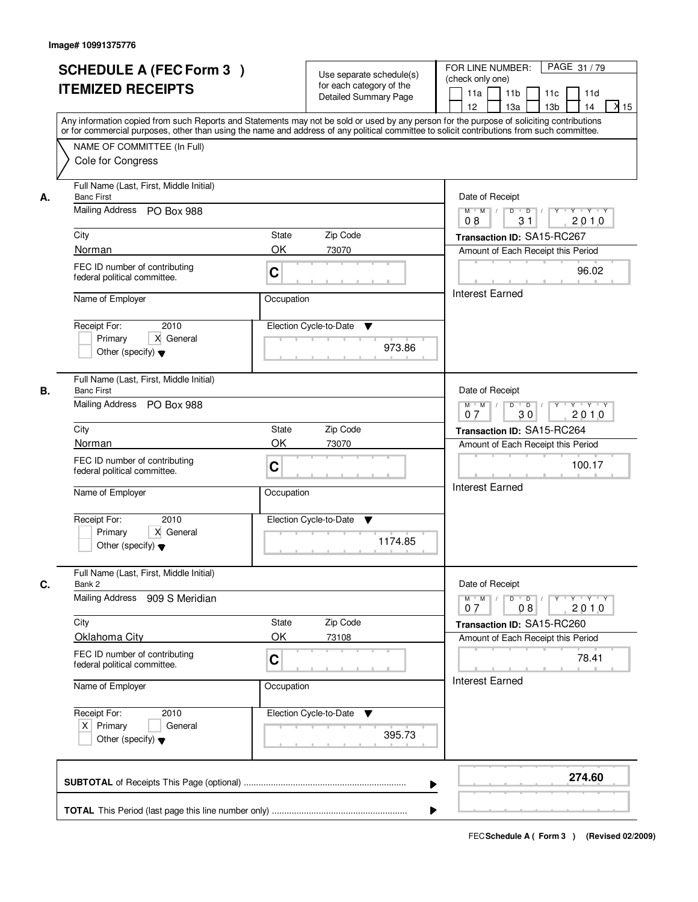|    | <b>SCHEDULE A (FEC Form 3)</b><br><b>ITEMIZED RECEIPTS</b><br>Any information copied from such Reports and Statements may not be sold or used by any person for the purpose of soliciting contributions<br>or for commercial purposes, other than using the name and address of any political committee to solicit contributions from such committee. |              | Use separate schedule(s)<br>for each category of the<br><b>Detailed Summary Page</b> | PAGE 31 / 79<br>FOR LINE NUMBER:<br>(check only one)<br>11 <sub>b</sub><br>11a<br>11c<br>11d<br>$X$ 15<br>13 <sub>b</sub><br>12 <sup>2</sup><br>13a<br>14                                                                                                                                                                                                                                                                                                               |
|----|-------------------------------------------------------------------------------------------------------------------------------------------------------------------------------------------------------------------------------------------------------------------------------------------------------------------------------------------------------|--------------|--------------------------------------------------------------------------------------|-------------------------------------------------------------------------------------------------------------------------------------------------------------------------------------------------------------------------------------------------------------------------------------------------------------------------------------------------------------------------------------------------------------------------------------------------------------------------|
|    | NAME OF COMMITTEE (In Full)<br>Cole for Congress                                                                                                                                                                                                                                                                                                      |              |                                                                                      |                                                                                                                                                                                                                                                                                                                                                                                                                                                                         |
| А. | Full Name (Last, First, Middle Initial)<br><b>Banc First</b><br>Mailing Address PO Box 988                                                                                                                                                                                                                                                            |              |                                                                                      | Date of Receipt<br>$\begin{array}{c c c c c c c c} \hline \textbf{0} & \textbf{0} & \textbf{0} & \textbf{0} & \textbf{0} & \textbf{0} & \textbf{0} & \textbf{0} & \textbf{0} & \textbf{0} & \textbf{0} & \textbf{0} & \textbf{0} & \textbf{0} & \textbf{0} & \textbf{0} & \textbf{0} & \textbf{0} & \textbf{0} & \textbf{0} & \textbf{0} & \textbf{0} & \textbf{0} & \textbf{0} & \textbf{0} & \textbf{0} & \textbf{0} & \textbf{0} &$<br>$M$ $M$ /<br>08<br>31<br>2010 |
|    | City                                                                                                                                                                                                                                                                                                                                                  | State        | Zip Code                                                                             | Transaction ID: SA15-RC267                                                                                                                                                                                                                                                                                                                                                                                                                                              |
|    | Norman                                                                                                                                                                                                                                                                                                                                                | OK           | 73070                                                                                | Amount of Each Receipt this Period                                                                                                                                                                                                                                                                                                                                                                                                                                      |
|    | FEC ID number of contributing<br>federal political committee.                                                                                                                                                                                                                                                                                         | C            |                                                                                      | 96.02                                                                                                                                                                                                                                                                                                                                                                                                                                                                   |
|    | Name of Employer                                                                                                                                                                                                                                                                                                                                      | Occupation   |                                                                                      | <b>Interest Earned</b>                                                                                                                                                                                                                                                                                                                                                                                                                                                  |
|    | 2010<br>Receipt For:<br>X General<br>Primary<br>Other (specify) $\blacktriangledown$                                                                                                                                                                                                                                                                  |              | Election Cycle-to-Date<br>▼<br>973.86                                                |                                                                                                                                                                                                                                                                                                                                                                                                                                                                         |
| В. | Full Name (Last, First, Middle Initial)<br><b>Banc First</b><br>Mailing Address PO Box 988                                                                                                                                                                                                                                                            |              |                                                                                      | Date of Receipt<br>$Y - Y - Y - Y$<br>$M$ $M$ /<br>D<br>$\overline{\phantom{0}}$<br>30<br>2010<br>07                                                                                                                                                                                                                                                                                                                                                                    |
|    | City                                                                                                                                                                                                                                                                                                                                                  | <b>State</b> | Zip Code                                                                             | Transaction ID: SA15-RC264                                                                                                                                                                                                                                                                                                                                                                                                                                              |
|    | Norman                                                                                                                                                                                                                                                                                                                                                | OK           | 73070                                                                                | Amount of Each Receipt this Period                                                                                                                                                                                                                                                                                                                                                                                                                                      |
|    | FEC ID number of contributing<br>federal political committee.                                                                                                                                                                                                                                                                                         | C            |                                                                                      | 100.17                                                                                                                                                                                                                                                                                                                                                                                                                                                                  |
|    | Name of Employer                                                                                                                                                                                                                                                                                                                                      | Occupation   |                                                                                      | <b>Interest Earned</b>                                                                                                                                                                                                                                                                                                                                                                                                                                                  |
|    | Receipt For:<br>2010<br>Primary<br>X General<br>Other (specify) $\blacktriangledown$                                                                                                                                                                                                                                                                  |              | Election Cycle-to-Date<br>v<br>1174.85                                               |                                                                                                                                                                                                                                                                                                                                                                                                                                                                         |
|    | Full Name (Last, First, Middle Initial)                                                                                                                                                                                                                                                                                                               |              |                                                                                      |                                                                                                                                                                                                                                                                                                                                                                                                                                                                         |
| C. | Bank 2<br><b>Mailing Address</b><br>909 S Meridian                                                                                                                                                                                                                                                                                                    |              |                                                                                      | Date of Receipt<br>$D$ $D$ $l$<br>Y Y Y Y<br>$M$ $M$ /<br>$Y$ <sup>-1</sup><br>08<br>2010<br>07                                                                                                                                                                                                                                                                                                                                                                         |
|    | City                                                                                                                                                                                                                                                                                                                                                  | State        | Zip Code                                                                             | Transaction ID: SA15-RC260                                                                                                                                                                                                                                                                                                                                                                                                                                              |
|    | Oklahoma City<br>FEC ID number of contributing<br>federal political committee.                                                                                                                                                                                                                                                                        | OK<br>C      | 73108                                                                                | Amount of Each Receipt this Period<br>78.41                                                                                                                                                                                                                                                                                                                                                                                                                             |
|    | Name of Employer                                                                                                                                                                                                                                                                                                                                      | Occupation   |                                                                                      | <b>Interest Earned</b>                                                                                                                                                                                                                                                                                                                                                                                                                                                  |
|    | Receipt For:<br>2010<br>$X$ Primary<br>General<br>Other (specify) $\blacktriangledown$                                                                                                                                                                                                                                                                |              | Election Cycle-to-Date<br>v<br>395.73                                                |                                                                                                                                                                                                                                                                                                                                                                                                                                                                         |
|    |                                                                                                                                                                                                                                                                                                                                                       |              | ▶                                                                                    | 274.60                                                                                                                                                                                                                                                                                                                                                                                                                                                                  |
|    |                                                                                                                                                                                                                                                                                                                                                       |              |                                                                                      |                                                                                                                                                                                                                                                                                                                                                                                                                                                                         |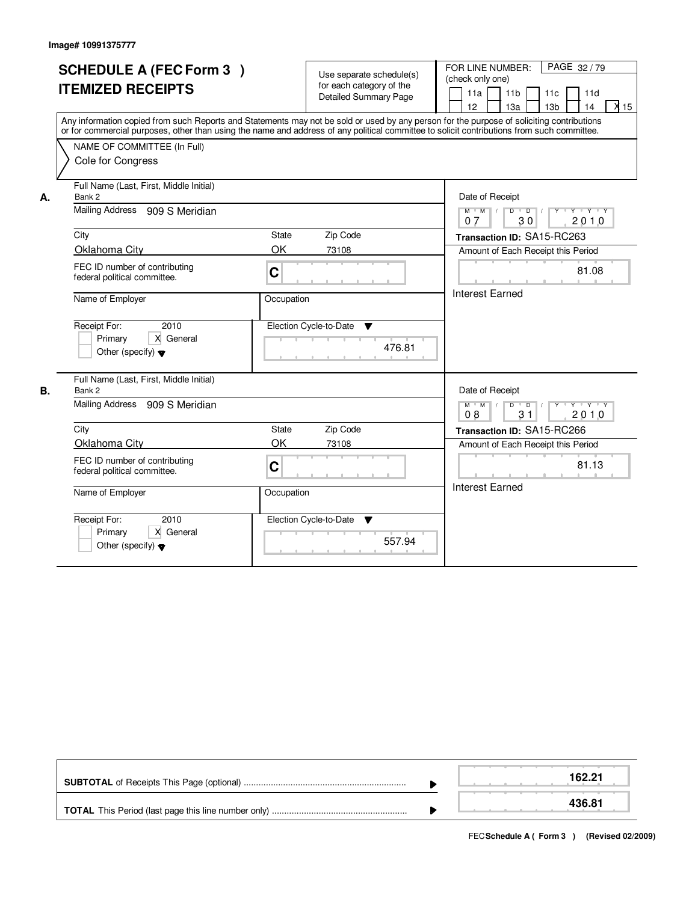|    | <b>SCHEDULE A (FEC Form 3)</b><br><b>ITEMIZED RECEIPTS</b><br>Any information copied from such Reports and Statements may not be sold or used by any person for the purpose of soliciting contributions<br>or for commercial purposes, other than using the name and address of any political committee to solicit contributions from such committee. |             | Use separate schedule(s)<br>for each category of the<br><b>Detailed Summary Page</b> | PAGE 32/79<br>FOR LINE NUMBER:<br>(check only one)<br>11a<br>11 <sub>b</sub><br>11c<br>11d<br>$\overline{\lambda}$ 15<br>12<br>13a<br>13 <sub>b</sub><br>14 |
|----|-------------------------------------------------------------------------------------------------------------------------------------------------------------------------------------------------------------------------------------------------------------------------------------------------------------------------------------------------------|-------------|--------------------------------------------------------------------------------------|-------------------------------------------------------------------------------------------------------------------------------------------------------------|
|    | NAME OF COMMITTEE (In Full)<br>Cole for Congress                                                                                                                                                                                                                                                                                                      |             |                                                                                      |                                                                                                                                                             |
| А. | Full Name (Last, First, Middle Initial)<br>Bank 2                                                                                                                                                                                                                                                                                                     |             |                                                                                      | Date of Receipt                                                                                                                                             |
|    | Mailing Address 909 S Meridian                                                                                                                                                                                                                                                                                                                        |             |                                                                                      | y y y y y y<br>$M$ M<br>$\sqrt{ }$<br>D<br>$\overline{D}$<br>30<br>2010<br>07                                                                               |
|    | City<br>Oklahoma City                                                                                                                                                                                                                                                                                                                                 | State<br>OK | Zip Code<br>73108                                                                    | Transaction ID: SA15-RC263<br>Amount of Each Receipt this Period                                                                                            |
|    | FEC ID number of contributing<br>federal political committee.                                                                                                                                                                                                                                                                                         | $\mathbf C$ |                                                                                      | 81.08                                                                                                                                                       |
|    | Name of Employer                                                                                                                                                                                                                                                                                                                                      | Occupation  |                                                                                      | <b>Interest Earned</b>                                                                                                                                      |
|    | 2010<br>Receipt For:<br>X General<br>Primary<br>Other (specify) $\blacktriangledown$                                                                                                                                                                                                                                                                  |             | Election Cycle-to-Date<br>▼<br>476.81                                                |                                                                                                                                                             |
| В. | Full Name (Last, First, Middle Initial)<br>Bank 2                                                                                                                                                                                                                                                                                                     |             |                                                                                      | Date of Receipt                                                                                                                                             |
|    | Mailing Address<br>909 S Meridian                                                                                                                                                                                                                                                                                                                     |             |                                                                                      | $Y + Y + Y$<br>$M$ $M$<br>D<br>$\blacksquare$ D $\blacksquare$ /<br>$Y$ <sup>U</sup><br>$\vert$ /<br>31<br>2010<br>08                                       |
|    | City                                                                                                                                                                                                                                                                                                                                                  | State       | Zip Code                                                                             | Transaction ID: SA15-RC266                                                                                                                                  |
|    | Oklahoma City                                                                                                                                                                                                                                                                                                                                         | OK          | 73108                                                                                | Amount of Each Receipt this Period                                                                                                                          |
|    | FEC ID number of contributing<br>federal political committee.                                                                                                                                                                                                                                                                                         | $\mathbf C$ |                                                                                      | 81.13                                                                                                                                                       |
|    | Name of Employer                                                                                                                                                                                                                                                                                                                                      | Occupation  |                                                                                      | <b>Interest Earned</b>                                                                                                                                      |
|    | Receipt For:<br>2010<br>Primary<br>X General<br>Other (specify) $\blacktriangledown$                                                                                                                                                                                                                                                                  |             | Election Cycle-to-Date<br>v<br>557.94                                                |                                                                                                                                                             |

|  | 162.21 |
|--|--------|
|  | 436.81 |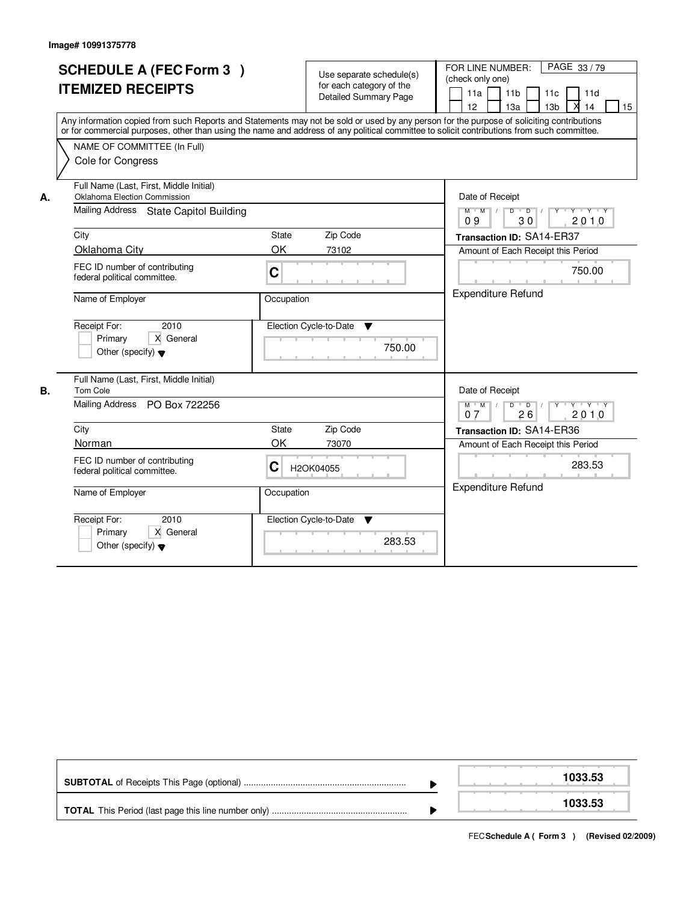|    | <b>SCHEDULE A (FEC Form 3)</b><br><b>ITEMIZED RECEIPTS</b><br>Any information copied from such Reports and Statements may not be sold or used by any person for the purpose of soliciting contributions<br>or for commercial purposes, other than using the name and address of any political committee to solicit contributions from such committee.<br>NAME OF COMMITTEE (In Full)<br>Cole for Congress |            | Use separate schedule(s)<br>for each category of the<br><b>Detailed Summary Page</b> | PAGE 33/79<br>FOR LINE NUMBER:<br>(check only one)<br>11a<br>11 <sub>b</sub><br>11c<br>11d<br>13 <sub>b</sub><br>14<br>12<br>13a<br>15 |  |  |  |
|----|-----------------------------------------------------------------------------------------------------------------------------------------------------------------------------------------------------------------------------------------------------------------------------------------------------------------------------------------------------------------------------------------------------------|------------|--------------------------------------------------------------------------------------|----------------------------------------------------------------------------------------------------------------------------------------|--|--|--|
| А. | Full Name (Last, First, Middle Initial)<br>Oklahoma Election Commission<br>Mailing Address State Capitol Building                                                                                                                                                                                                                                                                                         |            |                                                                                      | Date of Receipt<br>$Y - Y - Y$<br>$M$ $M$<br>$\sqrt{ }$<br>$\overline{D}$<br>$\overline{D}$<br>30<br>2010<br>09                        |  |  |  |
|    | City                                                                                                                                                                                                                                                                                                                                                                                                      | State      | Zip Code                                                                             | Transaction ID: SA14-ER37                                                                                                              |  |  |  |
|    | Oklahoma City                                                                                                                                                                                                                                                                                                                                                                                             | OK         | 73102                                                                                | Amount of Each Receipt this Period                                                                                                     |  |  |  |
|    | FEC ID number of contributing<br>federal political committee.                                                                                                                                                                                                                                                                                                                                             | C          |                                                                                      | 750.00                                                                                                                                 |  |  |  |
|    | Name of Employer                                                                                                                                                                                                                                                                                                                                                                                          | Occupation |                                                                                      | <b>Expenditure Refund</b>                                                                                                              |  |  |  |
|    | Receipt For:<br>2010<br>X General<br>Primary<br>Other (specify) $\blacktriangledown$                                                                                                                                                                                                                                                                                                                      |            | Election Cycle-to-Date<br>$\overline{\mathbf{v}}$<br>750.00                          |                                                                                                                                        |  |  |  |
| В. | Full Name (Last, First, Middle Initial)<br>Tom Cole                                                                                                                                                                                                                                                                                                                                                       |            |                                                                                      | Date of Receipt                                                                                                                        |  |  |  |
|    | Mailing Address PO Box 722256                                                                                                                                                                                                                                                                                                                                                                             |            |                                                                                      | $D$ $D$ $/$<br>$Y$ <sup><math>\top</math></sup><br>$Y \dashv Y \dashv Y$<br>$M$ $M$ /<br>2010<br>07<br>26                              |  |  |  |
|    | City                                                                                                                                                                                                                                                                                                                                                                                                      | State      | Zip Code                                                                             | Transaction ID: SA14-ER36                                                                                                              |  |  |  |
|    | Norman                                                                                                                                                                                                                                                                                                                                                                                                    | OK         | 73070                                                                                | Amount of Each Receipt this Period                                                                                                     |  |  |  |
|    | FEC ID number of contributing<br>federal political committee.                                                                                                                                                                                                                                                                                                                                             | C          | H2OK04055                                                                            | 283.53                                                                                                                                 |  |  |  |
|    | Name of Employer                                                                                                                                                                                                                                                                                                                                                                                          | Occupation |                                                                                      | <b>Expenditure Refund</b>                                                                                                              |  |  |  |
|    | Receipt For:<br>2010<br>X General<br>Primary<br>Other (specify) $\blacktriangledown$                                                                                                                                                                                                                                                                                                                      |            | Election Cycle-to-Date<br>v<br>283.53                                                |                                                                                                                                        |  |  |  |

|  | 1033.53 |  |  |
|--|---------|--|--|
|  | 1033.53 |  |  |

FECSchedule A (Form 3) (Revised 02/2009)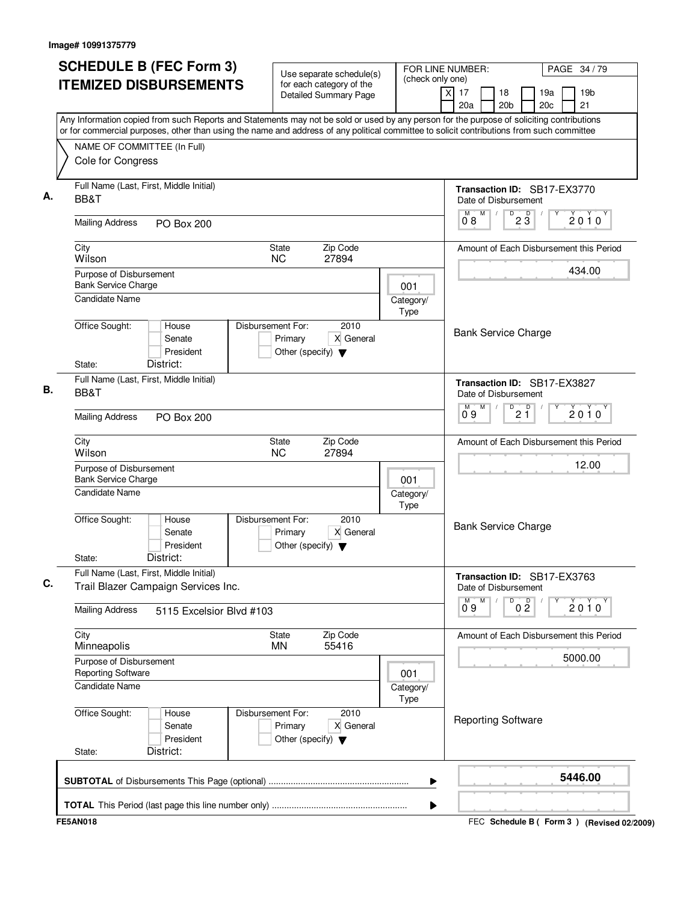| <b>SCHEDULE B (FEC Form 3)</b>                                                                                                                                                                                                                                                         | Use separate schedule(s)                                                                  | FOR LINE NUMBER:<br>(check only one) |                                                          | PAGE 34 / 79                                    |
|----------------------------------------------------------------------------------------------------------------------------------------------------------------------------------------------------------------------------------------------------------------------------------------|-------------------------------------------------------------------------------------------|--------------------------------------|----------------------------------------------------------|-------------------------------------------------|
| <b>ITEMIZED DISBURSEMENTS</b>                                                                                                                                                                                                                                                          | for each category of the<br>Detailed Summary Page                                         |                                      | 17<br>18<br>x<br>20a<br>20 <sub>b</sub>                  | 19 <sub>b</sub><br>19a<br>20 <sub>c</sub><br>21 |
| Any Information copied from such Reports and Statements may not be sold or used by any person for the purpose of soliciting contributions<br>or for commercial purposes, other than using the name and address of any political committee to solicit contributions from such committee |                                                                                           |                                      |                                                          |                                                 |
| NAME OF COMMITTEE (In Full)                                                                                                                                                                                                                                                            |                                                                                           |                                      |                                                          |                                                 |
| Cole for Congress                                                                                                                                                                                                                                                                      |                                                                                           |                                      |                                                          |                                                 |
| Full Name (Last, First, Middle Initial)<br>BB&T                                                                                                                                                                                                                                        |                                                                                           |                                      | Transaction ID: SB17-EX3770<br>Date of Disbursement      |                                                 |
| <b>Mailing Address</b><br><b>PO Box 200</b>                                                                                                                                                                                                                                            |                                                                                           |                                      | $0^{\text{M}}$ 8<br>M<br>D<br>$2\overline{3}$            | $2010^y$                                        |
| City<br>Wilson                                                                                                                                                                                                                                                                         | Zip Code<br><b>State</b><br>27894<br><b>NC</b>                                            |                                      |                                                          | Amount of Each Disbursement this Period         |
| Purpose of Disbursement                                                                                                                                                                                                                                                                |                                                                                           |                                      |                                                          | 434.00                                          |
| <b>Bank Service Charge</b><br><b>Candidate Name</b>                                                                                                                                                                                                                                    |                                                                                           | 001<br>Category/<br>Type             |                                                          |                                                 |
| Office Sought:<br>House<br>Senate<br>President<br>District:<br>State:                                                                                                                                                                                                                  | Disbursement For:<br>2010<br>X General<br>Primary<br>Other (specify) $\blacktriangledown$ |                                      | <b>Bank Service Charge</b>                               |                                                 |
| Full Name (Last, First, Middle Initial)<br>BB&T                                                                                                                                                                                                                                        |                                                                                           |                                      | Transaction ID: SB17-EX3827<br>Date of Disbursement<br>M |                                                 |
| <b>Mailing Address</b><br><b>PO Box 200</b>                                                                                                                                                                                                                                            |                                                                                           |                                      | $\sqrt{\frac{D}{2}}$<br>M<br>09                          | $2010^y$                                        |
| City<br>Wilson                                                                                                                                                                                                                                                                         | Zip Code<br>State<br><b>NC</b><br>27894                                                   |                                      |                                                          | Amount of Each Disbursement this Period         |
| Purpose of Disbursement<br><b>Bank Service Charge</b><br>001                                                                                                                                                                                                                           |                                                                                           |                                      |                                                          | 12.00                                           |
| <b>Candidate Name</b>                                                                                                                                                                                                                                                                  |                                                                                           | Category/<br>Type                    |                                                          |                                                 |
| Office Sought:<br>House<br>Senate<br>President<br>District:<br>State:                                                                                                                                                                                                                  | Disbursement For:<br>2010<br>X General<br>Primary<br>Other (specify) $\blacktriangledown$ |                                      | <b>Bank Service Charge</b>                               |                                                 |
| Full Name (Last, First, Middle Initial)<br>Trail Blazer Campaign Services Inc.                                                                                                                                                                                                         |                                                                                           |                                      | Transaction ID: SB17-EX3763<br>Date of Disbursement      |                                                 |
| <b>Mailing Address</b><br>5115 Excelsior Blvd #103                                                                                                                                                                                                                                     |                                                                                           |                                      | M<br>D<br>0 <sup>0</sup><br>0.9                          | 2010                                            |
| City<br>Minneapolis                                                                                                                                                                                                                                                                    | Zip Code<br>State<br>MN<br>55416                                                          |                                      |                                                          | Amount of Each Disbursement this Period         |
| Purpose of Disbursement<br><b>Reporting Software</b><br>001                                                                                                                                                                                                                            |                                                                                           |                                      |                                                          | 5000.00                                         |
| <b>Candidate Name</b>                                                                                                                                                                                                                                                                  |                                                                                           | Category/<br>Type                    |                                                          |                                                 |
| Office Sought:<br>House<br>Senate<br>President<br>District:<br>State:                                                                                                                                                                                                                  | Disbursement For:<br>2010<br>X General<br>Primary<br>Other (specify) $\blacktriangledown$ |                                      | <b>Reporting Software</b>                                |                                                 |
|                                                                                                                                                                                                                                                                                        |                                                                                           | ▶                                    |                                                          | 5446.00                                         |
|                                                                                                                                                                                                                                                                                        |                                                                                           | ▶                                    |                                                          |                                                 |
| <b>FE5AN018</b>                                                                                                                                                                                                                                                                        |                                                                                           |                                      |                                                          | FEC Schedule B ( Form 3 ) (Revised 02/2009)     |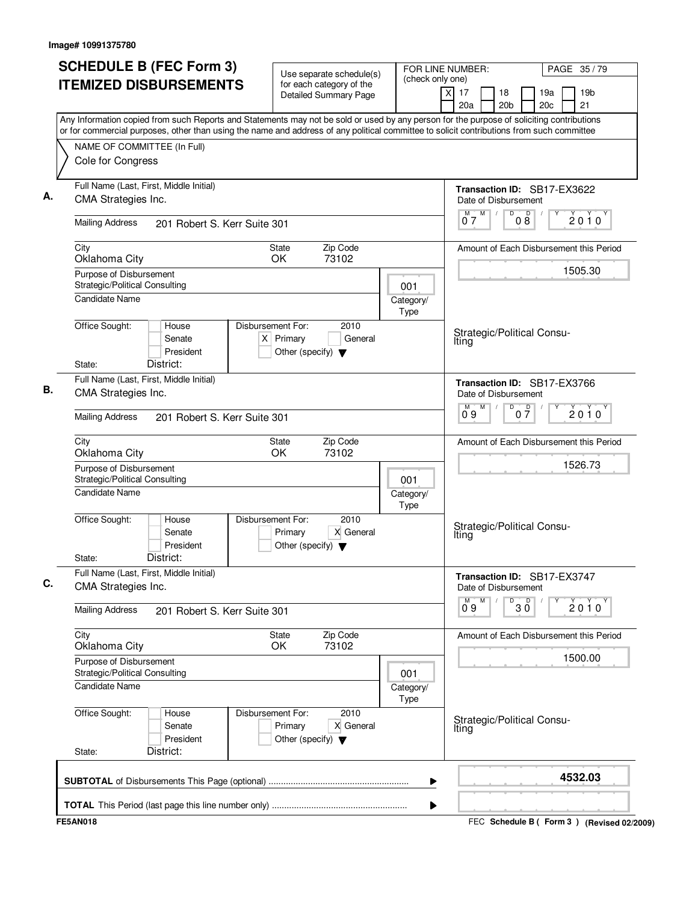| <b>SCHEDULE B (FEC Form 3)</b>                                                                                                                                                                                                                                                         | Use separate schedule(s)                                                                    | FOR LINE NUMBER:<br>(check only one)                |                                         | PAGE 35/79                                  |
|----------------------------------------------------------------------------------------------------------------------------------------------------------------------------------------------------------------------------------------------------------------------------------------|---------------------------------------------------------------------------------------------|-----------------------------------------------------|-----------------------------------------|---------------------------------------------|
| <b>ITEMIZED DISBURSEMENTS</b>                                                                                                                                                                                                                                                          | for each category of the<br>Detailed Summary Page                                           |                                                     | x<br>17<br>18<br>20a<br>20 <sub>b</sub> | 19a<br>19 <sub>b</sub><br>20c<br>21         |
| Any Information copied from such Reports and Statements may not be sold or used by any person for the purpose of soliciting contributions<br>or for commercial purposes, other than using the name and address of any political committee to solicit contributions from such committee |                                                                                             |                                                     |                                         |                                             |
| NAME OF COMMITTEE (In Full)                                                                                                                                                                                                                                                            |                                                                                             |                                                     |                                         |                                             |
| Cole for Congress                                                                                                                                                                                                                                                                      |                                                                                             |                                                     |                                         |                                             |
| Full Name (Last, First, Middle Initial)<br>CMA Strategies Inc.                                                                                                                                                                                                                         |                                                                                             | Transaction ID: SB17-EX3622<br>Date of Disbursement |                                         |                                             |
| <b>Mailing Address</b><br>201 Robert S. Kerr Suite 301                                                                                                                                                                                                                                 |                                                                                             | M<br>D<br>07                                        | p<br>2010<br>08                         |                                             |
| Zip Code<br>City<br>State<br>Oklahoma City<br><b>OK</b><br>73102                                                                                                                                                                                                                       |                                                                                             |                                                     |                                         | Amount of Each Disbursement this Period     |
| Purpose of Disbursement<br>Strategic/Political Consulting                                                                                                                                                                                                                              |                                                                                             | 001                                                 |                                         | 1505.30                                     |
| <b>Candidate Name</b>                                                                                                                                                                                                                                                                  |                                                                                             | Category/<br>Type                                   |                                         |                                             |
| Office Sought:<br>House<br>Senate<br>President<br>District:<br>State:                                                                                                                                                                                                                  | Disbursement For:<br>2010<br>$X$ Primary<br>General<br>Other (specify) $\blacktriangledown$ |                                                     | Strategic/Political Consu-<br>Iting     |                                             |
| Full Name (Last, First, Middle Initial)<br>CMA Strategies Inc.                                                                                                                                                                                                                         |                                                                                             |                                                     | Date of Disbursement                    | Transaction ID: SB17-EX3766                 |
| <b>Mailing Address</b><br>201 Robert S. Kerr Suite 301                                                                                                                                                                                                                                 |                                                                                             |                                                     | M<br>D<br>09                            | $0\overline{7}$<br>$2010^y$                 |
| City<br>Oklahoma City                                                                                                                                                                                                                                                                  | Zip Code<br>State<br>OK<br>73102                                                            |                                                     |                                         | Amount of Each Disbursement this Period     |
| Purpose of Disbursement<br>Strategic/Political Consulting<br>001                                                                                                                                                                                                                       |                                                                                             |                                                     |                                         | 1526.73                                     |
| <b>Candidate Name</b>                                                                                                                                                                                                                                                                  |                                                                                             | Category/<br>Type                                   |                                         |                                             |
| Office Sought:<br>House<br>Senate<br>President<br>District:<br>State:                                                                                                                                                                                                                  | 2010<br>Disbursement For:<br>X General<br>Primary<br>Other (specify) $\blacktriangledown$   |                                                     | Strategic/Political Consu-<br>Iting     |                                             |
| Full Name (Last, First, Middle Initial)<br>CMA Strategies Inc.                                                                                                                                                                                                                         |                                                                                             |                                                     | Date of Disbursement                    | Transaction ID: SB17-EX3747                 |
| <b>Mailing Address</b><br>201 Robert S. Kerr Suite 301                                                                                                                                                                                                                                 |                                                                                             |                                                     | $\overline{0}^M$ 9<br>M<br>D            | $30^{\circ}$<br>2010                        |
| City<br>Oklahoma City                                                                                                                                                                                                                                                                  | State<br>Zip Code<br>73102<br>OK                                                            |                                                     |                                         | Amount of Each Disbursement this Period     |
| Purpose of Disbursement<br>Strategic/Political Consulting<br>001                                                                                                                                                                                                                       |                                                                                             |                                                     |                                         | 1500.00                                     |
| Candidate Name<br>Category/<br>Type<br>Disbursement For:                                                                                                                                                                                                                               |                                                                                             |                                                     |                                         |                                             |
| Office Sought:<br>House<br>Senate<br>President<br>District:<br>State:                                                                                                                                                                                                                  | 2010<br>Primary<br>X General<br>Other (specify) $\blacktriangledown$                        |                                                     | Strategic/Political Consu-<br>Iting     |                                             |
|                                                                                                                                                                                                                                                                                        |                                                                                             | ▶                                                   |                                         | 4532.03                                     |
|                                                                                                                                                                                                                                                                                        |                                                                                             | ▶                                                   |                                         |                                             |
| <b>FE5AN018</b>                                                                                                                                                                                                                                                                        |                                                                                             |                                                     |                                         | FEC Schedule B ( Form 3 ) (Revised 02/2009) |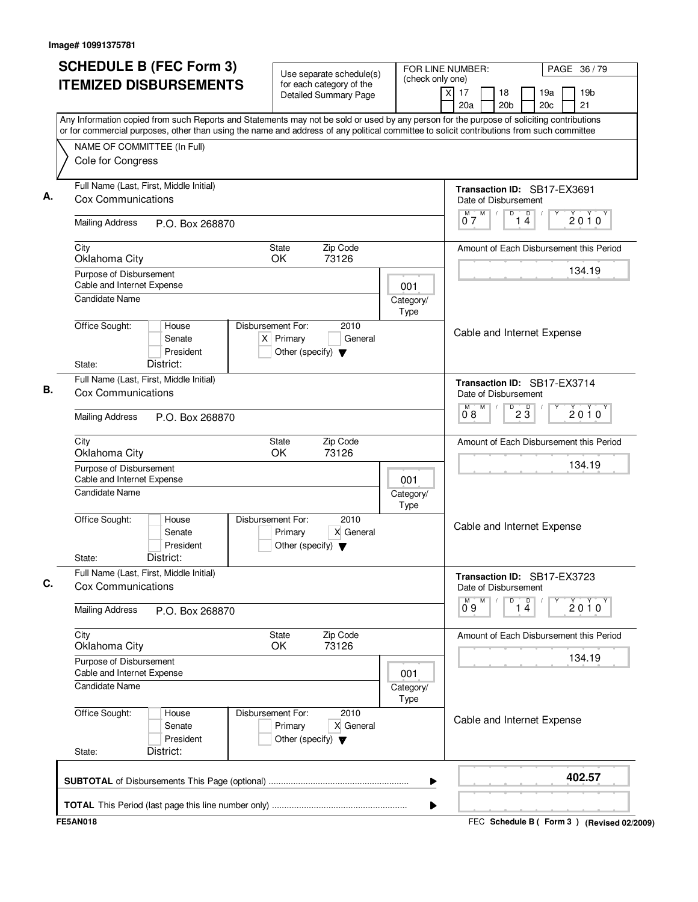| <b>ITEMIZED DISBURSEMENTS</b><br>for each category of the<br>19 <sub>b</sub><br>$\times$<br>17<br>18<br>19a<br><b>Detailed Summary Page</b><br>20 <sub>b</sub><br>20c<br>21<br>20a<br>Any Information copied from such Reports and Statements may not be sold or used by any person for the purpose of soliciting contributions<br>or for commercial purposes, other than using the name and address of any political committee to solicit contributions from such committee<br>NAME OF COMMITTEE (In Full)<br>Cole for Congress<br>Full Name (Last, First, Middle Initial)<br>Transaction ID: SB17-EX3691<br>Cox Communications<br>Date of Disbursement<br>$\mathsf D$<br>M<br>D<br>2010<br>14<br>07<br><b>Mailing Address</b><br>P.O. Box 268870<br>State<br>Zip Code<br>City<br>Amount of Each Disbursement this Period<br>73126<br>Oklahoma City<br>OK.<br>134.19<br>Purpose of Disbursement<br>Cable and Internet Expense<br>001<br><b>Candidate Name</b><br>Category/<br>Type<br>Office Sought:<br>Disbursement For:<br>2010<br>House<br>Cable and Internet Expense<br>$X$ Primary<br>Senate<br>General<br>President<br>Other (specify) $\blacktriangledown$<br>District:<br>State:<br>Full Name (Last, First, Middle Initial)<br>Transaction ID: SB17-EX3714<br><b>Cox Communications</b><br>Date of Disbursement<br>$D^D$ <sub>2</sub> $\overline{3}$<br>M<br>М<br>2010<br>08<br><b>Mailing Address</b><br>P.O. Box 268870<br>Zip Code<br><b>State</b><br>Amount of Each Disbursement this Period<br>City<br>Oklahoma City<br>OK<br>73126<br>134.19<br>Purpose of Disbursement<br>Cable and Internet Expense<br>001<br>Candidate Name<br>Category/<br><b>Type</b><br>Office Sought:<br>Disbursement For:<br>2010<br>House<br>Cable and Internet Expense<br>X General<br>Senate<br>Primary<br>President<br>Other (specify) $\blacktriangledown$<br>District:<br>State:<br>Full Name (Last, First, Middle Initial)<br>Transaction ID: SB17-EX3723<br>Cox Communications<br>Date of Disbursement<br>D<br>$\overline{1\ 4}$<br>M<br>$0^{\circ}9$<br>2010<br><b>Mailing Address</b><br>P.O. Box 268870<br>City<br>Zip Code<br><b>State</b><br>Amount of Each Disbursement this Period<br>Oklahoma City<br><b>OK</b><br>73126<br>134.19<br>Purpose of Disbursement<br>Cable and Internet Expense<br>001<br><b>Candidate Name</b><br>Category/<br>Type<br>Office Sought:<br>Disbursement For:<br>2010<br>House<br>Cable and Internet Expense<br>X General<br>Senate<br>Primary<br>President<br>Other (specify) $\blacktriangledown$<br>District:<br>State:<br>402.57<br>▶ | <b>SCHEDULE B (FEC Form 3)</b> | Use separate schedule(s) | FOR LINE NUMBER:<br>PAGE 36 / 79 |  |  |  |
|----------------------------------------------------------------------------------------------------------------------------------------------------------------------------------------------------------------------------------------------------------------------------------------------------------------------------------------------------------------------------------------------------------------------------------------------------------------------------------------------------------------------------------------------------------------------------------------------------------------------------------------------------------------------------------------------------------------------------------------------------------------------------------------------------------------------------------------------------------------------------------------------------------------------------------------------------------------------------------------------------------------------------------------------------------------------------------------------------------------------------------------------------------------------------------------------------------------------------------------------------------------------------------------------------------------------------------------------------------------------------------------------------------------------------------------------------------------------------------------------------------------------------------------------------------------------------------------------------------------------------------------------------------------------------------------------------------------------------------------------------------------------------------------------------------------------------------------------------------------------------------------------------------------------------------------------------------------------------------------------------------------------------------------------------------------------------------------------------------------------------------------------------------------------------------------------------------------------------------------------------------------------------------------------------------------------------------------------------------------------------------------------------------------------------------------------------------------------------------------------------------------------------------------------------------------------------|--------------------------------|--------------------------|----------------------------------|--|--|--|
|                                                                                                                                                                                                                                                                                                                                                                                                                                                                                                                                                                                                                                                                                                                                                                                                                                                                                                                                                                                                                                                                                                                                                                                                                                                                                                                                                                                                                                                                                                                                                                                                                                                                                                                                                                                                                                                                                                                                                                                                                                                                                                                                                                                                                                                                                                                                                                                                                                                                                                                                                                            |                                |                          | (check only one)                 |  |  |  |
|                                                                                                                                                                                                                                                                                                                                                                                                                                                                                                                                                                                                                                                                                                                                                                                                                                                                                                                                                                                                                                                                                                                                                                                                                                                                                                                                                                                                                                                                                                                                                                                                                                                                                                                                                                                                                                                                                                                                                                                                                                                                                                                                                                                                                                                                                                                                                                                                                                                                                                                                                                            |                                |                          |                                  |  |  |  |
|                                                                                                                                                                                                                                                                                                                                                                                                                                                                                                                                                                                                                                                                                                                                                                                                                                                                                                                                                                                                                                                                                                                                                                                                                                                                                                                                                                                                                                                                                                                                                                                                                                                                                                                                                                                                                                                                                                                                                                                                                                                                                                                                                                                                                                                                                                                                                                                                                                                                                                                                                                            |                                |                          |                                  |  |  |  |
|                                                                                                                                                                                                                                                                                                                                                                                                                                                                                                                                                                                                                                                                                                                                                                                                                                                                                                                                                                                                                                                                                                                                                                                                                                                                                                                                                                                                                                                                                                                                                                                                                                                                                                                                                                                                                                                                                                                                                                                                                                                                                                                                                                                                                                                                                                                                                                                                                                                                                                                                                                            |                                |                          |                                  |  |  |  |
|                                                                                                                                                                                                                                                                                                                                                                                                                                                                                                                                                                                                                                                                                                                                                                                                                                                                                                                                                                                                                                                                                                                                                                                                                                                                                                                                                                                                                                                                                                                                                                                                                                                                                                                                                                                                                                                                                                                                                                                                                                                                                                                                                                                                                                                                                                                                                                                                                                                                                                                                                                            |                                |                          |                                  |  |  |  |
|                                                                                                                                                                                                                                                                                                                                                                                                                                                                                                                                                                                                                                                                                                                                                                                                                                                                                                                                                                                                                                                                                                                                                                                                                                                                                                                                                                                                                                                                                                                                                                                                                                                                                                                                                                                                                                                                                                                                                                                                                                                                                                                                                                                                                                                                                                                                                                                                                                                                                                                                                                            |                                |                          |                                  |  |  |  |
|                                                                                                                                                                                                                                                                                                                                                                                                                                                                                                                                                                                                                                                                                                                                                                                                                                                                                                                                                                                                                                                                                                                                                                                                                                                                                                                                                                                                                                                                                                                                                                                                                                                                                                                                                                                                                                                                                                                                                                                                                                                                                                                                                                                                                                                                                                                                                                                                                                                                                                                                                                            |                                |                          |                                  |  |  |  |
|                                                                                                                                                                                                                                                                                                                                                                                                                                                                                                                                                                                                                                                                                                                                                                                                                                                                                                                                                                                                                                                                                                                                                                                                                                                                                                                                                                                                                                                                                                                                                                                                                                                                                                                                                                                                                                                                                                                                                                                                                                                                                                                                                                                                                                                                                                                                                                                                                                                                                                                                                                            |                                |                          |                                  |  |  |  |
|                                                                                                                                                                                                                                                                                                                                                                                                                                                                                                                                                                                                                                                                                                                                                                                                                                                                                                                                                                                                                                                                                                                                                                                                                                                                                                                                                                                                                                                                                                                                                                                                                                                                                                                                                                                                                                                                                                                                                                                                                                                                                                                                                                                                                                                                                                                                                                                                                                                                                                                                                                            |                                |                          |                                  |  |  |  |
|                                                                                                                                                                                                                                                                                                                                                                                                                                                                                                                                                                                                                                                                                                                                                                                                                                                                                                                                                                                                                                                                                                                                                                                                                                                                                                                                                                                                                                                                                                                                                                                                                                                                                                                                                                                                                                                                                                                                                                                                                                                                                                                                                                                                                                                                                                                                                                                                                                                                                                                                                                            |                                |                          |                                  |  |  |  |
|                                                                                                                                                                                                                                                                                                                                                                                                                                                                                                                                                                                                                                                                                                                                                                                                                                                                                                                                                                                                                                                                                                                                                                                                                                                                                                                                                                                                                                                                                                                                                                                                                                                                                                                                                                                                                                                                                                                                                                                                                                                                                                                                                                                                                                                                                                                                                                                                                                                                                                                                                                            |                                |                          |                                  |  |  |  |
|                                                                                                                                                                                                                                                                                                                                                                                                                                                                                                                                                                                                                                                                                                                                                                                                                                                                                                                                                                                                                                                                                                                                                                                                                                                                                                                                                                                                                                                                                                                                                                                                                                                                                                                                                                                                                                                                                                                                                                                                                                                                                                                                                                                                                                                                                                                                                                                                                                                                                                                                                                            |                                |                          |                                  |  |  |  |
|                                                                                                                                                                                                                                                                                                                                                                                                                                                                                                                                                                                                                                                                                                                                                                                                                                                                                                                                                                                                                                                                                                                                                                                                                                                                                                                                                                                                                                                                                                                                                                                                                                                                                                                                                                                                                                                                                                                                                                                                                                                                                                                                                                                                                                                                                                                                                                                                                                                                                                                                                                            |                                |                          |                                  |  |  |  |
|                                                                                                                                                                                                                                                                                                                                                                                                                                                                                                                                                                                                                                                                                                                                                                                                                                                                                                                                                                                                                                                                                                                                                                                                                                                                                                                                                                                                                                                                                                                                                                                                                                                                                                                                                                                                                                                                                                                                                                                                                                                                                                                                                                                                                                                                                                                                                                                                                                                                                                                                                                            |                                |                          |                                  |  |  |  |
|                                                                                                                                                                                                                                                                                                                                                                                                                                                                                                                                                                                                                                                                                                                                                                                                                                                                                                                                                                                                                                                                                                                                                                                                                                                                                                                                                                                                                                                                                                                                                                                                                                                                                                                                                                                                                                                                                                                                                                                                                                                                                                                                                                                                                                                                                                                                                                                                                                                                                                                                                                            |                                |                          |                                  |  |  |  |
|                                                                                                                                                                                                                                                                                                                                                                                                                                                                                                                                                                                                                                                                                                                                                                                                                                                                                                                                                                                                                                                                                                                                                                                                                                                                                                                                                                                                                                                                                                                                                                                                                                                                                                                                                                                                                                                                                                                                                                                                                                                                                                                                                                                                                                                                                                                                                                                                                                                                                                                                                                            |                                |                          |                                  |  |  |  |
|                                                                                                                                                                                                                                                                                                                                                                                                                                                                                                                                                                                                                                                                                                                                                                                                                                                                                                                                                                                                                                                                                                                                                                                                                                                                                                                                                                                                                                                                                                                                                                                                                                                                                                                                                                                                                                                                                                                                                                                                                                                                                                                                                                                                                                                                                                                                                                                                                                                                                                                                                                            |                                |                          |                                  |  |  |  |
|                                                                                                                                                                                                                                                                                                                                                                                                                                                                                                                                                                                                                                                                                                                                                                                                                                                                                                                                                                                                                                                                                                                                                                                                                                                                                                                                                                                                                                                                                                                                                                                                                                                                                                                                                                                                                                                                                                                                                                                                                                                                                                                                                                                                                                                                                                                                                                                                                                                                                                                                                                            |                                |                          |                                  |  |  |  |
|                                                                                                                                                                                                                                                                                                                                                                                                                                                                                                                                                                                                                                                                                                                                                                                                                                                                                                                                                                                                                                                                                                                                                                                                                                                                                                                                                                                                                                                                                                                                                                                                                                                                                                                                                                                                                                                                                                                                                                                                                                                                                                                                                                                                                                                                                                                                                                                                                                                                                                                                                                            |                                |                          |                                  |  |  |  |
|                                                                                                                                                                                                                                                                                                                                                                                                                                                                                                                                                                                                                                                                                                                                                                                                                                                                                                                                                                                                                                                                                                                                                                                                                                                                                                                                                                                                                                                                                                                                                                                                                                                                                                                                                                                                                                                                                                                                                                                                                                                                                                                                                                                                                                                                                                                                                                                                                                                                                                                                                                            |                                |                          |                                  |  |  |  |
|                                                                                                                                                                                                                                                                                                                                                                                                                                                                                                                                                                                                                                                                                                                                                                                                                                                                                                                                                                                                                                                                                                                                                                                                                                                                                                                                                                                                                                                                                                                                                                                                                                                                                                                                                                                                                                                                                                                                                                                                                                                                                                                                                                                                                                                                                                                                                                                                                                                                                                                                                                            |                                |                          |                                  |  |  |  |
|                                                                                                                                                                                                                                                                                                                                                                                                                                                                                                                                                                                                                                                                                                                                                                                                                                                                                                                                                                                                                                                                                                                                                                                                                                                                                                                                                                                                                                                                                                                                                                                                                                                                                                                                                                                                                                                                                                                                                                                                                                                                                                                                                                                                                                                                                                                                                                                                                                                                                                                                                                            |                                |                          |                                  |  |  |  |
|                                                                                                                                                                                                                                                                                                                                                                                                                                                                                                                                                                                                                                                                                                                                                                                                                                                                                                                                                                                                                                                                                                                                                                                                                                                                                                                                                                                                                                                                                                                                                                                                                                                                                                                                                                                                                                                                                                                                                                                                                                                                                                                                                                                                                                                                                                                                                                                                                                                                                                                                                                            |                                |                          |                                  |  |  |  |
|                                                                                                                                                                                                                                                                                                                                                                                                                                                                                                                                                                                                                                                                                                                                                                                                                                                                                                                                                                                                                                                                                                                                                                                                                                                                                                                                                                                                                                                                                                                                                                                                                                                                                                                                                                                                                                                                                                                                                                                                                                                                                                                                                                                                                                                                                                                                                                                                                                                                                                                                                                            |                                |                          |                                  |  |  |  |
|                                                                                                                                                                                                                                                                                                                                                                                                                                                                                                                                                                                                                                                                                                                                                                                                                                                                                                                                                                                                                                                                                                                                                                                                                                                                                                                                                                                                                                                                                                                                                                                                                                                                                                                                                                                                                                                                                                                                                                                                                                                                                                                                                                                                                                                                                                                                                                                                                                                                                                                                                                            |                                |                          |                                  |  |  |  |
|                                                                                                                                                                                                                                                                                                                                                                                                                                                                                                                                                                                                                                                                                                                                                                                                                                                                                                                                                                                                                                                                                                                                                                                                                                                                                                                                                                                                                                                                                                                                                                                                                                                                                                                                                                                                                                                                                                                                                                                                                                                                                                                                                                                                                                                                                                                                                                                                                                                                                                                                                                            |                                |                          |                                  |  |  |  |
|                                                                                                                                                                                                                                                                                                                                                                                                                                                                                                                                                                                                                                                                                                                                                                                                                                                                                                                                                                                                                                                                                                                                                                                                                                                                                                                                                                                                                                                                                                                                                                                                                                                                                                                                                                                                                                                                                                                                                                                                                                                                                                                                                                                                                                                                                                                                                                                                                                                                                                                                                                            |                                |                          |                                  |  |  |  |

FEC **Schedule B ( ) Form 3 FE5AN018 (Revised 02/2009)**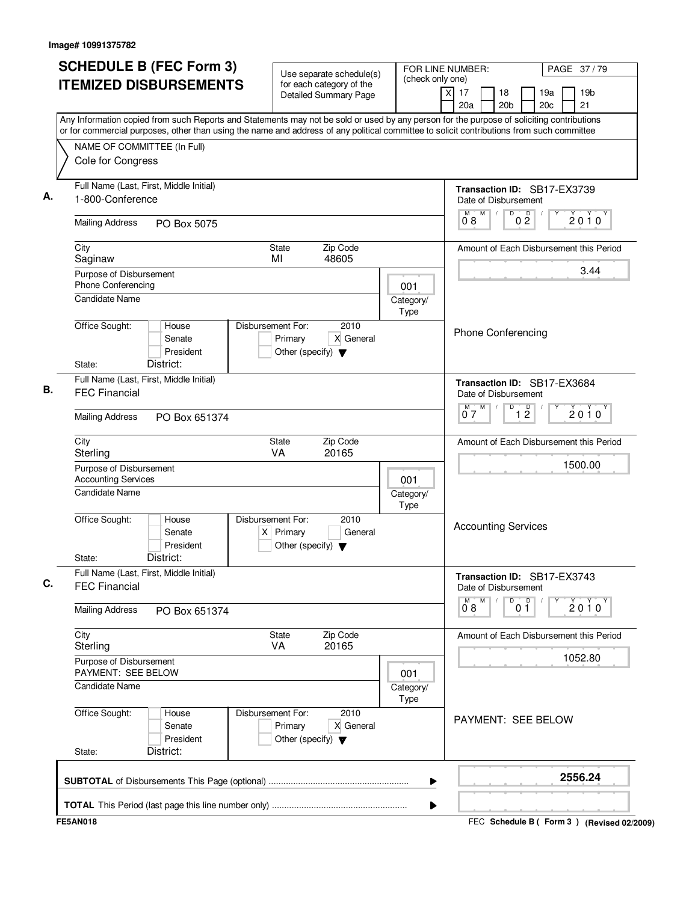| (check only one)<br><b>ITEMIZED DISBURSEMENTS</b><br>for each category of the<br>x<br>17<br>18<br>19a<br>19 <sub>b</sub><br><b>Detailed Summary Page</b><br>20a<br>20 <sub>b</sub><br>20c<br>21<br>Any Information copied from such Reports and Statements may not be sold or used by any person for the purpose of soliciting contributions<br>or for commercial purposes, other than using the name and address of any political committee to solicit contributions from such committee<br>NAME OF COMMITTEE (In Full)<br>Cole for Congress<br>Full Name (Last, First, Middle Initial)<br>Transaction ID: SB17-EX3739<br>1-800-Conference<br>Date of Disbursement<br>D<br>M<br>M<br>$\overline{D}$<br>2010<br>0 <sub>2</sub><br>08<br><b>Mailing Address</b><br>PO Box 5075<br>City<br>Zip Code<br>State<br>Amount of Each Disbursement this Period<br>MI<br>48605<br>Saginaw<br>3.44<br>Purpose of Disbursement<br><b>Phone Conferencing</b><br>001<br><b>Candidate Name</b><br>Category/<br>Type<br>2010<br>Office Sought:<br>Disbursement For:<br>House<br><b>Phone Conferencing</b><br>X General<br>Senate<br>Primary<br>President<br>Other (specify) $\blacktriangledown$<br>District:<br>State:<br>Full Name (Last, First, Middle Initial)<br>Transaction ID: SB17-EX3684<br><b>FEC Financial</b><br>Date of Disbursement<br>M<br>D<br>$\overline{1}$ $\overline{2}$<br>$2010^y$<br>07<br><b>Mailing Address</b><br>PO Box 651374<br>Zip Code<br>City<br>State<br>Amount of Each Disbursement this Period<br>VA<br>20165<br>Sterling<br>1500.00<br>Purpose of Disbursement<br><b>Accounting Services</b><br>001<br><b>Candidate Name</b><br>Category/<br>Type<br>Office Sought:<br>Disbursement For:<br>2010<br>House<br><b>Accounting Services</b><br>General<br>Senate<br>$X$ Primary<br>President<br>Other (specify) $\blacktriangledown$<br>District:<br>State:<br>Full Name (Last, First, Middle Initial)<br>Transaction ID: SB17-EX3743<br><b>FEC Financial</b><br>Date of Disbursement<br>M<br>$\overline{0}^M$ 8<br>D<br>0 <sup>0</sup><br>2010<br><b>Mailing Address</b><br>PO Box 651374<br>City<br>State<br>Zip Code<br>Amount of Each Disbursement this Period<br>20165<br>Sterling<br>VA<br>1052.80<br>Purpose of Disbursement<br>PAYMENT: SEE BELOW<br>001<br><b>Candidate Name</b><br>Category/<br>Type<br>Office Sought:<br>Disbursement For:<br>2010<br>House<br>PAYMENT: SEE BELOW<br>Senate<br>Primary<br>X General<br>President<br>Other (specify) $\blacktriangledown$<br>District:<br>State:<br>2556.24<br>▶ | <b>SCHEDULE B (FEC Form 3)</b> | Use separate schedule(s) |  | FOR LINE NUMBER: | PAGE 37/79                                |  |
|--------------------------------------------------------------------------------------------------------------------------------------------------------------------------------------------------------------------------------------------------------------------------------------------------------------------------------------------------------------------------------------------------------------------------------------------------------------------------------------------------------------------------------------------------------------------------------------------------------------------------------------------------------------------------------------------------------------------------------------------------------------------------------------------------------------------------------------------------------------------------------------------------------------------------------------------------------------------------------------------------------------------------------------------------------------------------------------------------------------------------------------------------------------------------------------------------------------------------------------------------------------------------------------------------------------------------------------------------------------------------------------------------------------------------------------------------------------------------------------------------------------------------------------------------------------------------------------------------------------------------------------------------------------------------------------------------------------------------------------------------------------------------------------------------------------------------------------------------------------------------------------------------------------------------------------------------------------------------------------------------------------------------------------------------------------------------------------------------------------------------------------------------------------------------------------------------------------------------------------------------------------------------------------------------------------------------------------------------------------------------------------------------------------------------------------------------------------------------------------------------------------------------------------------|--------------------------------|--------------------------|--|------------------|-------------------------------------------|--|
|                                                                                                                                                                                                                                                                                                                                                                                                                                                                                                                                                                                                                                                                                                                                                                                                                                                                                                                                                                                                                                                                                                                                                                                                                                                                                                                                                                                                                                                                                                                                                                                                                                                                                                                                                                                                                                                                                                                                                                                                                                                                                                                                                                                                                                                                                                                                                                                                                                                                                                                                            |                                |                          |  |                  |                                           |  |
|                                                                                                                                                                                                                                                                                                                                                                                                                                                                                                                                                                                                                                                                                                                                                                                                                                                                                                                                                                                                                                                                                                                                                                                                                                                                                                                                                                                                                                                                                                                                                                                                                                                                                                                                                                                                                                                                                                                                                                                                                                                                                                                                                                                                                                                                                                                                                                                                                                                                                                                                            |                                |                          |  |                  |                                           |  |
|                                                                                                                                                                                                                                                                                                                                                                                                                                                                                                                                                                                                                                                                                                                                                                                                                                                                                                                                                                                                                                                                                                                                                                                                                                                                                                                                                                                                                                                                                                                                                                                                                                                                                                                                                                                                                                                                                                                                                                                                                                                                                                                                                                                                                                                                                                                                                                                                                                                                                                                                            |                                |                          |  |                  |                                           |  |
|                                                                                                                                                                                                                                                                                                                                                                                                                                                                                                                                                                                                                                                                                                                                                                                                                                                                                                                                                                                                                                                                                                                                                                                                                                                                                                                                                                                                                                                                                                                                                                                                                                                                                                                                                                                                                                                                                                                                                                                                                                                                                                                                                                                                                                                                                                                                                                                                                                                                                                                                            |                                |                          |  |                  |                                           |  |
|                                                                                                                                                                                                                                                                                                                                                                                                                                                                                                                                                                                                                                                                                                                                                                                                                                                                                                                                                                                                                                                                                                                                                                                                                                                                                                                                                                                                                                                                                                                                                                                                                                                                                                                                                                                                                                                                                                                                                                                                                                                                                                                                                                                                                                                                                                                                                                                                                                                                                                                                            |                                |                          |  |                  |                                           |  |
|                                                                                                                                                                                                                                                                                                                                                                                                                                                                                                                                                                                                                                                                                                                                                                                                                                                                                                                                                                                                                                                                                                                                                                                                                                                                                                                                                                                                                                                                                                                                                                                                                                                                                                                                                                                                                                                                                                                                                                                                                                                                                                                                                                                                                                                                                                                                                                                                                                                                                                                                            |                                |                          |  |                  |                                           |  |
|                                                                                                                                                                                                                                                                                                                                                                                                                                                                                                                                                                                                                                                                                                                                                                                                                                                                                                                                                                                                                                                                                                                                                                                                                                                                                                                                                                                                                                                                                                                                                                                                                                                                                                                                                                                                                                                                                                                                                                                                                                                                                                                                                                                                                                                                                                                                                                                                                                                                                                                                            |                                |                          |  |                  |                                           |  |
|                                                                                                                                                                                                                                                                                                                                                                                                                                                                                                                                                                                                                                                                                                                                                                                                                                                                                                                                                                                                                                                                                                                                                                                                                                                                                                                                                                                                                                                                                                                                                                                                                                                                                                                                                                                                                                                                                                                                                                                                                                                                                                                                                                                                                                                                                                                                                                                                                                                                                                                                            |                                |                          |  |                  |                                           |  |
|                                                                                                                                                                                                                                                                                                                                                                                                                                                                                                                                                                                                                                                                                                                                                                                                                                                                                                                                                                                                                                                                                                                                                                                                                                                                                                                                                                                                                                                                                                                                                                                                                                                                                                                                                                                                                                                                                                                                                                                                                                                                                                                                                                                                                                                                                                                                                                                                                                                                                                                                            |                                |                          |  |                  |                                           |  |
|                                                                                                                                                                                                                                                                                                                                                                                                                                                                                                                                                                                                                                                                                                                                                                                                                                                                                                                                                                                                                                                                                                                                                                                                                                                                                                                                                                                                                                                                                                                                                                                                                                                                                                                                                                                                                                                                                                                                                                                                                                                                                                                                                                                                                                                                                                                                                                                                                                                                                                                                            |                                |                          |  |                  |                                           |  |
|                                                                                                                                                                                                                                                                                                                                                                                                                                                                                                                                                                                                                                                                                                                                                                                                                                                                                                                                                                                                                                                                                                                                                                                                                                                                                                                                                                                                                                                                                                                                                                                                                                                                                                                                                                                                                                                                                                                                                                                                                                                                                                                                                                                                                                                                                                                                                                                                                                                                                                                                            |                                |                          |  |                  |                                           |  |
|                                                                                                                                                                                                                                                                                                                                                                                                                                                                                                                                                                                                                                                                                                                                                                                                                                                                                                                                                                                                                                                                                                                                                                                                                                                                                                                                                                                                                                                                                                                                                                                                                                                                                                                                                                                                                                                                                                                                                                                                                                                                                                                                                                                                                                                                                                                                                                                                                                                                                                                                            |                                |                          |  |                  |                                           |  |
|                                                                                                                                                                                                                                                                                                                                                                                                                                                                                                                                                                                                                                                                                                                                                                                                                                                                                                                                                                                                                                                                                                                                                                                                                                                                                                                                                                                                                                                                                                                                                                                                                                                                                                                                                                                                                                                                                                                                                                                                                                                                                                                                                                                                                                                                                                                                                                                                                                                                                                                                            |                                |                          |  |                  |                                           |  |
|                                                                                                                                                                                                                                                                                                                                                                                                                                                                                                                                                                                                                                                                                                                                                                                                                                                                                                                                                                                                                                                                                                                                                                                                                                                                                                                                                                                                                                                                                                                                                                                                                                                                                                                                                                                                                                                                                                                                                                                                                                                                                                                                                                                                                                                                                                                                                                                                                                                                                                                                            |                                |                          |  |                  |                                           |  |
|                                                                                                                                                                                                                                                                                                                                                                                                                                                                                                                                                                                                                                                                                                                                                                                                                                                                                                                                                                                                                                                                                                                                                                                                                                                                                                                                                                                                                                                                                                                                                                                                                                                                                                                                                                                                                                                                                                                                                                                                                                                                                                                                                                                                                                                                                                                                                                                                                                                                                                                                            |                                |                          |  |                  |                                           |  |
|                                                                                                                                                                                                                                                                                                                                                                                                                                                                                                                                                                                                                                                                                                                                                                                                                                                                                                                                                                                                                                                                                                                                                                                                                                                                                                                                                                                                                                                                                                                                                                                                                                                                                                                                                                                                                                                                                                                                                                                                                                                                                                                                                                                                                                                                                                                                                                                                                                                                                                                                            |                                |                          |  |                  |                                           |  |
|                                                                                                                                                                                                                                                                                                                                                                                                                                                                                                                                                                                                                                                                                                                                                                                                                                                                                                                                                                                                                                                                                                                                                                                                                                                                                                                                                                                                                                                                                                                                                                                                                                                                                                                                                                                                                                                                                                                                                                                                                                                                                                                                                                                                                                                                                                                                                                                                                                                                                                                                            |                                |                          |  |                  |                                           |  |
|                                                                                                                                                                                                                                                                                                                                                                                                                                                                                                                                                                                                                                                                                                                                                                                                                                                                                                                                                                                                                                                                                                                                                                                                                                                                                                                                                                                                                                                                                                                                                                                                                                                                                                                                                                                                                                                                                                                                                                                                                                                                                                                                                                                                                                                                                                                                                                                                                                                                                                                                            |                                |                          |  |                  |                                           |  |
|                                                                                                                                                                                                                                                                                                                                                                                                                                                                                                                                                                                                                                                                                                                                                                                                                                                                                                                                                                                                                                                                                                                                                                                                                                                                                                                                                                                                                                                                                                                                                                                                                                                                                                                                                                                                                                                                                                                                                                                                                                                                                                                                                                                                                                                                                                                                                                                                                                                                                                                                            |                                |                          |  |                  |                                           |  |
|                                                                                                                                                                                                                                                                                                                                                                                                                                                                                                                                                                                                                                                                                                                                                                                                                                                                                                                                                                                                                                                                                                                                                                                                                                                                                                                                                                                                                                                                                                                                                                                                                                                                                                                                                                                                                                                                                                                                                                                                                                                                                                                                                                                                                                                                                                                                                                                                                                                                                                                                            |                                |                          |  |                  |                                           |  |
|                                                                                                                                                                                                                                                                                                                                                                                                                                                                                                                                                                                                                                                                                                                                                                                                                                                                                                                                                                                                                                                                                                                                                                                                                                                                                                                                                                                                                                                                                                                                                                                                                                                                                                                                                                                                                                                                                                                                                                                                                                                                                                                                                                                                                                                                                                                                                                                                                                                                                                                                            |                                |                          |  |                  |                                           |  |
|                                                                                                                                                                                                                                                                                                                                                                                                                                                                                                                                                                                                                                                                                                                                                                                                                                                                                                                                                                                                                                                                                                                                                                                                                                                                                                                                                                                                                                                                                                                                                                                                                                                                                                                                                                                                                                                                                                                                                                                                                                                                                                                                                                                                                                                                                                                                                                                                                                                                                                                                            |                                |                          |  |                  |                                           |  |
|                                                                                                                                                                                                                                                                                                                                                                                                                                                                                                                                                                                                                                                                                                                                                                                                                                                                                                                                                                                                                                                                                                                                                                                                                                                                                                                                                                                                                                                                                                                                                                                                                                                                                                                                                                                                                                                                                                                                                                                                                                                                                                                                                                                                                                                                                                                                                                                                                                                                                                                                            |                                |                          |  |                  |                                           |  |
|                                                                                                                                                                                                                                                                                                                                                                                                                                                                                                                                                                                                                                                                                                                                                                                                                                                                                                                                                                                                                                                                                                                                                                                                                                                                                                                                                                                                                                                                                                                                                                                                                                                                                                                                                                                                                                                                                                                                                                                                                                                                                                                                                                                                                                                                                                                                                                                                                                                                                                                                            | <b>FE5AN018</b>                |                          |  |                  | FEC Schedule B (Form 3) (Revised 02/2009) |  |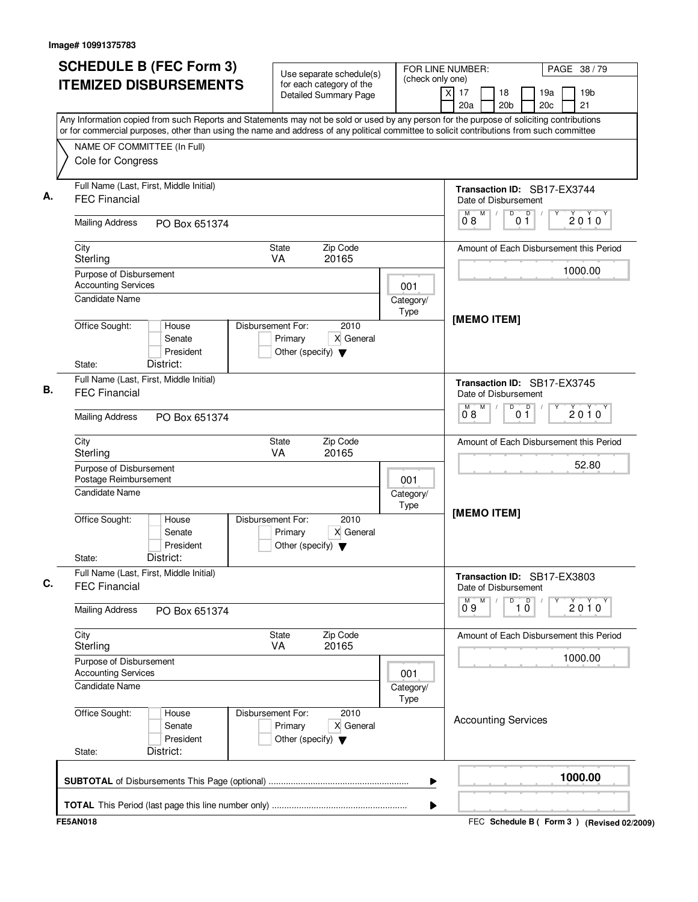| <b>SCHEDULE B (FEC Form 3)</b>                                                                                                            |                                                                                           | FOR LINE NUMBER:  | PAGE 38/79                                                                                        |  |  |
|-------------------------------------------------------------------------------------------------------------------------------------------|-------------------------------------------------------------------------------------------|-------------------|---------------------------------------------------------------------------------------------------|--|--|
| <b>ITEMIZED DISBURSEMENTS</b>                                                                                                             | Use separate schedule(s)<br>for each category of the<br><b>Detailed Summary Page</b>      | (check only one)  | $\times$<br>17<br>18<br>19 <sub>b</sub><br>19a<br>20a<br>20 <sub>c</sub><br>21<br>20 <sub>b</sub> |  |  |
| Any Information copied from such Reports and Statements may not be sold or used by any person for the purpose of soliciting contributions |                                                                                           |                   |                                                                                                   |  |  |
| or for commercial purposes, other than using the name and address of any political committee to solicit contributions from such committee |                                                                                           |                   |                                                                                                   |  |  |
| NAME OF COMMITTEE (In Full)<br>Cole for Congress                                                                                          |                                                                                           |                   |                                                                                                   |  |  |
| Full Name (Last, First, Middle Initial)                                                                                                   |                                                                                           |                   |                                                                                                   |  |  |
| <b>FEC Financial</b>                                                                                                                      |                                                                                           |                   | Transaction ID: SB17-EX3744<br>Date of Disbursement<br>p<br>M<br>D                                |  |  |
| <b>Mailing Address</b><br>PO Box 651374                                                                                                   |                                                                                           |                   | 2010<br>08<br>01                                                                                  |  |  |
| City<br>Sterling                                                                                                                          | State<br>Zip Code<br><b>VA</b><br>20165                                                   |                   | Amount of Each Disbursement this Period                                                           |  |  |
| Purpose of Disbursement                                                                                                                   |                                                                                           |                   | 1000.00                                                                                           |  |  |
| <b>Accounting Services</b>                                                                                                                |                                                                                           | 001               |                                                                                                   |  |  |
| <b>Candidate Name</b>                                                                                                                     |                                                                                           | Category/<br>Type | [MEMO ITEM]                                                                                       |  |  |
| Office Sought:<br>House<br>Senate<br>President<br>District:<br>State:                                                                     | Disbursement For:<br>2010<br>X General<br>Primary<br>Other (specify) $\blacktriangledown$ |                   |                                                                                                   |  |  |
| Full Name (Last, First, Middle Initial)                                                                                                   |                                                                                           |                   |                                                                                                   |  |  |
| <b>FEC Financial</b>                                                                                                                      |                                                                                           |                   | Transaction ID: SB17-EX3745<br>Date of Disbursement<br>D<br>D<br>М<br>M                           |  |  |
| <b>Mailing Address</b><br>PO Box 651374                                                                                                   |                                                                                           |                   | $2010^y$<br>0 <sub>1</sub><br>08                                                                  |  |  |
| City<br>Sterling                                                                                                                          | Zip Code<br>State<br>VA<br>20165                                                          |                   | Amount of Each Disbursement this Period                                                           |  |  |
| Purpose of Disbursement<br>Postage Reimbursement                                                                                          |                                                                                           | 001               | 52.80                                                                                             |  |  |
| <b>Candidate Name</b>                                                                                                                     |                                                                                           | Category/<br>Type |                                                                                                   |  |  |
| Office Sought:<br>House<br>Senate<br>President<br>District:<br>State:                                                                     | Disbursement For:<br>2010<br>X General<br>Primary<br>Other (specify) $\blacktriangledown$ |                   | [MEMO ITEM]                                                                                       |  |  |
| Full Name (Last, First, Middle Initial)<br><b>FEC Financial</b>                                                                           |                                                                                           |                   | Transaction ID: SB17-EX3803<br>Date of Disbursement                                               |  |  |
| <b>Mailing Address</b><br>PO Box 651374                                                                                                   |                                                                                           |                   | $0^{M}$ 9<br>M<br>D<br>$\overline{10}$<br>2010                                                    |  |  |
| City<br>Sterling                                                                                                                          | Zip Code<br>State<br>VA<br>20165                                                          |                   | Amount of Each Disbursement this Period                                                           |  |  |
| Purpose of Disbursement<br><b>Accounting Services</b>                                                                                     |                                                                                           | 001               | 1000.00                                                                                           |  |  |
| <b>Candidate Name</b>                                                                                                                     |                                                                                           | Category/<br>Type |                                                                                                   |  |  |
| Office Sought:<br>House<br>Senate<br>President<br>District:<br>State:                                                                     | Disbursement For:<br>2010<br>X General<br>Primary<br>Other (specify) $\blacktriangledown$ |                   | <b>Accounting Services</b>                                                                        |  |  |
|                                                                                                                                           |                                                                                           | ▶                 | 1000.00                                                                                           |  |  |
|                                                                                                                                           |                                                                                           | ▶                 |                                                                                                   |  |  |
| <b>FE5AN018</b>                                                                                                                           |                                                                                           |                   | FEC Schedule B (Form 3) (Revised 02/2009)                                                         |  |  |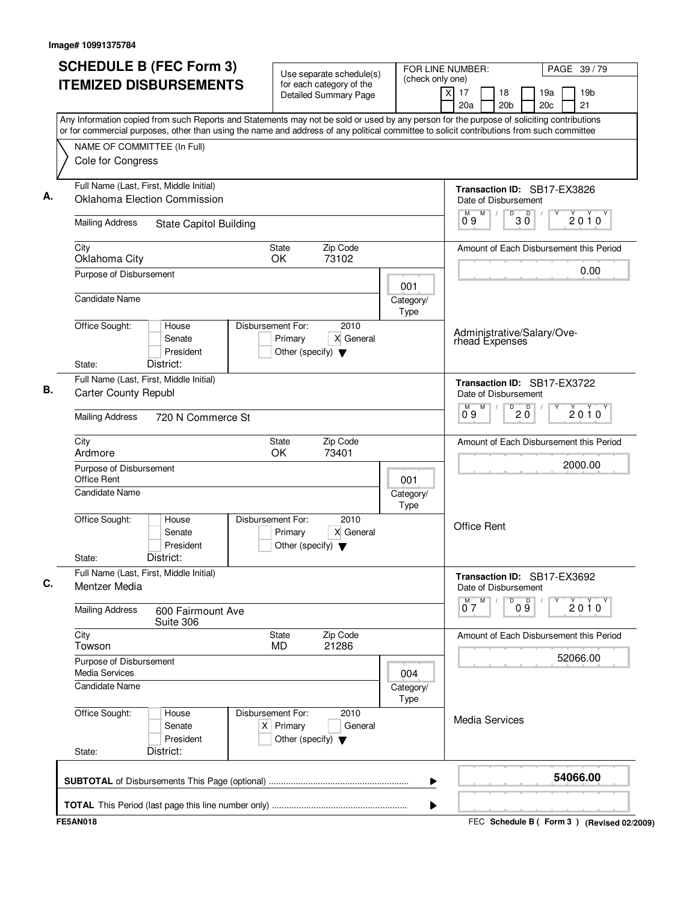| <b>SCHEDULE B (FEC Form 3)</b>                                                                                                                                                                                                                                                         | Use separate schedule(s)                                                                    | (check only one)         | FOR LINE NUMBER:<br>PAGE 39/79                       |                                             |  |  |
|----------------------------------------------------------------------------------------------------------------------------------------------------------------------------------------------------------------------------------------------------------------------------------------|---------------------------------------------------------------------------------------------|--------------------------|------------------------------------------------------|---------------------------------------------|--|--|
| <b>ITEMIZED DISBURSEMENTS</b>                                                                                                                                                                                                                                                          | for each category of the<br><b>Detailed Summary Page</b>                                    |                          | $\overline{x}$<br>17<br>18<br>20a<br>20 <sub>b</sub> | 19 <sub>b</sub><br>19a<br>21<br>20c         |  |  |
| Any Information copied from such Reports and Statements may not be sold or used by any person for the purpose of soliciting contributions<br>or for commercial purposes, other than using the name and address of any political committee to solicit contributions from such committee |                                                                                             |                          |                                                      |                                             |  |  |
| NAME OF COMMITTEE (In Full)                                                                                                                                                                                                                                                            |                                                                                             |                          |                                                      |                                             |  |  |
| Cole for Congress                                                                                                                                                                                                                                                                      |                                                                                             |                          |                                                      |                                             |  |  |
| Full Name (Last, First, Middle Initial)<br>Oklahoma Election Commission                                                                                                                                                                                                                |                                                                                             |                          | Transaction ID: SB17-EX3826<br>Date of Disbursement  |                                             |  |  |
| <b>Mailing Address</b><br><b>State Capitol Building</b>                                                                                                                                                                                                                                |                                                                                             |                          | M<br>D<br>D<br>3 Ŏ<br>09                             | 2010                                        |  |  |
|                                                                                                                                                                                                                                                                                        |                                                                                             |                          |                                                      |                                             |  |  |
| City<br>Oklahoma City                                                                                                                                                                                                                                                                  | Zip Code<br><b>State</b><br>OK<br>73102                                                     |                          |                                                      | Amount of Each Disbursement this Period     |  |  |
| Purpose of Disbursement                                                                                                                                                                                                                                                                |                                                                                             | 001                      |                                                      | 0.00                                        |  |  |
| <b>Candidate Name</b>                                                                                                                                                                                                                                                                  |                                                                                             | Category/<br><b>Type</b> |                                                      |                                             |  |  |
| Office Sought:<br>House<br>Senate<br>President<br>District:<br>State:                                                                                                                                                                                                                  | Disbursement For:<br>2010<br>X General<br>Primary<br>Other (specify) $\blacktriangledown$   |                          | Administrative/Salary/Ove-<br>rhead Expenses         |                                             |  |  |
| Full Name (Last, First, Middle Initial)                                                                                                                                                                                                                                                |                                                                                             |                          | Transaction ID: SB17-EX3722                          |                                             |  |  |
| <b>Carter County Republ</b>                                                                                                                                                                                                                                                            |                                                                                             |                          | Date of Disbursement<br>M<br>D                       |                                             |  |  |
| <b>Mailing Address</b><br>720 N Commerce St                                                                                                                                                                                                                                            |                                                                                             |                          | $20^{\circ}$<br>09                                   | 2010                                        |  |  |
| City<br>Ardmore                                                                                                                                                                                                                                                                        | Zip Code<br><b>State</b><br>OK<br>73401                                                     |                          |                                                      | Amount of Each Disbursement this Period     |  |  |
| Purpose of Disbursement<br>Office Rent                                                                                                                                                                                                                                                 |                                                                                             | 001                      |                                                      | 2000.00                                     |  |  |
| <b>Candidate Name</b>                                                                                                                                                                                                                                                                  |                                                                                             | Category/<br>Type        |                                                      |                                             |  |  |
| Office Sought:<br>House<br>Senate<br>President<br>District:<br>State:                                                                                                                                                                                                                  | Disbursement For:<br>2010<br>X General<br>Primary<br>Other (specify) $\blacktriangledown$   |                          | <b>Office Rent</b>                                   |                                             |  |  |
| Full Name (Last, First, Middle Initial)<br>Mentzer Media                                                                                                                                                                                                                               |                                                                                             |                          | Transaction ID: SB17-EX3692<br>Date of Disbursement  |                                             |  |  |
| <b>Mailing Address</b><br>600 Fairmount Ave<br>Suite 306                                                                                                                                                                                                                               |                                                                                             |                          | M<br>$\overline{0}^M$ 7<br>D<br>09                   | $2010^Y$                                    |  |  |
| City<br>Towson                                                                                                                                                                                                                                                                         | Zip Code<br><b>State</b><br>21286<br><b>MD</b>                                              |                          |                                                      | Amount of Each Disbursement this Period     |  |  |
| Purpose of Disbursement<br><b>Media Services</b>                                                                                                                                                                                                                                       |                                                                                             | 004                      |                                                      | 52066.00                                    |  |  |
| Candidate Name                                                                                                                                                                                                                                                                         |                                                                                             | Category/<br>Type        |                                                      |                                             |  |  |
| Office Sought:<br>House<br>Senate<br>President<br>District:<br>State:                                                                                                                                                                                                                  | Disbursement For:<br>2010<br>$X$ Primary<br>General<br>Other (specify) $\blacktriangledown$ |                          | <b>Media Services</b>                                |                                             |  |  |
|                                                                                                                                                                                                                                                                                        |                                                                                             | ▶                        |                                                      | 54066.00                                    |  |  |
|                                                                                                                                                                                                                                                                                        |                                                                                             | ▶                        |                                                      |                                             |  |  |
| <b>FE5AN018</b>                                                                                                                                                                                                                                                                        |                                                                                             |                          |                                                      | FEC Schedule B ( Form 3 ) (Revised 02/2009) |  |  |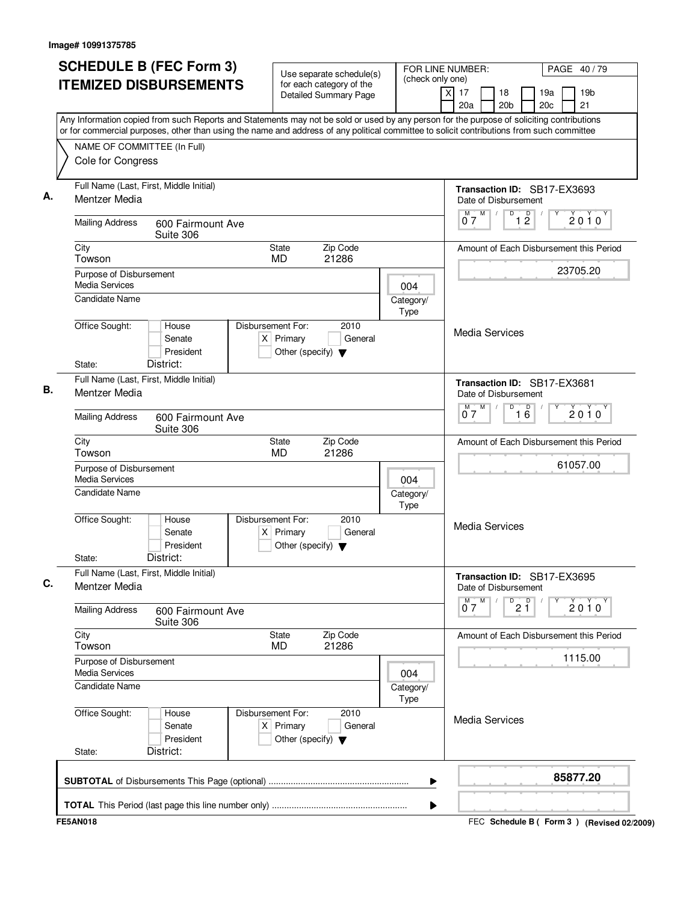| <b>SCHEDULE B (FEC Form 3)</b>                                                                                                            | FOR LINE NUMBER:<br>Use separate schedule(s)                                                  |                                               |                                                                    | PAGE 40/79                                      |
|-------------------------------------------------------------------------------------------------------------------------------------------|-----------------------------------------------------------------------------------------------|-----------------------------------------------|--------------------------------------------------------------------|-------------------------------------------------|
| <b>ITEMIZED DISBURSEMENTS</b>                                                                                                             | for each category of the<br><b>Detailed Summary Page</b>                                      | (check only one)<br>$\boldsymbol{\mathsf{X}}$ | 17<br>18<br>20a<br>20 <sub>b</sub>                                 | 19 <sub>b</sub><br>19a<br>20 <sub>c</sub><br>21 |
| Any Information copied from such Reports and Statements may not be sold or used by any person for the purpose of soliciting contributions |                                                                                               |                                               |                                                                    |                                                 |
| or for commercial purposes, other than using the name and address of any political committee to solicit contributions from such committee |                                                                                               |                                               |                                                                    |                                                 |
| NAME OF COMMITTEE (In Full)<br>Cole for Congress                                                                                          |                                                                                               |                                               |                                                                    |                                                 |
| Full Name (Last, First, Middle Initial)<br>Mentzer Media                                                                                  |                                                                                               |                                               | Transaction ID: SB17-EX3693<br>Date of Disbursement                |                                                 |
| <b>Mailing Address</b><br>600 Fairmount Ave<br>Suite 306                                                                                  |                                                                                               |                                               | M<br>D<br>1 <sup>D</sup><br>07                                     | 2010                                            |
| City<br>Towson                                                                                                                            | Zip Code<br><b>State</b><br>21286<br><b>MD</b>                                                |                                               |                                                                    | Amount of Each Disbursement this Period         |
| Purpose of Disbursement                                                                                                                   |                                                                                               |                                               |                                                                    | 23705.20                                        |
| Media Services                                                                                                                            |                                                                                               | 004                                           |                                                                    |                                                 |
| <b>Candidate Name</b>                                                                                                                     |                                                                                               | Category/<br>Type                             |                                                                    |                                                 |
| Office Sought:<br>House<br>Senate<br>President                                                                                            | Disbursement For:<br>2010<br>$X$ Primary<br>General<br>Other (specify) $\blacktriangledown$   |                                               | <b>Media Services</b>                                              |                                                 |
| District:<br>State:                                                                                                                       |                                                                                               |                                               |                                                                    |                                                 |
| Full Name (Last, First, Middle Initial)<br>Mentzer Media                                                                                  |                                                                                               |                                               | Transaction ID: SB17-EX3681<br>Date of Disbursement<br>M<br>D<br>M |                                                 |
| <b>Mailing Address</b><br>600 Fairmount Ave<br>Suite 306                                                                                  |                                                                                               |                                               | 16<br>07                                                           | $2010^y$                                        |
| City<br>Towson                                                                                                                            | Zip Code<br><b>State</b><br>MD<br>21286                                                       |                                               |                                                                    | Amount of Each Disbursement this Period         |
| Purpose of Disbursement<br><b>Media Services</b>                                                                                          |                                                                                               | 004                                           |                                                                    | 61057.00                                        |
| <b>Candidate Name</b>                                                                                                                     |                                                                                               | Category/<br>Type                             |                                                                    |                                                 |
| Office Sought:<br>House<br>Senate<br>President<br>District:<br>State:                                                                     | Disbursement For:<br>2010<br>$X$ Primary<br>General<br>Other (specify) $\blacktriangledown$   |                                               | <b>Media Services</b>                                              |                                                 |
| Full Name (Last, First, Middle Initial)<br>Mentzer Media                                                                                  |                                                                                               |                                               | Transaction ID: SB17-EX3695<br>Date of Disbursement                |                                                 |
| <b>Mailing Address</b><br>600 Fairmount Ave<br>Suite 306                                                                                  |                                                                                               |                                               | $0^M$ $7^M$<br>$\overline{P}$ 2 $\overline{1}$                     | Y<br>2010                                       |
| City<br>Towson                                                                                                                            | Zip Code<br>State<br>21286<br>MD                                                              |                                               |                                                                    | Amount of Each Disbursement this Period         |
| Purpose of Disbursement<br>Media Services                                                                                                 |                                                                                               | 004                                           |                                                                    | 1115.00                                         |
| <b>Candidate Name</b>                                                                                                                     |                                                                                               | Category/<br>Type                             |                                                                    |                                                 |
| Office Sought:<br>House<br>Senate<br>President<br>District:<br>State:                                                                     | Disbursement For:<br>2010<br>Primary<br>General<br>X∣<br>Other (specify) $\blacktriangledown$ |                                               | Media Services                                                     |                                                 |
|                                                                                                                                           |                                                                                               | ▶                                             |                                                                    | 85877.20                                        |
|                                                                                                                                           |                                                                                               | ▶                                             |                                                                    |                                                 |
| <b>FE5AN018</b>                                                                                                                           |                                                                                               |                                               |                                                                    | FEC Schedule B ( Form 3 ) (Revised 02/2009)     |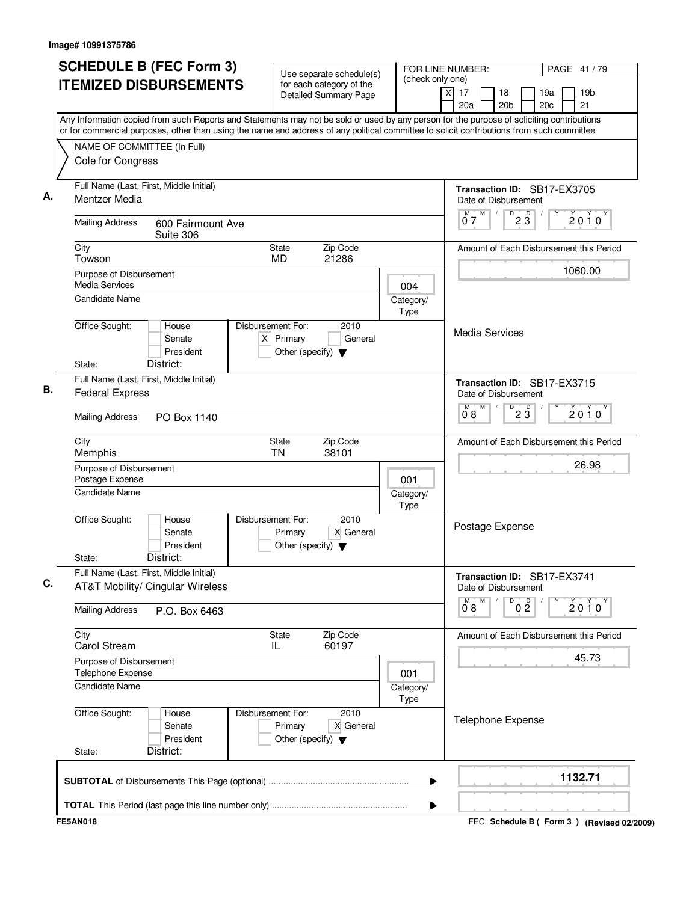| <b>SCHEDULE B (FEC Form 3)</b>                                                                                                            |                                                                          | Use separate schedule(s)                                 | FOR LINE NUMBER:<br>PAGE 41/79                                                                                                            |
|-------------------------------------------------------------------------------------------------------------------------------------------|--------------------------------------------------------------------------|----------------------------------------------------------|-------------------------------------------------------------------------------------------------------------------------------------------|
| <b>ITEMIZED DISBURSEMENTS</b>                                                                                                             |                                                                          | for each category of the<br><b>Detailed Summary Page</b> | (check only one)<br>$\times$<br>17<br>18<br>19a<br>19 <sub>b</sub><br>20a<br>20 <sub>b</sub><br>20c<br>21                                 |
| or for commercial purposes, other than using the name and address of any political committee to solicit contributions from such committee |                                                                          |                                                          | Any Information copied from such Reports and Statements may not be sold or used by any person for the purpose of soliciting contributions |
| NAME OF COMMITTEE (In Full)                                                                                                               |                                                                          |                                                          |                                                                                                                                           |
| Cole for Congress                                                                                                                         |                                                                          |                                                          |                                                                                                                                           |
| Full Name (Last, First, Middle Initial)<br>Mentzer Media                                                                                  |                                                                          |                                                          | Transaction ID: SB17-EX3705<br>Date of Disbursement                                                                                       |
| <b>Mailing Address</b><br>600 Fairmount Ave<br>Suite 306                                                                                  |                                                                          |                                                          | $M$ $M$<br>D<br>$2\overline{3}$<br>$2010^y$<br>07                                                                                         |
| City<br>Towson                                                                                                                            | <b>State</b><br><b>MD</b>                                                | Zip Code<br>21286                                        | Amount of Each Disbursement this Period                                                                                                   |
| Purpose of Disbursement<br>Media Services                                                                                                 |                                                                          |                                                          | 1060.00<br>004                                                                                                                            |
| <b>Candidate Name</b>                                                                                                                     |                                                                          |                                                          | Category/<br>Type                                                                                                                         |
| Office Sought:<br>House<br>Senate<br>President                                                                                            | Disbursement For:<br>$X$ Primary<br>Other (specify) $\blacktriangledown$ | 2010<br>General                                          | Media Services                                                                                                                            |
| District:<br>State:                                                                                                                       |                                                                          |                                                          |                                                                                                                                           |
| Full Name (Last, First, Middle Initial)<br><b>Federal Express</b>                                                                         |                                                                          |                                                          | Transaction ID: SB17-EX3715<br>Date of Disbursement                                                                                       |
| <b>Mailing Address</b><br>PO Box 1140                                                                                                     |                                                                          |                                                          | D<br>М<br>M<br>$2\overline{3}$<br>2010<br>08                                                                                              |
| City<br>Memphis                                                                                                                           | State<br><b>TN</b>                                                       | Zip Code<br>38101                                        | Amount of Each Disbursement this Period                                                                                                   |
| Purpose of Disbursement<br>Postage Expense                                                                                                |                                                                          |                                                          | 26.98<br>001                                                                                                                              |
| Candidate Name                                                                                                                            |                                                                          |                                                          | Category/<br>Type                                                                                                                         |
| Office Sought:<br>House<br>Senate<br>President                                                                                            | Disbursement For:<br>Primary<br>Other (specify) $\blacktriangledown$     | 2010<br>X General                                        | Postage Expense                                                                                                                           |
| District:<br>State:                                                                                                                       |                                                                          |                                                          |                                                                                                                                           |
| Full Name (Last, First, Middle Initial)<br>AT&T Mobility/ Cingular Wireless                                                               |                                                                          |                                                          | Transaction ID: SB17-EX3741<br>Date of Disbursement                                                                                       |
| <b>Mailing Address</b><br>P.O. Box 6463                                                                                                   |                                                                          |                                                          | M<br>D<br>0 <sup>0</sup><br>$\overline{0}^M$ 8<br>$2010^y$                                                                                |
| City<br><b>Carol Stream</b>                                                                                                               | State<br>IL                                                              | Zip Code<br>60197                                        | Amount of Each Disbursement this Period                                                                                                   |
| Purpose of Disbursement<br>Telephone Expense                                                                                              |                                                                          |                                                          | 45.73<br>001                                                                                                                              |
| Candidate Name                                                                                                                            |                                                                          |                                                          | Category/<br>Type                                                                                                                         |
| Office Sought:<br>House<br>Senate<br>President                                                                                            | Disbursement For:<br>Primary<br>Other (specify) $\blacktriangledown$     | 2010<br>X General                                        | <b>Telephone Expense</b>                                                                                                                  |
| District:<br>State:                                                                                                                       |                                                                          |                                                          |                                                                                                                                           |
|                                                                                                                                           |                                                                          |                                                          |                                                                                                                                           |
|                                                                                                                                           |                                                                          |                                                          | 1132.71<br>▶                                                                                                                              |

FEC **Schedule B ( ) Form 3 FE5AN018 (Revised 02/2009)**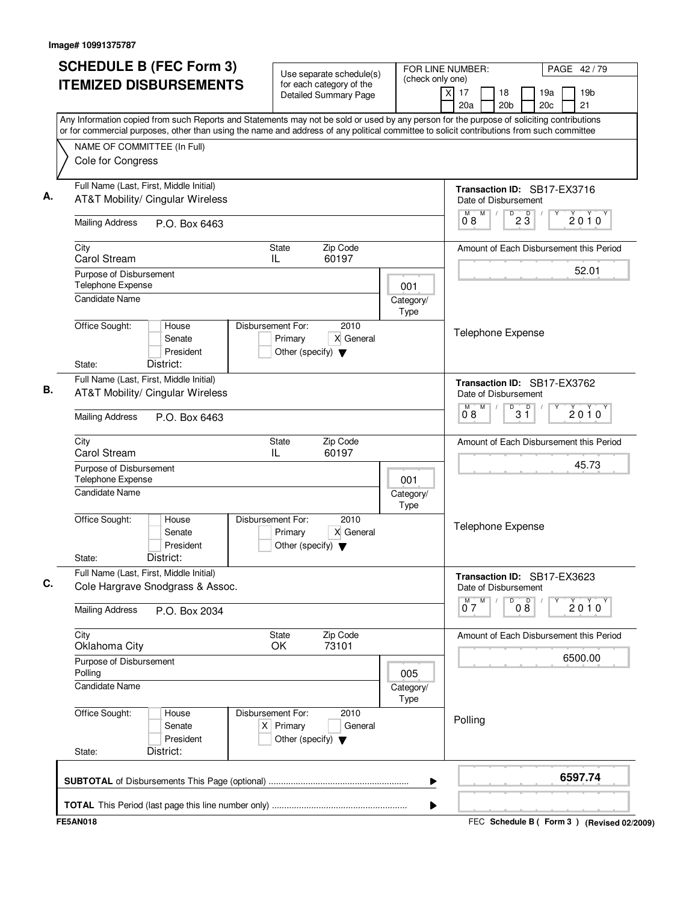| <b>SCHEDULE B (FEC Form 3)</b>                                                                                                                                                                                                                                                         | Use separate schedule(s)                                                                    |                   | FOR LINE NUMBER:<br>PAGE 42/79                                                                                   |  |  |  |
|----------------------------------------------------------------------------------------------------------------------------------------------------------------------------------------------------------------------------------------------------------------------------------------|---------------------------------------------------------------------------------------------|-------------------|------------------------------------------------------------------------------------------------------------------|--|--|--|
| <b>ITEMIZED DISBURSEMENTS</b>                                                                                                                                                                                                                                                          | for each category of the<br><b>Detailed Summary Page</b>                                    | (check only one)  | $\overline{\mathsf{x}}$<br>19 <sub>b</sub><br>17<br>18<br>19a<br>20a<br>20 <sub>b</sub><br>20 <sub>c</sub><br>21 |  |  |  |
| Any Information copied from such Reports and Statements may not be sold or used by any person for the purpose of soliciting contributions<br>or for commercial purposes, other than using the name and address of any political committee to solicit contributions from such committee |                                                                                             |                   |                                                                                                                  |  |  |  |
| NAME OF COMMITTEE (In Full)<br>Cole for Congress                                                                                                                                                                                                                                       |                                                                                             |                   |                                                                                                                  |  |  |  |
|                                                                                                                                                                                                                                                                                        |                                                                                             |                   |                                                                                                                  |  |  |  |
| Full Name (Last, First, Middle Initial)<br><b>AT&amp;T Mobility/ Cingular Wireless</b>                                                                                                                                                                                                 |                                                                                             |                   | Transaction ID: SB17-EX3716<br>Date of Disbursement                                                              |  |  |  |
| <b>Mailing Address</b><br>P.O. Box 6463                                                                                                                                                                                                                                                |                                                                                             |                   | M<br>M<br>D<br>$2\overline{3}$<br>2010<br>08                                                                     |  |  |  |
| City<br>Carol Stream                                                                                                                                                                                                                                                                   | Zip Code<br><b>State</b><br>60197<br>IL                                                     |                   | Amount of Each Disbursement this Period                                                                          |  |  |  |
| Purpose of Disbursement<br>Telephone Expense                                                                                                                                                                                                                                           |                                                                                             | 001               | 52.01                                                                                                            |  |  |  |
| <b>Candidate Name</b>                                                                                                                                                                                                                                                                  |                                                                                             | Category/<br>Type |                                                                                                                  |  |  |  |
| Office Sought:<br>House<br>Senate<br>President<br>District:<br>State:                                                                                                                                                                                                                  | Disbursement For:<br>2010<br>X General<br>Primary<br>Other (specify) $\blacktriangledown$   |                   | <b>Telephone Expense</b>                                                                                         |  |  |  |
| Full Name (Last, First, Middle Initial)<br><b>AT&amp;T Mobility/ Cingular Wireless</b>                                                                                                                                                                                                 |                                                                                             |                   | Transaction ID: SB17-EX3762<br>Date of Disbursement                                                              |  |  |  |
| <b>Mailing Address</b><br>P.O. Box 6463                                                                                                                                                                                                                                                |                                                                                             |                   | M<br>M.<br>$B^D$ 3 $\overline{1}$<br>2010<br>08                                                                  |  |  |  |
| City<br>Carol Stream                                                                                                                                                                                                                                                                   | Zip Code<br>State<br>IL<br>60197                                                            |                   | Amount of Each Disbursement this Period                                                                          |  |  |  |
| Purpose of Disbursement<br>Telephone Expense                                                                                                                                                                                                                                           |                                                                                             | 001               | 45.73                                                                                                            |  |  |  |
| <b>Candidate Name</b>                                                                                                                                                                                                                                                                  |                                                                                             | Category/<br>Type |                                                                                                                  |  |  |  |
| Office Sought:<br>House<br>Senate<br>President<br>District:<br>State:                                                                                                                                                                                                                  | Disbursement For:<br>2010<br>X General<br>Primary<br>Other (specify) $\blacktriangledown$   |                   | Telephone Expense                                                                                                |  |  |  |
| Full Name (Last, First, Middle Initial)<br>Cole Hargrave Snodgrass & Assoc.                                                                                                                                                                                                            |                                                                                             |                   | Transaction ID: SB17-EX3623<br>Date of Disbursement                                                              |  |  |  |
| <b>Mailing Address</b><br>P.O. Box 2034                                                                                                                                                                                                                                                |                                                                                             |                   | 08<br>$\overline{0}^M$ 7<br>M<br>D<br>$2010^y$                                                                   |  |  |  |
| City<br>Oklahoma City                                                                                                                                                                                                                                                                  | Zip Code<br>State<br>73101<br>OK                                                            |                   | Amount of Each Disbursement this Period                                                                          |  |  |  |
| Purpose of Disbursement<br>Polling                                                                                                                                                                                                                                                     |                                                                                             | 005               | 6500.00                                                                                                          |  |  |  |
| <b>Candidate Name</b>                                                                                                                                                                                                                                                                  |                                                                                             | Category/<br>Type |                                                                                                                  |  |  |  |
| Office Sought:<br>House<br>Senate<br>President<br>District:<br>State:                                                                                                                                                                                                                  | Disbursement For:<br>2010<br>$X$ Primary<br>General<br>Other (specify) $\blacktriangledown$ |                   | Polling                                                                                                          |  |  |  |
|                                                                                                                                                                                                                                                                                        |                                                                                             | ▶                 | 6597.74                                                                                                          |  |  |  |
|                                                                                                                                                                                                                                                                                        |                                                                                             | ▶                 |                                                                                                                  |  |  |  |
| <b>FE5AN018</b>                                                                                                                                                                                                                                                                        |                                                                                             |                   | FEC Schedule B ( Form 3 ) (Revised 02/2009)                                                                      |  |  |  |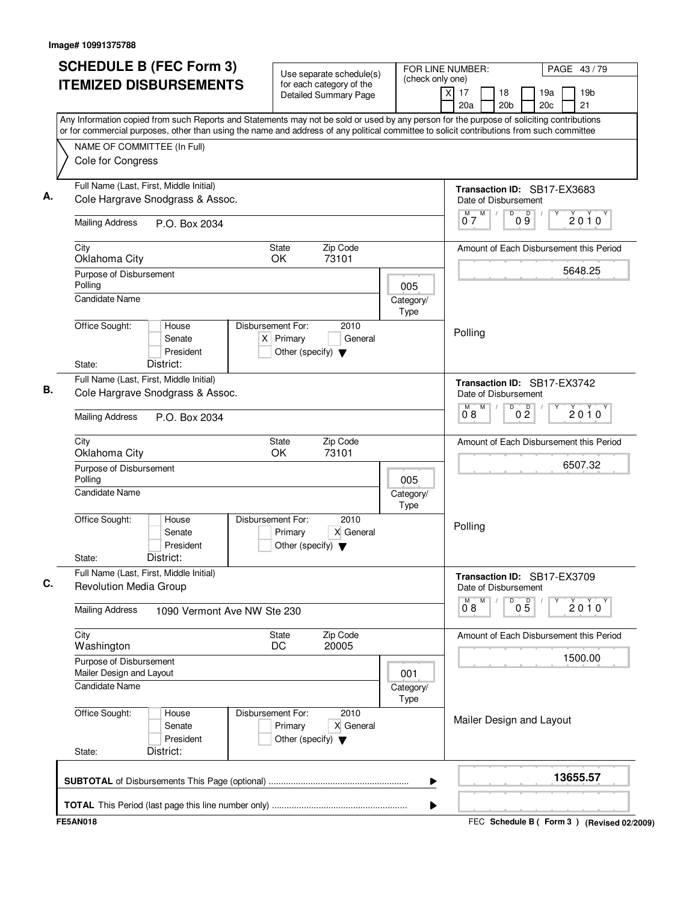| <b>SCHEDULE B (FEC Form 3)</b>                                                                                                                                                                                                                                                         |                             |                                                                          | Use separate schedule(s)<br>for each category of the |                   | FOR LINE NUMBER:<br>(check only one) |                                                          |                 | PAGE 43/79 |                                             |
|----------------------------------------------------------------------------------------------------------------------------------------------------------------------------------------------------------------------------------------------------------------------------------------|-----------------------------|--------------------------------------------------------------------------|------------------------------------------------------|-------------------|--------------------------------------|----------------------------------------------------------|-----------------|------------|---------------------------------------------|
| <b>ITEMIZED DISBURSEMENTS</b>                                                                                                                                                                                                                                                          |                             |                                                                          | <b>Detailed Summary Page</b>                         |                   | $\overline{x}$<br>17<br>20a          | 18<br>20 <sub>b</sub>                                    | 19a<br>20c      |            | 19 <sub>b</sub><br>21                       |
| Any Information copied from such Reports and Statements may not be sold or used by any person for the purpose of soliciting contributions<br>or for commercial purposes, other than using the name and address of any political committee to solicit contributions from such committee |                             |                                                                          |                                                      |                   |                                      |                                                          |                 |            |                                             |
| NAME OF COMMITTEE (In Full)                                                                                                                                                                                                                                                            |                             |                                                                          |                                                      |                   |                                      |                                                          |                 |            |                                             |
| Cole for Congress                                                                                                                                                                                                                                                                      |                             |                                                                          |                                                      |                   |                                      |                                                          |                 |            |                                             |
| Full Name (Last, First, Middle Initial)                                                                                                                                                                                                                                                |                             |                                                                          |                                                      |                   |                                      | Transaction ID: SB17-EX3683                              |                 |            |                                             |
| Cole Hargrave Snodgrass & Assoc.                                                                                                                                                                                                                                                       |                             |                                                                          |                                                      |                   |                                      | Date of Disbursement                                     |                 |            |                                             |
| <b>Mailing Address</b><br>P.O. Box 2034                                                                                                                                                                                                                                                |                             |                                                                          |                                                      |                   | M<br>ő 7                             | D                                                        | D<br>09         |            | 2010                                        |
| City                                                                                                                                                                                                                                                                                   |                             | State                                                                    | Zip Code                                             |                   |                                      |                                                          |                 |            | Amount of Each Disbursement this Period     |
| Oklahoma City                                                                                                                                                                                                                                                                          |                             | OK                                                                       | 73101                                                |                   |                                      |                                                          |                 |            | 5648.25                                     |
| Purpose of Disbursement<br>Polling                                                                                                                                                                                                                                                     |                             |                                                                          |                                                      | 005               |                                      |                                                          |                 |            |                                             |
| <b>Candidate Name</b>                                                                                                                                                                                                                                                                  |                             |                                                                          |                                                      | Category/<br>Type |                                      |                                                          |                 |            |                                             |
| Office Sought:<br>House<br>Senate<br>President<br>District:<br>State:                                                                                                                                                                                                                  |                             | Disbursement For:<br>$X$ Primary<br>Other (specify) $\blacktriangledown$ | 2010<br>General                                      |                   | Polling                              |                                                          |                 |            |                                             |
| Full Name (Last, First, Middle Initial)                                                                                                                                                                                                                                                |                             |                                                                          |                                                      |                   |                                      |                                                          |                 |            |                                             |
| Cole Hargrave Snodgrass & Assoc.                                                                                                                                                                                                                                                       |                             |                                                                          |                                                      |                   | M                                    | Transaction ID: SB17-EX3742<br>Date of Disbursement<br>D |                 |            |                                             |
| <b>Mailing Address</b><br>P.O. Box 2034                                                                                                                                                                                                                                                |                             |                                                                          |                                                      |                   | 08                                   |                                                          | 0 <sup>0</sup>  |            | 2010                                        |
| City<br>Oklahoma City                                                                                                                                                                                                                                                                  |                             | State<br>OK                                                              | Zip Code<br>73101                                    |                   |                                      |                                                          |                 |            | Amount of Each Disbursement this Period     |
| Purpose of Disbursement<br>Polling                                                                                                                                                                                                                                                     |                             |                                                                          |                                                      | 005               |                                      |                                                          |                 |            | 6507.32                                     |
| Candidate Name                                                                                                                                                                                                                                                                         |                             |                                                                          |                                                      | Category/<br>Type |                                      |                                                          |                 |            |                                             |
| Office Sought:<br>House<br>Senate<br>President<br>District:<br>State:                                                                                                                                                                                                                  |                             | Disbursement For:<br>Primary<br>Other (specify) $\blacktriangledown$     | 2010<br>X General                                    |                   | Polling                              |                                                          |                 |            |                                             |
| Full Name (Last, First, Middle Initial)                                                                                                                                                                                                                                                |                             |                                                                          |                                                      |                   |                                      | Transaction ID: SB17-EX3709                              |                 |            |                                             |
| Revolution Media Group                                                                                                                                                                                                                                                                 |                             |                                                                          |                                                      |                   |                                      | Date of Disbursement                                     |                 |            |                                             |
| <b>Mailing Address</b>                                                                                                                                                                                                                                                                 | 1090 Vermont Ave NW Ste 230 |                                                                          |                                                      |                   | M<br>$\overline{0}^{\mathsf{M}}$ 8   | D                                                        | $0\overline{5}$ |            | $2010^Y$                                    |
| City<br>Washington                                                                                                                                                                                                                                                                     |                             | State<br>DC                                                              | Zip Code<br>20005                                    |                   |                                      |                                                          |                 |            | Amount of Each Disbursement this Period     |
| Purpose of Disbursement<br>Mailer Design and Layout                                                                                                                                                                                                                                    |                             |                                                                          |                                                      | 001               |                                      |                                                          |                 |            | 1500.00                                     |
| <b>Candidate Name</b>                                                                                                                                                                                                                                                                  |                             |                                                                          |                                                      | Category/<br>Type |                                      |                                                          |                 |            |                                             |
| Office Sought:<br>House<br>Senate<br>President<br>District:<br>State:                                                                                                                                                                                                                  |                             | Disbursement For:<br>Primary<br>Other (specify) $\blacktriangledown$     | 2010<br>X General                                    |                   |                                      | Mailer Design and Layout                                 |                 |            |                                             |
|                                                                                                                                                                                                                                                                                        |                             |                                                                          |                                                      | ▶                 |                                      |                                                          |                 |            | 13655.57                                    |
|                                                                                                                                                                                                                                                                                        |                             |                                                                          |                                                      | ▶                 |                                      |                                                          |                 |            |                                             |
| <b>FE5AN018</b>                                                                                                                                                                                                                                                                        |                             |                                                                          |                                                      |                   |                                      |                                                          |                 |            | FEC Schedule B ( Form 3 ) (Revised 02/2009) |
|                                                                                                                                                                                                                                                                                        |                             |                                                                          |                                                      |                   |                                      |                                                          |                 |            |                                             |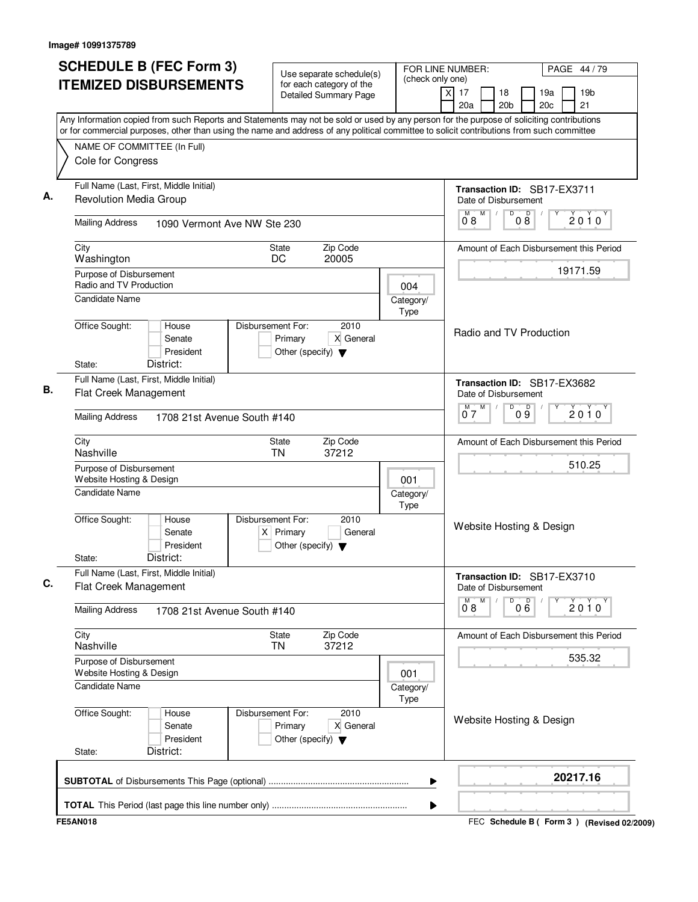| <b>SCHEDULE B (FEC Form 3)</b>                                                                                                                                                                                                                                                         | Use separate schedule(s)                                                                    |                   | FOR LINE NUMBER:<br>PAGE 44 / 79                                                      |
|----------------------------------------------------------------------------------------------------------------------------------------------------------------------------------------------------------------------------------------------------------------------------------------|---------------------------------------------------------------------------------------------|-------------------|---------------------------------------------------------------------------------------|
| <b>ITEMIZED DISBURSEMENTS</b>                                                                                                                                                                                                                                                          | for each category of the<br><b>Detailed Summary Page</b>                                    | (check only one)  | $\times$<br>17<br>18<br>19a<br>19 <sub>b</sub><br>20a<br>20 <sub>b</sub><br>20c<br>21 |
| Any Information copied from such Reports and Statements may not be sold or used by any person for the purpose of soliciting contributions<br>or for commercial purposes, other than using the name and address of any political committee to solicit contributions from such committee |                                                                                             |                   |                                                                                       |
| NAME OF COMMITTEE (In Full)                                                                                                                                                                                                                                                            |                                                                                             |                   |                                                                                       |
| Cole for Congress                                                                                                                                                                                                                                                                      |                                                                                             |                   |                                                                                       |
| Full Name (Last, First, Middle Initial)<br><b>Revolution Media Group</b>                                                                                                                                                                                                               |                                                                                             |                   | Transaction ID: SB17-EX3711<br>Date of Disbursement                                   |
| <b>Mailing Address</b><br>1090 Vermont Ave NW Ste 230                                                                                                                                                                                                                                  |                                                                                             |                   | M<br>D<br>$0\overset{D}{8}$<br>M<br>$2010^y$<br>08                                    |
| City<br>Washington                                                                                                                                                                                                                                                                     | Zip Code<br><b>State</b><br>DC<br>20005                                                     |                   | Amount of Each Disbursement this Period                                               |
| Purpose of Disbursement<br>Radio and TV Production                                                                                                                                                                                                                                     |                                                                                             | 004               | 19171.59                                                                              |
| Candidate Name                                                                                                                                                                                                                                                                         |                                                                                             | Category/<br>Type |                                                                                       |
| Office Sought:<br>House<br>Senate<br>President<br>State:<br>District:                                                                                                                                                                                                                  | Disbursement For:<br>2010<br>Primary<br>X General<br>Other (specify) $\blacktriangledown$   |                   | Radio and TV Production                                                               |
| Full Name (Last, First, Middle Initial)<br>Flat Creek Management                                                                                                                                                                                                                       |                                                                                             |                   | Transaction ID: SB17-EX3682<br>Date of Disbursement                                   |
| <b>Mailing Address</b><br>1708 21st Avenue South #140                                                                                                                                                                                                                                  |                                                                                             |                   | M<br>D<br>09<br>2010<br>07                                                            |
| City<br>Nashville                                                                                                                                                                                                                                                                      | Zip Code<br>State<br><b>TN</b><br>37212                                                     |                   | Amount of Each Disbursement this Period                                               |
| Purpose of Disbursement<br>Website Hosting & Design                                                                                                                                                                                                                                    |                                                                                             | 001               | 510.25                                                                                |
| Candidate Name                                                                                                                                                                                                                                                                         |                                                                                             | Category/<br>Type |                                                                                       |
| Office Sought:<br>House<br>Senate<br>President                                                                                                                                                                                                                                         | Disbursement For:<br>2010<br>$X$ Primary<br>General<br>Other (specify) $\blacktriangledown$ |                   | Website Hosting & Design                                                              |
| District:<br>State:<br>Full Name (Last, First, Middle Initial)                                                                                                                                                                                                                         |                                                                                             |                   | Transaction ID: SB17-EX3710                                                           |
| Flat Creek Management                                                                                                                                                                                                                                                                  |                                                                                             |                   | Date of Disbursement                                                                  |
| <b>Mailing Address</b><br>1708 21st Avenue South #140                                                                                                                                                                                                                                  |                                                                                             |                   | M<br>D<br>$\overline{0}^M$ 8<br>000<br>2010                                           |
| City<br>Nashville                                                                                                                                                                                                                                                                      | Zip Code<br>State<br><b>TN</b><br>37212                                                     |                   | Amount of Each Disbursement this Period                                               |
| Purpose of Disbursement<br>Website Hosting & Design                                                                                                                                                                                                                                    |                                                                                             | 001               | 535.32                                                                                |
| <b>Candidate Name</b>                                                                                                                                                                                                                                                                  |                                                                                             | Category/<br>Type |                                                                                       |
| Office Sought:<br>House<br>Senate<br>President<br>District:<br>State:                                                                                                                                                                                                                  | Disbursement For:<br>2010<br>Primary<br>X General<br>Other (specify) $\blacktriangledown$   |                   | Website Hosting & Design                                                              |
|                                                                                                                                                                                                                                                                                        |                                                                                             |                   | 20217.16                                                                              |
|                                                                                                                                                                                                                                                                                        |                                                                                             | ▶                 |                                                                                       |

FEC **Schedule B ( ) Form 3 FE5AN018 (Revised 02/2009)**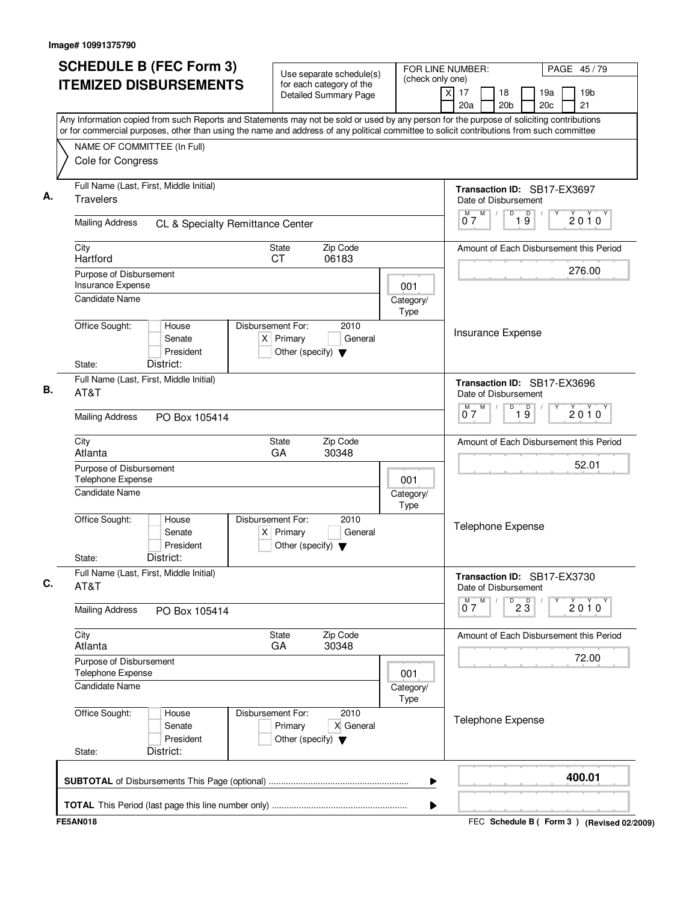| <b>SCHEDULE B (FEC Form 3)</b>                                                                                                            | Use separate schedule(s)                                                                    |                                             | FOR LINE NUMBER:<br>PAGE 45/79                      |                                                  |  |
|-------------------------------------------------------------------------------------------------------------------------------------------|---------------------------------------------------------------------------------------------|---------------------------------------------|-----------------------------------------------------|--------------------------------------------------|--|
| <b>ITEMIZED DISBURSEMENTS</b>                                                                                                             | for each category of the<br><b>Detailed Summary Page</b>                                    | (check only one)<br>$\overline{\mathsf{x}}$ | 17<br>18<br>20a<br>20 <sub>b</sub>                  | 19 <sub>b</sub><br>19a<br>20 <sub>c</sub><br>21  |  |
| Any Information copied from such Reports and Statements may not be sold or used by any person for the purpose of soliciting contributions |                                                                                             |                                             |                                                     |                                                  |  |
| or for commercial purposes, other than using the name and address of any political committee to solicit contributions from such committee |                                                                                             |                                             |                                                     |                                                  |  |
| NAME OF COMMITTEE (In Full)<br>Cole for Congress                                                                                          |                                                                                             |                                             |                                                     |                                                  |  |
| Full Name (Last, First, Middle Initial)<br><b>Travelers</b>                                                                               |                                                                                             |                                             | Transaction ID: SB17-EX3697<br>Date of Disbursement |                                                  |  |
| <b>Mailing Address</b><br>CL & Specialty Remittance Center                                                                                |                                                                                             |                                             | M<br>D<br>19<br>M<br>07                             | 2010                                             |  |
| City<br>Hartford                                                                                                                          | Zip Code<br>State<br>06183<br>СT                                                            |                                             |                                                     | Amount of Each Disbursement this Period          |  |
| Purpose of Disbursement                                                                                                                   |                                                                                             |                                             |                                                     | 276.00                                           |  |
| Insurance Expense<br><b>Candidate Name</b>                                                                                                |                                                                                             | 001<br>Category/<br>Type                    |                                                     |                                                  |  |
| Office Sought:<br>House<br>Senate<br>President<br>District:<br>State:                                                                     | Disbursement For:<br>2010<br>$X$ Primary<br>General<br>Other (specify) $\blacktriangledown$ |                                             | Insurance Expense                                   |                                                  |  |
| Full Name (Last, First, Middle Initial)<br>AT&T                                                                                           |                                                                                             |                                             | Transaction ID: SB17-EX3696<br>Date of Disbursement |                                                  |  |
| <b>Mailing Address</b><br>PO Box 105414                                                                                                   |                                                                                             |                                             | $\overline{D}$<br>M<br>$\overline{19}$<br>M<br>07   | $2010^y$                                         |  |
|                                                                                                                                           |                                                                                             |                                             |                                                     |                                                  |  |
| City<br>Atlanta                                                                                                                           | Zip Code<br><b>State</b><br>30348<br>GA                                                     |                                             |                                                     | Amount of Each Disbursement this Period<br>52.01 |  |
| Purpose of Disbursement<br>Telephone Expense                                                                                              |                                                                                             | 001                                         |                                                     |                                                  |  |
| <b>Candidate Name</b>                                                                                                                     |                                                                                             | Category/<br>Type                           |                                                     |                                                  |  |
| Office Sought:<br>House<br>Senate<br>President<br>District:<br>State:                                                                     | Disbursement For:<br>2010<br>$X$ Primary<br>General<br>Other (specify) $\blacktriangledown$ |                                             | Telephone Expense                                   |                                                  |  |
| Full Name (Last, First, Middle Initial)<br>AT&T                                                                                           |                                                                                             |                                             | Transaction ID: SB17-EX3730<br>Date of Disbursement |                                                  |  |
| <b>Mailing Address</b><br>PO Box 105414                                                                                                   |                                                                                             |                                             | $0^M$ $7^M$<br>$\overline{23}$                      | Y<br>2010                                        |  |
| City<br>Atlanta                                                                                                                           | Zip Code<br>State<br>GA<br>30348                                                            |                                             |                                                     | Amount of Each Disbursement this Period          |  |
| Purpose of Disbursement<br>Telephone Expense                                                                                              |                                                                                             | 001                                         |                                                     | 72.00                                            |  |
| <b>Candidate Name</b>                                                                                                                     |                                                                                             | Category/<br>Type                           |                                                     |                                                  |  |
| Office Sought:<br>House<br>Senate<br>President<br>District:<br>State:                                                                     | Disbursement For:<br>2010<br>Primary<br>X General<br>Other (specify) $\blacktriangledown$   |                                             | Telephone Expense                                   |                                                  |  |
|                                                                                                                                           |                                                                                             | ▶                                           |                                                     | 400.01                                           |  |
|                                                                                                                                           |                                                                                             | ▶                                           |                                                     |                                                  |  |
| <b>FE5AN018</b>                                                                                                                           |                                                                                             |                                             |                                                     | FEC Schedule B ( Form 3 ) (Revised 02/2009)      |  |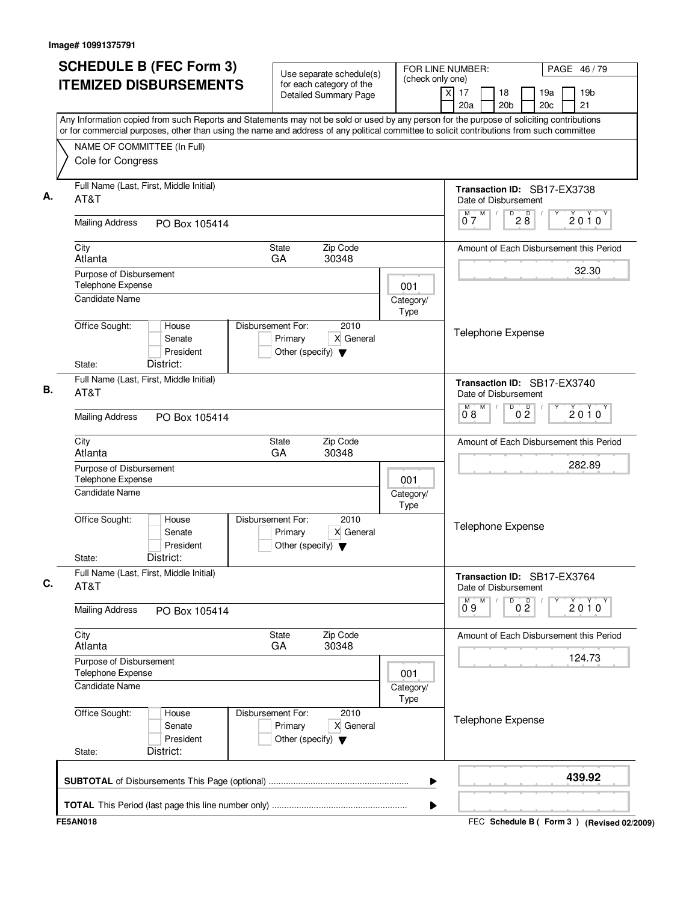|                                                                                                                                                                                                                                                                                        | <b>SCHEDULE B (FEC Form 3)</b><br>Use separate schedule(s) |                                                                      | (check only one)  | FOR LINE NUMBER:<br>PAGE 46/79 |                                                                              |                                         |
|----------------------------------------------------------------------------------------------------------------------------------------------------------------------------------------------------------------------------------------------------------------------------------------|------------------------------------------------------------|----------------------------------------------------------------------|-------------------|--------------------------------|------------------------------------------------------------------------------|-----------------------------------------|
| <b>ITEMIZED DISBURSEMENTS</b>                                                                                                                                                                                                                                                          |                                                            | for each category of the<br><b>Detailed Summary Page</b>             |                   |                                | 17<br>X<br>18<br>20a<br>20 <sub>b</sub>                                      | 19 <sub>b</sub><br>19a<br>21<br>20c     |
| Any Information copied from such Reports and Statements may not be sold or used by any person for the purpose of soliciting contributions<br>or for commercial purposes, other than using the name and address of any political committee to solicit contributions from such committee |                                                            |                                                                      |                   |                                |                                                                              |                                         |
| NAME OF COMMITTEE (In Full)<br>Cole for Congress                                                                                                                                                                                                                                       |                                                            |                                                                      |                   |                                |                                                                              |                                         |
| Full Name (Last, First, Middle Initial)<br>AT&T                                                                                                                                                                                                                                        |                                                            |                                                                      |                   |                                | Transaction ID: SB17-EX3738<br>Date of Disbursement                          |                                         |
| <b>Mailing Address</b>                                                                                                                                                                                                                                                                 | PO Box 105414                                              |                                                                      |                   |                                | M<br>$2\overset{D}{8}$<br>D<br>07                                            | $2010^y$                                |
| City<br>Atlanta                                                                                                                                                                                                                                                                        |                                                            | State<br>GA<br>30348                                                 | Zip Code          |                                |                                                                              | Amount of Each Disbursement this Period |
| Purpose of Disbursement<br>Telephone Expense                                                                                                                                                                                                                                           |                                                            |                                                                      |                   | 001                            |                                                                              | 32.30                                   |
| <b>Candidate Name</b>                                                                                                                                                                                                                                                                  |                                                            |                                                                      |                   | Category/<br>Type              |                                                                              |                                         |
| Office Sought:<br>District:<br>State:                                                                                                                                                                                                                                                  | House<br>Senate<br>President                               | Disbursement For:<br>Primary<br>Other (specify) $\blacktriangledown$ | 2010<br>X General |                                | Telephone Expense                                                            |                                         |
| Full Name (Last, First, Middle Initial)<br>AT&T                                                                                                                                                                                                                                        |                                                            |                                                                      |                   |                                | Transaction ID: SB17-EX3740<br>Date of Disbursement                          |                                         |
| <b>Mailing Address</b>                                                                                                                                                                                                                                                                 | PO Box 105414                                              |                                                                      |                   |                                | M<br>D<br>0 <sup>0</sup><br>M<br>08                                          | $2010^y$                                |
| City<br>Atlanta                                                                                                                                                                                                                                                                        |                                                            | State<br>GA<br>30348                                                 | Zip Code          |                                | Amount of Each Disbursement this Period                                      |                                         |
| Purpose of Disbursement<br>Telephone Expense                                                                                                                                                                                                                                           |                                                            |                                                                      |                   | 001                            |                                                                              | 282.89                                  |
| <b>Candidate Name</b>                                                                                                                                                                                                                                                                  |                                                            |                                                                      |                   | Category/<br>Type              |                                                                              |                                         |
| Office Sought:                                                                                                                                                                                                                                                                         | House<br>Senate<br>President                               | Disbursement For:<br>Primary<br>Other (specify) $\blacktriangledown$ | 2010<br>X General |                                | Telephone Expense                                                            |                                         |
| District:<br>State:<br>Full Name (Last, First, Middle Initial)                                                                                                                                                                                                                         |                                                            |                                                                      |                   |                                |                                                                              |                                         |
| AT&T                                                                                                                                                                                                                                                                                   |                                                            |                                                                      |                   |                                | Transaction ID: SB17-EX3764<br>Date of Disbursement<br>$\mathsf D$<br>M<br>М |                                         |
| <b>Mailing Address</b>                                                                                                                                                                                                                                                                 | PO Box 105414                                              |                                                                      |                   |                                | 0 <sup>D</sup><br>0°9                                                        | 2010                                    |
| City<br>Atlanta                                                                                                                                                                                                                                                                        |                                                            | State<br>GA                                                          | Zip Code<br>30348 |                                | Amount of Each Disbursement this Period                                      |                                         |
| Purpose of Disbursement<br>Telephone Expense                                                                                                                                                                                                                                           |                                                            |                                                                      |                   | 001                            |                                                                              | 124.73                                  |
| <b>Candidate Name</b>                                                                                                                                                                                                                                                                  |                                                            |                                                                      |                   | Category/<br>Type              |                                                                              |                                         |
| Office Sought:                                                                                                                                                                                                                                                                         | House<br>Senate<br>President                               | Disbursement For:<br>Primary<br>Other (specify) $\blacktriangledown$ | 2010<br>X General |                                | <b>Telephone Expense</b>                                                     |                                         |
| District:<br>State:                                                                                                                                                                                                                                                                    |                                                            |                                                                      |                   |                                |                                                                              |                                         |
|                                                                                                                                                                                                                                                                                        |                                                            |                                                                      |                   | ▶                              |                                                                              | 439.92                                  |

FEC **Schedule B ( ) Form 3 FE5AN018 (Revised 02/2009)**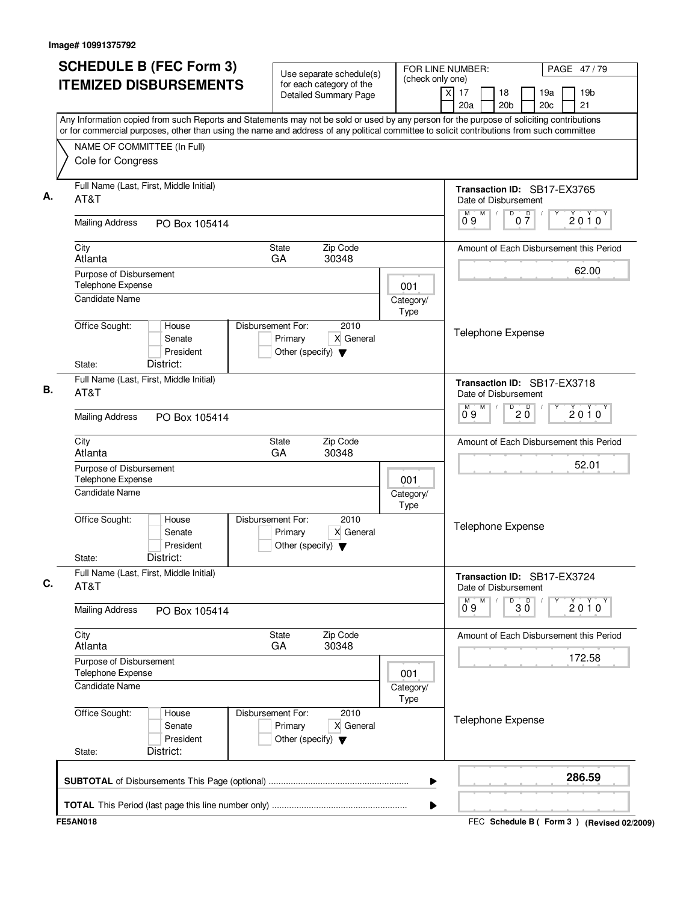| <b>SCHEDULE B (FEC Form 3)</b>                                                                                                                                                                                                                                                         | Use separate schedule(s)                                                                  |                          | FOR LINE NUMBER:                                    | PAGE 47/79                                      |
|----------------------------------------------------------------------------------------------------------------------------------------------------------------------------------------------------------------------------------------------------------------------------------------|-------------------------------------------------------------------------------------------|--------------------------|-----------------------------------------------------|-------------------------------------------------|
| <b>ITEMIZED DISBURSEMENTS</b>                                                                                                                                                                                                                                                          | for each category of the<br><b>Detailed Summary Page</b>                                  | (check only one)         | 17<br>18<br>x<br>20a<br>20 <sub>b</sub>             | 19 <sub>b</sub><br>19a<br>21<br>20 <sub>c</sub> |
| Any Information copied from such Reports and Statements may not be sold or used by any person for the purpose of soliciting contributions<br>or for commercial purposes, other than using the name and address of any political committee to solicit contributions from such committee |                                                                                           |                          |                                                     |                                                 |
| NAME OF COMMITTEE (In Full)                                                                                                                                                                                                                                                            |                                                                                           |                          |                                                     |                                                 |
| Cole for Congress                                                                                                                                                                                                                                                                      |                                                                                           |                          |                                                     |                                                 |
| Full Name (Last, First, Middle Initial)<br>AT&T                                                                                                                                                                                                                                        |                                                                                           |                          | Transaction ID: SB17-EX3765<br>Date of Disbursement |                                                 |
| <b>Mailing Address</b><br>PO Box 105414                                                                                                                                                                                                                                                |                                                                                           |                          | $0\frac{D}{7}$<br>$0^{\circ}9$<br>D                 | $2010^y$                                        |
| City<br>Atlanta                                                                                                                                                                                                                                                                        | Zip Code<br>State<br>30348<br>GA                                                          |                          |                                                     | Amount of Each Disbursement this Period         |
| Purpose of Disbursement                                                                                                                                                                                                                                                                |                                                                                           |                          |                                                     | 62.00                                           |
| Telephone Expense                                                                                                                                                                                                                                                                      |                                                                                           | 001                      |                                                     |                                                 |
| <b>Candidate Name</b>                                                                                                                                                                                                                                                                  |                                                                                           | Category/<br>Type        |                                                     |                                                 |
| Office Sought:<br>House<br>Senate<br>President<br>District:<br>State:                                                                                                                                                                                                                  | Disbursement For:<br>2010<br>X General<br>Primary<br>Other (specify) $\blacktriangledown$ |                          | <b>Telephone Expense</b>                            |                                                 |
| Full Name (Last, First, Middle Initial)<br>AT&T                                                                                                                                                                                                                                        |                                                                                           |                          | Transaction ID: SB17-EX3718<br>Date of Disbursement |                                                 |
| <b>Mailing Address</b><br>PO Box 105414                                                                                                                                                                                                                                                |                                                                                           |                          | M<br>M<br>D<br>D<br>20<br>09                        | $2010^y$                                        |
| City<br>Atlanta                                                                                                                                                                                                                                                                        | Zip Code<br>State<br>GA<br>30348                                                          |                          |                                                     | Amount of Each Disbursement this Period         |
| Purpose of Disbursement<br>Telephone Expense                                                                                                                                                                                                                                           |                                                                                           |                          |                                                     | 52.01                                           |
| <b>Candidate Name</b>                                                                                                                                                                                                                                                                  |                                                                                           | 001<br>Category/<br>Type |                                                     |                                                 |
| Office Sought:<br>House<br>Senate<br>President<br>District:<br>State:                                                                                                                                                                                                                  | Disbursement For:<br>2010<br>X General<br>Primary<br>Other (specify) $\blacktriangledown$ |                          | Telephone Expense                                   |                                                 |
| Full Name (Last, First, Middle Initial)<br>AT&T                                                                                                                                                                                                                                        |                                                                                           |                          | Transaction ID: SB17-EX3724<br>Date of Disbursement |                                                 |
| <b>Mailing Address</b><br>PO Box 105414                                                                                                                                                                                                                                                |                                                                                           |                          | M<br>D<br>$30^{\circ}$<br>0.9                       | 2010                                            |
| City<br>Atlanta                                                                                                                                                                                                                                                                        | Zip Code<br>State<br>GA<br>30348                                                          |                          |                                                     | Amount of Each Disbursement this Period         |
| Purpose of Disbursement<br>Telephone Expense                                                                                                                                                                                                                                           |                                                                                           | 001                      |                                                     | 172.58                                          |
| <b>Candidate Name</b>                                                                                                                                                                                                                                                                  |                                                                                           | Category/<br>Type        |                                                     |                                                 |
| Office Sought:<br>House<br>Senate<br>President<br>District:<br>State:                                                                                                                                                                                                                  | Disbursement For:<br>2010<br>X General<br>Primary<br>Other (specify) $\blacktriangledown$ |                          | <b>Telephone Expense</b>                            |                                                 |
|                                                                                                                                                                                                                                                                                        |                                                                                           | ▶                        |                                                     | 286.59                                          |
|                                                                                                                                                                                                                                                                                        |                                                                                           | ▶                        |                                                     |                                                 |
| <b>FE5AN018</b>                                                                                                                                                                                                                                                                        |                                                                                           |                          |                                                     | FEC Schedule B (Form 3) (Revised 02/2009)       |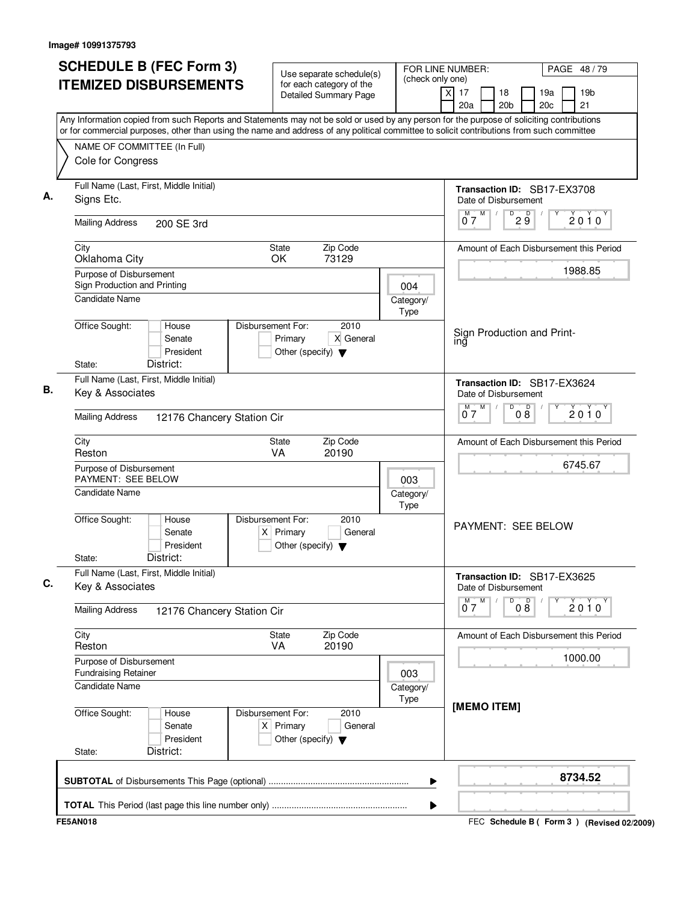| <b>SCHEDULE B (FEC Form 3)</b>                                                                                                                                                                                                                                                         | Use separate schedule(s)                                                                    |                          | FOR LINE NUMBER:<br>PAGE 48/79                                                                          |
|----------------------------------------------------------------------------------------------------------------------------------------------------------------------------------------------------------------------------------------------------------------------------------------|---------------------------------------------------------------------------------------------|--------------------------|---------------------------------------------------------------------------------------------------------|
| <b>ITEMIZED DISBURSEMENTS</b>                                                                                                                                                                                                                                                          | for each category of the<br>Detailed Summary Page                                           | (check only one)         | $\overline{x}$<br>17<br>19 <sub>b</sub><br>18<br>19a<br>21<br>20a<br>20 <sub>b</sub><br>20 <sub>c</sub> |
| Any Information copied from such Reports and Statements may not be sold or used by any person for the purpose of soliciting contributions<br>or for commercial purposes, other than using the name and address of any political committee to solicit contributions from such committee |                                                                                             |                          |                                                                                                         |
| NAME OF COMMITTEE (In Full)                                                                                                                                                                                                                                                            |                                                                                             |                          |                                                                                                         |
| Cole for Congress                                                                                                                                                                                                                                                                      |                                                                                             |                          |                                                                                                         |
| Full Name (Last, First, Middle Initial)<br>Signs Etc.                                                                                                                                                                                                                                  |                                                                                             |                          | Transaction ID: SB17-EX3708<br>Date of Disbursement                                                     |
| <b>Mailing Address</b><br>200 SE 3rd                                                                                                                                                                                                                                                   |                                                                                             |                          | M<br>D<br>D<br>2010<br>$0^{\degree}$ 7<br>$2\overline{9}$                                               |
| City<br>Oklahoma City                                                                                                                                                                                                                                                                  | Zip Code<br>State<br>OK<br>73129                                                            |                          | Amount of Each Disbursement this Period                                                                 |
| Purpose of Disbursement                                                                                                                                                                                                                                                                |                                                                                             |                          | 1988.85                                                                                                 |
| Sign Production and Printing<br><b>Candidate Name</b>                                                                                                                                                                                                                                  |                                                                                             | 004<br>Category/<br>Type |                                                                                                         |
| Office Sought:<br>House<br>Senate<br>President<br>District:<br>State:                                                                                                                                                                                                                  | Disbursement For:<br>2010<br>X General<br>Primary<br>Other (specify) $\blacktriangledown$   |                          | Sign Production and Print-<br>ing                                                                       |
| Full Name (Last, First, Middle Initial)                                                                                                                                                                                                                                                |                                                                                             |                          | Transaction ID: SB17-EX3624                                                                             |
| Key & Associates                                                                                                                                                                                                                                                                       |                                                                                             |                          | Date of Disbursement                                                                                    |
| <b>Mailing Address</b><br>12176 Chancery Station Cir                                                                                                                                                                                                                                   |                                                                                             |                          | M<br>D<br>M.<br>08<br>2010<br>07                                                                        |
| City<br>Reston                                                                                                                                                                                                                                                                         | Zip Code<br>State<br>VA<br>20190                                                            |                          | Amount of Each Disbursement this Period                                                                 |
| Purpose of Disbursement<br>PAYMENT: SEE BELOW                                                                                                                                                                                                                                          |                                                                                             | 003                      | 6745.67                                                                                                 |
| <b>Candidate Name</b>                                                                                                                                                                                                                                                                  |                                                                                             | Category/<br>Type        |                                                                                                         |
| Office Sought:<br>House<br>Senate<br>President<br>District:<br>State:                                                                                                                                                                                                                  | Disbursement For:<br>2010<br>$X$ Primary<br>General<br>Other (specify) $\blacktriangledown$ |                          | <b>PAYMENT: SEE BELOW</b>                                                                               |
| Full Name (Last, First, Middle Initial)<br>Key & Associates                                                                                                                                                                                                                            |                                                                                             |                          | Transaction ID: SB17-EX3625<br>Date of Disbursement                                                     |
| <b>Mailing Address</b><br>12176 Chancery Station Cir                                                                                                                                                                                                                                   |                                                                                             |                          | M<br>08<br>$0^{M}$<br>D<br>$2010^Y$                                                                     |
| City<br>Reston                                                                                                                                                                                                                                                                         | Zip Code<br>State<br>20190<br><b>VA</b>                                                     |                          | Amount of Each Disbursement this Period                                                                 |
| Purpose of Disbursement<br><b>Fundraising Retainer</b>                                                                                                                                                                                                                                 |                                                                                             | 003                      | 1000.00                                                                                                 |
| <b>Candidate Name</b>                                                                                                                                                                                                                                                                  |                                                                                             | Category/<br>Type        |                                                                                                         |
| Office Sought:<br>House<br>Senate<br>President<br>District:<br>State:                                                                                                                                                                                                                  | Disbursement For:<br>2010<br>$X$ Primary<br>General<br>Other (specify) $\blacktriangledown$ |                          | [MEMO ITEM]                                                                                             |
|                                                                                                                                                                                                                                                                                        |                                                                                             |                          | 8734.52                                                                                                 |
|                                                                                                                                                                                                                                                                                        |                                                                                             | ▶                        |                                                                                                         |
| <b>FE5AN018</b>                                                                                                                                                                                                                                                                        |                                                                                             |                          | FEC Schedule B ( Form 3 ) (Revised 02/2009)                                                             |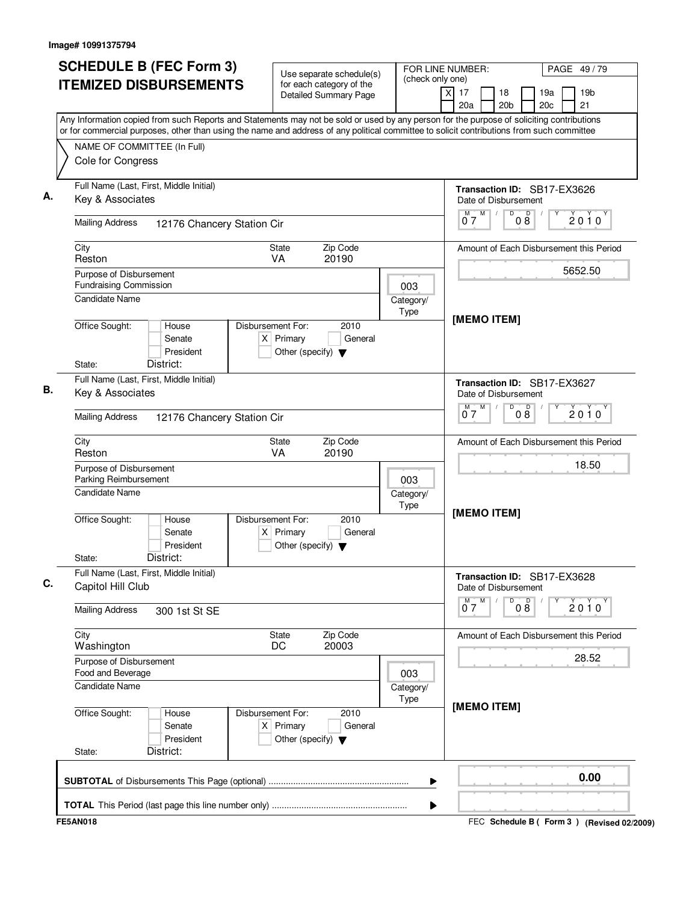|                                                              | <b>SCHEDULE B (FEC Form 3)</b> |                                                                          | Use separate schedule(s)                                 |                   | FOR LINE NUMBER:<br>PAGE 49/79                                                                                                                                                                                                                                                         |
|--------------------------------------------------------------|--------------------------------|--------------------------------------------------------------------------|----------------------------------------------------------|-------------------|----------------------------------------------------------------------------------------------------------------------------------------------------------------------------------------------------------------------------------------------------------------------------------------|
| <b>ITEMIZED DISBURSEMENTS</b>                                |                                |                                                                          | for each category of the<br><b>Detailed Summary Page</b> | (check only one)  | $\overline{\mathsf{x}}$<br>17<br>18<br>19 <sub>b</sub><br>19a<br>20 <sub>b</sub><br>20 <sub>c</sub><br>21<br>20a                                                                                                                                                                       |
|                                                              |                                |                                                                          |                                                          |                   | Any Information copied from such Reports and Statements may not be sold or used by any person for the purpose of soliciting contributions<br>or for commercial purposes, other than using the name and address of any political committee to solicit contributions from such committee |
| NAME OF COMMITTEE (In Full)<br>Cole for Congress             |                                |                                                                          |                                                          |                   |                                                                                                                                                                                                                                                                                        |
| Full Name (Last, First, Middle Initial)                      |                                |                                                                          |                                                          |                   | Transaction ID: SB17-EX3626                                                                                                                                                                                                                                                            |
| Key & Associates                                             |                                |                                                                          |                                                          |                   | Date of Disbursement<br>M<br>D<br>$0\overset{D}{8}$<br>M<br>2010                                                                                                                                                                                                                       |
| <b>Mailing Address</b>                                       | 12176 Chancery Station Cir     |                                                                          |                                                          |                   | 07                                                                                                                                                                                                                                                                                     |
| City<br>Reston                                               |                                | <b>State</b><br><b>VA</b>                                                | Zip Code<br>20190                                        |                   | Amount of Each Disbursement this Period                                                                                                                                                                                                                                                |
| Purpose of Disbursement<br><b>Fundraising Commission</b>     |                                |                                                                          |                                                          | 003               | 5652.50                                                                                                                                                                                                                                                                                |
| <b>Candidate Name</b>                                        |                                |                                                                          |                                                          | Category/<br>Type |                                                                                                                                                                                                                                                                                        |
| Office Sought:<br>House<br>Senate<br>District:<br>State:     | President                      | Disbursement For:<br>$X$ Primary<br>Other (specify) $\blacktriangledown$ | 2010<br>General                                          |                   | [MEMO ITEM]                                                                                                                                                                                                                                                                            |
| Full Name (Last, First, Middle Initial)                      |                                |                                                                          |                                                          |                   | Transaction ID: SB17-EX3627                                                                                                                                                                                                                                                            |
| Key & Associates                                             |                                |                                                                          |                                                          |                   | Date of Disbursement<br>M<br>D<br>М                                                                                                                                                                                                                                                    |
| <b>Mailing Address</b>                                       | 12176 Chancery Station Cir     |                                                                          |                                                          |                   | 08<br>$2010^y$<br>07                                                                                                                                                                                                                                                                   |
| City<br>Reston                                               |                                | <b>State</b><br><b>VA</b>                                                | Zip Code<br>20190                                        |                   | Amount of Each Disbursement this Period                                                                                                                                                                                                                                                |
| Purpose of Disbursement<br>Parking Reimbursement             |                                |                                                                          |                                                          | 003               | 18.50                                                                                                                                                                                                                                                                                  |
| <b>Candidate Name</b>                                        |                                |                                                                          |                                                          | Category/<br>Type |                                                                                                                                                                                                                                                                                        |
| Office Sought:<br>House<br>Senate<br>District:<br>State:     | President                      | Disbursement For:<br>$X$ Primary<br>Other (specify) $\blacktriangledown$ | 2010<br>General                                          |                   | [MEMO ITEM]                                                                                                                                                                                                                                                                            |
| Full Name (Last, First, Middle Initial)<br>Capitol Hill Club |                                |                                                                          |                                                          |                   | Transaction ID: SB17-EX3628<br>Date of Disbursement                                                                                                                                                                                                                                    |
| <b>Mailing Address</b>                                       | 300 1st St SE                  |                                                                          |                                                          |                   | $0^M$ $7^M$<br>D<br>08<br>Y<br>2010                                                                                                                                                                                                                                                    |
| City<br>Washington                                           |                                | State<br>DC                                                              | Zip Code<br>20003                                        |                   | Amount of Each Disbursement this Period                                                                                                                                                                                                                                                |
| Purpose of Disbursement<br>Food and Beverage                 |                                |                                                                          |                                                          | 003               | 28.52                                                                                                                                                                                                                                                                                  |
| <b>Candidate Name</b>                                        |                                |                                                                          |                                                          | Category/<br>Type |                                                                                                                                                                                                                                                                                        |
|                                                              |                                | Disbursement For:                                                        | 2010                                                     |                   | [MEMO ITEM]                                                                                                                                                                                                                                                                            |
| Office Sought:<br>House<br>Senate                            | President                      | $X$ Primary<br>Other (specify) $\blacktriangledown$                      | General                                                  |                   |                                                                                                                                                                                                                                                                                        |
| District:<br>State:                                          |                                |                                                                          |                                                          | ▶                 | 0.00                                                                                                                                                                                                                                                                                   |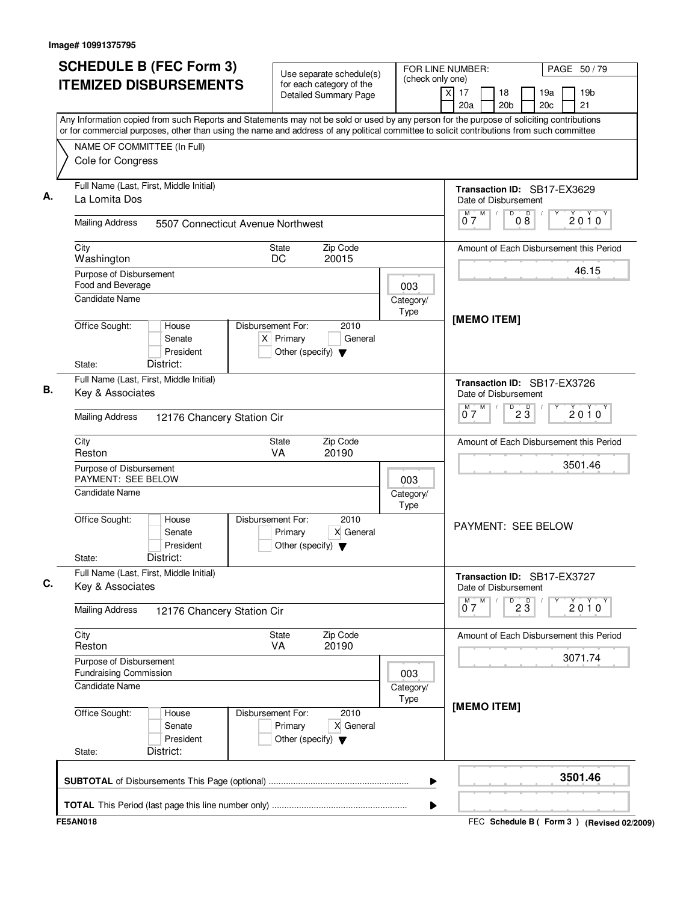|                |                                                                                   | <b>ITEMIZED DISBURSEMENTS</b>                                                                                                                                                                                                                                                          |                                  |                                                 | Use separate schedule(s)                                 |                          |                         |              |                                                          |                        |                        |                                         |
|----------------|-----------------------------------------------------------------------------------|----------------------------------------------------------------------------------------------------------------------------------------------------------------------------------------------------------------------------------------------------------------------------------------|----------------------------------|-------------------------------------------------|----------------------------------------------------------|--------------------------|-------------------------|--------------|----------------------------------------------------------|------------------------|------------------------|-----------------------------------------|
|                |                                                                                   |                                                                                                                                                                                                                                                                                        |                                  |                                                 | for each category of the<br><b>Detailed Summary Page</b> | (check only one)         | $\overline{\mathsf{x}}$ | 17<br>20a    | 18<br>20 <sub>b</sub>                                    |                        | 19a<br>20 <sub>c</sub> | 19 <sub>b</sub><br>21                   |
|                |                                                                                   | Any Information copied from such Reports and Statements may not be sold or used by any person for the purpose of soliciting contributions<br>or for commercial purposes, other than using the name and address of any political committee to solicit contributions from such committee |                                  |                                                 |                                                          |                          |                         |              |                                                          |                        |                        |                                         |
|                | Cole for Congress                                                                 | NAME OF COMMITTEE (In Full)                                                                                                                                                                                                                                                            |                                  |                                                 |                                                          |                          |                         |              |                                                          |                        |                        |                                         |
|                | La Lomita Dos                                                                     | Full Name (Last, First, Middle Initial)                                                                                                                                                                                                                                                |                                  |                                                 |                                                          |                          |                         |              | Transaction ID: SB17-EX3629<br>Date of Disbursement      |                        |                        |                                         |
|                | <b>Mailing Address</b>                                                            | 5507 Connecticut Avenue Northwest                                                                                                                                                                                                                                                      |                                  |                                                 |                                                          |                          |                         | M<br>M<br>07 |                                                          | D<br>$0\overset{D}{8}$ |                        | 2010                                    |
| City           | Washington                                                                        |                                                                                                                                                                                                                                                                                        | <b>State</b><br>DC               |                                                 | Zip Code<br>20015                                        |                          |                         |              |                                                          |                        |                        | Amount of Each Disbursement this Period |
|                | Purpose of Disbursement<br>Food and Beverage<br><b>Candidate Name</b>             |                                                                                                                                                                                                                                                                                        |                                  |                                                 |                                                          | 003<br>Category/         |                         |              |                                                          |                        |                        | 46.15                                   |
| State:         | Office Sought:                                                                    | House<br>Senate<br>President<br>District:                                                                                                                                                                                                                                              | Disbursement For:<br>$X$ Primary | Other (specify) $\blacktriangledown$            | 2010<br>General                                          | Type                     |                         |              | [MEMO ITEM]                                              |                        |                        |                                         |
|                | Key & Associates                                                                  | Full Name (Last, First, Middle Initial)                                                                                                                                                                                                                                                |                                  |                                                 |                                                          |                          |                         | М            | Transaction ID: SB17-EX3726<br>Date of Disbursement<br>M | D                      |                        |                                         |
|                | <b>Mailing Address</b>                                                            | 12176 Chancery Station Cir                                                                                                                                                                                                                                                             |                                  |                                                 |                                                          |                          |                         | 07           |                                                          | $2\overline{3}$        |                        | $2010^y$                                |
| City<br>Reston |                                                                                   |                                                                                                                                                                                                                                                                                        | <b>State</b><br><b>VA</b>        |                                                 | Zip Code<br>20190                                        |                          |                         |              |                                                          |                        |                        | Amount of Each Disbursement this Period |
|                | Purpose of Disbursement<br>PAYMENT: SEE BELOW<br><b>Candidate Name</b>            |                                                                                                                                                                                                                                                                                        |                                  |                                                 |                                                          | 003<br>Category/<br>Type |                         |              |                                                          |                        |                        | 3501.46                                 |
| State:         | Office Sought:                                                                    | House<br>Senate<br>President<br>District:                                                                                                                                                                                                                                              | Disbursement For:                | Primary<br>Other (specify) $\blacktriangledown$ | 2010<br>X General                                        |                          |                         |              | <b>PAYMENT: SEE BELOW</b>                                |                        |                        |                                         |
|                | Key & Associates                                                                  | Full Name (Last, First, Middle Initial)                                                                                                                                                                                                                                                |                                  |                                                 |                                                          |                          |                         |              | Transaction ID: SB17-EX3727<br>Date of Disbursement      |                        |                        |                                         |
|                | <b>Mailing Address</b>                                                            | 12176 Chancery Station Cir                                                                                                                                                                                                                                                             |                                  |                                                 |                                                          |                          |                         | $0^M$ $7^M$  |                                                          | $\overline{23}$        | Y                      | 2010                                    |
| City<br>Reston |                                                                                   |                                                                                                                                                                                                                                                                                        | State<br>VA                      |                                                 | Zip Code<br>20190                                        |                          |                         |              |                                                          |                        |                        | Amount of Each Disbursement this Period |
|                | Purpose of Disbursement<br><b>Fundraising Commission</b><br><b>Candidate Name</b> |                                                                                                                                                                                                                                                                                        |                                  |                                                 |                                                          | 003<br>Category/         |                         |              |                                                          |                        |                        | 3071.74                                 |
| State:         | Office Sought:                                                                    | House<br>Senate<br>President<br>District:                                                                                                                                                                                                                                              | Disbursement For:                | Primary<br>Other (specify) $\blacktriangledown$ | 2010<br>X General                                        | Type                     |                         |              | [MEMO ITEM]                                              |                        |                        |                                         |
|                |                                                                                   |                                                                                                                                                                                                                                                                                        |                                  |                                                 |                                                          | ▶                        |                         |              |                                                          |                        |                        | 3501.46                                 |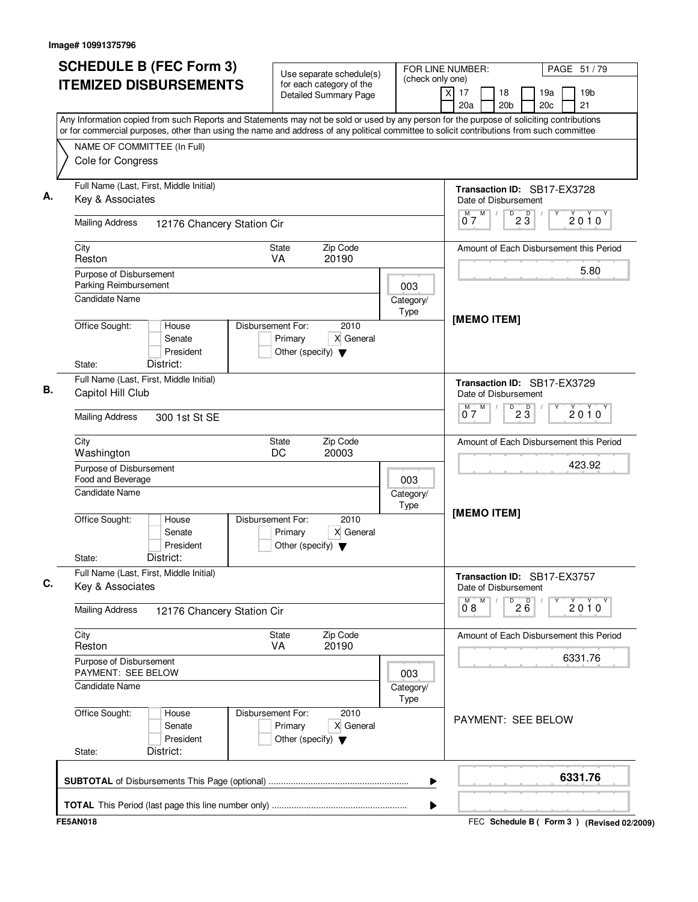| <b>ITEMIZED DISBURSEMENTS</b>                                                                                                                                                                                                                                                          | Use separate schedule(s)                                                                  |                   |                                                               | PAGE 51 / 79                            |
|----------------------------------------------------------------------------------------------------------------------------------------------------------------------------------------------------------------------------------------------------------------------------------------|-------------------------------------------------------------------------------------------|-------------------|---------------------------------------------------------------|-----------------------------------------|
|                                                                                                                                                                                                                                                                                        | for each category of the<br><b>Detailed Summary Page</b>                                  | (check only one)  | $\overline{\mathsf{x}}$<br>17<br>18<br>20a<br>20 <sub>b</sub> | 19 <sub>b</sub><br>19a<br>20c<br>21     |
| Any Information copied from such Reports and Statements may not be sold or used by any person for the purpose of soliciting contributions<br>or for commercial purposes, other than using the name and address of any political committee to solicit contributions from such committee |                                                                                           |                   |                                                               |                                         |
| NAME OF COMMITTEE (In Full)<br>Cole for Congress                                                                                                                                                                                                                                       |                                                                                           |                   |                                                               |                                         |
| Full Name (Last, First, Middle Initial)<br>Key & Associates                                                                                                                                                                                                                            |                                                                                           |                   | Transaction ID: SB17-EX3728<br>Date of Disbursement           |                                         |
| <b>Mailing Address</b><br>12176 Chancery Station Cir                                                                                                                                                                                                                                   |                                                                                           |                   | $\overline{0}^{\overline{M}}$<br>$\overline{23}$              | $2010^y$                                |
| City<br>Reston                                                                                                                                                                                                                                                                         | Zip Code<br><b>State</b><br><b>VA</b><br>20190                                            |                   | Amount of Each Disbursement this Period                       |                                         |
| Purpose of Disbursement<br>Parking Reimbursement                                                                                                                                                                                                                                       |                                                                                           | 003               |                                                               | 5.80                                    |
| Candidate Name                                                                                                                                                                                                                                                                         | Disbursement For:<br>2010                                                                 | Category/<br>Type | [MEMO ITEM]                                                   |                                         |
| Office Sought:<br>House<br>Senate<br>President                                                                                                                                                                                                                                         | X General<br>Primary<br>Other (specify) $\blacktriangledown$                              |                   |                                                               |                                         |
| District:<br>State:<br>Full Name (Last, First, Middle Initial)<br>Capitol Hill Club                                                                                                                                                                                                    |                                                                                           |                   | Transaction ID: SB17-EX3729<br>Date of Disbursement           |                                         |
| <b>Mailing Address</b><br>300 1st St SE                                                                                                                                                                                                                                                |                                                                                           |                   | M<br>D<br>$2\overline{3}$<br>M<br>07                          | $2010^y$                                |
| City<br>Washington                                                                                                                                                                                                                                                                     | Zip Code<br>State<br>DC<br>20003                                                          |                   | Amount of Each Disbursement this Period                       |                                         |
| Purpose of Disbursement<br>Food and Beverage                                                                                                                                                                                                                                           |                                                                                           | 003               |                                                               | 423.92                                  |
| <b>Candidate Name</b>                                                                                                                                                                                                                                                                  |                                                                                           | Category/<br>Type | [MEMO ITEM]                                                   |                                         |
| Office Sought:<br>House<br>Senate<br>President<br>District:<br>State:                                                                                                                                                                                                                  | Disbursement For:<br>2010<br>X General<br>Primary<br>Other (specify) $\blacktriangledown$ |                   |                                                               |                                         |
| Full Name (Last, First, Middle Initial)<br>Key & Associates                                                                                                                                                                                                                            |                                                                                           |                   | Transaction ID: SB17-EX3757<br>Date of Disbursement           |                                         |
| <b>Mailing Address</b><br>12176 Chancery Station Cir                                                                                                                                                                                                                                   |                                                                                           |                   | $\overline{26}$<br>$0^M 8$ <sup>M</sup>                       | Y<br>2010                               |
| City<br>Reston                                                                                                                                                                                                                                                                         | Zip Code<br>State<br><b>VA</b><br>20190                                                   |                   |                                                               | Amount of Each Disbursement this Period |
| Purpose of Disbursement<br>PAYMENT: SEE BELOW<br>Candidate Name                                                                                                                                                                                                                        |                                                                                           | 003               |                                                               | 6331.76                                 |
| Office Sought:<br>House                                                                                                                                                                                                                                                                | Disbursement For:<br>2010                                                                 | Category/<br>Type |                                                               |                                         |
| Senate<br>President<br>District:<br>State:                                                                                                                                                                                                                                             | Primary<br>X General<br>Other (specify) $\blacktriangledown$                              |                   | PAYMENT: SEE BELOW                                            |                                         |
|                                                                                                                                                                                                                                                                                        |                                                                                           |                   |                                                               | 6331.76                                 |
|                                                                                                                                                                                                                                                                                        |                                                                                           | ▶                 |                                                               |                                         |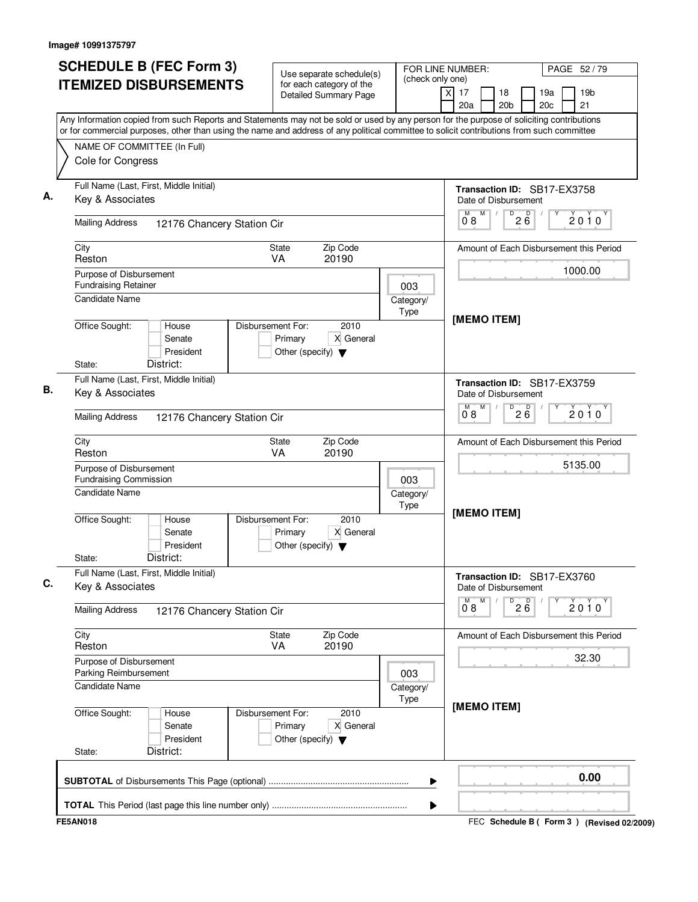| (check only one)<br><b>ITEMIZED DISBURSEMENTS</b><br>for each category of the<br>X<br>17<br>18<br>19 <sub>b</sub><br>19a<br><b>Detailed Summary Page</b><br>20 <sub>b</sub><br>20c<br>21<br>20a<br>Any Information copied from such Reports and Statements may not be sold or used by any person for the purpose of soliciting contributions<br>or for commercial purposes, other than using the name and address of any political committee to solicit contributions from such committee<br>NAME OF COMMITTEE (In Full)<br>Cole for Congress<br>Full Name (Last, First, Middle Initial)<br>Transaction ID: SB17-EX3758<br>Key & Associates<br>Date of Disbursement<br>M<br>D<br>$2\overline{6}$<br>М<br>$2010^y$<br>08<br><b>Mailing Address</b><br>12176 Chancery Station Cir<br>City<br>Zip Code<br><b>State</b><br>Amount of Each Disbursement this Period<br>Reston<br><b>VA</b><br>20190<br>1000.00<br>Purpose of Disbursement<br><b>Fundraising Retainer</b><br>003<br>Candidate Name<br>Category/<br>Type<br>[MEMO ITEM]<br>Office Sought:<br>Disbursement For:<br>2010<br>House<br>Primary<br>X General<br>Senate<br>President<br>Other (specify) $\blacktriangledown$<br>District:<br>State:<br>Full Name (Last, First, Middle Initial)<br>Transaction ID: SB17-EX3759<br>Key & Associates<br>Date of Disbursement<br>M<br>D<br>M<br>$2\overline{6}$<br>$2010^y$<br>08<br><b>Mailing Address</b><br>12176 Chancery Station Cir<br>Zip Code<br>City<br>State<br>Amount of Each Disbursement this Period<br>VA<br>20190<br>Reston<br>5135.00<br>Purpose of Disbursement<br><b>Fundraising Commission</b><br>003<br>Candidate Name<br>Category/<br>Type<br>[MEMO ITEM]<br>Office Sought:<br>Disbursement For:<br>2010<br>House<br>X General<br>Primary<br>Senate<br>President<br>Other (specify) $\blacktriangledown$<br>District:<br>State:<br>Full Name (Last, First, Middle Initial)<br>Transaction ID: SB17-EX3760<br>Key & Associates<br>Date of Disbursement<br>M<br>$\overline{P}$ 2 $\overline{6}$<br>2010<br>0°8<br><b>Mailing Address</b><br>12176 Chancery Station Cir<br>Zip Code<br>City<br>State<br>Amount of Each Disbursement this Period<br>VA<br>Reston<br>20190<br>32.30<br>Purpose of Disbursement<br>Parking Reimbursement<br>003<br><b>Candidate Name</b><br>Category/<br>Type<br>[MEMO ITEM]<br>Disbursement For:<br>2010<br>Office Sought:<br>House<br>X General<br>Senate<br>Primary<br>President<br>Other (specify) $\blacktriangledown$<br>District:<br>State:<br>0.00<br>▶ | <b>SCHEDULE B (FEC Form 3)</b> | Use separate schedule(s) | FOR LINE NUMBER: | PAGE 52/79 |
|---------------------------------------------------------------------------------------------------------------------------------------------------------------------------------------------------------------------------------------------------------------------------------------------------------------------------------------------------------------------------------------------------------------------------------------------------------------------------------------------------------------------------------------------------------------------------------------------------------------------------------------------------------------------------------------------------------------------------------------------------------------------------------------------------------------------------------------------------------------------------------------------------------------------------------------------------------------------------------------------------------------------------------------------------------------------------------------------------------------------------------------------------------------------------------------------------------------------------------------------------------------------------------------------------------------------------------------------------------------------------------------------------------------------------------------------------------------------------------------------------------------------------------------------------------------------------------------------------------------------------------------------------------------------------------------------------------------------------------------------------------------------------------------------------------------------------------------------------------------------------------------------------------------------------------------------------------------------------------------------------------------------------------------------------------------------------------------------------------------------------------------------------------------------------------------------------------------------------------------------------------------------------------------------------------------------------------------------------------------------------------------------------------------------------------------------------------------------------------------------------------------|--------------------------------|--------------------------|------------------|------------|
|                                                                                                                                                                                                                                                                                                                                                                                                                                                                                                                                                                                                                                                                                                                                                                                                                                                                                                                                                                                                                                                                                                                                                                                                                                                                                                                                                                                                                                                                                                                                                                                                                                                                                                                                                                                                                                                                                                                                                                                                                                                                                                                                                                                                                                                                                                                                                                                                                                                                                                               |                                |                          |                  |            |
|                                                                                                                                                                                                                                                                                                                                                                                                                                                                                                                                                                                                                                                                                                                                                                                                                                                                                                                                                                                                                                                                                                                                                                                                                                                                                                                                                                                                                                                                                                                                                                                                                                                                                                                                                                                                                                                                                                                                                                                                                                                                                                                                                                                                                                                                                                                                                                                                                                                                                                               |                                |                          |                  |            |
|                                                                                                                                                                                                                                                                                                                                                                                                                                                                                                                                                                                                                                                                                                                                                                                                                                                                                                                                                                                                                                                                                                                                                                                                                                                                                                                                                                                                                                                                                                                                                                                                                                                                                                                                                                                                                                                                                                                                                                                                                                                                                                                                                                                                                                                                                                                                                                                                                                                                                                               |                                |                          |                  |            |
|                                                                                                                                                                                                                                                                                                                                                                                                                                                                                                                                                                                                                                                                                                                                                                                                                                                                                                                                                                                                                                                                                                                                                                                                                                                                                                                                                                                                                                                                                                                                                                                                                                                                                                                                                                                                                                                                                                                                                                                                                                                                                                                                                                                                                                                                                                                                                                                                                                                                                                               |                                |                          |                  |            |
|                                                                                                                                                                                                                                                                                                                                                                                                                                                                                                                                                                                                                                                                                                                                                                                                                                                                                                                                                                                                                                                                                                                                                                                                                                                                                                                                                                                                                                                                                                                                                                                                                                                                                                                                                                                                                                                                                                                                                                                                                                                                                                                                                                                                                                                                                                                                                                                                                                                                                                               |                                |                          |                  |            |
|                                                                                                                                                                                                                                                                                                                                                                                                                                                                                                                                                                                                                                                                                                                                                                                                                                                                                                                                                                                                                                                                                                                                                                                                                                                                                                                                                                                                                                                                                                                                                                                                                                                                                                                                                                                                                                                                                                                                                                                                                                                                                                                                                                                                                                                                                                                                                                                                                                                                                                               |                                |                          |                  |            |
|                                                                                                                                                                                                                                                                                                                                                                                                                                                                                                                                                                                                                                                                                                                                                                                                                                                                                                                                                                                                                                                                                                                                                                                                                                                                                                                                                                                                                                                                                                                                                                                                                                                                                                                                                                                                                                                                                                                                                                                                                                                                                                                                                                                                                                                                                                                                                                                                                                                                                                               |                                |                          |                  |            |
|                                                                                                                                                                                                                                                                                                                                                                                                                                                                                                                                                                                                                                                                                                                                                                                                                                                                                                                                                                                                                                                                                                                                                                                                                                                                                                                                                                                                                                                                                                                                                                                                                                                                                                                                                                                                                                                                                                                                                                                                                                                                                                                                                                                                                                                                                                                                                                                                                                                                                                               |                                |                          |                  |            |
|                                                                                                                                                                                                                                                                                                                                                                                                                                                                                                                                                                                                                                                                                                                                                                                                                                                                                                                                                                                                                                                                                                                                                                                                                                                                                                                                                                                                                                                                                                                                                                                                                                                                                                                                                                                                                                                                                                                                                                                                                                                                                                                                                                                                                                                                                                                                                                                                                                                                                                               |                                |                          |                  |            |
|                                                                                                                                                                                                                                                                                                                                                                                                                                                                                                                                                                                                                                                                                                                                                                                                                                                                                                                                                                                                                                                                                                                                                                                                                                                                                                                                                                                                                                                                                                                                                                                                                                                                                                                                                                                                                                                                                                                                                                                                                                                                                                                                                                                                                                                                                                                                                                                                                                                                                                               |                                |                          |                  |            |
|                                                                                                                                                                                                                                                                                                                                                                                                                                                                                                                                                                                                                                                                                                                                                                                                                                                                                                                                                                                                                                                                                                                                                                                                                                                                                                                                                                                                                                                                                                                                                                                                                                                                                                                                                                                                                                                                                                                                                                                                                                                                                                                                                                                                                                                                                                                                                                                                                                                                                                               |                                |                          |                  |            |
|                                                                                                                                                                                                                                                                                                                                                                                                                                                                                                                                                                                                                                                                                                                                                                                                                                                                                                                                                                                                                                                                                                                                                                                                                                                                                                                                                                                                                                                                                                                                                                                                                                                                                                                                                                                                                                                                                                                                                                                                                                                                                                                                                                                                                                                                                                                                                                                                                                                                                                               |                                |                          |                  |            |
|                                                                                                                                                                                                                                                                                                                                                                                                                                                                                                                                                                                                                                                                                                                                                                                                                                                                                                                                                                                                                                                                                                                                                                                                                                                                                                                                                                                                                                                                                                                                                                                                                                                                                                                                                                                                                                                                                                                                                                                                                                                                                                                                                                                                                                                                                                                                                                                                                                                                                                               |                                |                          |                  |            |
|                                                                                                                                                                                                                                                                                                                                                                                                                                                                                                                                                                                                                                                                                                                                                                                                                                                                                                                                                                                                                                                                                                                                                                                                                                                                                                                                                                                                                                                                                                                                                                                                                                                                                                                                                                                                                                                                                                                                                                                                                                                                                                                                                                                                                                                                                                                                                                                                                                                                                                               |                                |                          |                  |            |
|                                                                                                                                                                                                                                                                                                                                                                                                                                                                                                                                                                                                                                                                                                                                                                                                                                                                                                                                                                                                                                                                                                                                                                                                                                                                                                                                                                                                                                                                                                                                                                                                                                                                                                                                                                                                                                                                                                                                                                                                                                                                                                                                                                                                                                                                                                                                                                                                                                                                                                               |                                |                          |                  |            |
|                                                                                                                                                                                                                                                                                                                                                                                                                                                                                                                                                                                                                                                                                                                                                                                                                                                                                                                                                                                                                                                                                                                                                                                                                                                                                                                                                                                                                                                                                                                                                                                                                                                                                                                                                                                                                                                                                                                                                                                                                                                                                                                                                                                                                                                                                                                                                                                                                                                                                                               |                                |                          |                  |            |
|                                                                                                                                                                                                                                                                                                                                                                                                                                                                                                                                                                                                                                                                                                                                                                                                                                                                                                                                                                                                                                                                                                                                                                                                                                                                                                                                                                                                                                                                                                                                                                                                                                                                                                                                                                                                                                                                                                                                                                                                                                                                                                                                                                                                                                                                                                                                                                                                                                                                                                               |                                |                          |                  |            |
|                                                                                                                                                                                                                                                                                                                                                                                                                                                                                                                                                                                                                                                                                                                                                                                                                                                                                                                                                                                                                                                                                                                                                                                                                                                                                                                                                                                                                                                                                                                                                                                                                                                                                                                                                                                                                                                                                                                                                                                                                                                                                                                                                                                                                                                                                                                                                                                                                                                                                                               |                                |                          |                  |            |
|                                                                                                                                                                                                                                                                                                                                                                                                                                                                                                                                                                                                                                                                                                                                                                                                                                                                                                                                                                                                                                                                                                                                                                                                                                                                                                                                                                                                                                                                                                                                                                                                                                                                                                                                                                                                                                                                                                                                                                                                                                                                                                                                                                                                                                                                                                                                                                                                                                                                                                               |                                |                          |                  |            |
|                                                                                                                                                                                                                                                                                                                                                                                                                                                                                                                                                                                                                                                                                                                                                                                                                                                                                                                                                                                                                                                                                                                                                                                                                                                                                                                                                                                                                                                                                                                                                                                                                                                                                                                                                                                                                                                                                                                                                                                                                                                                                                                                                                                                                                                                                                                                                                                                                                                                                                               |                                |                          |                  |            |
|                                                                                                                                                                                                                                                                                                                                                                                                                                                                                                                                                                                                                                                                                                                                                                                                                                                                                                                                                                                                                                                                                                                                                                                                                                                                                                                                                                                                                                                                                                                                                                                                                                                                                                                                                                                                                                                                                                                                                                                                                                                                                                                                                                                                                                                                                                                                                                                                                                                                                                               |                                |                          |                  |            |
|                                                                                                                                                                                                                                                                                                                                                                                                                                                                                                                                                                                                                                                                                                                                                                                                                                                                                                                                                                                                                                                                                                                                                                                                                                                                                                                                                                                                                                                                                                                                                                                                                                                                                                                                                                                                                                                                                                                                                                                                                                                                                                                                                                                                                                                                                                                                                                                                                                                                                                               |                                |                          |                  |            |
|                                                                                                                                                                                                                                                                                                                                                                                                                                                                                                                                                                                                                                                                                                                                                                                                                                                                                                                                                                                                                                                                                                                                                                                                                                                                                                                                                                                                                                                                                                                                                                                                                                                                                                                                                                                                                                                                                                                                                                                                                                                                                                                                                                                                                                                                                                                                                                                                                                                                                                               |                                |                          |                  |            |
|                                                                                                                                                                                                                                                                                                                                                                                                                                                                                                                                                                                                                                                                                                                                                                                                                                                                                                                                                                                                                                                                                                                                                                                                                                                                                                                                                                                                                                                                                                                                                                                                                                                                                                                                                                                                                                                                                                                                                                                                                                                                                                                                                                                                                                                                                                                                                                                                                                                                                                               |                                |                          |                  |            |
| ▶                                                                                                                                                                                                                                                                                                                                                                                                                                                                                                                                                                                                                                                                                                                                                                                                                                                                                                                                                                                                                                                                                                                                                                                                                                                                                                                                                                                                                                                                                                                                                                                                                                                                                                                                                                                                                                                                                                                                                                                                                                                                                                                                                                                                                                                                                                                                                                                                                                                                                                             |                                |                          |                  |            |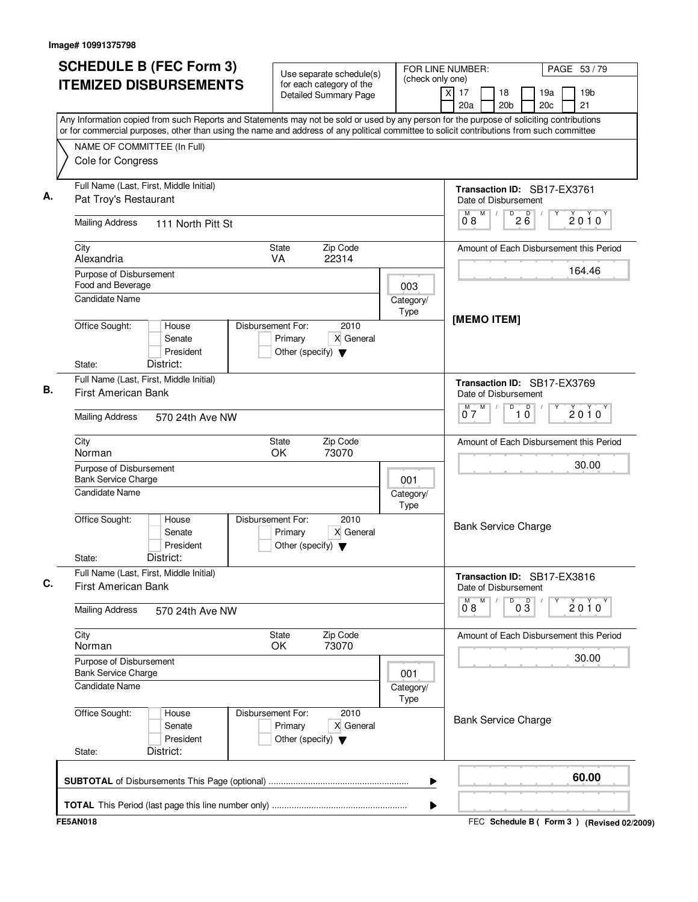| <b>SCHEDULE B (FEC Form 3)</b>                                                                                                                                                                                                                                                         | Use separate schedule(s)                                                                  | (check only one)  | FOR LINE NUMBER:                                    | PAGE 53/79                                |
|----------------------------------------------------------------------------------------------------------------------------------------------------------------------------------------------------------------------------------------------------------------------------------------|-------------------------------------------------------------------------------------------|-------------------|-----------------------------------------------------|-------------------------------------------|
| <b>ITEMIZED DISBURSEMENTS</b>                                                                                                                                                                                                                                                          | for each category of the<br><b>Detailed Summary Page</b>                                  |                   | x<br>17<br>18<br>20a<br>20 <sub>b</sub>             | 19a<br>19 <sub>b</sub><br>20c<br>21       |
| Any Information copied from such Reports and Statements may not be sold or used by any person for the purpose of soliciting contributions<br>or for commercial purposes, other than using the name and address of any political committee to solicit contributions from such committee |                                                                                           |                   |                                                     |                                           |
| NAME OF COMMITTEE (In Full)                                                                                                                                                                                                                                                            |                                                                                           |                   |                                                     |                                           |
| Cole for Congress                                                                                                                                                                                                                                                                      |                                                                                           |                   |                                                     |                                           |
| Full Name (Last, First, Middle Initial)<br>Pat Troy's Restaurant                                                                                                                                                                                                                       |                                                                                           |                   | Transaction ID: SB17-EX3761<br>Date of Disbursement |                                           |
| <b>Mailing Address</b><br>111 North Pitt St                                                                                                                                                                                                                                            |                                                                                           |                   | M<br>M<br>D<br>$2\overline{6}$<br>08                | 2010                                      |
| City<br>Alexandria                                                                                                                                                                                                                                                                     | Zip Code<br>State<br>VA<br>22314                                                          |                   |                                                     | Amount of Each Disbursement this Period   |
| Purpose of Disbursement                                                                                                                                                                                                                                                                |                                                                                           |                   |                                                     | 164.46                                    |
| Food and Beverage                                                                                                                                                                                                                                                                      |                                                                                           | 003               |                                                     |                                           |
| <b>Candidate Name</b>                                                                                                                                                                                                                                                                  |                                                                                           | Category/<br>Type |                                                     |                                           |
| Office Sought:<br>House<br>Senate<br>President<br>District:<br>State:                                                                                                                                                                                                                  | 2010<br>Disbursement For:<br>X General<br>Primary<br>Other (specify) $\blacktriangledown$ |                   | [MEMO ITEM]                                         |                                           |
| Full Name (Last, First, Middle Initial)                                                                                                                                                                                                                                                |                                                                                           |                   | Transaction ID: SB17-EX3769                         |                                           |
| <b>First American Bank</b>                                                                                                                                                                                                                                                             |                                                                                           |                   | Date of Disbursement                                |                                           |
| <b>Mailing Address</b><br>570 24th Ave NW                                                                                                                                                                                                                                              |                                                                                           |                   | M<br>D<br>D<br>07<br>10                             | $2010^y$                                  |
| City<br>Norman                                                                                                                                                                                                                                                                         | Zip Code<br>State<br>73070<br>OK                                                          |                   |                                                     | Amount of Each Disbursement this Period   |
| Purpose of Disbursement                                                                                                                                                                                                                                                                |                                                                                           |                   |                                                     | 30.00                                     |
| <b>Bank Service Charge</b>                                                                                                                                                                                                                                                             |                                                                                           | 001               |                                                     |                                           |
| <b>Candidate Name</b>                                                                                                                                                                                                                                                                  |                                                                                           | Category/<br>Type |                                                     |                                           |
| Office Sought:<br>House<br>Senate<br>President<br>District:<br>State:                                                                                                                                                                                                                  | 2010<br>Disbursement For:<br>X General<br>Primary<br>Other (specify) $\blacktriangledown$ |                   | <b>Bank Service Charge</b>                          |                                           |
| Full Name (Last, First, Middle Initial)<br>First American Bank                                                                                                                                                                                                                         |                                                                                           |                   | Transaction ID: SB17-EX3816<br>Date of Disbursement |                                           |
| <b>Mailing Address</b><br>570 24th Ave NW                                                                                                                                                                                                                                              |                                                                                           |                   | $\overline{0}^M$ 8<br>M<br>D<br>$0\overline{3}$     | 2010                                      |
| City<br>Norman                                                                                                                                                                                                                                                                         | State<br>Zip Code<br>73070<br>OK                                                          |                   |                                                     | Amount of Each Disbursement this Period   |
| Purpose of Disbursement<br><b>Bank Service Charge</b>                                                                                                                                                                                                                                  |                                                                                           | 001               |                                                     | 30.00                                     |
| Candidate Name                                                                                                                                                                                                                                                                         |                                                                                           | Category/<br>Type |                                                     |                                           |
| Office Sought:<br>House<br>Senate<br>President<br>District:<br>State:                                                                                                                                                                                                                  | Disbursement For:<br>2010<br>Primary<br>X General<br>Other (specify) $\blacktriangledown$ |                   | <b>Bank Service Charge</b>                          |                                           |
|                                                                                                                                                                                                                                                                                        |                                                                                           | ▶                 |                                                     | 60.00                                     |
|                                                                                                                                                                                                                                                                                        |                                                                                           | ▶                 |                                                     |                                           |
| <b>FE5AN018</b>                                                                                                                                                                                                                                                                        |                                                                                           |                   |                                                     | FEC Schedule B (Form 3) (Revised 02/2009) |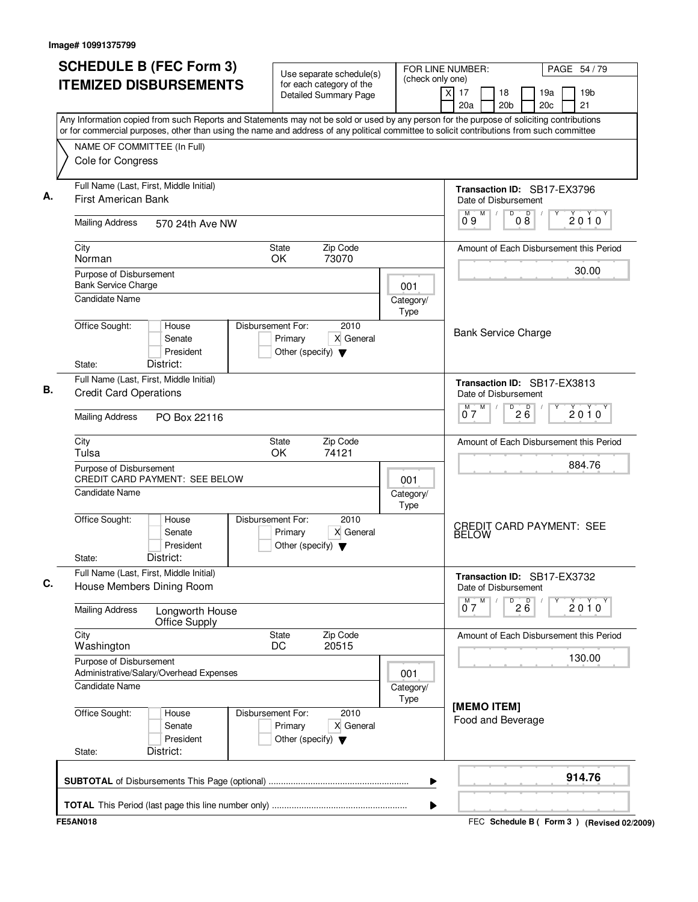| <b>SCHEDULE B (FEC Form 3)</b>                                                                                                                                           | Use separate schedule(s)                                                                  | (check only one)         | FOR LINE NUMBER:                                            | PAGE 54 / 79                                    |
|--------------------------------------------------------------------------------------------------------------------------------------------------------------------------|-------------------------------------------------------------------------------------------|--------------------------|-------------------------------------------------------------|-------------------------------------------------|
| <b>ITEMIZED DISBURSEMENTS</b>                                                                                                                                            | for each category of the<br><b>Detailed Summary Page</b>                                  |                          | $\overline{X}$<br>17<br>18<br>20a<br>20 <sub>b</sub>        | 19a<br>19 <sub>b</sub><br>21<br>20 <sub>c</sub> |
| Any Information copied from such Reports and Statements may not be sold or used by any person for the purpose of soliciting contributions                                |                                                                                           |                          |                                                             |                                                 |
| or for commercial purposes, other than using the name and address of any political committee to solicit contributions from such committee<br>NAME OF COMMITTEE (In Full) |                                                                                           |                          |                                                             |                                                 |
| Cole for Congress                                                                                                                                                        |                                                                                           |                          |                                                             |                                                 |
| Full Name (Last, First, Middle Initial)                                                                                                                                  |                                                                                           |                          | Transaction ID: SB17-EX3796                                 |                                                 |
| <b>First American Bank</b>                                                                                                                                               |                                                                                           |                          | Date of Disbursement                                        |                                                 |
| <b>Mailing Address</b><br>570 24th Ave NW                                                                                                                                |                                                                                           |                          | M<br>D<br>M<br>08<br>09                                     | D<br>2010                                       |
| City                                                                                                                                                                     | Zip Code<br><b>State</b>                                                                  |                          |                                                             | Amount of Each Disbursement this Period         |
| Norman                                                                                                                                                                   | 73070<br>OK                                                                               |                          |                                                             | 30.00                                           |
| Purpose of Disbursement<br><b>Bank Service Charge</b>                                                                                                                    |                                                                                           | 001                      |                                                             |                                                 |
| <b>Candidate Name</b>                                                                                                                                                    |                                                                                           | Category/                |                                                             |                                                 |
|                                                                                                                                                                          |                                                                                           | Type                     |                                                             |                                                 |
| Office Sought:<br>House<br>Senate<br>President                                                                                                                           | Disbursement For:<br>2010<br>Primary<br>X General<br>Other (specify) $\blacktriangledown$ |                          | <b>Bank Service Charge</b>                                  |                                                 |
| District:<br>State:                                                                                                                                                      |                                                                                           |                          |                                                             |                                                 |
| Full Name (Last, First, Middle Initial)<br><b>Credit Card Operations</b>                                                                                                 |                                                                                           |                          | <b>Transaction ID: SB17-EX3813</b><br>Date of Disbursement  |                                                 |
| <b>Mailing Address</b><br>PO Box 22116                                                                                                                                   |                                                                                           |                          | M<br>D<br>M<br>$2\overline{6}$<br>07                        | 2010                                            |
| City<br>Tulsa                                                                                                                                                            | Zip Code<br>State<br>OK<br>74121                                                          |                          |                                                             | Amount of Each Disbursement this Period         |
| Purpose of Disbursement                                                                                                                                                  |                                                                                           |                          |                                                             | 884.76                                          |
| <b>CREDIT CARD PAYMENT: SEE BELOW</b><br><b>Candidate Name</b>                                                                                                           |                                                                                           | 001<br>Category/<br>Type |                                                             |                                                 |
| Office Sought:<br>House<br>Senate<br>President<br>District:<br>State:                                                                                                    | Disbursement For:<br>2010<br>X General<br>Primary<br>Other (specify) $\blacktriangledown$ |                          | <b>BELOW</b>                                                | <b>CREDIT CARD PAYMENT: SEE</b>                 |
| Full Name (Last, First, Middle Initial)<br>House Members Dining Room                                                                                                     |                                                                                           |                          | Transaction ID: SB17-EX3732<br>Date of Disbursement         |                                                 |
| <b>Mailing Address</b><br>Longworth House<br>Office Supply                                                                                                               |                                                                                           |                          | $0^M$ $\overline{7}$ $M$<br>$\overline{P}$ 2 $\overline{6}$ | $2010^y$                                        |
| City<br>Washington                                                                                                                                                       | Zip Code<br>State<br>20515<br>DC                                                          |                          |                                                             | Amount of Each Disbursement this Period         |
| Purpose of Disbursement                                                                                                                                                  |                                                                                           |                          |                                                             | 130.00                                          |
| Administrative/Salary/Overhead Expenses<br>Candidate Name                                                                                                                |                                                                                           | 001<br>Category/<br>Type |                                                             |                                                 |
| Office Sought:<br>House<br>Senate<br>President<br>District:<br>State:                                                                                                    | Disbursement For:<br>2010<br>Primary<br>X General<br>Other (specify) $\blacktriangledown$ |                          | [MEMO ITEM]<br>Food and Beverage                            |                                                 |
|                                                                                                                                                                          |                                                                                           | ▶                        |                                                             | 914.76                                          |
|                                                                                                                                                                          |                                                                                           | ▶                        |                                                             |                                                 |
| <b>FE5AN018</b>                                                                                                                                                          |                                                                                           |                          |                                                             | FEC Schedule B ( Form 3 ) (Revised 02/2009)     |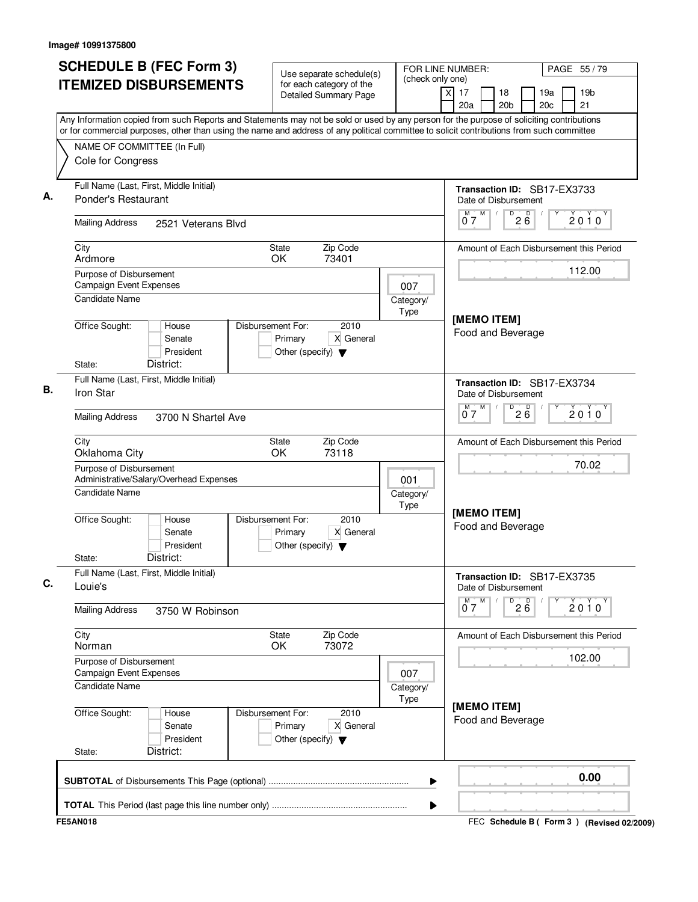| <b>SCHEDULE B (FEC Form 3)</b>                                                                                                                                                                                                                                                         | Use separate schedule(s)                                                                  | (check only one)  | FOR LINE NUMBER:                                              | PAGE 55 / 79                                    |
|----------------------------------------------------------------------------------------------------------------------------------------------------------------------------------------------------------------------------------------------------------------------------------------|-------------------------------------------------------------------------------------------|-------------------|---------------------------------------------------------------|-------------------------------------------------|
| <b>ITEMIZED DISBURSEMENTS</b>                                                                                                                                                                                                                                                          | for each category of the<br><b>Detailed Summary Page</b>                                  |                   | $\overline{\mathsf{x}}$<br>17<br>18<br>20a<br>20 <sub>b</sub> | 19a<br>19 <sub>b</sub><br>21<br>20 <sub>c</sub> |
| Any Information copied from such Reports and Statements may not be sold or used by any person for the purpose of soliciting contributions<br>or for commercial purposes, other than using the name and address of any political committee to solicit contributions from such committee |                                                                                           |                   |                                                               |                                                 |
| NAME OF COMMITTEE (In Full)                                                                                                                                                                                                                                                            |                                                                                           |                   |                                                               |                                                 |
| Cole for Congress                                                                                                                                                                                                                                                                      |                                                                                           |                   |                                                               |                                                 |
| Full Name (Last, First, Middle Initial)<br>Ponder's Restaurant                                                                                                                                                                                                                         |                                                                                           |                   | Date of Disbursement                                          | Transaction ID: SB17-EX3733                     |
| <b>Mailing Address</b><br>2521 Veterans Blvd                                                                                                                                                                                                                                           |                                                                                           |                   | M<br>M<br>D<br>07                                             | 200<br>2010                                     |
| City<br>Ardmore                                                                                                                                                                                                                                                                        | Zip Code<br><b>State</b><br>OK<br>73401                                                   |                   |                                                               | Amount of Each Disbursement this Period         |
| Purpose of Disbursement<br><b>Campaign Event Expenses</b>                                                                                                                                                                                                                              |                                                                                           | 007               |                                                               | 112.00                                          |
| <b>Candidate Name</b>                                                                                                                                                                                                                                                                  |                                                                                           | Category/<br>Type | [MEMO ITEM]                                                   |                                                 |
| Office Sought:<br>House<br>Senate<br>President<br>District:<br>State:                                                                                                                                                                                                                  | Disbursement For:<br>2010<br>Primary<br>X General<br>Other (specify) $\blacktriangledown$ |                   | Food and Beverage                                             |                                                 |
| Full Name (Last, First, Middle Initial)<br>Iron Star                                                                                                                                                                                                                                   |                                                                                           |                   | Date of Disbursement                                          | Transaction ID: SB17-EX3734                     |
| <b>Mailing Address</b><br>3700 N Shartel Ave                                                                                                                                                                                                                                           |                                                                                           |                   | M<br>D<br>м<br>07                                             | $2\overline{6}$<br>$2010^y$                     |
| City<br>Oklahoma City                                                                                                                                                                                                                                                                  | Zip Code<br>State<br>OK<br>73118                                                          |                   |                                                               | Amount of Each Disbursement this Period         |
| Purpose of Disbursement<br>Administrative/Salary/Overhead Expenses                                                                                                                                                                                                                     |                                                                                           | 001               |                                                               | 70.02                                           |
| Candidate Name                                                                                                                                                                                                                                                                         |                                                                                           | Category/<br>Type | [MEMO ITEM]                                                   |                                                 |
| Office Sought:<br>House<br>Senate<br>President<br>District:<br>State:                                                                                                                                                                                                                  | Disbursement For:<br>2010<br>X General<br>Primary<br>Other (specify) $\blacktriangledown$ |                   | Food and Beverage                                             |                                                 |
| Full Name (Last, First, Middle Initial)<br>Louie's                                                                                                                                                                                                                                     |                                                                                           |                   | Date of Disbursement                                          | Transaction ID: SB17-EX3735                     |
| <b>Mailing Address</b><br>3750 W Robinson                                                                                                                                                                                                                                              |                                                                                           |                   | M<br>$\overline{P}$ 2 $\overline{6}$<br>$\overline{0}^M$ 7    | Υ<br>2010                                       |
| City<br>Norman                                                                                                                                                                                                                                                                         | State<br>Zip Code<br>OK<br>73072                                                          |                   |                                                               | Amount of Each Disbursement this Period         |
| Purpose of Disbursement<br><b>Campaign Event Expenses</b>                                                                                                                                                                                                                              |                                                                                           | 007               |                                                               | 102.00                                          |
| Candidate Name                                                                                                                                                                                                                                                                         |                                                                                           | Category/<br>Type | [MEMO ITEM]                                                   |                                                 |
| Office Sought:<br>House<br>Senate<br>President<br>District:<br>State:                                                                                                                                                                                                                  | Disbursement For:<br>2010<br>Primary<br>X General<br>Other (specify) $\blacktriangledown$ |                   | Food and Beverage                                             |                                                 |
|                                                                                                                                                                                                                                                                                        |                                                                                           | ▶                 |                                                               | 0.00                                            |
|                                                                                                                                                                                                                                                                                        |                                                                                           | ▶                 |                                                               |                                                 |
| <b>FE5AN018</b>                                                                                                                                                                                                                                                                        |                                                                                           |                   |                                                               | FEC Schedule B (Form 3) (Revised 02/2009)       |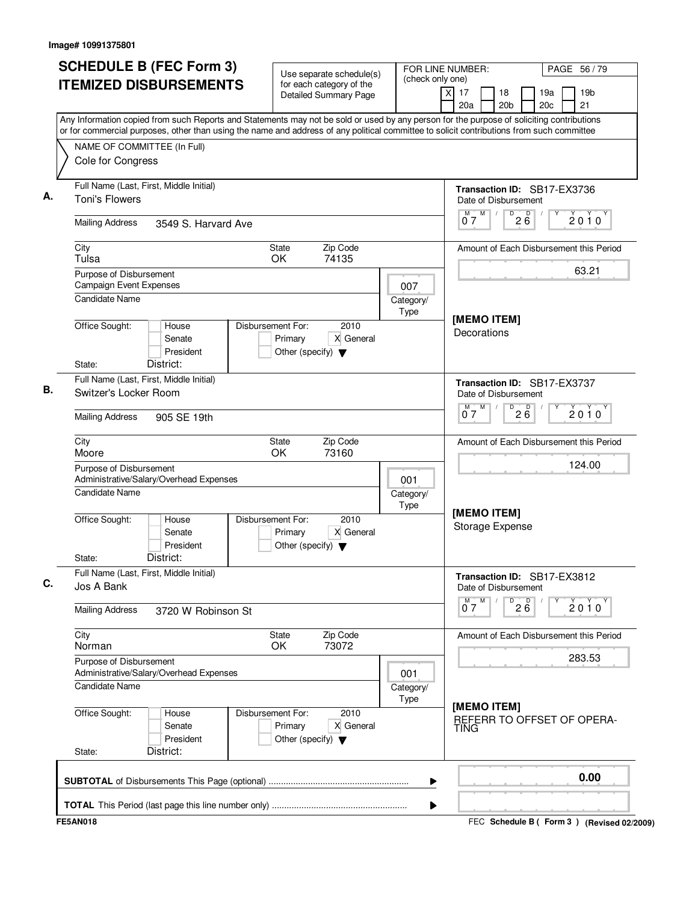| <b>SCHEDULE B (FEC Form 3)</b>                                                                                                                                                                                                                                                         | Use separate schedule(s)                                                                  |                   | FOR LINE NUMBER:<br>PAGE 56/79                                                              |
|----------------------------------------------------------------------------------------------------------------------------------------------------------------------------------------------------------------------------------------------------------------------------------------|-------------------------------------------------------------------------------------------|-------------------|---------------------------------------------------------------------------------------------|
| <b>ITEMIZED DISBURSEMENTS</b>                                                                                                                                                                                                                                                          | for each category of the<br><b>Detailed Summary Page</b>                                  | (check only one)  | $\overline{X}$<br>17<br>18<br>19 <sub>b</sub><br>19a<br>21<br>20 <sub>b</sub><br>20c<br>20a |
| Any Information copied from such Reports and Statements may not be sold or used by any person for the purpose of soliciting contributions<br>or for commercial purposes, other than using the name and address of any political committee to solicit contributions from such committee |                                                                                           |                   |                                                                                             |
| NAME OF COMMITTEE (In Full)<br>Cole for Congress                                                                                                                                                                                                                                       |                                                                                           |                   |                                                                                             |
| Full Name (Last, First, Middle Initial)<br><b>Toni's Flowers</b>                                                                                                                                                                                                                       |                                                                                           |                   | Transaction ID: SB17-EX3736<br>Date of Disbursement                                         |
| <b>Mailing Address</b><br>3549 S. Harvard Ave                                                                                                                                                                                                                                          |                                                                                           |                   | $M$ $M$<br>$\overline{P}$ 2 $\overline{6}$<br>2010<br>07                                    |
| City<br>Tulsa                                                                                                                                                                                                                                                                          | State<br>Zip Code<br><b>OK</b><br>74135                                                   |                   | Amount of Each Disbursement this Period                                                     |
| Purpose of Disbursement<br>Campaign Event Expenses                                                                                                                                                                                                                                     |                                                                                           | 007               | 63.21                                                                                       |
| Candidate Name                                                                                                                                                                                                                                                                         |                                                                                           | Category/<br>Type | [MEMO ITEM]                                                                                 |
| Office Sought:<br>House<br>Senate<br>President<br>District:                                                                                                                                                                                                                            | Disbursement For:<br>2010<br>X General<br>Primary<br>Other (specify) $\blacktriangledown$ |                   | Decorations                                                                                 |
| State:<br>Full Name (Last, First, Middle Initial)<br>Switzer's Locker Room                                                                                                                                                                                                             |                                                                                           |                   | Transaction ID: SB17-EX3737<br>Date of Disbursement                                         |
| <b>Mailing Address</b><br>905 SE 19th                                                                                                                                                                                                                                                  |                                                                                           |                   | M<br>D<br>м<br>$2\overline{6}$<br>$2010^y$<br>07                                            |
| City<br>Moore                                                                                                                                                                                                                                                                          | Zip Code<br>State<br>OK<br>73160                                                          |                   | Amount of Each Disbursement this Period                                                     |
| Purpose of Disbursement<br>Administrative/Salary/Overhead Expenses                                                                                                                                                                                                                     |                                                                                           | 001               | 124.00                                                                                      |
| Candidate Name                                                                                                                                                                                                                                                                         |                                                                                           | Category/<br>Type | [MEMO ITEM]                                                                                 |
| Office Sought:<br>House<br>Senate<br>President<br>District:<br>State:                                                                                                                                                                                                                  | Disbursement For:<br>2010<br>X General<br>Primary<br>Other (specify) $\blacktriangledown$ |                   | <b>Storage Expense</b>                                                                      |
| Full Name (Last, First, Middle Initial)<br>Jos A Bank                                                                                                                                                                                                                                  |                                                                                           |                   | Transaction ID: SB17-EX3812<br>Date of Disbursement                                         |
| <b>Mailing Address</b><br>3720 W Robinson St                                                                                                                                                                                                                                           |                                                                                           |                   | $^{D}$ 2 $B$<br>M<br>$\overline{0}^M$ 7<br>2010                                             |
| City<br>Norman                                                                                                                                                                                                                                                                         | Zip Code<br>State<br>73072<br><b>OK</b>                                                   |                   | Amount of Each Disbursement this Period                                                     |
| Purpose of Disbursement<br>Administrative/Salary/Overhead Expenses                                                                                                                                                                                                                     |                                                                                           | 001               | 283.53                                                                                      |
| Candidate Name                                                                                                                                                                                                                                                                         |                                                                                           | Category/<br>Type | [MEMO ITEM]                                                                                 |
| Office Sought:<br>House<br>Senate<br>President<br>District:<br>State:                                                                                                                                                                                                                  | Disbursement For:<br>2010<br>X General<br>Primary<br>Other (specify) $\blacktriangledown$ |                   | REFERR TO OFFSET OF OPERA-<br>TING                                                          |
|                                                                                                                                                                                                                                                                                        |                                                                                           | ▶                 | 0.00                                                                                        |
|                                                                                                                                                                                                                                                                                        |                                                                                           | ▶                 |                                                                                             |
| <b>FE5AN018</b>                                                                                                                                                                                                                                                                        |                                                                                           |                   | FEC Schedule B (Form 3) (Revised 02/2009)                                                   |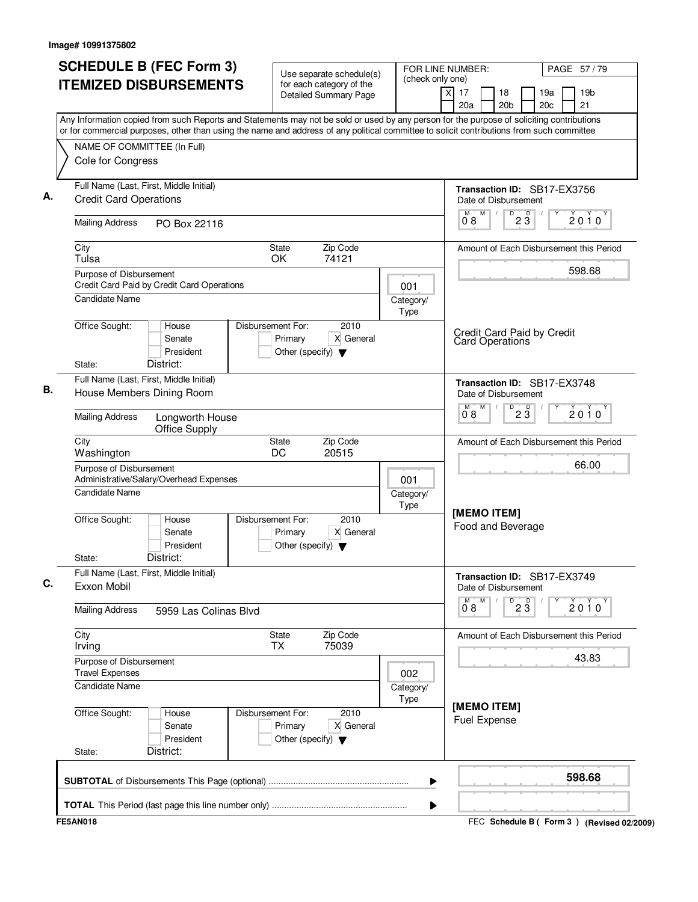|                                                                                                                                                                                                                                                                                        | <b>Detailed Summary Page</b>                                         |                   | $\times$<br>17<br>19 <sub>b</sub><br>18<br>19a<br>20 <sub>c</sub><br>21 |
|----------------------------------------------------------------------------------------------------------------------------------------------------------------------------------------------------------------------------------------------------------------------------------------|----------------------------------------------------------------------|-------------------|-------------------------------------------------------------------------|
| Any Information copied from such Reports and Statements may not be sold or used by any person for the purpose of soliciting contributions<br>or for commercial purposes, other than using the name and address of any political committee to solicit contributions from such committee |                                                                      |                   | 20a<br>20 <sub>b</sub>                                                  |
| NAME OF COMMITTEE (In Full)<br>Cole for Congress                                                                                                                                                                                                                                       |                                                                      |                   |                                                                         |
| Full Name (Last, First, Middle Initial)<br><b>Credit Card Operations</b>                                                                                                                                                                                                               |                                                                      |                   | Transaction ID: SB17-EX3756<br>Date of Disbursement                     |
| <b>Mailing Address</b><br>PO Box 22116                                                                                                                                                                                                                                                 |                                                                      |                   | M<br>$\overline{D}$<br>M<br>$2\overline{3}$<br>$2010^y$<br>08           |
| City<br>Tulsa                                                                                                                                                                                                                                                                          | Zip Code<br><b>State</b><br>OK<br>74121                              |                   | Amount of Each Disbursement this Period                                 |
| Purpose of Disbursement<br>Credit Card Paid by Credit Card Operations<br>Candidate Name                                                                                                                                                                                                |                                                                      | 001<br>Category/  | 598.68                                                                  |
| Office Sought:<br>Disbursement For:<br>House<br>Senate<br>President<br>District:<br>State:                                                                                                                                                                                             | 2010<br>Primary<br>X General<br>Other (specify) $\blacktriangledown$ | Type              | Credit Card Paid by Credit<br><b>Card Operations</b>                    |
| Full Name (Last, First, Middle Initial)<br>House Members Dining Room                                                                                                                                                                                                                   |                                                                      |                   | Transaction ID: SB17-EX3748<br>Date of Disbursement                     |
| <b>Mailing Address</b><br>Longworth House<br>Office Supply                                                                                                                                                                                                                             |                                                                      |                   | M<br>D<br>$2\overline{3}$<br>м<br>$2010^y$<br>0.8                       |
| City<br>Washington                                                                                                                                                                                                                                                                     | Zip Code<br>State<br>DC<br>20515                                     |                   | Amount of Each Disbursement this Period                                 |
| Purpose of Disbursement<br>Administrative/Salary/Overhead Expenses                                                                                                                                                                                                                     |                                                                      | 001               | 66.00                                                                   |
| <b>Candidate Name</b><br>Office Sought:<br>Disbursement For:<br>House<br>Senate<br>President<br>District:<br>State:                                                                                                                                                                    | 2010<br>X General<br>Primary<br>Other (specify) $\blacktriangledown$ | Category/<br>Type | [MEMO ITEM]<br>Food and Beverage                                        |
| Full Name (Last, First, Middle Initial)<br>Exxon Mobil                                                                                                                                                                                                                                 |                                                                      |                   | Transaction ID: SB17-EX3749<br>Date of Disbursement                     |
| <b>Mailing Address</b><br>5959 Las Colinas Blvd                                                                                                                                                                                                                                        |                                                                      |                   | M<br>M<br>$D^D$ 2 $\overline{3}$<br>2010<br>08                          |
| City<br>Irving                                                                                                                                                                                                                                                                         | State<br>Zip Code<br>75039<br>TX                                     |                   | Amount of Each Disbursement this Period<br>43.83                        |
| Purpose of Disbursement<br><b>Travel Expenses</b><br><b>Candidate Name</b>                                                                                                                                                                                                             |                                                                      | 002<br>Category/  |                                                                         |
| Office Sought:<br>Disbursement For:<br>House<br>Senate<br>President<br>District:<br>State:                                                                                                                                                                                             | 2010<br>Primary<br>X General<br>Other (specify) $\blacktriangledown$ | Type              | [MEMO ITEM]<br><b>Fuel Expense</b>                                      |
|                                                                                                                                                                                                                                                                                        |                                                                      | ▶                 | 598.68                                                                  |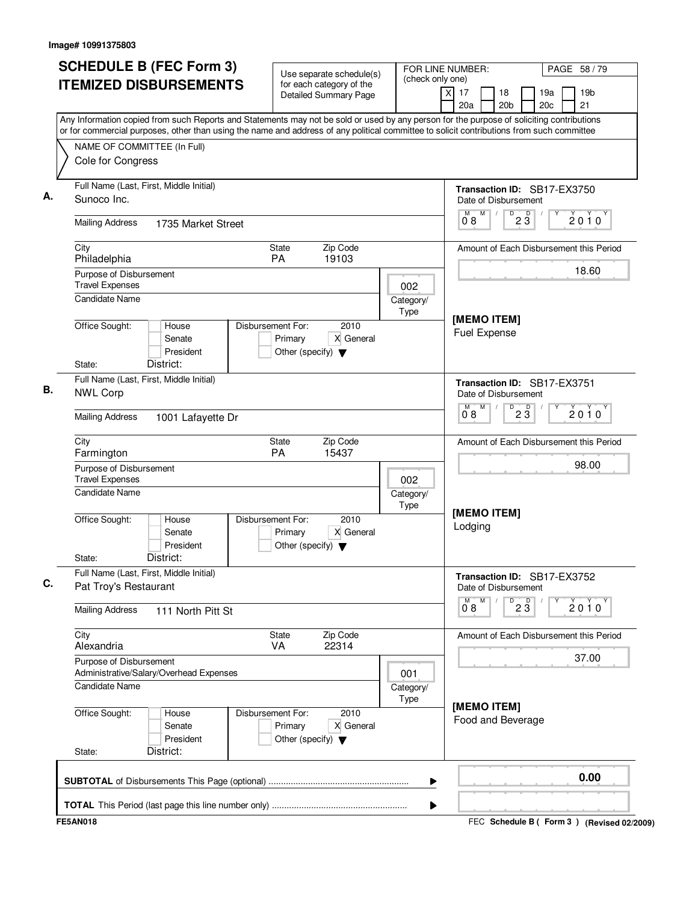| <b>SCHEDULE B (FEC Form 3)</b><br><b>ITEMIZED DISBURSEMENTS</b>                                                                                                                                                                                                                        | Use separate schedule(s)<br>for each category of the                                      | (check only one)  | FOR LINE NUMBER:<br>PAGE 58 / 79<br>$\times$<br>17<br>18<br>19 <sub>b</sub><br>19a             |
|----------------------------------------------------------------------------------------------------------------------------------------------------------------------------------------------------------------------------------------------------------------------------------------|-------------------------------------------------------------------------------------------|-------------------|------------------------------------------------------------------------------------------------|
|                                                                                                                                                                                                                                                                                        | <b>Detailed Summary Page</b>                                                              |                   | 20a<br>20 <sub>b</sub><br>20 <sub>c</sub><br>21                                                |
| Any Information copied from such Reports and Statements may not be sold or used by any person for the purpose of soliciting contributions<br>or for commercial purposes, other than using the name and address of any political committee to solicit contributions from such committee |                                                                                           |                   |                                                                                                |
| NAME OF COMMITTEE (In Full)<br>Cole for Congress                                                                                                                                                                                                                                       |                                                                                           |                   |                                                                                                |
| Full Name (Last, First, Middle Initial)<br>Sunoco Inc.                                                                                                                                                                                                                                 |                                                                                           |                   | <b>Transaction ID: SB17-EX3750</b>                                                             |
| <b>Mailing Address</b><br>1735 Market Street                                                                                                                                                                                                                                           |                                                                                           |                   | Date of Disbursement<br>$\overline{P}$ 2 $\overline{3}$<br>$\overline{0}^M$ 8<br>M<br>$2010^y$ |
| City                                                                                                                                                                                                                                                                                   | <b>State</b><br>Zip Code                                                                  |                   | Amount of Each Disbursement this Period                                                        |
| Philadelphia<br>Purpose of Disbursement                                                                                                                                                                                                                                                | 19103<br>PA                                                                               |                   | 18.60                                                                                          |
| <b>Travel Expenses</b>                                                                                                                                                                                                                                                                 |                                                                                           | 002               |                                                                                                |
| <b>Candidate Name</b>                                                                                                                                                                                                                                                                  |                                                                                           | Category/<br>Type |                                                                                                |
| Office Sought:<br>House<br>Senate<br>President<br>District:<br>State:                                                                                                                                                                                                                  | Disbursement For:<br>2010<br>X General<br>Primary<br>Other (specify) $\blacktriangledown$ |                   | [MEMO ITEM]<br><b>Fuel Expense</b>                                                             |
| Full Name (Last, First, Middle Initial)                                                                                                                                                                                                                                                |                                                                                           |                   |                                                                                                |
| <b>NWL Corp</b>                                                                                                                                                                                                                                                                        |                                                                                           |                   | Transaction ID: SB17-EX3751<br>Date of Disbursement<br>M<br>D<br>м<br>D                        |
| <b>Mailing Address</b><br>1001 Lafayette Dr                                                                                                                                                                                                                                            |                                                                                           |                   | 2010<br>$2\bar{3}$<br>08                                                                       |
| City<br>Farmington                                                                                                                                                                                                                                                                     | Zip Code<br>State<br>PA<br>15437                                                          |                   | Amount of Each Disbursement this Period                                                        |
| Purpose of Disbursement<br><b>Travel Expenses</b>                                                                                                                                                                                                                                      |                                                                                           | 002               | 98.00                                                                                          |
| <b>Candidate Name</b>                                                                                                                                                                                                                                                                  |                                                                                           | Category/<br>Type |                                                                                                |
| Office Sought:<br>House<br>Senate<br>President<br>District:<br>State:                                                                                                                                                                                                                  | Disbursement For:<br>2010<br>X General<br>Primary<br>Other (specify) $\blacktriangledown$ |                   | [MEMO ITEM]<br>Lodging                                                                         |
| Full Name (Last, First, Middle Initial)<br>Pat Troy's Restaurant                                                                                                                                                                                                                       |                                                                                           |                   | Transaction ID: SB17-EX3752<br>Date of Disbursement                                            |
| <b>Mailing Address</b><br>111 North Pitt St                                                                                                                                                                                                                                            |                                                                                           |                   | M<br>$^{D}$ 2 $\overline{3}$<br>M<br>2010<br>08                                                |
| City<br>Alexandria                                                                                                                                                                                                                                                                     | Zip Code<br>State<br><b>VA</b><br>22314                                                   |                   | Amount of Each Disbursement this Period                                                        |
| Purpose of Disbursement<br>Administrative/Salary/Overhead Expenses                                                                                                                                                                                                                     |                                                                                           | 001               | 37.00                                                                                          |
| <b>Candidate Name</b>                                                                                                                                                                                                                                                                  |                                                                                           | Category/<br>Type |                                                                                                |
| Office Sought:<br>House<br>Senate<br>President<br>District:<br>State:                                                                                                                                                                                                                  | Disbursement For:<br>2010<br>X General<br>Primary<br>Other (specify) $\blacktriangledown$ |                   | [MEMO ITEM]<br>Food and Beverage                                                               |
|                                                                                                                                                                                                                                                                                        |                                                                                           | ▶                 | 0.00                                                                                           |
|                                                                                                                                                                                                                                                                                        |                                                                                           |                   |                                                                                                |
| <b>FE5AN018</b>                                                                                                                                                                                                                                                                        |                                                                                           | ▶                 | FEC Schedule B (Form 3) (Revised 02/2009)                                                      |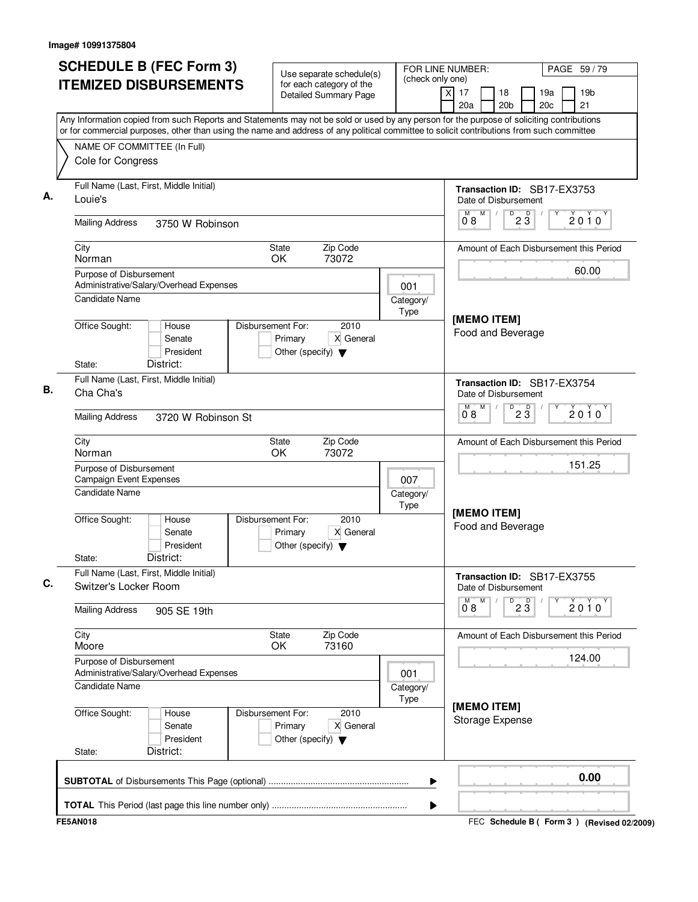| <b>SCHEDULE B (FEC Form 3)</b>                                                                                                                                                                                                                                                         | Use separate schedule(s)                                                                  | (check only one)  | FOR LINE NUMBER:                                              | PAGE 59 / 79                                    |  |
|----------------------------------------------------------------------------------------------------------------------------------------------------------------------------------------------------------------------------------------------------------------------------------------|-------------------------------------------------------------------------------------------|-------------------|---------------------------------------------------------------|-------------------------------------------------|--|
| <b>ITEMIZED DISBURSEMENTS</b>                                                                                                                                                                                                                                                          | for each category of the<br><b>Detailed Summary Page</b>                                  |                   | $\overline{\mathsf{x}}$<br>17<br>18<br>20a<br>20 <sub>b</sub> | 19a<br>19 <sub>b</sub><br>21<br>20 <sub>c</sub> |  |
| Any Information copied from such Reports and Statements may not be sold or used by any person for the purpose of soliciting contributions<br>or for commercial purposes, other than using the name and address of any political committee to solicit contributions from such committee |                                                                                           |                   |                                                               |                                                 |  |
| NAME OF COMMITTEE (In Full)                                                                                                                                                                                                                                                            |                                                                                           |                   |                                                               |                                                 |  |
| Cole for Congress                                                                                                                                                                                                                                                                      |                                                                                           |                   |                                                               |                                                 |  |
| Full Name (Last, First, Middle Initial)<br>Louie's                                                                                                                                                                                                                                     |                                                                                           |                   | Transaction ID: SB17-EX3753<br>Date of Disbursement           |                                                 |  |
| <b>Mailing Address</b><br>3750 W Robinson                                                                                                                                                                                                                                              |                                                                                           |                   | M<br>M<br>D<br>$2\overline{3}$<br>08                          | 2010                                            |  |
| City<br>Norman                                                                                                                                                                                                                                                                         | Zip Code<br>State<br>73072<br>OK                                                          |                   |                                                               | Amount of Each Disbursement this Period         |  |
| Purpose of Disbursement<br>Administrative/Salary/Overhead Expenses                                                                                                                                                                                                                     |                                                                                           | 001               |                                                               | 60.00                                           |  |
| <b>Candidate Name</b>                                                                                                                                                                                                                                                                  |                                                                                           | Category/<br>Type |                                                               |                                                 |  |
| Office Sought:<br>House<br>Senate<br>President<br>District:<br>State:                                                                                                                                                                                                                  | Disbursement For:<br>2010<br>Primary<br>X General<br>Other (specify) $\blacktriangledown$ |                   | [MEMO ITEM]<br>Food and Beverage                              |                                                 |  |
| Full Name (Last, First, Middle Initial)<br>Cha Cha's                                                                                                                                                                                                                                   |                                                                                           |                   | Transaction ID: SB17-EX3754<br>Date of Disbursement           |                                                 |  |
| <b>Mailing Address</b><br>3720 W Robinson St                                                                                                                                                                                                                                           |                                                                                           |                   | M<br>м<br>$D^D$ 2 $\overline{3}$<br>08                        | $2010^y$                                        |  |
| City<br>Norman                                                                                                                                                                                                                                                                         | Zip Code<br>State<br>OK<br>73072                                                          |                   |                                                               | Amount of Each Disbursement this Period         |  |
| Purpose of Disbursement<br><b>Campaign Event Expenses</b>                                                                                                                                                                                                                              |                                                                                           | 007               |                                                               | 151.25                                          |  |
| Candidate Name                                                                                                                                                                                                                                                                         |                                                                                           | Category/<br>Type |                                                               |                                                 |  |
| Office Sought:<br>House<br>Senate<br>President<br>District:<br>State:                                                                                                                                                                                                                  | Disbursement For:<br>2010<br>X General<br>Primary<br>Other (specify) $\blacktriangledown$ |                   | [MEMO ITEM]<br>Food and Beverage                              |                                                 |  |
| Full Name (Last, First, Middle Initial)<br>Switzer's Locker Room                                                                                                                                                                                                                       |                                                                                           |                   | Transaction ID: SB17-EX3755<br>Date of Disbursement           |                                                 |  |
| <b>Mailing Address</b><br>905 SE 19th                                                                                                                                                                                                                                                  |                                                                                           |                   | M<br>$\overline{23}$<br>$\overline{0}^M$ 8                    | Υ<br>2010                                       |  |
| City<br>Moore                                                                                                                                                                                                                                                                          | Zip Code<br>State<br>OK<br>73160                                                          |                   |                                                               | Amount of Each Disbursement this Period         |  |
| Purpose of Disbursement<br>Administrative/Salary/Overhead Expenses                                                                                                                                                                                                                     |                                                                                           | 001               |                                                               | 124.00                                          |  |
| Candidate Name                                                                                                                                                                                                                                                                         |                                                                                           | Category/<br>Type |                                                               |                                                 |  |
| Office Sought:<br>House<br>Senate<br>President<br>District:<br>State:                                                                                                                                                                                                                  | Disbursement For:<br>2010<br>Primary<br>X General<br>Other (specify) $\blacktriangledown$ |                   | [MEMO ITEM]<br>Storage Expense                                |                                                 |  |
|                                                                                                                                                                                                                                                                                        |                                                                                           | ▶                 |                                                               | 0.00                                            |  |
|                                                                                                                                                                                                                                                                                        |                                                                                           | ▶                 |                                                               |                                                 |  |
| <b>FE5AN018</b>                                                                                                                                                                                                                                                                        |                                                                                           |                   |                                                               | FEC Schedule B (Form 3) (Revised 02/2009)       |  |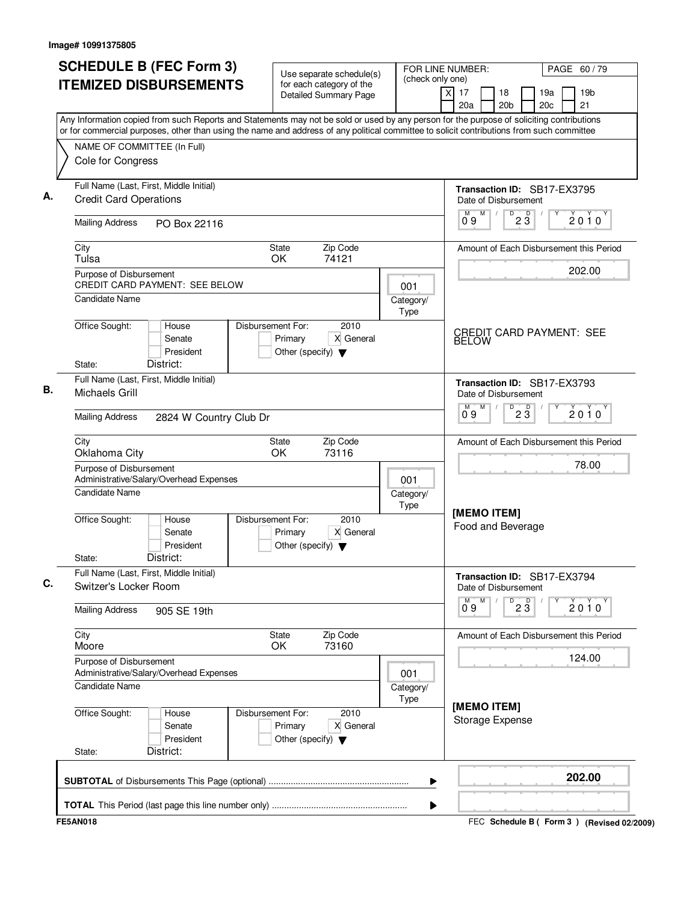| <b>SCHEDULE B (FEC Form 3)</b>                                                                                                                                                                                                                                                         |                                           |                   |                                                 | Use separate schedule(s)                                 |                   |                         | FOR LINE NUMBER: |                                                            |                 |                        | PAGE 60 / 79 |                                           |  |
|----------------------------------------------------------------------------------------------------------------------------------------------------------------------------------------------------------------------------------------------------------------------------------------|-------------------------------------------|-------------------|-------------------------------------------------|----------------------------------------------------------|-------------------|-------------------------|------------------|------------------------------------------------------------|-----------------|------------------------|--------------|-------------------------------------------|--|
| <b>ITEMIZED DISBURSEMENTS</b>                                                                                                                                                                                                                                                          |                                           |                   |                                                 | for each category of the<br><b>Detailed Summary Page</b> | (check only one)  | $\overline{\mathsf{x}}$ | 17<br>20a        | 18<br>20 <sub>b</sub>                                      |                 | 19a<br>20 <sub>c</sub> |              | 19 <sub>b</sub><br>21                     |  |
| Any Information copied from such Reports and Statements may not be sold or used by any person for the purpose of soliciting contributions<br>or for commercial purposes, other than using the name and address of any political committee to solicit contributions from such committee |                                           |                   |                                                 |                                                          |                   |                         |                  |                                                            |                 |                        |              |                                           |  |
| NAME OF COMMITTEE (In Full)                                                                                                                                                                                                                                                            |                                           |                   |                                                 |                                                          |                   |                         |                  |                                                            |                 |                        |              |                                           |  |
| Cole for Congress                                                                                                                                                                                                                                                                      |                                           |                   |                                                 |                                                          |                   |                         |                  |                                                            |                 |                        |              |                                           |  |
| Full Name (Last, First, Middle Initial)<br><b>Credit Card Operations</b>                                                                                                                                                                                                               |                                           |                   |                                                 |                                                          |                   |                         |                  | Transaction ID: SB17-EX3795<br>Date of Disbursement        |                 |                        |              |                                           |  |
| <b>Mailing Address</b>                                                                                                                                                                                                                                                                 | PO Box 22116                              |                   |                                                 |                                                          |                   |                         | M<br>09          | M<br>D                                                     | $2\overline{3}$ |                        |              | 2010                                      |  |
| City<br>Tulsa                                                                                                                                                                                                                                                                          |                                           |                   | <b>State</b><br>OK                              | Zip Code<br>74121                                        |                   |                         |                  |                                                            |                 |                        |              | Amount of Each Disbursement this Period   |  |
| Purpose of Disbursement                                                                                                                                                                                                                                                                | <b>CREDIT CARD PAYMENT: SEE BELOW</b>     |                   |                                                 |                                                          | 001               |                         |                  |                                                            |                 |                        |              | 202.00                                    |  |
| <b>Candidate Name</b>                                                                                                                                                                                                                                                                  |                                           | Disbursement For: |                                                 | 2010                                                     | Category/<br>Type |                         |                  |                                                            |                 |                        |              |                                           |  |
| Office Sought:<br>State:                                                                                                                                                                                                                                                               | House<br>Senate<br>President<br>District: |                   | Primary<br>Other (specify) $\blacktriangledown$ | X General                                                |                   |                         | <b>BELOW</b>     | <b>CREDIT CARD PAYMENT: SEE</b>                            |                 |                        |              |                                           |  |
| Full Name (Last, First, Middle Initial)<br>Michaels Grill                                                                                                                                                                                                                              |                                           |                   |                                                 |                                                          |                   |                         |                  | <b>Transaction ID: SB17-EX3793</b><br>Date of Disbursement |                 |                        |              |                                           |  |
| <b>Mailing Address</b>                                                                                                                                                                                                                                                                 | 2824 W Country Club Dr                    |                   |                                                 |                                                          |                   |                         | M<br>09          | M<br>D                                                     | $2\overline{3}$ |                        |              | $2010^y$                                  |  |
| City<br>Oklahoma City                                                                                                                                                                                                                                                                  |                                           |                   | State<br>OK                                     | Zip Code<br>73116                                        |                   |                         |                  |                                                            |                 |                        |              | Amount of Each Disbursement this Period   |  |
| Purpose of Disbursement                                                                                                                                                                                                                                                                | Administrative/Salary/Overhead Expenses   |                   |                                                 |                                                          | 001               |                         |                  |                                                            |                 |                        |              | 78.00                                     |  |
| Candidate Name                                                                                                                                                                                                                                                                         |                                           |                   |                                                 |                                                          | Category/<br>Type |                         |                  |                                                            |                 |                        |              |                                           |  |
| Office Sought:<br>State:                                                                                                                                                                                                                                                               | House<br>Senate<br>President<br>District: | Disbursement For: | Primary<br>Other (specify) $\blacktriangledown$ | 2010<br>X General                                        |                   |                         |                  | [MEMO ITEM]<br>Food and Beverage                           |                 |                        |              |                                           |  |
| Full Name (Last, First, Middle Initial)<br>Switzer's Locker Room                                                                                                                                                                                                                       |                                           |                   |                                                 |                                                          |                   |                         |                  | Transaction ID: SB17-EX3794<br>Date of Disbursement        |                 |                        |              |                                           |  |
| <b>Mailing Address</b>                                                                                                                                                                                                                                                                 | 905 SE 19th                               |                   |                                                 |                                                          |                   |                         | $0^{M}$ 9        | M                                                          | $\overline{23}$ | Υ                      |              | 2010                                      |  |
| City<br>Moore                                                                                                                                                                                                                                                                          |                                           |                   | State<br>OK                                     | Zip Code<br>73160                                        |                   |                         |                  |                                                            |                 |                        |              | Amount of Each Disbursement this Period   |  |
| Purpose of Disbursement                                                                                                                                                                                                                                                                | Administrative/Salary/Overhead Expenses   |                   |                                                 |                                                          | 001               |                         |                  |                                                            |                 |                        |              | 124.00                                    |  |
| Candidate Name                                                                                                                                                                                                                                                                         |                                           |                   |                                                 |                                                          | Category/<br>Type |                         |                  |                                                            |                 |                        |              |                                           |  |
| Office Sought:<br>State:                                                                                                                                                                                                                                                               | House<br>Senate<br>President<br>District: | Disbursement For: | Primary<br>Other (specify) $\blacktriangledown$ | 2010<br>X General                                        |                   |                         |                  | [MEMO ITEM]<br>Storage Expense                             |                 |                        |              |                                           |  |
|                                                                                                                                                                                                                                                                                        |                                           |                   |                                                 |                                                          | ▶                 |                         |                  |                                                            |                 |                        |              | 202.00                                    |  |
|                                                                                                                                                                                                                                                                                        |                                           |                   |                                                 |                                                          | ▶                 |                         |                  |                                                            |                 |                        |              |                                           |  |
| <b>FE5AN018</b>                                                                                                                                                                                                                                                                        |                                           |                   |                                                 |                                                          |                   |                         |                  |                                                            |                 |                        |              | FEC Schedule B (Form 3) (Revised 02/2009) |  |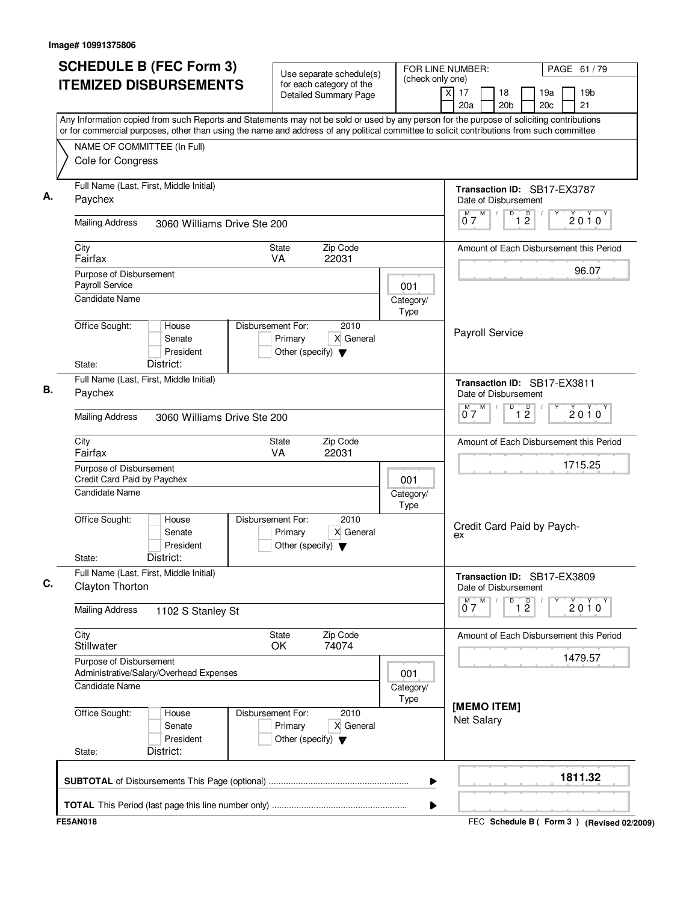| <b>SCHEDULE B (FEC Form 3)</b>                                                                                                                                                                                                                                                         | Use separate schedule(s)                                                                  |                          | FOR LINE NUMBER:                                                | PAGE 61 / 79                                    |
|----------------------------------------------------------------------------------------------------------------------------------------------------------------------------------------------------------------------------------------------------------------------------------------|-------------------------------------------------------------------------------------------|--------------------------|-----------------------------------------------------------------|-------------------------------------------------|
| <b>ITEMIZED DISBURSEMENTS</b>                                                                                                                                                                                                                                                          | for each category of the<br><b>Detailed Summary Page</b>                                  | (check only one)         | $\overline{\mathsf{x}}$<br>17<br>18<br>20 <sub>b</sub><br>20a   | 19 <sub>b</sub><br>19a<br>20 <sub>c</sub><br>21 |
| Any Information copied from such Reports and Statements may not be sold or used by any person for the purpose of soliciting contributions<br>or for commercial purposes, other than using the name and address of any political committee to solicit contributions from such committee |                                                                                           |                          |                                                                 |                                                 |
| NAME OF COMMITTEE (In Full)                                                                                                                                                                                                                                                            |                                                                                           |                          |                                                                 |                                                 |
| Cole for Congress                                                                                                                                                                                                                                                                      |                                                                                           |                          |                                                                 |                                                 |
| Full Name (Last, First, Middle Initial)<br>Paychex                                                                                                                                                                                                                                     |                                                                                           |                          | Transaction ID: SB17-EX3787<br>Date of Disbursement             |                                                 |
| <b>Mailing Address</b><br>3060 Williams Drive Ste 200                                                                                                                                                                                                                                  |                                                                                           |                          | M<br>D<br>1 <sup>D</sup><br>M<br>07                             | 2010                                            |
| City<br>Fairfax                                                                                                                                                                                                                                                                        | Zip Code<br><b>State</b><br>22031<br>VA.                                                  |                          |                                                                 | Amount of Each Disbursement this Period         |
| Purpose of Disbursement                                                                                                                                                                                                                                                                |                                                                                           |                          |                                                                 | 96.07                                           |
| Payroll Service<br><b>Candidate Name</b>                                                                                                                                                                                                                                               |                                                                                           | 001<br>Category/<br>Type |                                                                 |                                                 |
| Office Sought:<br>House<br>Senate<br>President<br>District:<br>State:                                                                                                                                                                                                                  | Disbursement For:<br>2010<br>Primary<br>X General<br>Other (specify) $\blacktriangledown$ |                          | Payroll Service                                                 |                                                 |
| Full Name (Last, First, Middle Initial)                                                                                                                                                                                                                                                |                                                                                           |                          |                                                                 |                                                 |
| Paychex                                                                                                                                                                                                                                                                                |                                                                                           |                          | Transaction ID: SB17-EX3811<br>Date of Disbursement             |                                                 |
| <b>Mailing Address</b><br>3060 Williams Drive Ste 200                                                                                                                                                                                                                                  |                                                                                           |                          | $\overline{D}$<br>M<br>$\overline{1}$ $\overline{2}$<br>M<br>07 | $2010^y$                                        |
| City<br>Fairfax                                                                                                                                                                                                                                                                        | Zip Code<br><b>State</b><br>22031<br>VA                                                   |                          |                                                                 | Amount of Each Disbursement this Period         |
| Purpose of Disbursement<br>Credit Card Paid by Paychex                                                                                                                                                                                                                                 |                                                                                           | 001                      |                                                                 | 1715.25                                         |
| <b>Candidate Name</b>                                                                                                                                                                                                                                                                  |                                                                                           | Category/<br>Type        |                                                                 |                                                 |
| Office Sought:<br>House<br>Senate<br>President<br>District:<br>State:                                                                                                                                                                                                                  | Disbursement For:<br>2010<br>X General<br>Primary<br>Other (specify) $\blacktriangledown$ |                          | Credit Card Paid by Paych-<br>ex                                |                                                 |
| Full Name (Last, First, Middle Initial)<br>Clayton Thorton                                                                                                                                                                                                                             |                                                                                           |                          | Transaction ID: SB17-EX3809<br>Date of Disbursement             |                                                 |
| <b>Mailing Address</b><br>1102 S Stanley St                                                                                                                                                                                                                                            |                                                                                           |                          | $0^M$ $7^M$<br>D<br>$\overline{1}$ $\overline{2}$               | Y<br>2010                                       |
| City<br>Stillwater                                                                                                                                                                                                                                                                     | Zip Code<br>State<br>OK<br>74074                                                          |                          |                                                                 | Amount of Each Disbursement this Period         |
| Purpose of Disbursement                                                                                                                                                                                                                                                                |                                                                                           |                          |                                                                 | 1479.57                                         |
| Administrative/Salary/Overhead Expenses<br><b>Candidate Name</b>                                                                                                                                                                                                                       |                                                                                           | 001<br>Category/<br>Type |                                                                 |                                                 |
| Office Sought:<br>House<br>Senate<br>President<br>District:<br>State:                                                                                                                                                                                                                  | Disbursement For:<br>2010<br>Primary<br>X General<br>Other (specify) $\blacktriangledown$ |                          | [MEMO ITEM]<br><b>Net Salary</b>                                |                                                 |
|                                                                                                                                                                                                                                                                                        |                                                                                           | ▶                        |                                                                 | 1811.32                                         |
|                                                                                                                                                                                                                                                                                        |                                                                                           | ▶                        |                                                                 |                                                 |
| <b>FE5AN018</b>                                                                                                                                                                                                                                                                        |                                                                                           |                          |                                                                 | FEC Schedule B ( Form 3 ) (Revised 02/2009)     |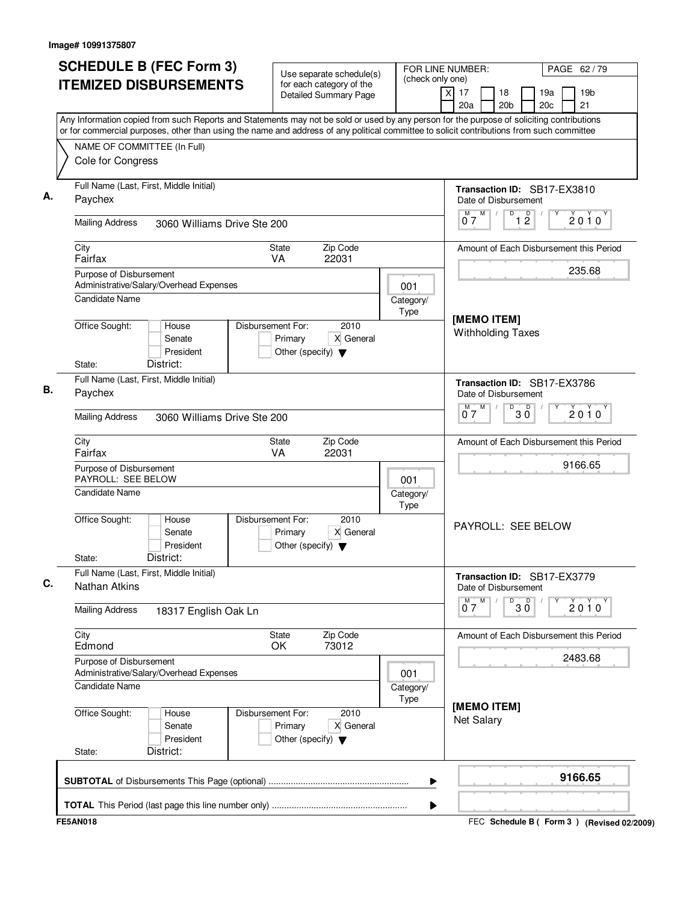| <b>SCHEDULE B (FEC Form 3)</b>                                                                                                                                                                                                                                                         | Use separate schedule(s)                                                                  |                          | FOR LINE NUMBER:<br>PAGE 62 / 79                                                                                 |  |  |
|----------------------------------------------------------------------------------------------------------------------------------------------------------------------------------------------------------------------------------------------------------------------------------------|-------------------------------------------------------------------------------------------|--------------------------|------------------------------------------------------------------------------------------------------------------|--|--|
| <b>ITEMIZED DISBURSEMENTS</b>                                                                                                                                                                                                                                                          | for each category of the<br><b>Detailed Summary Page</b>                                  | (check only one)         | $\overline{\mathsf{x}}$<br>17<br>18<br>19 <sub>b</sub><br>19a<br>20a<br>20 <sub>b</sub><br>20 <sub>c</sub><br>21 |  |  |
| Any Information copied from such Reports and Statements may not be sold or used by any person for the purpose of soliciting contributions<br>or for commercial purposes, other than using the name and address of any political committee to solicit contributions from such committee |                                                                                           |                          |                                                                                                                  |  |  |
| NAME OF COMMITTEE (In Full)                                                                                                                                                                                                                                                            |                                                                                           |                          |                                                                                                                  |  |  |
| Cole for Congress                                                                                                                                                                                                                                                                      |                                                                                           |                          |                                                                                                                  |  |  |
| Full Name (Last, First, Middle Initial)<br>Paychex                                                                                                                                                                                                                                     |                                                                                           |                          | Transaction ID: SB17-EX3810<br>Date of Disbursement                                                              |  |  |
| <b>Mailing Address</b><br>3060 Williams Drive Ste 200                                                                                                                                                                                                                                  |                                                                                           |                          | M<br>D<br>1 <sup>D</sup><br>M<br>2010<br>07                                                                      |  |  |
| City<br>Fairfax                                                                                                                                                                                                                                                                        | Zip Code<br><b>State</b><br>22031<br>VA.                                                  |                          | Amount of Each Disbursement this Period                                                                          |  |  |
| Purpose of Disbursement                                                                                                                                                                                                                                                                |                                                                                           |                          | 235.68                                                                                                           |  |  |
| Administrative/Salary/Overhead Expenses<br><b>Candidate Name</b>                                                                                                                                                                                                                       |                                                                                           | 001<br>Category/<br>Type |                                                                                                                  |  |  |
| Office Sought:<br>House<br>Senate<br>President<br>District:<br>State:                                                                                                                                                                                                                  | Disbursement For:<br>2010<br>Primary<br>X General<br>Other (specify) $\blacktriangledown$ |                          | [MEMO ITEM]<br><b>Withholding Taxes</b>                                                                          |  |  |
| Full Name (Last, First, Middle Initial)<br>Paychex                                                                                                                                                                                                                                     |                                                                                           |                          | Transaction ID: SB17-EX3786<br>Date of Disbursement                                                              |  |  |
| <b>Mailing Address</b><br>3060 Williams Drive Ste 200                                                                                                                                                                                                                                  |                                                                                           |                          | M<br>D<br>$30^{\circ}$<br>М<br>$2010^y$<br>07                                                                    |  |  |
| City<br>Fairfax                                                                                                                                                                                                                                                                        | Zip Code<br><b>State</b><br>22031<br>VA                                                   |                          | Amount of Each Disbursement this Period                                                                          |  |  |
| Purpose of Disbursement<br>PAYROLL: SEE BELOW                                                                                                                                                                                                                                          |                                                                                           | 001                      | 9166.65                                                                                                          |  |  |
| <b>Candidate Name</b>                                                                                                                                                                                                                                                                  |                                                                                           | Category/<br>Type        |                                                                                                                  |  |  |
| Office Sought:<br>House<br>Senate<br>President<br>District:<br>State:                                                                                                                                                                                                                  | Disbursement For:<br>2010<br>X General<br>Primary<br>Other (specify) $\blacktriangledown$ |                          | PAYROLL: SEE BELOW                                                                                               |  |  |
| Full Name (Last, First, Middle Initial)<br><b>Nathan Atkins</b>                                                                                                                                                                                                                        |                                                                                           |                          | Transaction ID: SB17-EX3779<br>Date of Disbursement                                                              |  |  |
| <b>Mailing Address</b><br>18317 English Oak Ln                                                                                                                                                                                                                                         |                                                                                           |                          | $0^M$ $7^M$<br>$D$ <sub>0</sub> 3 $0$<br>Y<br>2010                                                               |  |  |
| City<br>Edmond                                                                                                                                                                                                                                                                         | Zip Code<br>State<br>OK<br>73012                                                          |                          | Amount of Each Disbursement this Period                                                                          |  |  |
| Purpose of Disbursement<br>Administrative/Salary/Overhead Expenses                                                                                                                                                                                                                     |                                                                                           | 001                      | 2483.68                                                                                                          |  |  |
| <b>Candidate Name</b>                                                                                                                                                                                                                                                                  |                                                                                           | Category/<br>Type        |                                                                                                                  |  |  |
| Office Sought:<br>House<br>Senate<br>President<br>District:<br>State:                                                                                                                                                                                                                  | Disbursement For:<br>2010<br>Primary<br>X General<br>Other (specify) $\blacktriangledown$ |                          | [MEMO ITEM]<br><b>Net Salary</b>                                                                                 |  |  |
|                                                                                                                                                                                                                                                                                        |                                                                                           | ▶                        | 9166.65                                                                                                          |  |  |
|                                                                                                                                                                                                                                                                                        |                                                                                           | ▶                        |                                                                                                                  |  |  |
| <b>FE5AN018</b>                                                                                                                                                                                                                                                                        |                                                                                           |                          | FEC Schedule B ( Form 3 ) (Revised 02/2009)                                                                      |  |  |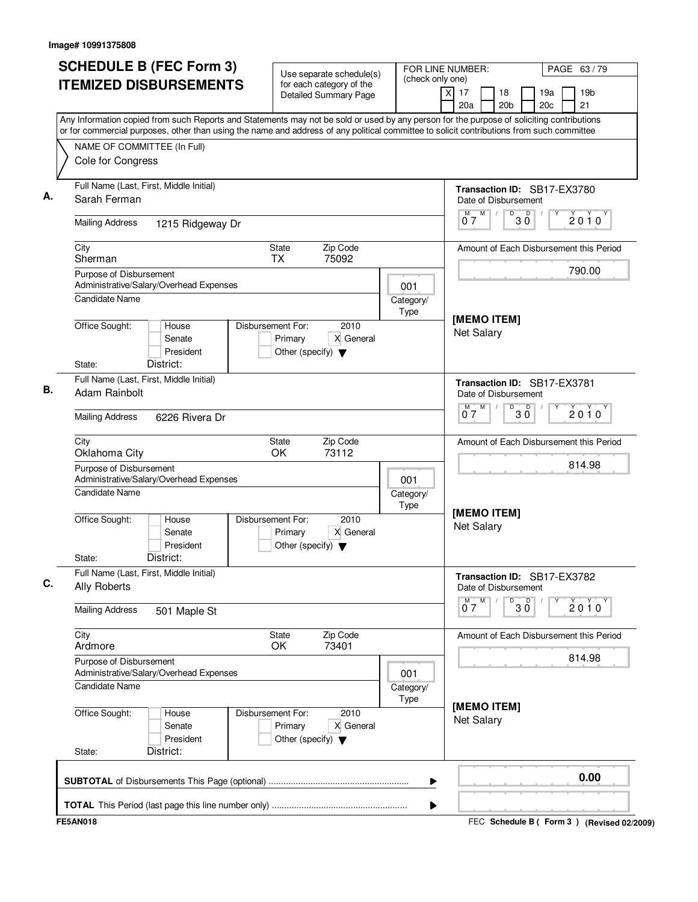| <b>SCHEDULE B (FEC Form 3)</b>                                                                                                                                                                                                                                                         | Use separate schedule(s)                                                                  | FOR LINE NUMBER:<br>(check only one) |                                                               | PAGE 63/79                                      |  |
|----------------------------------------------------------------------------------------------------------------------------------------------------------------------------------------------------------------------------------------------------------------------------------------|-------------------------------------------------------------------------------------------|--------------------------------------|---------------------------------------------------------------|-------------------------------------------------|--|
| <b>ITEMIZED DISBURSEMENTS</b>                                                                                                                                                                                                                                                          | for each category of the<br><b>Detailed Summary Page</b>                                  |                                      | $\overline{\mathsf{x}}$<br>17<br>18<br>20a<br>20 <sub>b</sub> | 19a<br>19 <sub>b</sub><br>21<br>20 <sub>c</sub> |  |
| Any Information copied from such Reports and Statements may not be sold or used by any person for the purpose of soliciting contributions<br>or for commercial purposes, other than using the name and address of any political committee to solicit contributions from such committee |                                                                                           |                                      |                                                               |                                                 |  |
| NAME OF COMMITTEE (In Full)                                                                                                                                                                                                                                                            |                                                                                           |                                      |                                                               |                                                 |  |
| Cole for Congress                                                                                                                                                                                                                                                                      |                                                                                           |                                      |                                                               |                                                 |  |
| Full Name (Last, First, Middle Initial)<br>Sarah Ferman                                                                                                                                                                                                                                |                                                                                           |                                      | Transaction ID: SB17-EX3780<br>Date of Disbursement           |                                                 |  |
| <b>Mailing Address</b><br>1215 Ridgeway Dr                                                                                                                                                                                                                                             |                                                                                           |                                      | M<br>M<br>D<br>p<br>$30^{\circ}$<br>07                        | 2010                                            |  |
| City<br>Sherman                                                                                                                                                                                                                                                                        | Zip Code<br>State<br><b>TX</b><br>75092                                                   |                                      |                                                               | Amount of Each Disbursement this Period         |  |
| Purpose of Disbursement<br>Administrative/Salary/Overhead Expenses                                                                                                                                                                                                                     |                                                                                           | 001                                  |                                                               | 790.00                                          |  |
| <b>Candidate Name</b>                                                                                                                                                                                                                                                                  |                                                                                           | Category/<br>Type                    |                                                               |                                                 |  |
| Office Sought:<br>House<br>Senate<br>President<br>District:<br>State:                                                                                                                                                                                                                  | Disbursement For:<br>2010<br>Primary<br>X General<br>Other (specify) $\blacktriangledown$ |                                      | [MEMO ITEM]<br><b>Net Salary</b>                              |                                                 |  |
| Full Name (Last, First, Middle Initial)<br>Adam Rainbolt                                                                                                                                                                                                                               |                                                                                           |                                      | Transaction ID: SB17-EX3781<br>Date of Disbursement           |                                                 |  |
| <b>Mailing Address</b><br>6226 Rivera Dr                                                                                                                                                                                                                                               |                                                                                           |                                      | M<br>м<br>$B^D$ 3 $\overline{0}$<br>07                        | $2010^y$                                        |  |
| City<br>Oklahoma City                                                                                                                                                                                                                                                                  | Zip Code<br>State<br>OK<br>73112                                                          |                                      |                                                               | Amount of Each Disbursement this Period         |  |
| Purpose of Disbursement<br>Administrative/Salary/Overhead Expenses                                                                                                                                                                                                                     |                                                                                           | 001                                  | 814.98                                                        |                                                 |  |
| <b>Candidate Name</b>                                                                                                                                                                                                                                                                  |                                                                                           | Category/<br>Type                    |                                                               |                                                 |  |
| Office Sought:<br>House<br>Senate<br>President<br>District:<br>State:                                                                                                                                                                                                                  | Disbursement For:<br>2010<br>X General<br>Primary<br>Other (specify) $\blacktriangledown$ |                                      | [MEMO ITEM]<br><b>Net Salary</b>                              |                                                 |  |
| Full Name (Last, First, Middle Initial)<br>Ally Roberts                                                                                                                                                                                                                                |                                                                                           |                                      | Transaction ID: SB17-EX3782<br>Date of Disbursement           |                                                 |  |
| <b>Mailing Address</b><br>501 Maple St                                                                                                                                                                                                                                                 |                                                                                           |                                      | $0^M$ $7^M$<br>$\overline{30}$                                | Υ<br>$2010^y$                                   |  |
| City<br>Ardmore                                                                                                                                                                                                                                                                        | State<br>Zip Code<br>OK<br>73401                                                          |                                      |                                                               | Amount of Each Disbursement this Period         |  |
| Purpose of Disbursement<br>Administrative/Salary/Overhead Expenses                                                                                                                                                                                                                     |                                                                                           | 001                                  |                                                               | 814.98                                          |  |
| Candidate Name                                                                                                                                                                                                                                                                         |                                                                                           | Category/<br>Type                    | [MEMO ITEM]                                                   |                                                 |  |
| Office Sought:<br>House<br>Senate<br>President<br>District:<br>State:                                                                                                                                                                                                                  | Disbursement For:<br>2010<br>Primary<br>X General<br>Other (specify) $\blacktriangledown$ |                                      | <b>Net Salary</b>                                             |                                                 |  |
|                                                                                                                                                                                                                                                                                        |                                                                                           | ▶                                    |                                                               | 0.00                                            |  |
|                                                                                                                                                                                                                                                                                        |                                                                                           | ▶                                    |                                                               |                                                 |  |
| <b>FE5AN018</b>                                                                                                                                                                                                                                                                        |                                                                                           |                                      |                                                               | FEC Schedule B (Form 3) (Revised 02/2009)       |  |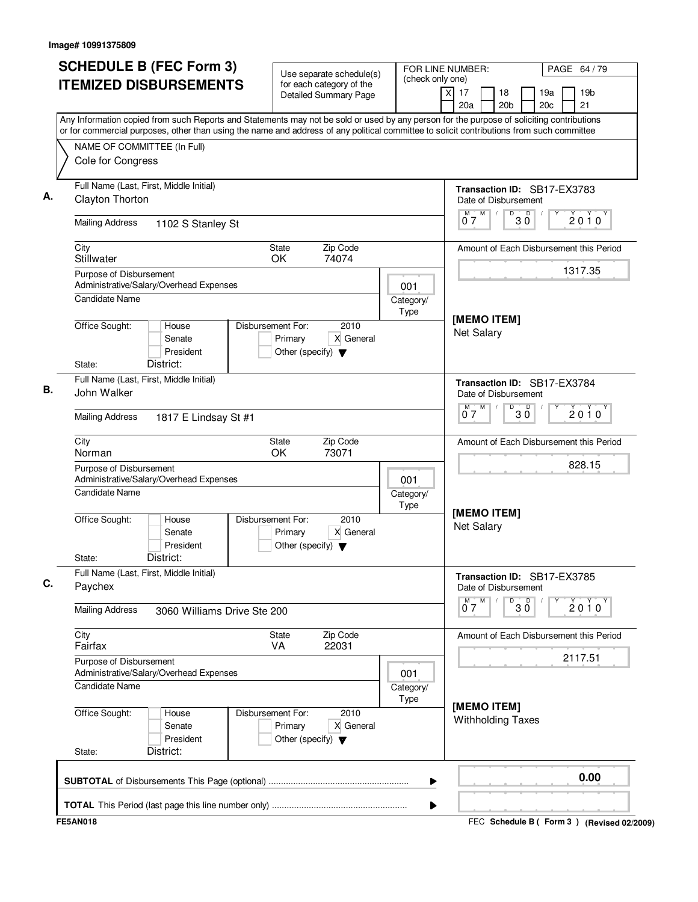|                                                                                                                                                                                                                                                                                        | <b>SCHEDULE B (FEC Form 3)</b><br>Use separate schedule(s)   |                   | FOR LINE NUMBER:<br>(check only one)                |                                     |            | PAGE 64 / 79                            |
|----------------------------------------------------------------------------------------------------------------------------------------------------------------------------------------------------------------------------------------------------------------------------------------|--------------------------------------------------------------|-------------------|-----------------------------------------------------|-------------------------------------|------------|-----------------------------------------|
| <b>ITEMIZED DISBURSEMENTS</b>                                                                                                                                                                                                                                                          | for each category of the<br>Detailed Summary Page            |                   | $\times$<br>17<br>18<br>20a<br>20 <sub>b</sub>      |                                     | 19a<br>20c | 19 <sub>b</sub><br>21                   |
| Any Information copied from such Reports and Statements may not be sold or used by any person for the purpose of soliciting contributions<br>or for commercial purposes, other than using the name and address of any political committee to solicit contributions from such committee |                                                              |                   |                                                     |                                     |            |                                         |
| NAME OF COMMITTEE (In Full)<br>Cole for Congress                                                                                                                                                                                                                                       |                                                              |                   |                                                     |                                     |            |                                         |
| Full Name (Last, First, Middle Initial)<br>Clayton Thorton                                                                                                                                                                                                                             |                                                              |                   | Transaction ID: SB17-EX3783<br>Date of Disbursement |                                     |            |                                         |
| <b>Mailing Address</b><br>1102 S Stanley St                                                                                                                                                                                                                                            |                                                              |                   | M<br>М<br>07                                        | D<br>$\overline{\mathsf{D}}$<br>3 Ŏ |            | 2010                                    |
| City<br>Stillwater                                                                                                                                                                                                                                                                     | <b>State</b><br>Zip Code<br>OK.<br>74074                     |                   |                                                     |                                     |            | Amount of Each Disbursement this Period |
| Purpose of Disbursement<br>Administrative/Salary/Overhead Expenses<br>Candidate Name                                                                                                                                                                                                   |                                                              | 001               |                                                     |                                     |            | 1317.35                                 |
| Office Sought:<br>House                                                                                                                                                                                                                                                                | Disbursement For:<br>2010                                    | Category/<br>Type | [MEMO ITEM]                                         |                                     |            |                                         |
| Senate<br>President<br>District:                                                                                                                                                                                                                                                       | Primary<br>X General<br>Other (specify) $\blacktriangledown$ |                   |                                                     | <b>Net Salary</b>                   |            |                                         |
| State:<br>Full Name (Last, First, Middle Initial)<br>John Walker                                                                                                                                                                                                                       |                                                              |                   | Transaction ID: SB17-EX3784<br>Date of Disbursement |                                     |            |                                         |
| <b>Mailing Address</b><br>1817 E Lindsay St #1                                                                                                                                                                                                                                         |                                                              |                   | M<br>м<br>07                                        | D<br>$30^{\circ}$                   |            | 2010                                    |
| City<br>Norman                                                                                                                                                                                                                                                                         | Zip Code<br>State<br>OK<br>73071                             |                   |                                                     |                                     |            | Amount of Each Disbursement this Period |
| Purpose of Disbursement<br>Administrative/Salary/Overhead Expenses                                                                                                                                                                                                                     |                                                              | 001               |                                                     |                                     |            | 828.15                                  |
| <b>Candidate Name</b><br>Office Sought:<br>House                                                                                                                                                                                                                                       | Disbursement For:<br>2010                                    | Category/<br>Type | [MEMO ITEM]                                         |                                     |            |                                         |
| Senate<br>President<br>District:                                                                                                                                                                                                                                                       | X General<br>Primary<br>Other (specify) $\blacktriangledown$ |                   | <b>Net Salary</b>                                   |                                     |            |                                         |
| State:<br>Full Name (Last, First, Middle Initial)<br>Paychex                                                                                                                                                                                                                           |                                                              |                   | Transaction ID: SB17-EX3785<br>Date of Disbursement |                                     |            |                                         |
| <b>Mailing Address</b><br>3060 Williams Drive Ste 200                                                                                                                                                                                                                                  |                                                              |                   | M<br>$\overline{0}^M$ 7                             | $\overline{30}$                     | Υ          | $2010^y$                                |
| City<br>Fairfax                                                                                                                                                                                                                                                                        | Zip Code<br>State<br><b>VA</b><br>22031                      |                   |                                                     |                                     |            | Amount of Each Disbursement this Period |
| Purpose of Disbursement<br>Administrative/Salary/Overhead Expenses<br><b>Candidate Name</b>                                                                                                                                                                                            |                                                              | 001               |                                                     |                                     |            | 2117.51                                 |
| Office Sought:<br>House                                                                                                                                                                                                                                                                | Disbursement For:<br>2010                                    | Category/<br>Type | [MEMO ITEM]                                         |                                     |            |                                         |
| Senate<br>President<br>District:<br>State:                                                                                                                                                                                                                                             | X General<br>Primary<br>Other (specify) $\blacktriangledown$ |                   | <b>Withholding Taxes</b>                            |                                     |            |                                         |
|                                                                                                                                                                                                                                                                                        |                                                              | ▶                 |                                                     |                                     |            | 0.00                                    |
|                                                                                                                                                                                                                                                                                        |                                                              |                   |                                                     |                                     |            |                                         |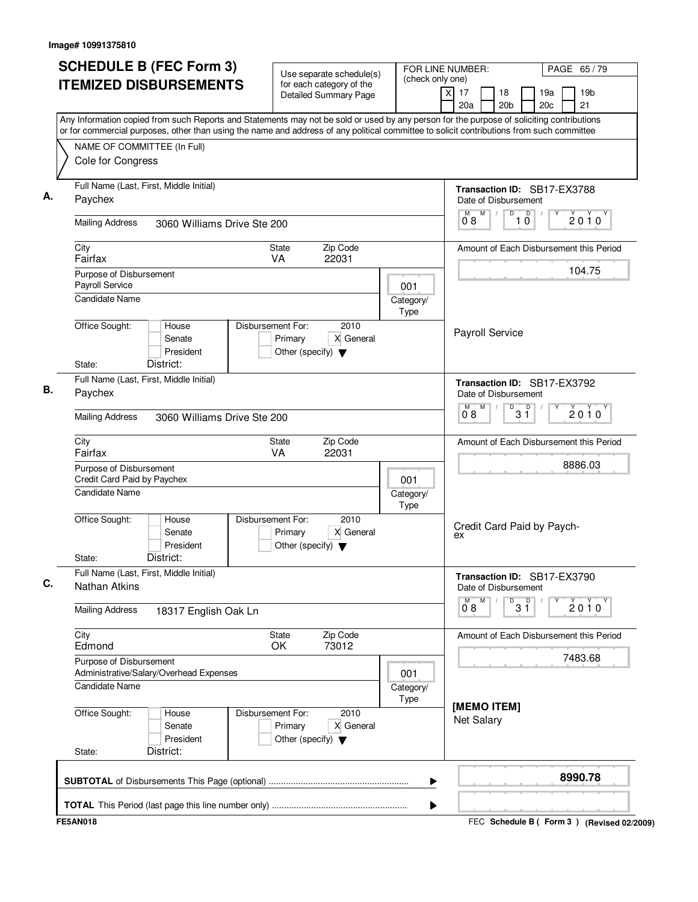| Cole for Congress<br>Paychex<br><b>Mailing Address</b><br>City<br>Fairfax<br>Purpose of Disbursement<br>Payroll Service<br>Candidate Name<br>Office Sought: | <b>ITEMIZED DISBURSEMENTS</b><br>NAME OF COMMITTEE (In Full)<br>Full Name (Last, First, Middle Initial)<br>3060 Williams Drive Ste 200<br>House<br>Senate | Use separate schedule(s)<br>for each category of the<br><b>Detailed Summary Page</b><br>Zip Code<br><b>State</b><br>22031<br><b>VA</b> | (check only one)<br>001<br>Category/ | 18<br>19 <sub>b</sub><br>$\times$<br>17<br>19a<br>20a<br>20 <sub>b</sub><br>20c<br>21<br>Any Information copied from such Reports and Statements may not be sold or used by any person for the purpose of soliciting contributions<br>or for commercial purposes, other than using the name and address of any political committee to solicit contributions from such committee<br>Transaction ID: SB17-EX3788<br>Date of Disbursement<br>M<br>D<br>10<br>М<br>$2010^y$<br>08<br>Amount of Each Disbursement this Period<br>104.75 |  |
|-------------------------------------------------------------------------------------------------------------------------------------------------------------|-----------------------------------------------------------------------------------------------------------------------------------------------------------|----------------------------------------------------------------------------------------------------------------------------------------|--------------------------------------|------------------------------------------------------------------------------------------------------------------------------------------------------------------------------------------------------------------------------------------------------------------------------------------------------------------------------------------------------------------------------------------------------------------------------------------------------------------------------------------------------------------------------------|--|
|                                                                                                                                                             |                                                                                                                                                           |                                                                                                                                        |                                      |                                                                                                                                                                                                                                                                                                                                                                                                                                                                                                                                    |  |
|                                                                                                                                                             |                                                                                                                                                           |                                                                                                                                        |                                      |                                                                                                                                                                                                                                                                                                                                                                                                                                                                                                                                    |  |
|                                                                                                                                                             |                                                                                                                                                           |                                                                                                                                        |                                      |                                                                                                                                                                                                                                                                                                                                                                                                                                                                                                                                    |  |
|                                                                                                                                                             |                                                                                                                                                           |                                                                                                                                        |                                      |                                                                                                                                                                                                                                                                                                                                                                                                                                                                                                                                    |  |
|                                                                                                                                                             |                                                                                                                                                           |                                                                                                                                        |                                      |                                                                                                                                                                                                                                                                                                                                                                                                                                                                                                                                    |  |
|                                                                                                                                                             |                                                                                                                                                           |                                                                                                                                        |                                      |                                                                                                                                                                                                                                                                                                                                                                                                                                                                                                                                    |  |
|                                                                                                                                                             |                                                                                                                                                           |                                                                                                                                        |                                      |                                                                                                                                                                                                                                                                                                                                                                                                                                                                                                                                    |  |
|                                                                                                                                                             |                                                                                                                                                           | Disbursement For:<br>2010<br>X General<br>Primary                                                                                      | Type                                 | Payroll Service                                                                                                                                                                                                                                                                                                                                                                                                                                                                                                                    |  |
| State:                                                                                                                                                      | President<br>District:                                                                                                                                    | Other (specify) $\blacktriangledown$                                                                                                   |                                      |                                                                                                                                                                                                                                                                                                                                                                                                                                                                                                                                    |  |
| Paychex                                                                                                                                                     | Full Name (Last, First, Middle Initial)                                                                                                                   |                                                                                                                                        |                                      | Transaction ID: SB17-EX3792<br>Date of Disbursement<br>M<br>D<br>M<br>3 <sup>0</sup><br>$2010^y$                                                                                                                                                                                                                                                                                                                                                                                                                                   |  |
| <b>Mailing Address</b>                                                                                                                                      | 3060 Williams Drive Ste 200                                                                                                                               |                                                                                                                                        |                                      | 08                                                                                                                                                                                                                                                                                                                                                                                                                                                                                                                                 |  |
| City<br>Fairfax                                                                                                                                             |                                                                                                                                                           | Zip Code<br>State<br>VA<br>22031                                                                                                       |                                      | Amount of Each Disbursement this Period<br>8886.03                                                                                                                                                                                                                                                                                                                                                                                                                                                                                 |  |
| Purpose of Disbursement<br>Credit Card Paid by Paychex<br>Candidate Name                                                                                    |                                                                                                                                                           |                                                                                                                                        | 001<br>Category/<br>Type             |                                                                                                                                                                                                                                                                                                                                                                                                                                                                                                                                    |  |
| Office Sought:<br>State:                                                                                                                                    | House<br>Senate<br>President<br>District:                                                                                                                 | Disbursement For:<br>2010<br>X General<br>Primary<br>Other (specify) $\blacktriangledown$                                              |                                      | Credit Card Paid by Paych-<br>ex                                                                                                                                                                                                                                                                                                                                                                                                                                                                                                   |  |
| <b>Nathan Atkins</b>                                                                                                                                        | Full Name (Last, First, Middle Initial)                                                                                                                   |                                                                                                                                        |                                      | Transaction ID: SB17-EX3790<br>Date of Disbursement                                                                                                                                                                                                                                                                                                                                                                                                                                                                                |  |
| <b>Mailing Address</b>                                                                                                                                      | 18317 English Oak Ln                                                                                                                                      |                                                                                                                                        |                                      | M<br>D<br>3 <sup>D</sup><br>Y<br>$\overline{0}^{\mathsf{M}}$ 8<br>2010                                                                                                                                                                                                                                                                                                                                                                                                                                                             |  |
| City<br>Edmond                                                                                                                                              |                                                                                                                                                           | Zip Code<br>State<br>73012<br>OK                                                                                                       |                                      | Amount of Each Disbursement this Period<br>7483.68                                                                                                                                                                                                                                                                                                                                                                                                                                                                                 |  |
| Purpose of Disbursement<br>Candidate Name                                                                                                                   | Administrative/Salary/Overhead Expenses                                                                                                                   |                                                                                                                                        | 001<br>Category/                     |                                                                                                                                                                                                                                                                                                                                                                                                                                                                                                                                    |  |
| Office Sought:<br>State:                                                                                                                                    | House<br>Senate<br>President<br>District:                                                                                                                 | Disbursement For:<br>2010<br>X General<br>Primary<br>Other (specify) $\blacktriangledown$                                              | Type                                 | [MEMO ITEM]<br><b>Net Salary</b>                                                                                                                                                                                                                                                                                                                                                                                                                                                                                                   |  |
|                                                                                                                                                             |                                                                                                                                                           |                                                                                                                                        | ▶                                    | 8990.78                                                                                                                                                                                                                                                                                                                                                                                                                                                                                                                            |  |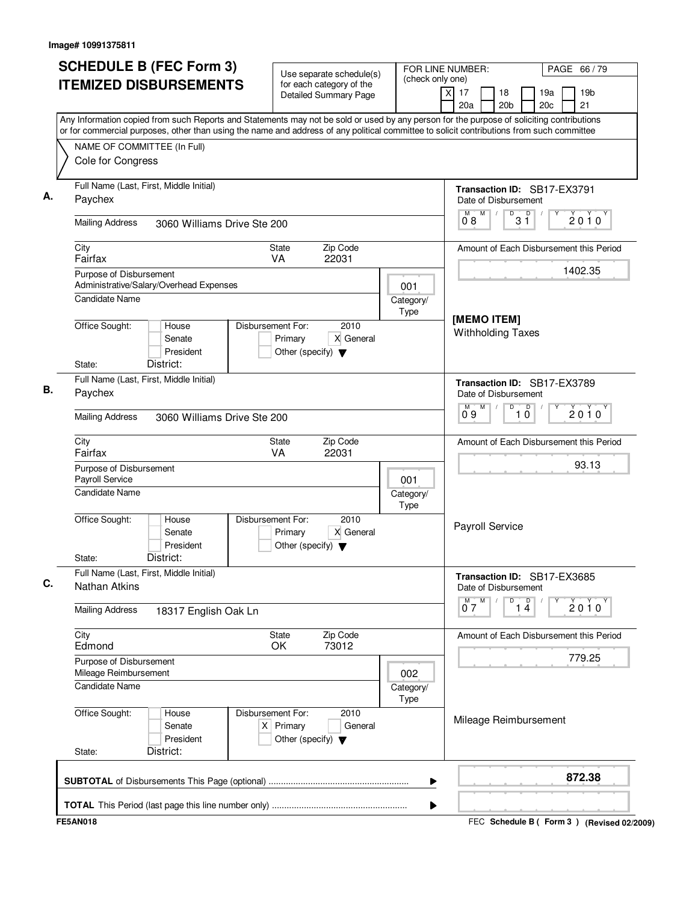| <b>SCHEDULE B (FEC Form 3)</b>                                                                                                                                                                                                                                                         | Use separate schedule(s)                                                                    |                          | FOR LINE NUMBER:                                              | PAGE 66 / 79                                    |  |
|----------------------------------------------------------------------------------------------------------------------------------------------------------------------------------------------------------------------------------------------------------------------------------------|---------------------------------------------------------------------------------------------|--------------------------|---------------------------------------------------------------|-------------------------------------------------|--|
| <b>ITEMIZED DISBURSEMENTS</b>                                                                                                                                                                                                                                                          | for each category of the<br><b>Detailed Summary Page</b>                                    | (check only one)         | $\overline{\mathsf{x}}$<br>17<br>18<br>20 <sub>b</sub><br>20a | 19 <sub>b</sub><br>19a<br>20 <sub>c</sub><br>21 |  |
| Any Information copied from such Reports and Statements may not be sold or used by any person for the purpose of soliciting contributions<br>or for commercial purposes, other than using the name and address of any political committee to solicit contributions from such committee |                                                                                             |                          |                                                               |                                                 |  |
| NAME OF COMMITTEE (In Full)                                                                                                                                                                                                                                                            |                                                                                             |                          |                                                               |                                                 |  |
| Cole for Congress                                                                                                                                                                                                                                                                      |                                                                                             |                          |                                                               |                                                 |  |
| Full Name (Last, First, Middle Initial)<br>Paychex                                                                                                                                                                                                                                     |                                                                                             |                          | Transaction ID: SB17-EX3791<br>Date of Disbursement           |                                                 |  |
| <b>Mailing Address</b><br>3060 Williams Drive Ste 200                                                                                                                                                                                                                                  |                                                                                             |                          | M<br>М<br>$\overline{31}$<br>08                               | 2010                                            |  |
| City<br>Fairfax                                                                                                                                                                                                                                                                        | Zip Code<br><b>State</b><br>22031<br>VA.                                                    |                          |                                                               | Amount of Each Disbursement this Period         |  |
| Purpose of Disbursement                                                                                                                                                                                                                                                                |                                                                                             |                          |                                                               | 1402.35                                         |  |
| Administrative/Salary/Overhead Expenses<br>Candidate Name                                                                                                                                                                                                                              |                                                                                             | 001<br>Category/<br>Type |                                                               |                                                 |  |
| Office Sought:<br>House<br>Senate<br>President<br>District:<br>State:                                                                                                                                                                                                                  | Disbursement For:<br>2010<br>Primary<br>X General<br>Other (specify) $\blacktriangledown$   |                          | [MEMO ITEM]<br><b>Withholding Taxes</b>                       |                                                 |  |
| Full Name (Last, First, Middle Initial)                                                                                                                                                                                                                                                |                                                                                             |                          | Transaction ID: SB17-EX3789                                   |                                                 |  |
| Paychex                                                                                                                                                                                                                                                                                |                                                                                             |                          | Date of Disbursement                                          |                                                 |  |
| <b>Mailing Address</b><br>3060 Williams Drive Ste 200                                                                                                                                                                                                                                  |                                                                                             |                          | D<br>$\overline{10}$<br>M<br>М<br>09                          | $2010^y$                                        |  |
| City                                                                                                                                                                                                                                                                                   | Zip Code<br><b>State</b>                                                                    |                          |                                                               | Amount of Each Disbursement this Period         |  |
| Fairfax                                                                                                                                                                                                                                                                                | 22031<br><b>VA</b>                                                                          |                          |                                                               | 93.13                                           |  |
| Purpose of Disbursement<br>Payroll Service                                                                                                                                                                                                                                             |                                                                                             | 001                      |                                                               |                                                 |  |
| <b>Candidate Name</b>                                                                                                                                                                                                                                                                  |                                                                                             | Category/<br>Type        |                                                               |                                                 |  |
| Office Sought:<br>House<br>Senate<br>President<br>District:<br>State:                                                                                                                                                                                                                  | Disbursement For:<br>2010<br>X General<br>Primary<br>Other (specify) $\blacktriangledown$   |                          | Payroll Service                                               |                                                 |  |
| Full Name (Last, First, Middle Initial)<br><b>Nathan Atkins</b>                                                                                                                                                                                                                        |                                                                                             |                          | Transaction ID: SB17-EX3685<br>Date of Disbursement           |                                                 |  |
| <b>Mailing Address</b><br>18317 English Oak Ln                                                                                                                                                                                                                                         |                                                                                             |                          | $0^M$ $7^M$<br>D<br>1 <sup>D</sup>                            | Y<br>2010                                       |  |
| City<br>Edmond                                                                                                                                                                                                                                                                         | Zip Code<br>State<br>OK<br>73012                                                            |                          |                                                               | Amount of Each Disbursement this Period         |  |
| Purpose of Disbursement                                                                                                                                                                                                                                                                |                                                                                             |                          |                                                               | 779.25                                          |  |
| Mileage Reimbursement<br>Candidate Name                                                                                                                                                                                                                                                |                                                                                             | 002<br>Category/<br>Type |                                                               |                                                 |  |
| Office Sought:<br>House<br>Senate<br>President<br>District:<br>State:                                                                                                                                                                                                                  | Disbursement For:<br>2010<br>$X$ Primary<br>General<br>Other (specify) $\blacktriangledown$ |                          | Mileage Reimbursement                                         |                                                 |  |
|                                                                                                                                                                                                                                                                                        |                                                                                             | ▶                        |                                                               | 872.38                                          |  |
|                                                                                                                                                                                                                                                                                        |                                                                                             | ▶                        |                                                               |                                                 |  |
| <b>FE5AN018</b>                                                                                                                                                                                                                                                                        |                                                                                             |                          |                                                               | FEC Schedule B ( Form 3 ) (Revised 02/2009)     |  |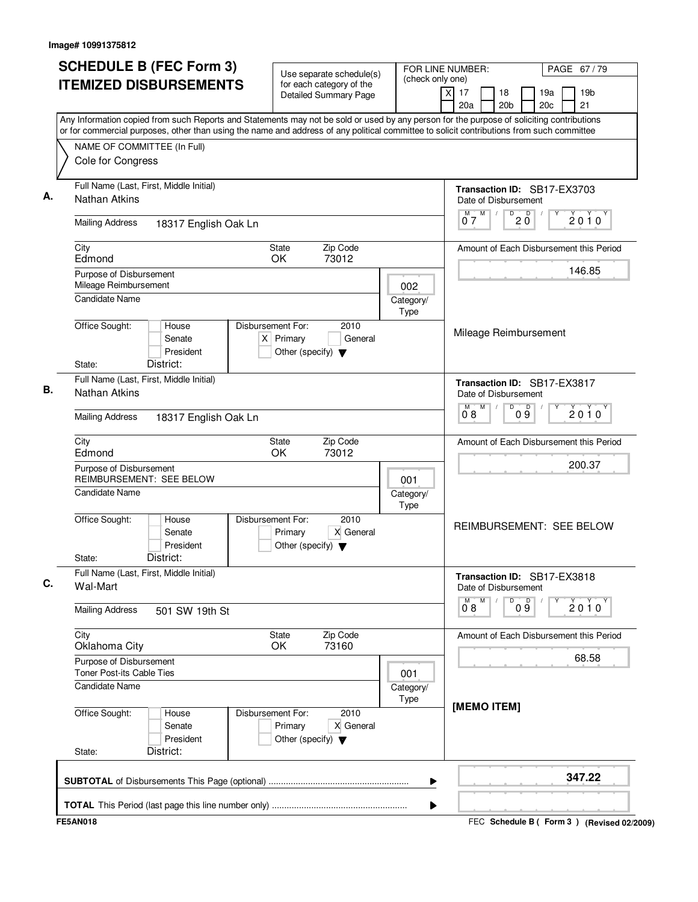| <b>SCHEDULE B (FEC Form 3)</b>                                                                                                                                                                                                                                                         | Use separate schedule(s)                                                                    |                          | FOR LINE NUMBER:                                              | PAGE 67/79                                      |
|----------------------------------------------------------------------------------------------------------------------------------------------------------------------------------------------------------------------------------------------------------------------------------------|---------------------------------------------------------------------------------------------|--------------------------|---------------------------------------------------------------|-------------------------------------------------|
| <b>ITEMIZED DISBURSEMENTS</b>                                                                                                                                                                                                                                                          | for each category of the<br><b>Detailed Summary Page</b>                                    | (check only one)         | $\overline{\mathsf{x}}$<br>17<br>18<br>20a<br>20 <sub>b</sub> | 19 <sub>b</sub><br>19a<br>20 <sub>c</sub><br>21 |
| Any Information copied from such Reports and Statements may not be sold or used by any person for the purpose of soliciting contributions<br>or for commercial purposes, other than using the name and address of any political committee to solicit contributions from such committee |                                                                                             |                          |                                                               |                                                 |
| NAME OF COMMITTEE (In Full)                                                                                                                                                                                                                                                            |                                                                                             |                          |                                                               |                                                 |
| Cole for Congress                                                                                                                                                                                                                                                                      |                                                                                             |                          |                                                               |                                                 |
| Full Name (Last, First, Middle Initial)<br><b>Nathan Atkins</b>                                                                                                                                                                                                                        |                                                                                             |                          | Transaction ID: SB17-EX3703<br>Date of Disbursement           |                                                 |
| <b>Mailing Address</b><br>18317 English Oak Ln                                                                                                                                                                                                                                         |                                                                                             |                          | M<br>$D$ <sub>0</sub> $\overline{O}$<br>M<br>07               | 2010                                            |
| City<br>Edmond                                                                                                                                                                                                                                                                         | State<br>Zip Code<br>OK.<br>73012                                                           |                          |                                                               | Amount of Each Disbursement this Period         |
| Purpose of Disbursement<br>Mileage Reimbursement                                                                                                                                                                                                                                       |                                                                                             |                          |                                                               | 146.85                                          |
| <b>Candidate Name</b>                                                                                                                                                                                                                                                                  |                                                                                             | 002<br>Category/<br>Type |                                                               |                                                 |
| Office Sought:<br>House<br>Senate<br>President<br>District:<br>State:                                                                                                                                                                                                                  | Disbursement For:<br>2010<br>$X$ Primary<br>General<br>Other (specify) $\blacktriangledown$ |                          | Mileage Reimbursement                                         |                                                 |
| Full Name (Last, First, Middle Initial)                                                                                                                                                                                                                                                |                                                                                             |                          | Transaction ID: SB17-EX3817                                   |                                                 |
| <b>Nathan Atkins</b>                                                                                                                                                                                                                                                                   |                                                                                             |                          | Date of Disbursement                                          |                                                 |
| <b>Mailing Address</b><br>18317 English Oak Ln                                                                                                                                                                                                                                         |                                                                                             |                          | M<br>D<br>09<br>M<br>08                                       | $2010^y$                                        |
| City<br>Edmond                                                                                                                                                                                                                                                                         | Zip Code<br><b>State</b><br>OK<br>73012                                                     |                          |                                                               | Amount of Each Disbursement this Period         |
| Purpose of Disbursement                                                                                                                                                                                                                                                                |                                                                                             |                          |                                                               | 200.37                                          |
| <b>REIMBURSEMENT: SEE BELOW</b><br>Candidate Name                                                                                                                                                                                                                                      |                                                                                             | 001<br>Category/<br>Type |                                                               |                                                 |
| Office Sought:<br>House<br>Senate<br>President<br>District:<br>State:                                                                                                                                                                                                                  | Disbursement For:<br>2010<br>Primary<br>X General<br>Other (specify) $\blacktriangledown$   |                          |                                                               | <b>REIMBURSEMENT: SEE BELOW</b>                 |
| Full Name (Last, First, Middle Initial)<br>Wal-Mart                                                                                                                                                                                                                                    |                                                                                             |                          | Transaction ID: SB17-EX3818<br>Date of Disbursement           |                                                 |
| <b>Mailing Address</b><br>501 SW 19th St                                                                                                                                                                                                                                               |                                                                                             |                          | ${\sf M}$<br>M<br>D<br>09<br>$0^{\degree}8$                   | Y<br>2010                                       |
| City<br>Oklahoma City                                                                                                                                                                                                                                                                  | Zip Code<br>State<br>OK<br>73160                                                            |                          |                                                               | Amount of Each Disbursement this Period         |
| Purpose of Disbursement<br>Toner Post-its Cable Ties                                                                                                                                                                                                                                   |                                                                                             |                          |                                                               | 68.58                                           |
| Candidate Name                                                                                                                                                                                                                                                                         |                                                                                             | 001<br>Category/<br>Type |                                                               |                                                 |
| Office Sought:<br>House<br>Senate<br>President<br>District:<br>State:                                                                                                                                                                                                                  | Disbursement For:<br>2010<br>Primary<br>X General<br>Other (specify) $\blacktriangledown$   |                          | [MEMO ITEM]                                                   |                                                 |
|                                                                                                                                                                                                                                                                                        |                                                                                             | ▶                        |                                                               | 347.22                                          |
|                                                                                                                                                                                                                                                                                        |                                                                                             | ▶                        |                                                               |                                                 |
| <b>FE5AN018</b>                                                                                                                                                                                                                                                                        |                                                                                             |                          |                                                               | FEC Schedule B ( Form 3 ) (Revised 02/2009)     |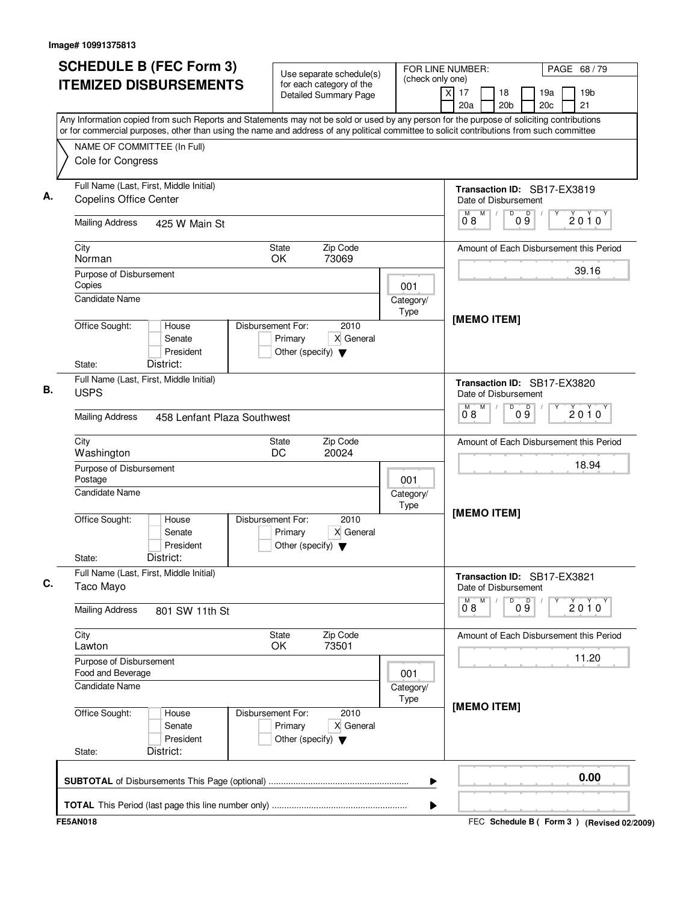| (check only one)<br><b>ITEMIZED DISBURSEMENTS</b><br>for each category of the<br>$\overline{\mathsf{x}}$<br>17<br>18<br>19 <sub>b</sub><br>19a<br><b>Detailed Summary Page</b><br>20a<br>20 <sub>b</sub><br>20 <sub>c</sub><br>21<br>Any Information copied from such Reports and Statements may not be sold or used by any person for the purpose of soliciting contributions<br>or for commercial purposes, other than using the name and address of any political committee to solicit contributions from such committee<br>NAME OF COMMITTEE (In Full)<br>Cole for Congress<br>Full Name (Last, First, Middle Initial)<br>Transaction ID: SB17-EX3819<br><b>Copelins Office Center</b><br>Date of Disbursement<br>M<br>D<br>09<br>М<br>2010<br>08<br><b>Mailing Address</b><br>425 W Main St<br>City<br>State<br>Zip Code<br>Amount of Each Disbursement this Period<br>OK.<br>73069<br>Norman<br>39.16<br>Purpose of Disbursement<br>Copies<br>001<br><b>Candidate Name</b><br>Category/<br>Type<br>[MEMO ITEM]<br>Office Sought:<br>Disbursement For:<br>2010<br>House<br>Senate<br>Primary<br>X General<br>President<br>Other (specify) $\blacktriangledown$<br>District:<br>State:<br>Full Name (Last, First, Middle Initial)<br>Transaction ID: SB17-EX3820<br><b>USPS</b><br>Date of Disbursement<br>M<br>D<br>09<br>M<br>$2010^y$<br>08<br><b>Mailing Address</b><br>458 Lenfant Plaza Southwest<br>Zip Code<br>City<br><b>State</b><br>Amount of Each Disbursement this Period<br>DC<br>20024<br>Washington<br>18.94<br>Purpose of Disbursement<br>Postage<br>001<br><b>Candidate Name</b><br>Category/<br>Type<br>[MEMO ITEM]<br>Office Sought:<br>Disbursement For:<br>2010<br>House<br>Primary<br>X General<br>Senate<br>President<br>Other (specify) $\blacktriangledown$<br>District:<br>State:<br>Full Name (Last, First, Middle Initial)<br>Transaction ID: SB17-EX3821<br>Taco Mayo<br>Date of Disbursement<br>${\sf M}$<br>M<br>D<br>09<br>Y<br>2010<br>$0^{\degree}8$<br><b>Mailing Address</b><br>801 SW 11th St<br>Zip Code<br>City<br>State<br>Amount of Each Disbursement this Period<br>OK<br>73501<br>Lawton<br>11.20<br>Purpose of Disbursement<br>Food and Beverage<br>001<br><b>Candidate Name</b><br>Category/<br>Type<br>[MEMO ITEM]<br>Office Sought:<br>Disbursement For:<br>2010<br>House<br>Primary<br>X General<br>Senate<br>President<br>Other (specify) $\blacktriangledown$<br>District:<br>State: | <b>SCHEDULE B (FEC Form 3)</b> | Use separate schedule(s) | FOR LINE NUMBER: | PAGE 68 / 79 |  |
|---------------------------------------------------------------------------------------------------------------------------------------------------------------------------------------------------------------------------------------------------------------------------------------------------------------------------------------------------------------------------------------------------------------------------------------------------------------------------------------------------------------------------------------------------------------------------------------------------------------------------------------------------------------------------------------------------------------------------------------------------------------------------------------------------------------------------------------------------------------------------------------------------------------------------------------------------------------------------------------------------------------------------------------------------------------------------------------------------------------------------------------------------------------------------------------------------------------------------------------------------------------------------------------------------------------------------------------------------------------------------------------------------------------------------------------------------------------------------------------------------------------------------------------------------------------------------------------------------------------------------------------------------------------------------------------------------------------------------------------------------------------------------------------------------------------------------------------------------------------------------------------------------------------------------------------------------------------------------------------------------------------------------------------------------------------------------------------------------------------------------------------------------------------------------------------------------------------------------------------------------------------------------------------------------------------------------------------------------------------------------------------------------------------------------------------------|--------------------------------|--------------------------|------------------|--------------|--|
|                                                                                                                                                                                                                                                                                                                                                                                                                                                                                                                                                                                                                                                                                                                                                                                                                                                                                                                                                                                                                                                                                                                                                                                                                                                                                                                                                                                                                                                                                                                                                                                                                                                                                                                                                                                                                                                                                                                                                                                                                                                                                                                                                                                                                                                                                                                                                                                                                                             |                                |                          |                  |              |  |
|                                                                                                                                                                                                                                                                                                                                                                                                                                                                                                                                                                                                                                                                                                                                                                                                                                                                                                                                                                                                                                                                                                                                                                                                                                                                                                                                                                                                                                                                                                                                                                                                                                                                                                                                                                                                                                                                                                                                                                                                                                                                                                                                                                                                                                                                                                                                                                                                                                             |                                |                          |                  |              |  |
|                                                                                                                                                                                                                                                                                                                                                                                                                                                                                                                                                                                                                                                                                                                                                                                                                                                                                                                                                                                                                                                                                                                                                                                                                                                                                                                                                                                                                                                                                                                                                                                                                                                                                                                                                                                                                                                                                                                                                                                                                                                                                                                                                                                                                                                                                                                                                                                                                                             |                                |                          |                  |              |  |
|                                                                                                                                                                                                                                                                                                                                                                                                                                                                                                                                                                                                                                                                                                                                                                                                                                                                                                                                                                                                                                                                                                                                                                                                                                                                                                                                                                                                                                                                                                                                                                                                                                                                                                                                                                                                                                                                                                                                                                                                                                                                                                                                                                                                                                                                                                                                                                                                                                             |                                |                          |                  |              |  |
|                                                                                                                                                                                                                                                                                                                                                                                                                                                                                                                                                                                                                                                                                                                                                                                                                                                                                                                                                                                                                                                                                                                                                                                                                                                                                                                                                                                                                                                                                                                                                                                                                                                                                                                                                                                                                                                                                                                                                                                                                                                                                                                                                                                                                                                                                                                                                                                                                                             |                                |                          |                  |              |  |
|                                                                                                                                                                                                                                                                                                                                                                                                                                                                                                                                                                                                                                                                                                                                                                                                                                                                                                                                                                                                                                                                                                                                                                                                                                                                                                                                                                                                                                                                                                                                                                                                                                                                                                                                                                                                                                                                                                                                                                                                                                                                                                                                                                                                                                                                                                                                                                                                                                             |                                |                          |                  |              |  |
|                                                                                                                                                                                                                                                                                                                                                                                                                                                                                                                                                                                                                                                                                                                                                                                                                                                                                                                                                                                                                                                                                                                                                                                                                                                                                                                                                                                                                                                                                                                                                                                                                                                                                                                                                                                                                                                                                                                                                                                                                                                                                                                                                                                                                                                                                                                                                                                                                                             |                                |                          |                  |              |  |
|                                                                                                                                                                                                                                                                                                                                                                                                                                                                                                                                                                                                                                                                                                                                                                                                                                                                                                                                                                                                                                                                                                                                                                                                                                                                                                                                                                                                                                                                                                                                                                                                                                                                                                                                                                                                                                                                                                                                                                                                                                                                                                                                                                                                                                                                                                                                                                                                                                             |                                |                          |                  |              |  |
|                                                                                                                                                                                                                                                                                                                                                                                                                                                                                                                                                                                                                                                                                                                                                                                                                                                                                                                                                                                                                                                                                                                                                                                                                                                                                                                                                                                                                                                                                                                                                                                                                                                                                                                                                                                                                                                                                                                                                                                                                                                                                                                                                                                                                                                                                                                                                                                                                                             |                                |                          |                  |              |  |
|                                                                                                                                                                                                                                                                                                                                                                                                                                                                                                                                                                                                                                                                                                                                                                                                                                                                                                                                                                                                                                                                                                                                                                                                                                                                                                                                                                                                                                                                                                                                                                                                                                                                                                                                                                                                                                                                                                                                                                                                                                                                                                                                                                                                                                                                                                                                                                                                                                             |                                |                          |                  |              |  |
|                                                                                                                                                                                                                                                                                                                                                                                                                                                                                                                                                                                                                                                                                                                                                                                                                                                                                                                                                                                                                                                                                                                                                                                                                                                                                                                                                                                                                                                                                                                                                                                                                                                                                                                                                                                                                                                                                                                                                                                                                                                                                                                                                                                                                                                                                                                                                                                                                                             |                                |                          |                  |              |  |
|                                                                                                                                                                                                                                                                                                                                                                                                                                                                                                                                                                                                                                                                                                                                                                                                                                                                                                                                                                                                                                                                                                                                                                                                                                                                                                                                                                                                                                                                                                                                                                                                                                                                                                                                                                                                                                                                                                                                                                                                                                                                                                                                                                                                                                                                                                                                                                                                                                             |                                |                          |                  |              |  |
|                                                                                                                                                                                                                                                                                                                                                                                                                                                                                                                                                                                                                                                                                                                                                                                                                                                                                                                                                                                                                                                                                                                                                                                                                                                                                                                                                                                                                                                                                                                                                                                                                                                                                                                                                                                                                                                                                                                                                                                                                                                                                                                                                                                                                                                                                                                                                                                                                                             |                                |                          |                  |              |  |
|                                                                                                                                                                                                                                                                                                                                                                                                                                                                                                                                                                                                                                                                                                                                                                                                                                                                                                                                                                                                                                                                                                                                                                                                                                                                                                                                                                                                                                                                                                                                                                                                                                                                                                                                                                                                                                                                                                                                                                                                                                                                                                                                                                                                                                                                                                                                                                                                                                             |                                |                          |                  |              |  |
|                                                                                                                                                                                                                                                                                                                                                                                                                                                                                                                                                                                                                                                                                                                                                                                                                                                                                                                                                                                                                                                                                                                                                                                                                                                                                                                                                                                                                                                                                                                                                                                                                                                                                                                                                                                                                                                                                                                                                                                                                                                                                                                                                                                                                                                                                                                                                                                                                                             |                                |                          |                  |              |  |
|                                                                                                                                                                                                                                                                                                                                                                                                                                                                                                                                                                                                                                                                                                                                                                                                                                                                                                                                                                                                                                                                                                                                                                                                                                                                                                                                                                                                                                                                                                                                                                                                                                                                                                                                                                                                                                                                                                                                                                                                                                                                                                                                                                                                                                                                                                                                                                                                                                             |                                |                          |                  |              |  |
|                                                                                                                                                                                                                                                                                                                                                                                                                                                                                                                                                                                                                                                                                                                                                                                                                                                                                                                                                                                                                                                                                                                                                                                                                                                                                                                                                                                                                                                                                                                                                                                                                                                                                                                                                                                                                                                                                                                                                                                                                                                                                                                                                                                                                                                                                                                                                                                                                                             |                                |                          |                  |              |  |
|                                                                                                                                                                                                                                                                                                                                                                                                                                                                                                                                                                                                                                                                                                                                                                                                                                                                                                                                                                                                                                                                                                                                                                                                                                                                                                                                                                                                                                                                                                                                                                                                                                                                                                                                                                                                                                                                                                                                                                                                                                                                                                                                                                                                                                                                                                                                                                                                                                             |                                |                          |                  |              |  |
| ▶                                                                                                                                                                                                                                                                                                                                                                                                                                                                                                                                                                                                                                                                                                                                                                                                                                                                                                                                                                                                                                                                                                                                                                                                                                                                                                                                                                                                                                                                                                                                                                                                                                                                                                                                                                                                                                                                                                                                                                                                                                                                                                                                                                                                                                                                                                                                                                                                                                           |                                |                          |                  | 0.00         |  |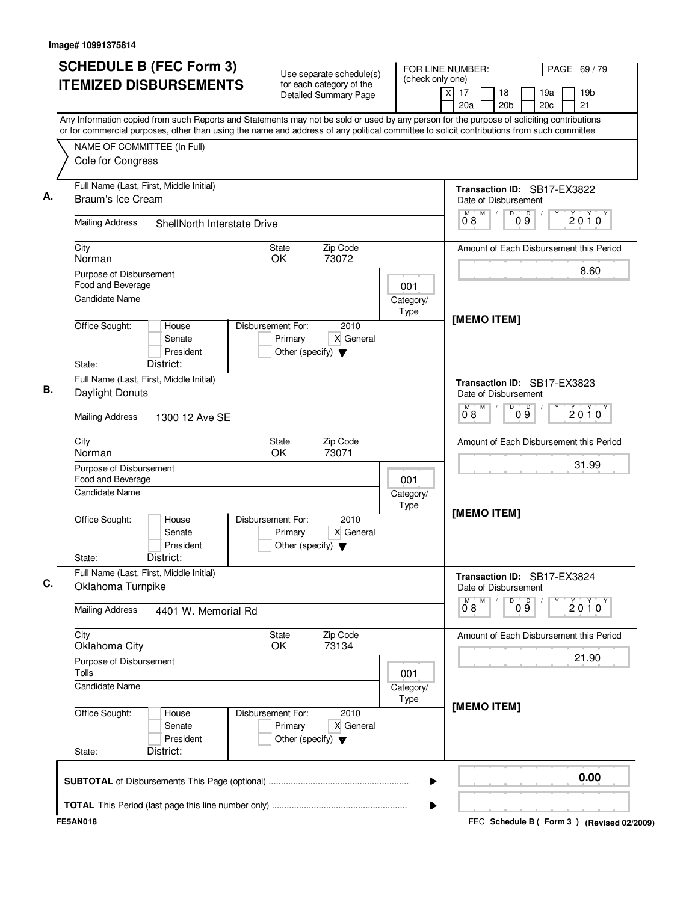| <b>SCHEDULE B (FEC Form 3)</b>                                                                                                                                                                                                                                                         | Use separate schedule(s)                                 |                   | FOR LINE NUMBER:<br>PAGE 69 / 79                                                                                 |  |  |
|----------------------------------------------------------------------------------------------------------------------------------------------------------------------------------------------------------------------------------------------------------------------------------------|----------------------------------------------------------|-------------------|------------------------------------------------------------------------------------------------------------------|--|--|
| <b>ITEMIZED DISBURSEMENTS</b>                                                                                                                                                                                                                                                          | for each category of the<br><b>Detailed Summary Page</b> | (check only one)  | $\overline{\mathsf{x}}$<br>17<br>18<br>19 <sub>b</sub><br>19a<br>20a<br>20 <sub>b</sub><br>20 <sub>c</sub><br>21 |  |  |
| Any Information copied from such Reports and Statements may not be sold or used by any person for the purpose of soliciting contributions<br>or for commercial purposes, other than using the name and address of any political committee to solicit contributions from such committee |                                                          |                   |                                                                                                                  |  |  |
| NAME OF COMMITTEE (In Full)                                                                                                                                                                                                                                                            |                                                          |                   |                                                                                                                  |  |  |
| Cole for Congress                                                                                                                                                                                                                                                                      |                                                          |                   |                                                                                                                  |  |  |
| Full Name (Last, First, Middle Initial)                                                                                                                                                                                                                                                |                                                          |                   | Transaction ID: SB17-EX3822                                                                                      |  |  |
| Braum's Ice Cream                                                                                                                                                                                                                                                                      |                                                          |                   | Date of Disbursement<br>M<br>D<br>М                                                                              |  |  |
| <b>Mailing Address</b><br>ShellNorth Interstate Drive                                                                                                                                                                                                                                  |                                                          |                   | 09<br>2010<br>08                                                                                                 |  |  |
| City                                                                                                                                                                                                                                                                                   | Zip Code<br><b>State</b>                                 |                   | Amount of Each Disbursement this Period                                                                          |  |  |
| Norman                                                                                                                                                                                                                                                                                 | OK.<br>73072                                             |                   | 8.60                                                                                                             |  |  |
| Purpose of Disbursement<br>Food and Beverage                                                                                                                                                                                                                                           |                                                          | 001               |                                                                                                                  |  |  |
| Candidate Name                                                                                                                                                                                                                                                                         |                                                          | Category/         |                                                                                                                  |  |  |
| Office Sought:<br>House                                                                                                                                                                                                                                                                | Disbursement For:<br>2010                                | Type              | [MEMO ITEM]                                                                                                      |  |  |
| Senate                                                                                                                                                                                                                                                                                 | Primary<br>X General                                     |                   |                                                                                                                  |  |  |
| President                                                                                                                                                                                                                                                                              | Other (specify) $\blacktriangledown$                     |                   |                                                                                                                  |  |  |
| District:<br>State:                                                                                                                                                                                                                                                                    |                                                          |                   |                                                                                                                  |  |  |
| Full Name (Last, First, Middle Initial)<br>Daylight Donuts                                                                                                                                                                                                                             |                                                          |                   | Transaction ID: SB17-EX3823                                                                                      |  |  |
|                                                                                                                                                                                                                                                                                        |                                                          |                   | Date of Disbursement<br>M<br>D<br>M                                                                              |  |  |
| <b>Mailing Address</b><br>1300 12 Ave SE                                                                                                                                                                                                                                               |                                                          |                   | 09<br>$2010^y$<br>08                                                                                             |  |  |
| City<br>Norman                                                                                                                                                                                                                                                                         | Zip Code<br><b>State</b><br>OK<br>73071                  |                   | Amount of Each Disbursement this Period                                                                          |  |  |
| Purpose of Disbursement                                                                                                                                                                                                                                                                |                                                          |                   | 31.99                                                                                                            |  |  |
| Food and Beverage                                                                                                                                                                                                                                                                      |                                                          | 001               |                                                                                                                  |  |  |
| <b>Candidate Name</b>                                                                                                                                                                                                                                                                  |                                                          | Category/         |                                                                                                                  |  |  |
| Office Sought:<br>House                                                                                                                                                                                                                                                                | Disbursement For:<br>2010                                | Type              | [MEMO ITEM]                                                                                                      |  |  |
| Senate                                                                                                                                                                                                                                                                                 | Primary<br>X General                                     |                   |                                                                                                                  |  |  |
| President                                                                                                                                                                                                                                                                              | Other (specify) $\blacktriangledown$                     |                   |                                                                                                                  |  |  |
| District:<br>State:                                                                                                                                                                                                                                                                    |                                                          |                   |                                                                                                                  |  |  |
| Full Name (Last, First, Middle Initial)<br>Oklahoma Turnpike                                                                                                                                                                                                                           |                                                          |                   | Transaction ID: SB17-EX3824<br>Date of Disbursement                                                              |  |  |
| <b>Mailing Address</b><br>4401 W. Memorial Rd                                                                                                                                                                                                                                          |                                                          |                   | ${\sf M}$<br>D<br>09<br>Y<br>M<br>2010<br>$0^{\degree}8$                                                         |  |  |
| City                                                                                                                                                                                                                                                                                   | Zip Code<br>State                                        |                   | Amount of Each Disbursement this Period                                                                          |  |  |
| Oklahoma City                                                                                                                                                                                                                                                                          | OK<br>73134                                              |                   | 21.90                                                                                                            |  |  |
| Purpose of Disbursement<br>Tolls                                                                                                                                                                                                                                                       |                                                          | 001               |                                                                                                                  |  |  |
| <b>Candidate Name</b>                                                                                                                                                                                                                                                                  |                                                          | Category/<br>Type |                                                                                                                  |  |  |
| Office Sought:<br>House                                                                                                                                                                                                                                                                | Disbursement For:<br>2010                                |                   | [MEMO ITEM]                                                                                                      |  |  |
| Senate                                                                                                                                                                                                                                                                                 | Primary<br>X General                                     |                   |                                                                                                                  |  |  |
| President                                                                                                                                                                                                                                                                              | Other (specify) $\blacktriangledown$                     |                   |                                                                                                                  |  |  |
| District:<br>State:                                                                                                                                                                                                                                                                    |                                                          |                   |                                                                                                                  |  |  |
|                                                                                                                                                                                                                                                                                        |                                                          |                   |                                                                                                                  |  |  |
|                                                                                                                                                                                                                                                                                        |                                                          | ▶                 | 0.00                                                                                                             |  |  |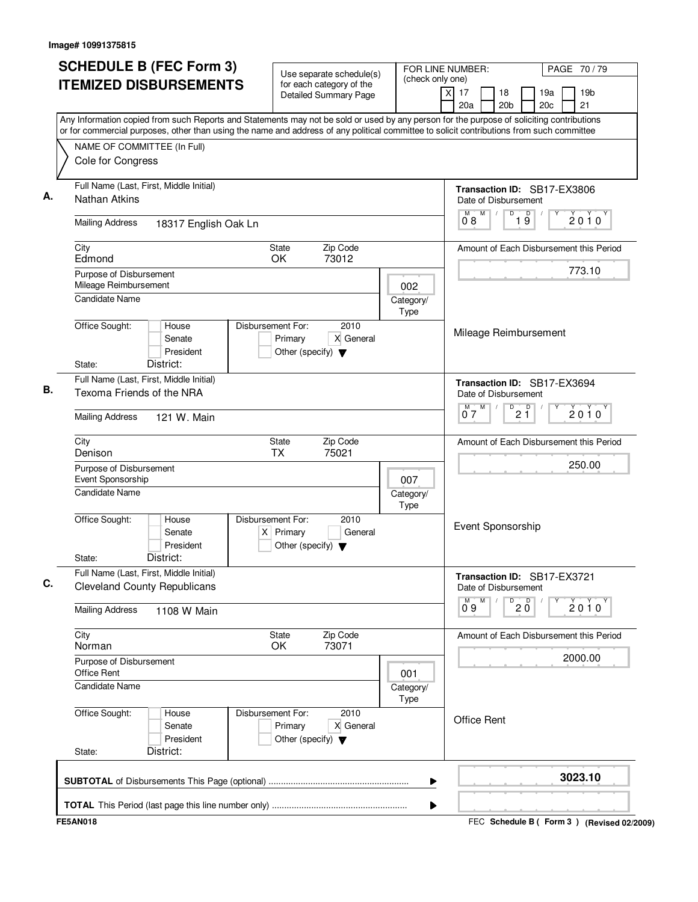| <b>SCHEDULE B (FEC Form 3)</b>                                                                                                                                                                                                                                                         | Use separate schedule(s)                                                                    | FOR LINE NUMBER:         |                                                               | PAGE 70/79                                      |
|----------------------------------------------------------------------------------------------------------------------------------------------------------------------------------------------------------------------------------------------------------------------------------------|---------------------------------------------------------------------------------------------|--------------------------|---------------------------------------------------------------|-------------------------------------------------|
| <b>ITEMIZED DISBURSEMENTS</b>                                                                                                                                                                                                                                                          | for each category of the<br><b>Detailed Summary Page</b>                                    | (check only one)         | $\overline{\mathsf{x}}$<br>17<br>18<br>20a<br>20 <sub>b</sub> | 19a<br>19 <sub>b</sub><br>21<br>20 <sub>c</sub> |
| Any Information copied from such Reports and Statements may not be sold or used by any person for the purpose of soliciting contributions<br>or for commercial purposes, other than using the name and address of any political committee to solicit contributions from such committee |                                                                                             |                          |                                                               |                                                 |
| NAME OF COMMITTEE (In Full)                                                                                                                                                                                                                                                            |                                                                                             |                          |                                                               |                                                 |
| Cole for Congress                                                                                                                                                                                                                                                                      |                                                                                             |                          |                                                               |                                                 |
| Full Name (Last, First, Middle Initial)<br><b>Nathan Atkins</b>                                                                                                                                                                                                                        |                                                                                             |                          | Date of Disbursement                                          | Transaction ID: SB17-EX3806                     |
| <b>Mailing Address</b><br>18317 English Oak Ln                                                                                                                                                                                                                                         |                                                                                             |                          | M<br>D<br>M<br>08                                             | $\overline{\mathsf{D}}$<br>2010<br>19           |
| City<br>Edmond                                                                                                                                                                                                                                                                         | Zip Code<br><b>State</b><br>OK<br>73012                                                     |                          |                                                               | Amount of Each Disbursement this Period         |
| Purpose of Disbursement<br>Mileage Reimbursement                                                                                                                                                                                                                                       |                                                                                             | 002                      |                                                               | 773.10                                          |
| Candidate Name                                                                                                                                                                                                                                                                         |                                                                                             | Category/<br><b>Type</b> |                                                               |                                                 |
| Office Sought:<br>House<br>Senate<br>President<br>District:<br>State:                                                                                                                                                                                                                  | Disbursement For:<br>2010<br>Primary<br>X General<br>Other (specify) $\blacktriangledown$   |                          | Mileage Reimbursement                                         |                                                 |
| Full Name (Last, First, Middle Initial)<br>Texoma Friends of the NRA                                                                                                                                                                                                                   |                                                                                             |                          | Date of Disbursement                                          | Transaction ID: SB17-EX3694                     |
| <b>Mailing Address</b><br>121 W. Main                                                                                                                                                                                                                                                  |                                                                                             |                          | M<br>$\overline{P}$ 2 $\overline{1}$<br>м<br>07               | $2010^y$                                        |
| City<br>Denison                                                                                                                                                                                                                                                                        | Zip Code<br>State<br>75021<br><b>TX</b>                                                     |                          |                                                               | Amount of Each Disbursement this Period         |
| Purpose of Disbursement<br>Event Sponsorship                                                                                                                                                                                                                                           |                                                                                             | 007                      |                                                               | 250.00                                          |
| Candidate Name                                                                                                                                                                                                                                                                         |                                                                                             | Category/<br>Type        |                                                               |                                                 |
| Office Sought:<br>House<br>Senate<br>President<br>District:<br>State:                                                                                                                                                                                                                  | Disbursement For:<br>2010<br>$X$ Primary<br>General<br>Other (specify) $\blacktriangledown$ |                          | Event Sponsorship                                             |                                                 |
| Full Name (Last, First, Middle Initial)<br><b>Cleveland County Republicans</b>                                                                                                                                                                                                         |                                                                                             |                          | Date of Disbursement                                          | Transaction ID: SB17-EX3721                     |
| <b>Mailing Address</b><br>1108 W Main                                                                                                                                                                                                                                                  |                                                                                             |                          | M<br>$\overline{20}$<br>$0^{\circ}9$                          | Υ<br>$2010^y$                                   |
| City<br>Norman                                                                                                                                                                                                                                                                         | State<br>Zip Code<br>OK<br>73071                                                            |                          |                                                               | Amount of Each Disbursement this Period         |
| Purpose of Disbursement<br><b>Office Rent</b>                                                                                                                                                                                                                                          |                                                                                             | 001                      |                                                               | 2000.00                                         |
| <b>Candidate Name</b>                                                                                                                                                                                                                                                                  |                                                                                             | Category/<br>Type        |                                                               |                                                 |
| Office Sought:<br>House<br>Senate<br>President<br>District:<br>State:                                                                                                                                                                                                                  | Disbursement For:<br>2010<br>Primary<br>X General<br>Other (specify) $\blacktriangledown$   |                          | <b>Office Rent</b>                                            |                                                 |
|                                                                                                                                                                                                                                                                                        |                                                                                             |                          |                                                               |                                                 |
|                                                                                                                                                                                                                                                                                        |                                                                                             | ▶                        |                                                               | 3023.10                                         |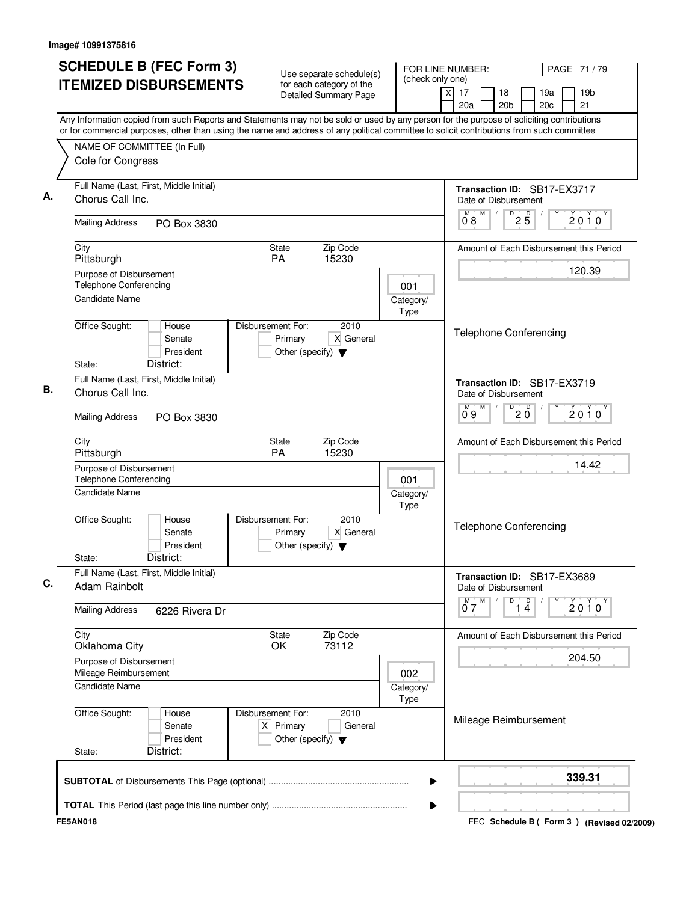| <b>SCHEDULE B (FEC Form 3)</b>                                                                                                                                                                                                                                                         | FOR LINE NUMBER:<br>Use separate schedule(s)                                                |                          |                                                     | PAGE 71 / 79          |                                        |   |                                           |
|----------------------------------------------------------------------------------------------------------------------------------------------------------------------------------------------------------------------------------------------------------------------------------------|---------------------------------------------------------------------------------------------|--------------------------|-----------------------------------------------------|-----------------------|----------------------------------------|---|-------------------------------------------|
| <b>ITEMIZED DISBURSEMENTS</b>                                                                                                                                                                                                                                                          | for each category of the<br><b>Detailed Summary Page</b>                                    | (check only one)         | $\overline{\mathsf{x}}$<br>17<br>20a                | 18<br>20 <sub>b</sub> | 19a<br>20 <sub>c</sub>                 |   | 19 <sub>b</sub><br>21                     |
| Any Information copied from such Reports and Statements may not be sold or used by any person for the purpose of soliciting contributions<br>or for commercial purposes, other than using the name and address of any political committee to solicit contributions from such committee |                                                                                             |                          |                                                     |                       |                                        |   |                                           |
| NAME OF COMMITTEE (In Full)                                                                                                                                                                                                                                                            |                                                                                             |                          |                                                     |                       |                                        |   |                                           |
| Cole for Congress                                                                                                                                                                                                                                                                      |                                                                                             |                          |                                                     |                       |                                        |   |                                           |
| Full Name (Last, First, Middle Initial)<br>Chorus Call Inc.                                                                                                                                                                                                                            |                                                                                             |                          | Transaction ID: SB17-EX3717<br>Date of Disbursement |                       |                                        |   |                                           |
| <b>Mailing Address</b><br>PO Box 3830                                                                                                                                                                                                                                                  |                                                                                             |                          | M<br>M<br>08                                        | D                     | $2\overline{5}$                        |   | 2010                                      |
| City<br>Pittsburgh                                                                                                                                                                                                                                                                     | Zip Code<br>State<br>PA<br>15230                                                            |                          |                                                     |                       |                                        |   | Amount of Each Disbursement this Period   |
| Purpose of Disbursement<br>Telephone Conferencing                                                                                                                                                                                                                                      |                                                                                             | 001                      |                                                     |                       |                                        |   | 120.39                                    |
| <b>Candidate Name</b>                                                                                                                                                                                                                                                                  |                                                                                             | Category/<br><b>Type</b> |                                                     |                       |                                        |   |                                           |
| Office Sought:<br>House<br>Senate<br>President<br>District:<br>State:                                                                                                                                                                                                                  | Disbursement For:<br>2010<br>Primary<br>X General<br>Other (specify) $\blacktriangledown$   |                          | <b>Telephone Conferencing</b>                       |                       |                                        |   |                                           |
| Full Name (Last, First, Middle Initial)<br>Chorus Call Inc.                                                                                                                                                                                                                            |                                                                                             |                          | Transaction ID: SB17-EX3719<br>Date of Disbursement |                       |                                        |   |                                           |
| <b>Mailing Address</b><br>PO Box 3830                                                                                                                                                                                                                                                  |                                                                                             |                          | M<br>M<br>09                                        | D                     | $20^{\circ}$                           |   | $2010^y$                                  |
| City<br>Pittsburgh                                                                                                                                                                                                                                                                     | Zip Code<br>State<br>PA<br>15230                                                            |                          |                                                     |                       |                                        |   | Amount of Each Disbursement this Period   |
| Purpose of Disbursement<br>Telephone Conferencing<br>Candidate Name                                                                                                                                                                                                                    |                                                                                             | 001<br>Category/         |                                                     |                       |                                        |   | 14.42                                     |
| Office Sought:<br>House<br>Senate<br>President<br>District:<br>State:                                                                                                                                                                                                                  | Disbursement For:<br>2010<br>X General<br>Primary<br>Other (specify) $\blacktriangledown$   | Type                     | <b>Telephone Conferencing</b>                       |                       |                                        |   |                                           |
| Full Name (Last, First, Middle Initial)<br>Adam Rainbolt                                                                                                                                                                                                                               |                                                                                             |                          | Transaction ID: SB17-EX3689<br>Date of Disbursement |                       |                                        |   |                                           |
| <b>Mailing Address</b><br>6226 Rivera Dr                                                                                                                                                                                                                                               |                                                                                             |                          | $0^{\overline{M}}$<br>M                             | D                     | $\begin{bmatrix} 0 \\ 1 \end{bmatrix}$ | Υ | 2010                                      |
| City<br>Oklahoma City                                                                                                                                                                                                                                                                  | State<br>Zip Code<br>OK<br>73112                                                            |                          |                                                     |                       |                                        |   | Amount of Each Disbursement this Period   |
| Purpose of Disbursement<br>Mileage Reimbursement                                                                                                                                                                                                                                       |                                                                                             | 002                      |                                                     |                       |                                        |   | 204.50                                    |
| Candidate Name                                                                                                                                                                                                                                                                         |                                                                                             | Category/<br>Type        |                                                     |                       |                                        |   |                                           |
| Office Sought:<br>House<br>Senate<br>President<br>District:<br>State:                                                                                                                                                                                                                  | Disbursement For:<br>2010<br>$X$ Primary<br>General<br>Other (specify) $\blacktriangledown$ |                          | Mileage Reimbursement                               |                       |                                        |   |                                           |
|                                                                                                                                                                                                                                                                                        |                                                                                             | ▶                        |                                                     |                       |                                        |   | 339.31                                    |
|                                                                                                                                                                                                                                                                                        |                                                                                             | ▶                        |                                                     |                       |                                        |   |                                           |
| <b>FE5AN018</b>                                                                                                                                                                                                                                                                        |                                                                                             |                          |                                                     |                       |                                        |   | FEC Schedule B (Form 3) (Revised 02/2009) |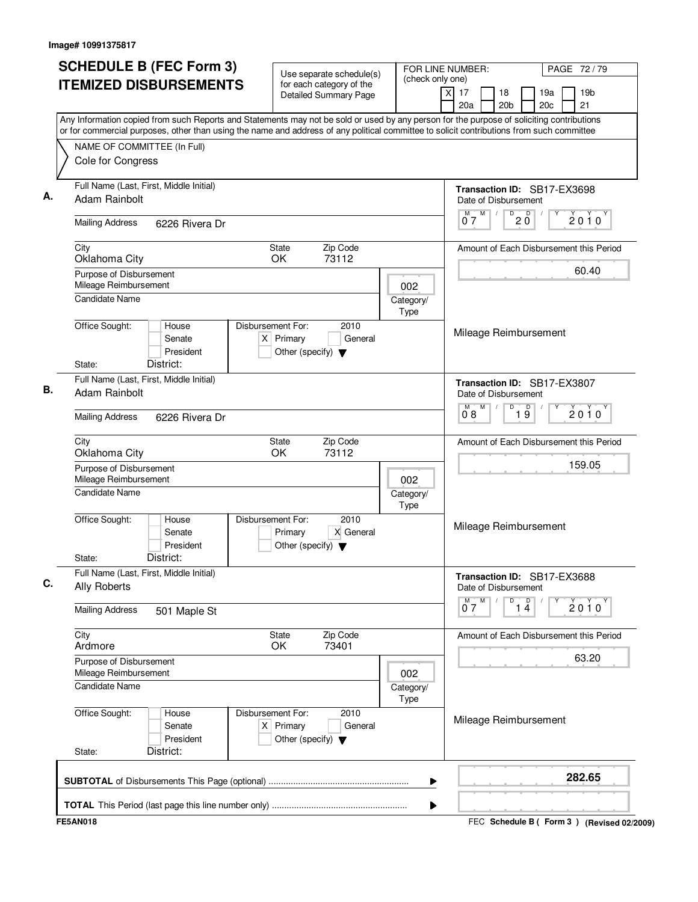| <b>SCHEDULE B (FEC Form 3)</b>                                                                                                                                                                                                                                                         | Use separate schedule(s)                                                                    | FOR LINE NUMBER:<br>(check only one) | PAGE 72/79                                                                                  |
|----------------------------------------------------------------------------------------------------------------------------------------------------------------------------------------------------------------------------------------------------------------------------------------|---------------------------------------------------------------------------------------------|--------------------------------------|---------------------------------------------------------------------------------------------|
| <b>ITEMIZED DISBURSEMENTS</b>                                                                                                                                                                                                                                                          | for each category of the<br>Detailed Summary Page                                           |                                      | $\overline{X}$<br>19 <sub>b</sub><br>17<br>18<br>19a<br>21<br>20a<br>20 <sub>b</sub><br>20c |
| Any Information copied from such Reports and Statements may not be sold or used by any person for the purpose of soliciting contributions<br>or for commercial purposes, other than using the name and address of any political committee to solicit contributions from such committee |                                                                                             |                                      |                                                                                             |
| NAME OF COMMITTEE (In Full)                                                                                                                                                                                                                                                            |                                                                                             |                                      |                                                                                             |
| Cole for Congress                                                                                                                                                                                                                                                                      |                                                                                             |                                      |                                                                                             |
| Full Name (Last, First, Middle Initial)<br>Adam Rainbolt                                                                                                                                                                                                                               |                                                                                             |                                      | Transaction ID: SB17-EX3698<br>Date of Disbursement                                         |
| <b>Mailing Address</b><br>6226 Rivera Dr                                                                                                                                                                                                                                               |                                                                                             |                                      | M<br>D<br>D<br>2010<br>$0^{\degree}$ 7<br>2 Ŏ                                               |
| City<br>Oklahoma City                                                                                                                                                                                                                                                                  | Zip Code<br>State<br>OK<br>73112                                                            |                                      | Amount of Each Disbursement this Period                                                     |
| Purpose of Disbursement<br>Mileage Reimbursement                                                                                                                                                                                                                                       |                                                                                             | 002                                  | 60.40                                                                                       |
| <b>Candidate Name</b>                                                                                                                                                                                                                                                                  |                                                                                             | Category/<br>Type                    |                                                                                             |
| Office Sought:<br>House<br>Senate<br>President<br>District:<br>State:                                                                                                                                                                                                                  | Disbursement For:<br>2010<br>$X$ Primary<br>General<br>Other (specify) $\blacktriangledown$ |                                      | Mileage Reimbursement                                                                       |
| Full Name (Last, First, Middle Initial)<br>Adam Rainbolt                                                                                                                                                                                                                               |                                                                                             |                                      | Transaction ID: SB17-EX3807<br>Date of Disbursement                                         |
| <b>Mailing Address</b><br>6226 Rivera Dr                                                                                                                                                                                                                                               |                                                                                             |                                      | M<br>D<br>M.<br>$\overline{19}$<br>2010<br>08                                               |
| City<br>Oklahoma City                                                                                                                                                                                                                                                                  | Zip Code<br>State<br>OK<br>73112                                                            |                                      | Amount of Each Disbursement this Period                                                     |
| Purpose of Disbursement<br>Mileage Reimbursement                                                                                                                                                                                                                                       |                                                                                             | 002                                  | 159.05                                                                                      |
| <b>Candidate Name</b>                                                                                                                                                                                                                                                                  |                                                                                             | Category/<br>Type                    |                                                                                             |
| Office Sought:<br>House<br>Senate<br>President<br>District:<br>State:                                                                                                                                                                                                                  | 2010<br>Disbursement For:<br>X General<br>Primary<br>Other (specify) $\blacktriangledown$   |                                      | Mileage Reimbursement                                                                       |
| Full Name (Last, First, Middle Initial)<br><b>Ally Roberts</b>                                                                                                                                                                                                                         |                                                                                             |                                      | Transaction ID: SB17-EX3688<br>Date of Disbursement                                         |
| <b>Mailing Address</b><br>501 Maple St                                                                                                                                                                                                                                                 |                                                                                             |                                      | $\overline{14}$<br>M<br>D<br>$0^{M}$<br>2010                                                |
| City<br>Ardmore                                                                                                                                                                                                                                                                        | Zip Code<br>State<br>73401<br>OK                                                            |                                      | Amount of Each Disbursement this Period                                                     |
| Purpose of Disbursement<br>Mileage Reimbursement                                                                                                                                                                                                                                       |                                                                                             | 002                                  | 63.20                                                                                       |
| <b>Candidate Name</b>                                                                                                                                                                                                                                                                  |                                                                                             | Category/<br>Type                    |                                                                                             |
| Office Sought:<br>House<br>Senate<br>President<br>District:<br>State:                                                                                                                                                                                                                  | Disbursement For:<br>2010<br>$X$ Primary<br>General<br>Other (specify) $\blacktriangledown$ |                                      | Mileage Reimbursement                                                                       |
|                                                                                                                                                                                                                                                                                        |                                                                                             | ▶                                    | 282.65                                                                                      |
|                                                                                                                                                                                                                                                                                        |                                                                                             | ▶                                    |                                                                                             |
| <b>FE5AN018</b>                                                                                                                                                                                                                                                                        |                                                                                             |                                      | FEC Schedule B ( Form 3 ) (Revised 02/2009)                                                 |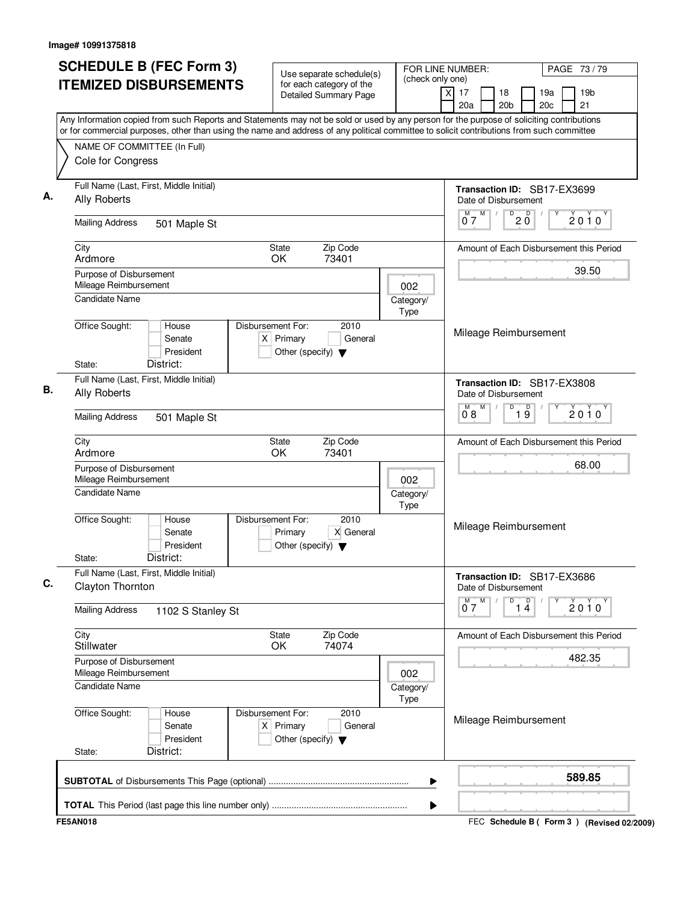| <b>SCHEDULE B (FEC Form 3)</b>                                                                                                                                                                                                                                                         | Use separate schedule(s)                                                                    |                   | FOR LINE NUMBER:                                              | PAGE 73 / 79                                    |
|----------------------------------------------------------------------------------------------------------------------------------------------------------------------------------------------------------------------------------------------------------------------------------------|---------------------------------------------------------------------------------------------|-------------------|---------------------------------------------------------------|-------------------------------------------------|
| <b>ITEMIZED DISBURSEMENTS</b>                                                                                                                                                                                                                                                          | for each category of the<br><b>Detailed Summary Page</b>                                    | (check only one)  | $\overline{\mathsf{x}}$<br>17<br>18<br>20a<br>20 <sub>b</sub> | 19a<br>19 <sub>b</sub><br>21<br>20 <sub>c</sub> |
| Any Information copied from such Reports and Statements may not be sold or used by any person for the purpose of soliciting contributions<br>or for commercial purposes, other than using the name and address of any political committee to solicit contributions from such committee |                                                                                             |                   |                                                               |                                                 |
| NAME OF COMMITTEE (In Full)                                                                                                                                                                                                                                                            |                                                                                             |                   |                                                               |                                                 |
| Cole for Congress                                                                                                                                                                                                                                                                      |                                                                                             |                   |                                                               |                                                 |
| Full Name (Last, First, Middle Initial)<br><b>Ally Roberts</b>                                                                                                                                                                                                                         |                                                                                             |                   | Date of Disbursement                                          | Transaction ID: SB17-EX3699                     |
| <b>Mailing Address</b><br>501 Maple St                                                                                                                                                                                                                                                 |                                                                                             |                   | M<br>D<br>M<br>07                                             | $20^{\circ}$<br>2010                            |
| City<br>Ardmore                                                                                                                                                                                                                                                                        | Zip Code<br><b>State</b><br>OK<br>73401                                                     |                   |                                                               | Amount of Each Disbursement this Period         |
| Purpose of Disbursement<br>Mileage Reimbursement<br><b>Candidate Name</b>                                                                                                                                                                                                              |                                                                                             | 002               |                                                               | 39.50                                           |
|                                                                                                                                                                                                                                                                                        |                                                                                             | Category/<br>Type |                                                               |                                                 |
| Office Sought:<br>House<br>Senate<br>President<br>District:<br>State:                                                                                                                                                                                                                  | Disbursement For:<br>2010<br>$X$ Primary<br>General<br>Other (specify) $\blacktriangledown$ |                   | Mileage Reimbursement                                         |                                                 |
| Full Name (Last, First, Middle Initial)<br><b>Ally Roberts</b>                                                                                                                                                                                                                         |                                                                                             |                   | Date of Disbursement                                          | Transaction ID: SB17-EX3808                     |
| <b>Mailing Address</b><br>501 Maple St                                                                                                                                                                                                                                                 |                                                                                             |                   | M<br>D<br>м<br>08                                             | $\overline{19}$<br>$2010^y$                     |
| City<br>Ardmore                                                                                                                                                                                                                                                                        | Zip Code<br>State<br>OK<br>73401                                                            |                   |                                                               | Amount of Each Disbursement this Period         |
| Purpose of Disbursement<br>Mileage Reimbursement<br>Candidate Name                                                                                                                                                                                                                     |                                                                                             | 002<br>Category/  |                                                               | 68.00                                           |
| Office Sought:<br>House<br>Senate<br>President<br>District:<br>State:                                                                                                                                                                                                                  | Disbursement For:<br>2010<br>X General<br>Primary<br>Other (specify) $\blacktriangledown$   | Type              | Mileage Reimbursement                                         |                                                 |
| Full Name (Last, First, Middle Initial)<br>Clayton Thornton                                                                                                                                                                                                                            |                                                                                             |                   | Date of Disbursement                                          | Transaction ID: SB17-EX3686                     |
| <b>Mailing Address</b><br>1102 S Stanley St                                                                                                                                                                                                                                            |                                                                                             |                   | $0^{\overline{M}}$<br>M<br>D                                  | $\overline{14}$<br>Υ<br>2010                    |
| City<br>Stillwater                                                                                                                                                                                                                                                                     | State<br>Zip Code<br>OK<br>74074                                                            |                   |                                                               | Amount of Each Disbursement this Period         |
| Purpose of Disbursement<br>Mileage Reimbursement<br><b>Candidate Name</b>                                                                                                                                                                                                              |                                                                                             | 002               |                                                               | 482.35                                          |
|                                                                                                                                                                                                                                                                                        |                                                                                             | Category/<br>Type |                                                               |                                                 |
| Office Sought:<br>House<br>Senate<br>President<br>District:<br>State:                                                                                                                                                                                                                  | Disbursement For:<br>2010<br>$X$ Primary<br>General<br>Other (specify) $\blacktriangledown$ |                   | Mileage Reimbursement                                         |                                                 |
|                                                                                                                                                                                                                                                                                        |                                                                                             | ▶                 |                                                               | 589.85                                          |
|                                                                                                                                                                                                                                                                                        |                                                                                             | ▶                 |                                                               |                                                 |
| <b>FE5AN018</b>                                                                                                                                                                                                                                                                        |                                                                                             |                   |                                                               | FEC Schedule B ( Form 3 ) (Revised 02/2009)     |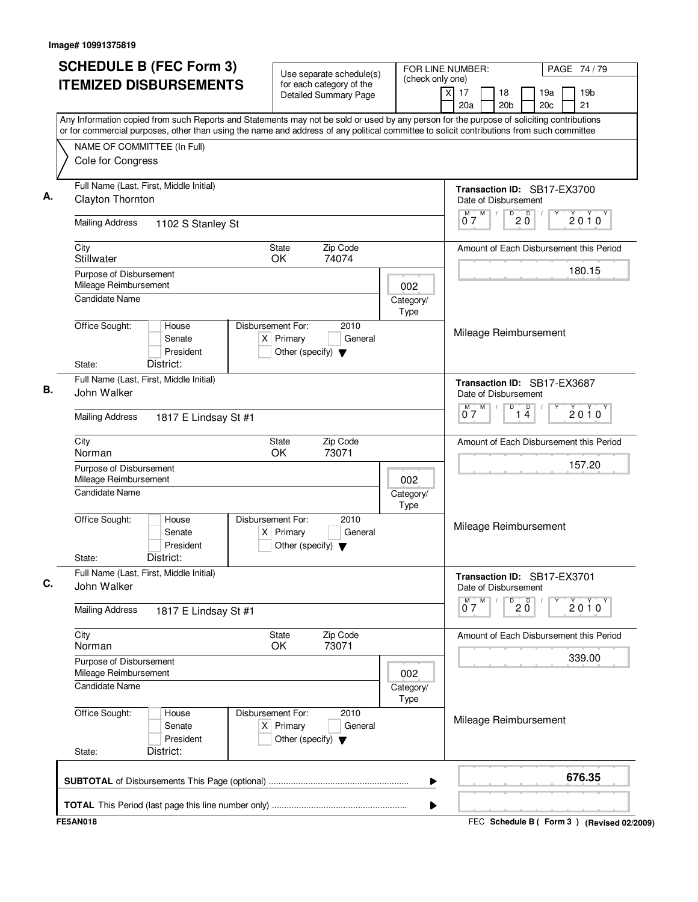| <b>SCHEDULE B (FEC Form 3)</b>                                                                                                                                                                                                                                                         | FOR LINE NUMBER:<br>Use separate schedule(s)                                                |                                             |                                                     |                                                 |
|----------------------------------------------------------------------------------------------------------------------------------------------------------------------------------------------------------------------------------------------------------------------------------------|---------------------------------------------------------------------------------------------|---------------------------------------------|-----------------------------------------------------|-------------------------------------------------|
| <b>ITEMIZED DISBURSEMENTS</b>                                                                                                                                                                                                                                                          | for each category of the<br><b>Detailed Summary Page</b>                                    | (check only one)<br>$\overline{\mathsf{x}}$ | 17<br>18<br>20 <sub>b</sub><br>20a                  | 19 <sub>b</sub><br>19a<br>20 <sub>c</sub><br>21 |
| Any Information copied from such Reports and Statements may not be sold or used by any person for the purpose of soliciting contributions<br>or for commercial purposes, other than using the name and address of any political committee to solicit contributions from such committee |                                                                                             |                                             |                                                     |                                                 |
| NAME OF COMMITTEE (In Full)                                                                                                                                                                                                                                                            |                                                                                             |                                             |                                                     |                                                 |
| Cole for Congress                                                                                                                                                                                                                                                                      |                                                                                             |                                             |                                                     |                                                 |
| Full Name (Last, First, Middle Initial)<br>Clayton Thornton                                                                                                                                                                                                                            |                                                                                             |                                             | Transaction ID: SB17-EX3700<br>Date of Disbursement |                                                 |
| <b>Mailing Address</b><br>1102 S Stanley St                                                                                                                                                                                                                                            |                                                                                             |                                             | M<br>$D^0$ 2 $D^0$<br>M<br>07                       | 2010                                            |
| City<br>Stillwater                                                                                                                                                                                                                                                                     | <b>State</b><br>Zip Code<br>OK.<br>74074                                                    |                                             |                                                     | Amount of Each Disbursement this Period         |
| Purpose of Disbursement                                                                                                                                                                                                                                                                |                                                                                             |                                             |                                                     | 180.15                                          |
| Mileage Reimbursement<br><b>Candidate Name</b>                                                                                                                                                                                                                                         |                                                                                             | 002<br>Category/<br>Type                    |                                                     |                                                 |
| Office Sought:<br>House<br>Senate<br>President<br>District:<br>State:                                                                                                                                                                                                                  | Disbursement For:<br>2010<br>$X$ Primary<br>General<br>Other (specify) $\blacktriangledown$ |                                             | Mileage Reimbursement                               |                                                 |
| Full Name (Last, First, Middle Initial)                                                                                                                                                                                                                                                |                                                                                             |                                             |                                                     |                                                 |
| John Walker                                                                                                                                                                                                                                                                            |                                                                                             |                                             | Transaction ID: SB17-EX3687<br>Date of Disbursement |                                                 |
| <b>Mailing Address</b><br>1817 E Lindsay St #1                                                                                                                                                                                                                                         |                                                                                             |                                             | M<br>D<br>$\overline{14}$<br>M<br>07                | $2010^y$                                        |
| City<br>Norman                                                                                                                                                                                                                                                                         | Zip Code<br><b>State</b><br>OK<br>73071                                                     |                                             |                                                     | Amount of Each Disbursement this Period         |
| Purpose of Disbursement                                                                                                                                                                                                                                                                |                                                                                             |                                             |                                                     | 157.20                                          |
| Mileage Reimbursement<br><b>Candidate Name</b>                                                                                                                                                                                                                                         |                                                                                             | 002<br>Category/<br>Type                    |                                                     |                                                 |
| Office Sought:<br>House<br>Senate<br>President<br>District:<br>State:                                                                                                                                                                                                                  | Disbursement For:<br>2010<br>$X$ Primary<br>General<br>Other (specify) $\blacktriangledown$ |                                             | Mileage Reimbursement                               |                                                 |
| Full Name (Last, First, Middle Initial)<br>John Walker                                                                                                                                                                                                                                 |                                                                                             |                                             | Transaction ID: SB17-EX3701<br>Date of Disbursement |                                                 |
| <b>Mailing Address</b><br>1817 E Lindsay St #1                                                                                                                                                                                                                                         |                                                                                             |                                             | $0^M$ $7^M$<br>$D^0$ 2 $D^0$                        | Y<br>2010                                       |
| City<br>Norman                                                                                                                                                                                                                                                                         | Zip Code<br>State<br>OK<br>73071                                                            |                                             |                                                     | Amount of Each Disbursement this Period         |
| Purpose of Disbursement<br>Mileage Reimbursement                                                                                                                                                                                                                                       |                                                                                             |                                             |                                                     | 339.00                                          |
| Candidate Name                                                                                                                                                                                                                                                                         |                                                                                             | 002<br>Category/<br>Type                    |                                                     |                                                 |
| Office Sought:<br>House<br>Senate<br>President<br>District:<br>State:                                                                                                                                                                                                                  | Disbursement For:<br>2010<br>$X$ Primary<br>General<br>Other (specify) $\blacktriangledown$ |                                             | Mileage Reimbursement                               |                                                 |
|                                                                                                                                                                                                                                                                                        |                                                                                             | ▶                                           |                                                     | 676.35                                          |
|                                                                                                                                                                                                                                                                                        |                                                                                             | ▶                                           |                                                     |                                                 |
| <b>FE5AN018</b>                                                                                                                                                                                                                                                                        |                                                                                             |                                             |                                                     | FEC Schedule B ( Form 3 ) (Revised 02/2009)     |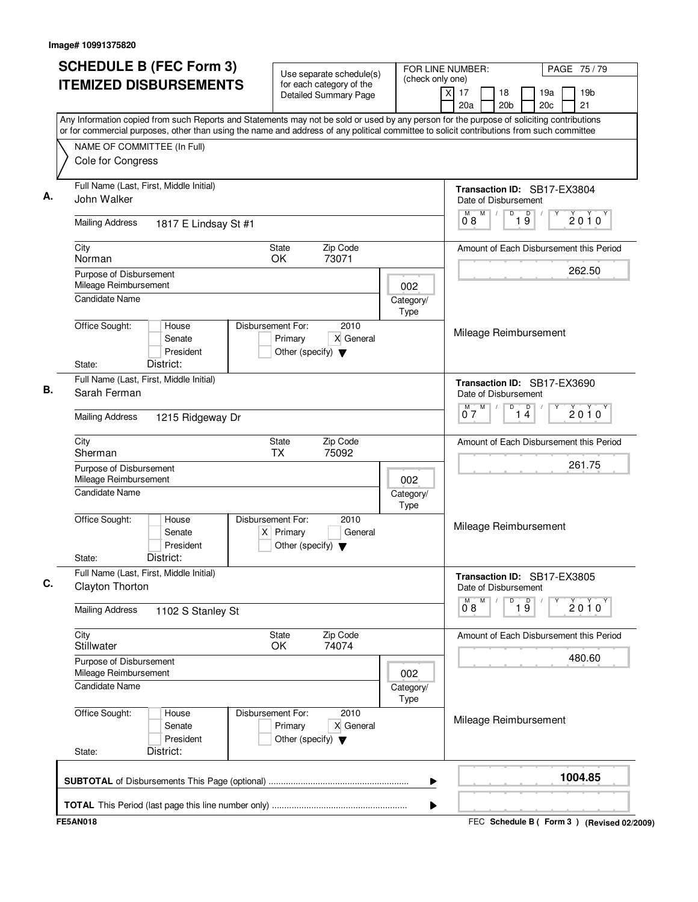| <b>SCHEDULE B (FEC Form 3)</b>                                     |                                                                                                                                           |  | Use separate schedule(s)                                                 |                                                          |                   |                  | FOR LINE NUMBER:        |                  |                                                     |   |                               | PAGE 75 / 79           |  |                                         |
|--------------------------------------------------------------------|-------------------------------------------------------------------------------------------------------------------------------------------|--|--------------------------------------------------------------------------|----------------------------------------------------------|-------------------|------------------|-------------------------|------------------|-----------------------------------------------------|---|-------------------------------|------------------------|--|-----------------------------------------|
|                                                                    | <b>ITEMIZED DISBURSEMENTS</b>                                                                                                             |  |                                                                          | for each category of the<br><b>Detailed Summary Page</b> |                   | (check only one) | $\overline{\mathsf{x}}$ | 17<br>20a        | 18<br>20 <sub>b</sub>                               |   |                               | 19a<br>20 <sub>c</sub> |  | 19 <sub>b</sub><br>21                   |
|                                                                    | Any Information copied from such Reports and Statements may not be sold or used by any person for the purpose of soliciting contributions |  |                                                                          |                                                          |                   |                  |                         |                  |                                                     |   |                               |                        |  |                                         |
| NAME OF COMMITTEE (In Full)                                        | or for commercial purposes, other than using the name and address of any political committee to solicit contributions from such committee |  |                                                                          |                                                          |                   |                  |                         |                  |                                                     |   |                               |                        |  |                                         |
| Cole for Congress                                                  |                                                                                                                                           |  |                                                                          |                                                          |                   |                  |                         |                  |                                                     |   |                               |                        |  |                                         |
| John Walker                                                        | Full Name (Last, First, Middle Initial)                                                                                                   |  |                                                                          |                                                          |                   |                  |                         |                  | Transaction ID: SB17-EX3804<br>Date of Disbursement |   |                               |                        |  |                                         |
| <b>Mailing Address</b>                                             | 1817 E Lindsay St #1                                                                                                                      |  |                                                                          |                                                          |                   |                  |                         | M<br>08          | M                                                   | D | $\overline{\mathsf{D}}$<br>19 |                        |  | 2010                                    |
| City<br>Norman                                                     |                                                                                                                                           |  | <b>State</b><br>OK                                                       | Zip Code<br>73071                                        |                   |                  |                         |                  |                                                     |   |                               |                        |  | Amount of Each Disbursement this Period |
| Purpose of Disbursement<br>Mileage Reimbursement<br>Candidate Name |                                                                                                                                           |  |                                                                          |                                                          | 002               |                  |                         |                  |                                                     |   |                               |                        |  | 262.50                                  |
|                                                                    |                                                                                                                                           |  |                                                                          |                                                          | Category/<br>Type |                  |                         |                  |                                                     |   |                               |                        |  |                                         |
| Office Sought:<br>State:                                           | House<br>Senate<br>President<br>District:                                                                                                 |  | Disbursement For:<br>Primary<br>Other (specify) $\blacktriangledown$     | 2010<br>X General                                        |                   |                  |                         |                  | Mileage Reimbursement                               |   |                               |                        |  |                                         |
| Sarah Ferman                                                       | Full Name (Last, First, Middle Initial)                                                                                                   |  |                                                                          |                                                          |                   |                  |                         |                  | Transaction ID: SB17-EX3690<br>Date of Disbursement |   |                               |                        |  |                                         |
| <b>Mailing Address</b>                                             | 1215 Ridgeway Dr                                                                                                                          |  |                                                                          |                                                          |                   |                  |                         | м<br>07          | M                                                   | D | $\overline{1}$ <sup>D</sup>   |                        |  | $2010^y$                                |
| City<br>Sherman                                                    |                                                                                                                                           |  | State<br><b>TX</b>                                                       | Zip Code<br>75092                                        |                   |                  |                         |                  |                                                     |   |                               |                        |  | Amount of Each Disbursement this Period |
| Purpose of Disbursement<br>Mileage Reimbursement<br>Candidate Name |                                                                                                                                           |  |                                                                          |                                                          | 002<br>Category/  |                  |                         |                  |                                                     |   |                               |                        |  | 261.75                                  |
| Office Sought:<br>State:                                           | House<br>Senate<br>President<br>District:                                                                                                 |  | Disbursement For:<br>$X$ Primary<br>Other (specify) $\blacktriangledown$ | 2010<br>General                                          | Type              |                  |                         |                  | Mileage Reimbursement                               |   |                               |                        |  |                                         |
| Clayton Thorton                                                    | Full Name (Last, First, Middle Initial)                                                                                                   |  |                                                                          |                                                          |                   |                  |                         |                  | Transaction ID: SB17-EX3805<br>Date of Disbursement |   |                               |                        |  |                                         |
| <b>Mailing Address</b>                                             | 1102 S Stanley St                                                                                                                         |  |                                                                          |                                                          |                   |                  |                         | $0^{\text{M}}$ 8 | M                                                   | D | $\overline{19}$               | Υ                      |  | 2010                                    |
| City<br>Stillwater                                                 |                                                                                                                                           |  | State<br>OK                                                              | Zip Code<br>74074                                        |                   |                  |                         |                  |                                                     |   |                               |                        |  | Amount of Each Disbursement this Period |
| Purpose of Disbursement<br>Mileage Reimbursement                   |                                                                                                                                           |  |                                                                          |                                                          | 002               |                  |                         |                  |                                                     |   |                               |                        |  | 480.60                                  |
| <b>Candidate Name</b>                                              |                                                                                                                                           |  |                                                                          |                                                          | Category/<br>Type |                  |                         |                  |                                                     |   |                               |                        |  |                                         |
| Office Sought:<br>State:                                           | House<br>Senate<br>President<br>District:                                                                                                 |  | Disbursement For:<br>Primary<br>Other (specify) $\blacktriangledown$     | 2010<br>X General                                        |                   |                  |                         |                  | Mileage Reimbursement                               |   |                               |                        |  |                                         |
|                                                                    |                                                                                                                                           |  |                                                                          |                                                          |                   | ▶                |                         |                  |                                                     |   |                               |                        |  | 1004.85                                 |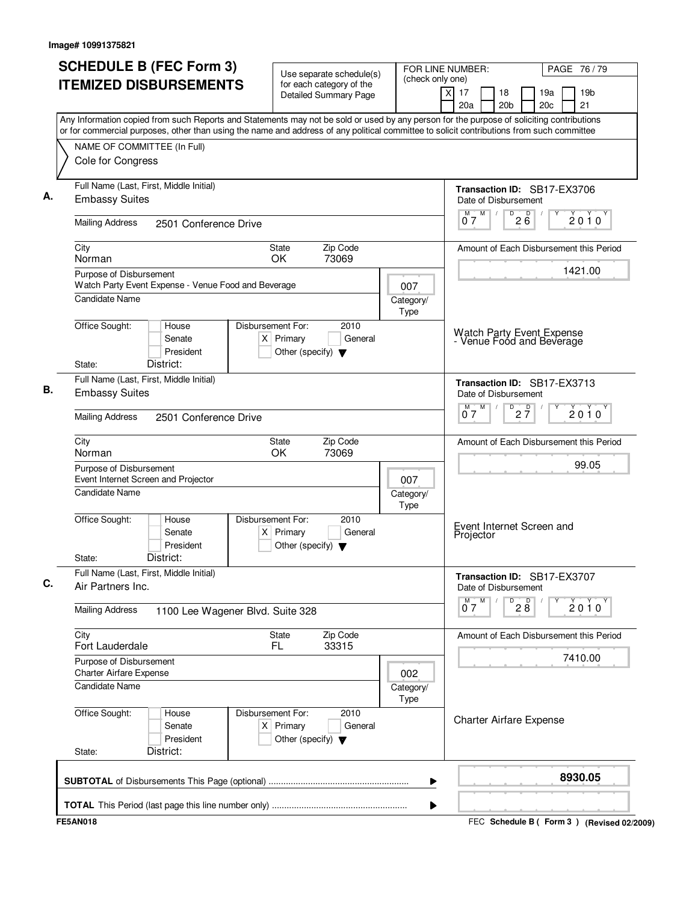| <b>SCHEDULE B (FEC Form 3)</b>                                                                                                                                                                                                                                                         | Use separate schedule(s)                                                                    | FOR LINE NUMBER:<br>(check only one) |                                                               | PAGE 76 / 79                            |  |  |
|----------------------------------------------------------------------------------------------------------------------------------------------------------------------------------------------------------------------------------------------------------------------------------------|---------------------------------------------------------------------------------------------|--------------------------------------|---------------------------------------------------------------|-----------------------------------------|--|--|
| <b>ITEMIZED DISBURSEMENTS</b>                                                                                                                                                                                                                                                          | for each category of the<br><b>Detailed Summary Page</b>                                    |                                      | $\times$<br>17<br>18<br>20a<br>20 <sub>b</sub>                | 19a<br>19 <sub>b</sub><br>21<br>20c     |  |  |
| Any Information copied from such Reports and Statements may not be sold or used by any person for the purpose of soliciting contributions<br>or for commercial purposes, other than using the name and address of any political committee to solicit contributions from such committee |                                                                                             |                                      |                                                               |                                         |  |  |
| NAME OF COMMITTEE (In Full)<br>Cole for Congress                                                                                                                                                                                                                                       |                                                                                             |                                      |                                                               |                                         |  |  |
| Full Name (Last, First, Middle Initial)<br><b>Embassy Suites</b>                                                                                                                                                                                                                       |                                                                                             |                                      | Transaction ID: SB17-EX3706<br>Date of Disbursement           |                                         |  |  |
| <b>Mailing Address</b><br>2501 Conference Drive                                                                                                                                                                                                                                        |                                                                                             |                                      | M<br>D<br>$2\overline{6}$<br>М<br>$\sqrt{2}$<br>07            | 2010                                    |  |  |
| City<br>Norman                                                                                                                                                                                                                                                                         | Zip Code<br>State<br>73069<br>OK.                                                           |                                      |                                                               | Amount of Each Disbursement this Period |  |  |
| Purpose of Disbursement<br>Watch Party Event Expense - Venue Food and Beverage<br>Candidate Name                                                                                                                                                                                       |                                                                                             | 007<br>Category/                     |                                                               | 1421.00                                 |  |  |
| Office Sought:<br>House<br>Senate<br>President<br>District:<br>State:                                                                                                                                                                                                                  | Disbursement For:<br>2010<br>$X$ Primary<br>General<br>Other (specify) $\blacktriangledown$ | Type                                 | Watch Party Event Expense<br>- Venue Food and Beverage        |                                         |  |  |
| Full Name (Last, First, Middle Initial)<br><b>Embassy Suites</b>                                                                                                                                                                                                                       |                                                                                             |                                      | Transaction ID: SB17-EX3713<br>Date of Disbursement<br>M<br>м |                                         |  |  |
| <b>Mailing Address</b><br>2501 Conference Drive                                                                                                                                                                                                                                        |                                                                                             |                                      | $\overline{P}$ 2 $\overline{7}$<br>07                         | 2010                                    |  |  |
| City<br>Norman                                                                                                                                                                                                                                                                         | Zip Code<br><b>State</b><br>OK<br>73069                                                     |                                      |                                                               | Amount of Each Disbursement this Period |  |  |
| Purpose of Disbursement<br>Event Internet Screen and Projector                                                                                                                                                                                                                         |                                                                                             | 007                                  |                                                               | 99.05                                   |  |  |
| Candidate Name                                                                                                                                                                                                                                                                         |                                                                                             | Category/<br>Type                    |                                                               |                                         |  |  |
| Office Sought:<br>House<br>Senate<br>President<br>District:<br>State:                                                                                                                                                                                                                  | Disbursement For:<br>2010<br>$X$ Primary<br>General<br>Other (specify) $\blacktriangledown$ |                                      | Event Internet Screen and<br>Projector                        |                                         |  |  |
| Full Name (Last, First, Middle Initial)<br>Air Partners Inc.                                                                                                                                                                                                                           |                                                                                             |                                      | Transaction ID: SB17-EX3707<br>Date of Disbursement           |                                         |  |  |
| <b>Mailing Address</b><br>1100 Lee Wagener Blvd. Suite 328                                                                                                                                                                                                                             |                                                                                             |                                      | $0^M$ $7^M$<br>$\overline{P}$ 2 $\overline{8}$                | $2010^y$                                |  |  |
| City<br>Fort Lauderdale                                                                                                                                                                                                                                                                | Zip Code<br>State<br>FL.<br>33315                                                           |                                      |                                                               | Amount of Each Disbursement this Period |  |  |
| Purpose of Disbursement<br><b>Charter Airfare Expense</b>                                                                                                                                                                                                                              |                                                                                             | 002                                  |                                                               | 7410.00                                 |  |  |
| Candidate Name                                                                                                                                                                                                                                                                         |                                                                                             | Category/<br>Type                    |                                                               |                                         |  |  |
| Office Sought:<br>House<br>Senate<br>President<br>District:<br>State:                                                                                                                                                                                                                  | Disbursement For:<br>2010<br>$X$ Primary<br>General<br>Other (specify) $\blacktriangledown$ |                                      | <b>Charter Airfare Expense</b>                                |                                         |  |  |
|                                                                                                                                                                                                                                                                                        |                                                                                             |                                      |                                                               |                                         |  |  |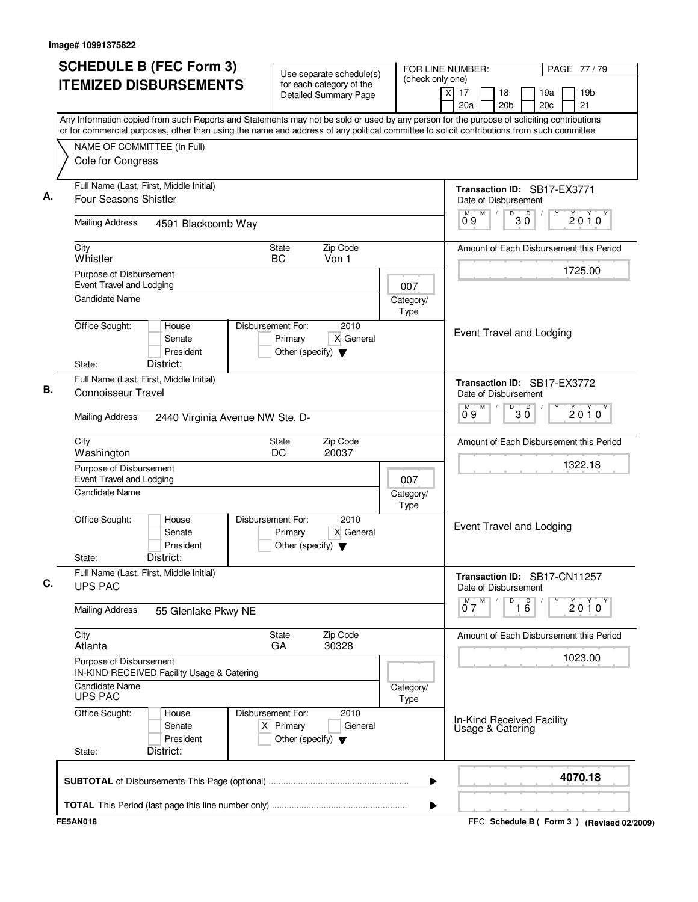| <b>SCHEDULE B (FEC Form 3)</b>                                                                                                                                                                                                                                                         | Use separate schedule(s)                                                                    | (check only one)                         | FOR LINE NUMBER:                              | PAGE 77 / 79                              |  |  |
|----------------------------------------------------------------------------------------------------------------------------------------------------------------------------------------------------------------------------------------------------------------------------------------|---------------------------------------------------------------------------------------------|------------------------------------------|-----------------------------------------------|-------------------------------------------|--|--|
| <b>ITEMIZED DISBURSEMENTS</b>                                                                                                                                                                                                                                                          | for each category of the<br><b>Detailed Summary Page</b>                                    |                                          | x<br>17<br>18<br>20a<br>20 <sub>b</sub>       | 19a<br>19 <sub>b</sub><br>20c<br>21       |  |  |
| Any Information copied from such Reports and Statements may not be sold or used by any person for the purpose of soliciting contributions<br>or for commercial purposes, other than using the name and address of any political committee to solicit contributions from such committee |                                                                                             |                                          |                                               |                                           |  |  |
| NAME OF COMMITTEE (In Full)                                                                                                                                                                                                                                                            |                                                                                             |                                          |                                               |                                           |  |  |
| Cole for Congress                                                                                                                                                                                                                                                                      |                                                                                             |                                          |                                               |                                           |  |  |
| Full Name (Last, First, Middle Initial)<br>Four Seasons Shistler                                                                                                                                                                                                                       |                                                                                             |                                          | Date of Disbursement                          | Transaction ID: SB17-EX3771               |  |  |
| <b>Mailing Address</b><br>4591 Blackcomb Way                                                                                                                                                                                                                                           |                                                                                             |                                          | M<br>M<br>D<br>09                             | D<br>2010<br>ЗŎ                           |  |  |
| City<br>Whistler                                                                                                                                                                                                                                                                       | Zip Code<br>State<br>BC<br>Von 1                                                            |                                          |                                               | Amount of Each Disbursement this Period   |  |  |
| Purpose of Disbursement<br>Event Travel and Lodging                                                                                                                                                                                                                                    |                                                                                             | 007                                      |                                               | 1725.00                                   |  |  |
| <b>Candidate Name</b>                                                                                                                                                                                                                                                                  |                                                                                             | Category/<br>Type                        |                                               |                                           |  |  |
| Office Sought:<br>House<br>Senate<br>President<br>District:<br>State:                                                                                                                                                                                                                  | 2010<br>Disbursement For:<br>X General<br>Primary<br>Other (specify) $\blacktriangledown$   |                                          | Event Travel and Lodging                      |                                           |  |  |
| Full Name (Last, First, Middle Initial)<br><b>Connoisseur Travel</b>                                                                                                                                                                                                                   |                                                                                             |                                          | Date of Disbursement                          | Transaction ID: SB17-EX3772               |  |  |
| <b>Mailing Address</b><br>2440 Virginia Avenue NW Ste. D-                                                                                                                                                                                                                              |                                                                                             | M<br>D<br>$30^{\circ}$<br>$2010^y$<br>09 |                                               |                                           |  |  |
| City<br>Washington                                                                                                                                                                                                                                                                     | Zip Code<br>State<br>DC<br>20037                                                            |                                          |                                               | Amount of Each Disbursement this Period   |  |  |
| Purpose of Disbursement<br>Event Travel and Lodging                                                                                                                                                                                                                                    | 007                                                                                         | 1322.18                                  |                                               |                                           |  |  |
| <b>Candidate Name</b>                                                                                                                                                                                                                                                                  |                                                                                             | Category/<br>Type                        |                                               |                                           |  |  |
| Office Sought:<br>House<br>Senate<br>President<br>District:<br>State:                                                                                                                                                                                                                  | 2010<br>Disbursement For:<br>X General<br>Primary<br>Other (specify) $\blacktriangledown$   |                                          | Event Travel and Lodging                      |                                           |  |  |
| Full Name (Last, First, Middle Initial)<br><b>UPS PAC</b>                                                                                                                                                                                                                              |                                                                                             |                                          | Date of Disbursement                          | Transaction ID: SB17-CN11257              |  |  |
| <b>Mailing Address</b><br>55 Glenlake Pkwy NE                                                                                                                                                                                                                                          |                                                                                             |                                          | $\overline{0}^M$ 7<br>M<br>D                  | $\overline{16}$<br>2010                   |  |  |
| City<br>Atlanta                                                                                                                                                                                                                                                                        | Zip Code<br>State<br>GA<br>30328                                                            |                                          |                                               | Amount of Each Disbursement this Period   |  |  |
| Purpose of Disbursement<br>IN-KIND RECEIVED Facility Usage & Catering                                                                                                                                                                                                                  |                                                                                             | 1023.00                                  |                                               |                                           |  |  |
| Candidate Name<br><b>UPS PAC</b>                                                                                                                                                                                                                                                       | Category/<br>Type                                                                           |                                          |                                               |                                           |  |  |
| Office Sought:<br>House<br>Senate<br>President<br>District:<br>State:                                                                                                                                                                                                                  | Disbursement For:<br>2010<br>$X$ Primary<br>General<br>Other (specify) $\blacktriangledown$ |                                          | In-Kind Received Facility<br>Usage & Catering |                                           |  |  |
|                                                                                                                                                                                                                                                                                        |                                                                                             | ▶                                        |                                               | 4070.18                                   |  |  |
|                                                                                                                                                                                                                                                                                        |                                                                                             | ▶                                        |                                               |                                           |  |  |
| <b>FE5AN018</b>                                                                                                                                                                                                                                                                        |                                                                                             |                                          |                                               | FEC Schedule B (Form 3) (Revised 02/2009) |  |  |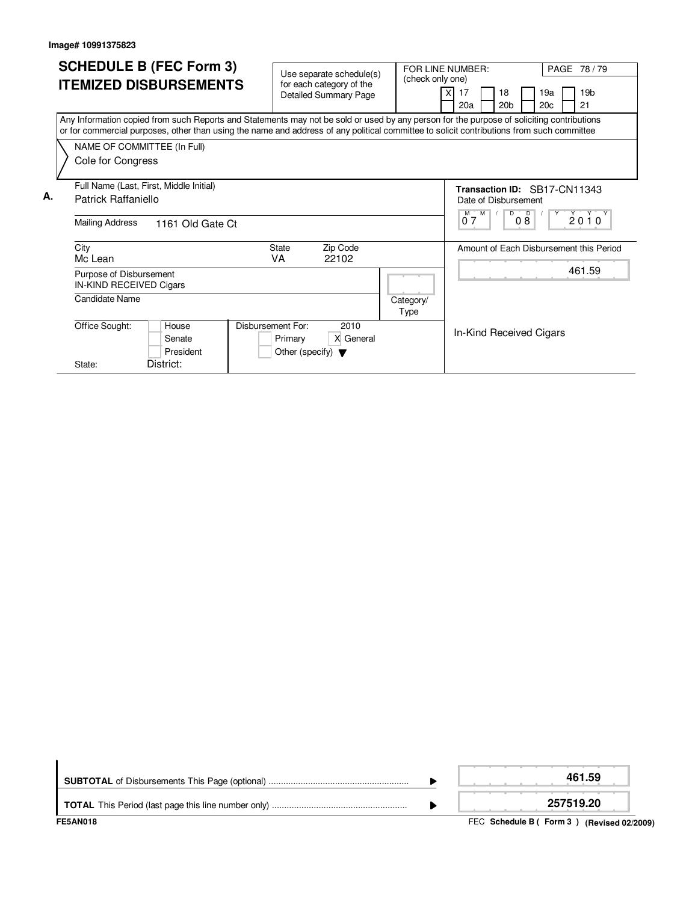|    | <b>SCHEDULE B (FEC Form 3)</b><br><b>ITEMIZED DISBURSEMENTS</b>                                                                                                                                                                                                                                                                            | Use separate schedule(s)<br>for each category of the<br><b>Detailed Summary Page</b>             | (check only one)  | PAGE 78 / 79<br>FOR LINE NUMBER:<br>19 <sub>b</sub><br>19a<br>17<br>18<br>20 <sub>b</sub><br>20c<br>21<br>20a |
|----|--------------------------------------------------------------------------------------------------------------------------------------------------------------------------------------------------------------------------------------------------------------------------------------------------------------------------------------------|--------------------------------------------------------------------------------------------------|-------------------|---------------------------------------------------------------------------------------------------------------|
|    | Any Information copied from such Reports and Statements may not be sold or used by any person for the purpose of soliciting contributions<br>or for commercial purposes, other than using the name and address of any political committee to solicit contributions from such committee<br>NAME OF COMMITTEE (In Full)<br>Cole for Congress |                                                                                                  |                   |                                                                                                               |
| А. | Full Name (Last, First, Middle Initial)<br><b>Patrick Raffaniello</b>                                                                                                                                                                                                                                                                      |                                                                                                  |                   | Transaction ID: SB17-CN11343<br>Date of Disbursement                                                          |
|    | Mailing Address<br>1161 Old Gate Ct                                                                                                                                                                                                                                                                                                        |                                                                                                  |                   | $M$ $M$<br>D<br>D<br>$2010^y$<br>07<br>08                                                                     |
|    | City<br>Mc Lean                                                                                                                                                                                                                                                                                                                            | <b>State</b><br>Zip Code<br>VA<br>22102                                                          |                   | Amount of Each Disbursement this Period                                                                       |
|    | Purpose of Disbursement<br>IN-KIND RECEIVED Cigars                                                                                                                                                                                                                                                                                         |                                                                                                  |                   | 461.59                                                                                                        |
|    | Candidate Name                                                                                                                                                                                                                                                                                                                             |                                                                                                  | Category/<br>Type |                                                                                                               |
|    | Office Sought:<br>House<br>Senate<br>President                                                                                                                                                                                                                                                                                             | <b>Disbursement For:</b><br>2010<br>X General<br>Primary<br>Other (specify) $\blacktriangledown$ |                   | In-Kind Received Cigars                                                                                       |
|    | District:<br>State:                                                                                                                                                                                                                                                                                                                        |                                                                                                  |                   |                                                                                                               |

| <b>FE5AN018</b> | FEC Schedule B (Form 3) (Revised 02/2009) |
|-----------------|-------------------------------------------|
|                 | 257519.20                                 |
|                 | 461.59                                    |